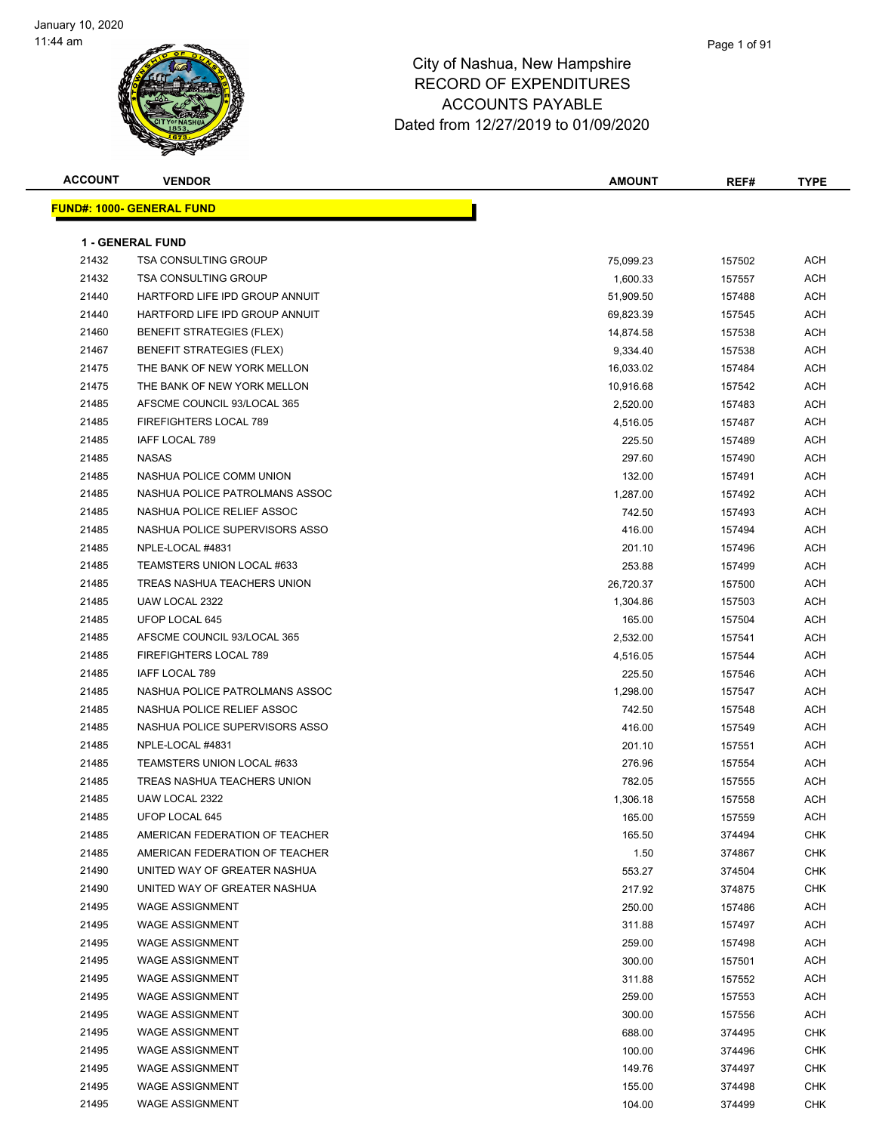| <b>ACCOUNT</b> | <b>VENDOR</b>                    | AMOUNT    | REF#   | <b>TYPE</b> |
|----------------|----------------------------------|-----------|--------|-------------|
|                | <b>FUND#: 1000- GENERAL FUND</b> |           |        |             |
|                |                                  |           |        |             |
|                | <b>1 - GENERAL FUND</b>          |           |        |             |
| 21432          | <b>TSA CONSULTING GROUP</b>      | 75,099.23 | 157502 | <b>ACH</b>  |
| 21432          | <b>TSA CONSULTING GROUP</b>      | 1,600.33  | 157557 | <b>ACH</b>  |
| 21440          | HARTFORD LIFE IPD GROUP ANNUIT   | 51,909.50 | 157488 | ACH         |
| 21440          | HARTFORD LIFE IPD GROUP ANNUIT   | 69,823.39 | 157545 | <b>ACH</b>  |
| 21460          | BENEFIT STRATEGIES (FLEX)        | 14,874.58 | 157538 | ACH         |
| 21467          | <b>BENEFIT STRATEGIES (FLEX)</b> | 9,334.40  | 157538 | <b>ACH</b>  |
| 21475          | THE BANK OF NEW YORK MELLON      | 16,033.02 | 157484 | <b>ACH</b>  |
| 21475          | THE BANK OF NEW YORK MELLON      | 10,916.68 | 157542 | ACH         |
| 21485          | AFSCME COUNCIL 93/LOCAL 365      | 2,520.00  | 157483 | ACH         |
| 21485          | FIREFIGHTERS LOCAL 789           | 4,516.05  | 157487 | <b>ACH</b>  |
| 21485          | IAFF LOCAL 789                   | 225.50    | 157489 | ACH         |
| 21485          | <b>NASAS</b>                     | 297.60    | 157490 | <b>ACH</b>  |
| 21485          | NASHUA POLICE COMM UNION         | 132.00    | 157491 | <b>ACH</b>  |
| 21485          | NASHUA POLICE PATROLMANS ASSOC   | 1,287.00  | 157492 | ACH         |
| 21485          | NASHUA POLICE RELIEF ASSOC       | 742.50    | 157493 | ACH         |
| 21485          | NASHUA POLICE SUPERVISORS ASSO   | 416.00    | 157494 | ACH         |
| 21485          | NPLE-LOCAL #4831                 | 201.10    | 157496 | ACH         |
| 21485          | TEAMSTERS UNION LOCAL #633       | 253.88    | 157499 | ACH         |
| 21485          | TREAS NASHUA TEACHERS UNION      | 26,720.37 | 157500 | ACH         |
| 21485          | UAW LOCAL 2322                   | 1,304.86  | 157503 | ACH         |
| 21485          | UFOP LOCAL 645                   | 165.00    | 157504 | <b>ACH</b>  |
| 21485          | AFSCME COUNCIL 93/LOCAL 365      | 2,532.00  | 157541 | <b>ACH</b>  |
| 21485          | FIREFIGHTERS LOCAL 789           | 4,516.05  | 157544 | <b>ACH</b>  |
| 21485          | IAFF LOCAL 789                   | 225.50    | 157546 | ACH         |
| 21485          | NASHUA POLICE PATROLMANS ASSOC   | 1,298.00  | 157547 | ACH         |
| 21485          | NASHUA POLICE RELIEF ASSOC       | 742.50    | 157548 | ACH         |
| 21485          | NASHUA POLICE SUPERVISORS ASSO   | 416.00    | 157549 | ACH         |
| 21485          | NPLE-LOCAL #4831                 | 201.10    | 157551 | ACH         |
| 21485          | TEAMSTERS UNION LOCAL #633       | 276.96    | 157554 | ACH         |
| 21485          | TREAS NASHUA TEACHERS UNION      | 782.05    | 157555 | ACH         |
| 21485          | UAW LOCAL 2322                   | 1,306.18  | 157558 | ACH         |
| 21485          | UFOP LOCAL 645                   | 165.00    | 157559 | <b>ACH</b>  |
| 21485          | AMERICAN FEDERATION OF TEACHER   | 165.50    | 374494 | <b>CHK</b>  |
| 21485          | AMERICAN FEDERATION OF TEACHER   | 1.50      | 374867 | <b>CHK</b>  |
| 21490          | UNITED WAY OF GREATER NASHUA     | 553.27    | 374504 | <b>CHK</b>  |
| 21490          | UNITED WAY OF GREATER NASHUA     | 217.92    | 374875 | CHK         |
| 21495          | WAGE ASSIGNMENT                  | 250.00    | 157486 | <b>ACH</b>  |
| 21495          | <b>WAGE ASSIGNMENT</b>           | 311.88    | 157497 | <b>ACH</b>  |
| 21495          | <b>WAGE ASSIGNMENT</b>           | 259.00    | 157498 | <b>ACH</b>  |
| 21495          | <b>WAGE ASSIGNMENT</b>           | 300.00    | 157501 | <b>ACH</b>  |
| 21495          | <b>WAGE ASSIGNMENT</b>           | 311.88    | 157552 | <b>ACH</b>  |
| 21495          | <b>WAGE ASSIGNMENT</b>           | 259.00    | 157553 | <b>ACH</b>  |
| 21495          | <b>WAGE ASSIGNMENT</b>           | 300.00    | 157556 | <b>ACH</b>  |
| 21495          | <b>WAGE ASSIGNMENT</b>           | 688.00    | 374495 | CHK         |
| 21495          | <b>WAGE ASSIGNMENT</b>           | 100.00    | 374496 | <b>CHK</b>  |
| 21495          | <b>WAGE ASSIGNMENT</b>           | 149.76    | 374497 | <b>CHK</b>  |
| 21495          | <b>WAGE ASSIGNMENT</b>           | 155.00    | 374498 | CHK         |
| 21495          | <b>WAGE ASSIGNMENT</b>           | 104.00    | 374499 | <b>CHK</b>  |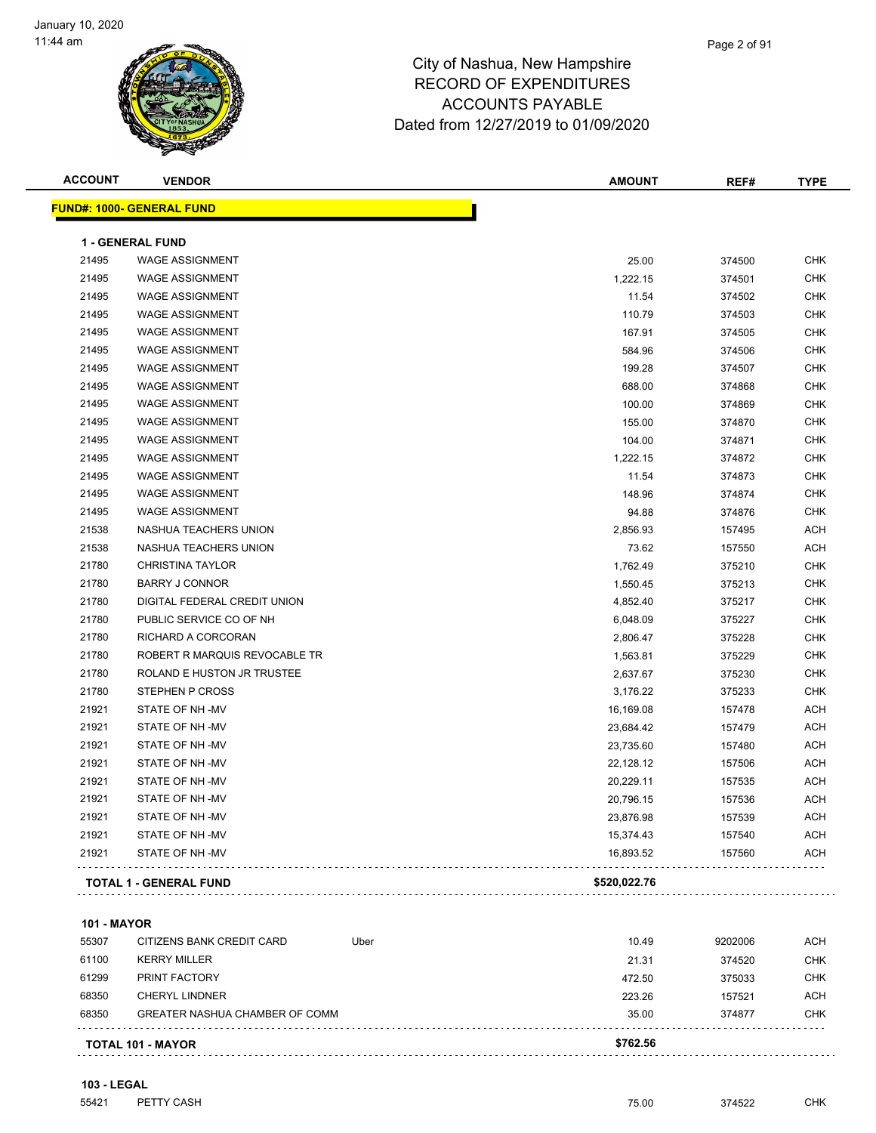| <b>ACCOUNT</b> | <b>VENDOR</b>                    | <b>AMOUNT</b> | REF#   | <b>TYPE</b> |
|----------------|----------------------------------|---------------|--------|-------------|
|                | <b>FUND#: 1000- GENERAL FUND</b> |               |        |             |
|                | <b>1 - GENERAL FUND</b>          |               |        |             |
| 21495          | <b>WAGE ASSIGNMENT</b>           | 25.00         | 374500 | <b>CHK</b>  |
| 21495          | <b>WAGE ASSIGNMENT</b>           | 1,222.15      | 374501 | <b>CHK</b>  |
| 21495          | <b>WAGE ASSIGNMENT</b>           | 11.54         | 374502 | <b>CHK</b>  |
| 21495          | <b>WAGE ASSIGNMENT</b>           | 110.79        | 374503 | <b>CHK</b>  |
| 21495          | <b>WAGE ASSIGNMENT</b>           | 167.91        | 374505 | <b>CHK</b>  |
| 21495          | <b>WAGE ASSIGNMENT</b>           | 584.96        | 374506 | <b>CHK</b>  |
| 21495          | <b>WAGE ASSIGNMENT</b>           | 199.28        | 374507 | <b>CHK</b>  |
| 21495          | <b>WAGE ASSIGNMENT</b>           | 688.00        | 374868 | <b>CHK</b>  |
| 21495          | <b>WAGE ASSIGNMENT</b>           | 100.00        | 374869 | <b>CHK</b>  |
| 21495          | <b>WAGE ASSIGNMENT</b>           | 155.00        | 374870 | <b>CHK</b>  |
| 21495          | <b>WAGE ASSIGNMENT</b>           | 104.00        | 374871 | <b>CHK</b>  |
| 21495          | <b>WAGE ASSIGNMENT</b>           | 1,222.15      | 374872 | <b>CHK</b>  |
| 21495          | <b>WAGE ASSIGNMENT</b>           | 11.54         | 374873 | <b>CHK</b>  |
| 21495          | <b>WAGE ASSIGNMENT</b>           | 148.96        | 374874 | <b>CHK</b>  |
| 21495          | <b>WAGE ASSIGNMENT</b>           | 94.88         | 374876 | <b>CHK</b>  |
| 21538          | NASHUA TEACHERS UNION            | 2,856.93      | 157495 | <b>ACH</b>  |
| 21538          | NASHUA TEACHERS UNION            | 73.62         | 157550 | <b>ACH</b>  |
| 21780          | <b>CHRISTINA TAYLOR</b>          | 1,762.49      | 375210 | <b>CHK</b>  |
| 21780          | <b>BARRY J CONNOR</b>            | 1,550.45      | 375213 | <b>CHK</b>  |
| 21780          | DIGITAL FEDERAL CREDIT UNION     | 4,852.40      | 375217 | <b>CHK</b>  |
| 21780          | PUBLIC SERVICE CO OF NH          | 6,048.09      | 375227 | <b>CHK</b>  |
| 21780          | RICHARD A CORCORAN               | 2,806.47      | 375228 | <b>CHK</b>  |
| 21780          | ROBERT R MARQUIS REVOCABLE TR    | 1,563.81      | 375229 | <b>CHK</b>  |
| 21780          | ROLAND E HUSTON JR TRUSTEE       | 2,637.67      | 375230 | <b>CHK</b>  |
| 21780          | STEPHEN P CROSS                  | 3,176.22      | 375233 | <b>CHK</b>  |
| 21921          | STATE OF NH-MV                   | 16,169.08     | 157478 | <b>ACH</b>  |
| 21921          | STATE OF NH-MV                   | 23,684.42     | 157479 | <b>ACH</b>  |
| 21921          | STATE OF NH-MV                   | 23,735.60     | 157480 | <b>ACH</b>  |
| 21921          | STATE OF NH-MV                   | 22,128.12     | 157506 | <b>ACH</b>  |
| 21921          | STATE OF NH-MV                   | 20,229.11     | 157535 | <b>ACH</b>  |
| 21921          | STATE OF NH-MV                   | 20,796.15     | 157536 | <b>ACH</b>  |
| 21921          | STATE OF NH-MV                   | 23,876.98     | 157539 | <b>ACH</b>  |
| 21921          | STATE OF NH-MV                   | 15,374.43     | 157540 | <b>ACH</b>  |
| 21921          | STATE OF NH -MV                  | 16,893.52     | 157560 | <b>ACH</b>  |
|                | <b>TOTAL 1 - GENERAL FUND</b>    | \$520,022.76  |        |             |
|                |                                  |               |        |             |

**101 - MAYOR**

|       | <b>TOTAL 101 - MAYOR</b>              |      | \$762.56 |         |            |
|-------|---------------------------------------|------|----------|---------|------------|
| 68350 | <b>GREATER NASHUA CHAMBER OF COMM</b> |      | 35.00    | 374877  | <b>CHK</b> |
| 68350 | CHERYL LINDNER                        |      | 223.26   | 157521  | ACH        |
| 61299 | <b>PRINT FACTORY</b>                  |      | 472.50   | 375033  | <b>CHK</b> |
| 61100 | <b>KERRY MILLER</b>                   |      | 21.31    | 374520  | <b>CHK</b> |
| 55307 | CITIZENS BANK CREDIT CARD             | Uber | 10.49    | 9202006 | ACH        |
|       |                                       |      |          |         |            |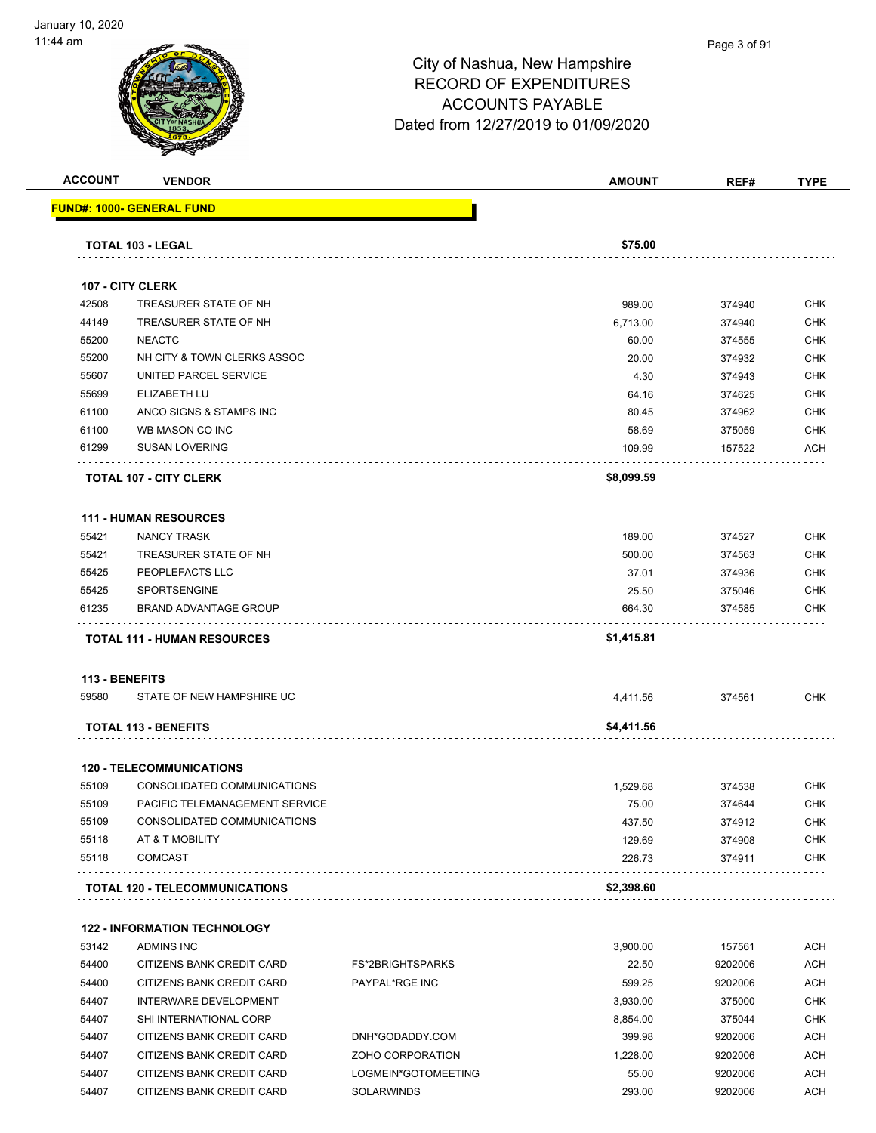

|                | <b>VENDOR</b>                       |                         | <b>AMOUNT</b> | REF#    | TYPE       |
|----------------|-------------------------------------|-------------------------|---------------|---------|------------|
|                | <u> FUND#: 1000- GENERAL FUND</u>   |                         |               |         |            |
|                | TOTAL 103 - LEGAL                   |                         | \$75.00       |         |            |
|                |                                     |                         |               |         |            |
|                | 107 - CITY CLERK                    |                         |               |         |            |
| 42508          | TREASURER STATE OF NH               |                         | 989.00        | 374940  | <b>CHK</b> |
| 44149          | TREASURER STATE OF NH               |                         | 6,713.00      | 374940  | <b>CHK</b> |
| 55200          | <b>NEACTC</b>                       |                         | 60.00         | 374555  | <b>CHK</b> |
| 55200          | NH CITY & TOWN CLERKS ASSOC         |                         | 20.00         | 374932  | <b>CHK</b> |
| 55607          | UNITED PARCEL SERVICE               |                         | 4.30          | 374943  | <b>CHK</b> |
| 55699          | ELIZABETH LU                        |                         | 64.16         | 374625  | <b>CHK</b> |
| 61100          | ANCO SIGNS & STAMPS INC             |                         | 80.45         | 374962  | <b>CHK</b> |
| 61100          | WB MASON CO INC                     |                         | 58.69         | 375059  | <b>CHK</b> |
| 61299          | <b>SUSAN LOVERING</b>               |                         | 109.99        | 157522  | ACH        |
|                | <b>TOTAL 107 - CITY CLERK</b>       |                         | \$8,099.59    |         |            |
|                | <b>111 - HUMAN RESOURCES</b>        |                         |               |         |            |
| 55421          | <b>NANCY TRASK</b>                  |                         | 189.00        | 374527  | <b>CHK</b> |
| 55421          | TREASURER STATE OF NH               |                         | 500.00        | 374563  | <b>CHK</b> |
| 55425          | PEOPLEFACTS LLC                     |                         | 37.01         | 374936  | <b>CHK</b> |
| 55425          | <b>SPORTSENGINE</b>                 |                         | 25.50         | 375046  | <b>CHK</b> |
| 61235          | <b>BRAND ADVANTAGE GROUP</b>        |                         | 664.30        | 374585  | <b>CHK</b> |
|                | <b>TOTAL 111 - HUMAN RESOURCES</b>  |                         | \$1,415.81    |         |            |
|                |                                     |                         |               |         |            |
| 113 - BENEFITS |                                     |                         |               |         |            |
| 59580          | STATE OF NEW HAMPSHIRE UC           |                         | 4,411.56      | 374561  | <b>CHK</b> |
|                | <b>TOTAL 113 - BENEFITS</b>         |                         | \$4,411.56    |         |            |
|                | <b>120 - TELECOMMUNICATIONS</b>     |                         |               |         |            |
| 55109          | CONSOLIDATED COMMUNICATIONS         |                         | 1,529.68      | 374538  | <b>CHK</b> |
| 55109          | PACIFIC TELEMANAGEMENT SERVICE      |                         | 75.00         | 374644  | <b>CHK</b> |
| 55109          | CONSOLIDATED COMMUNICATIONS         |                         | 437.50        | 374912  | <b>CHK</b> |
| 55118          | AT & T MOBILITY                     |                         | 129.69        | 374908  | <b>CHK</b> |
| 55118          | <b>COMCAST</b>                      |                         | 226.73        | 374911  | <b>CHK</b> |
|                | TOTAL 120 - TELECOMMUNICATIONS      |                         | \$2,398.60    |         |            |
|                | <b>122 - INFORMATION TECHNOLOGY</b> |                         |               |         |            |
| 53142          | <b>ADMINS INC</b>                   |                         | 3,900.00      | 157561  | <b>ACH</b> |
| 54400          | CITIZENS BANK CREDIT CARD           | <b>FS*2BRIGHTSPARKS</b> | 22.50         | 9202006 | <b>ACH</b> |
| 54400          | CITIZENS BANK CREDIT CARD           | PAYPAL*RGE INC          | 599.25        | 9202006 | <b>ACH</b> |
| 54407          | INTERWARE DEVELOPMENT               |                         | 3,930.00      | 375000  | <b>CHK</b> |
| 54407          | SHI INTERNATIONAL CORP              |                         | 8,854.00      | 375044  | <b>CHK</b> |
| 54407          | CITIZENS BANK CREDIT CARD           | DNH*GODADDY.COM         | 399.98        | 9202006 | <b>ACH</b> |
| 54407          | CITIZENS BANK CREDIT CARD           | ZOHO CORPORATION        | 1,228.00      | 9202006 | <b>ACH</b> |
| 54407          | CITIZENS BANK CREDIT CARD           | LOGMEIN*GOTOMEETING     | 55.00         | 9202006 | <b>ACH</b> |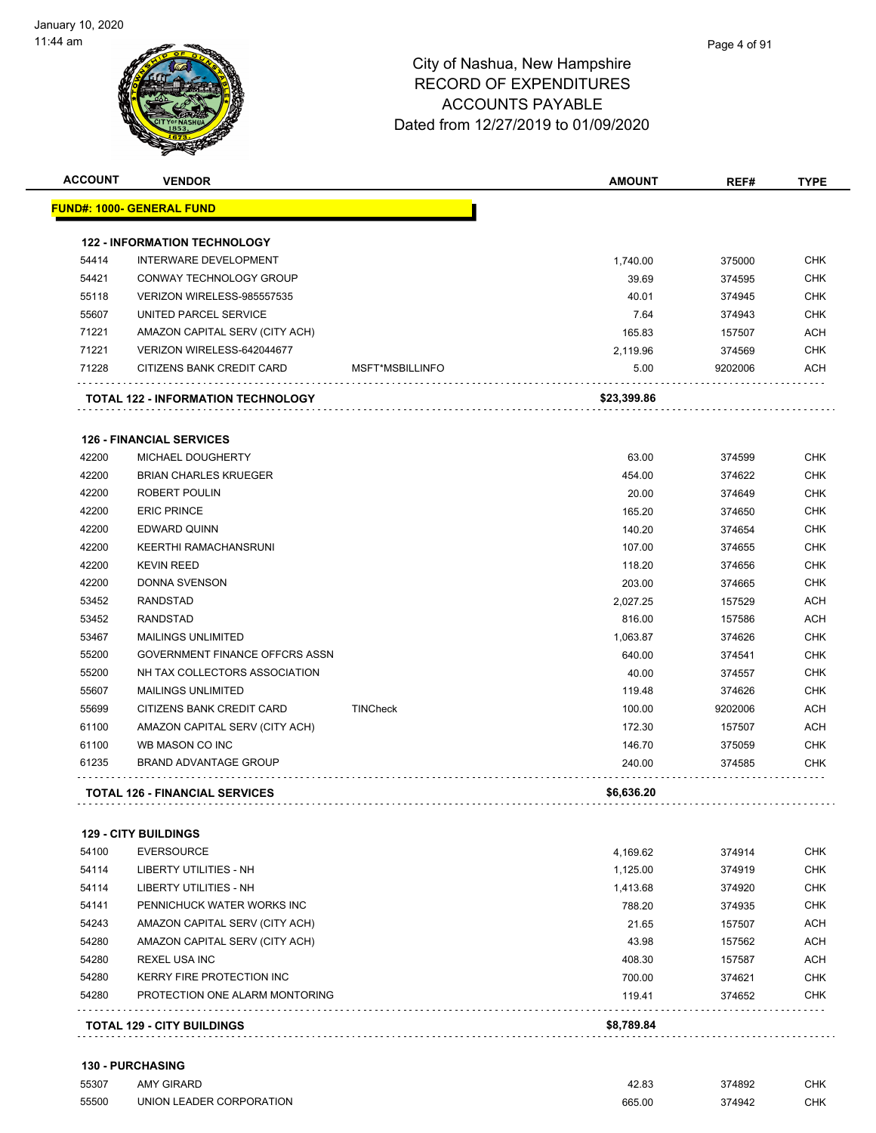| <b>ACCOUNT</b> | <b>VENDOR</b>                             |                 | <b>AMOUNT</b> | REF#    | <b>TYPE</b> |
|----------------|-------------------------------------------|-----------------|---------------|---------|-------------|
|                | <b>FUND#: 1000- GENERAL FUND</b>          |                 |               |         |             |
|                | <b>122 - INFORMATION TECHNOLOGY</b>       |                 |               |         |             |
| 54414          | INTERWARE DEVELOPMENT                     |                 | 1,740.00      | 375000  | <b>CHK</b>  |
| 54421          | CONWAY TECHNOLOGY GROUP                   |                 | 39.69         | 374595  | <b>CHK</b>  |
| 55118          | VERIZON WIRELESS-985557535                |                 | 40.01         | 374945  | <b>CHK</b>  |
| 55607          | UNITED PARCEL SERVICE                     |                 | 7.64          | 374943  | <b>CHK</b>  |
| 71221          | AMAZON CAPITAL SERV (CITY ACH)            |                 | 165.83        | 157507  | <b>ACH</b>  |
| 71221          | VERIZON WIRELESS-642044677                |                 | 2.119.96      | 374569  | <b>CHK</b>  |
| 71228          | CITIZENS BANK CREDIT CARD                 | MSFT*MSBILLINFO | 5.00          | 9202006 | ACH         |
|                | <b>TOTAL 122 - INFORMATION TECHNOLOGY</b> |                 | \$23,399.86   |         |             |
|                | <b>126 - FINANCIAL SERVICES</b>           |                 |               |         |             |
| 42200          | <b>MICHAEL DOUGHERTY</b>                  |                 | 63.00         | 374599  | <b>CHK</b>  |
| 42200          | <b>BRIAN CHARLES KRUEGER</b>              |                 | 454.00        | 374622  | <b>CHK</b>  |
| 42200          | ROBERT POULIN                             |                 | 20.00         | 374649  | <b>CHK</b>  |
| 42200          | <b>ERIC PRINCE</b>                        |                 | 165.20        | 374650  | <b>CHK</b>  |
| 42200          | EDWARD QUINN                              |                 | 140.20        | 374654  | <b>CHK</b>  |
| 42200          | <b>KEERTHI RAMACHANSRUNI</b>              |                 | 107.00        | 374655  | <b>CHK</b>  |
| 42200          | <b>KEVIN REED</b>                         |                 | 118.20        | 374656  | <b>CHK</b>  |
| 42200          | DONNA SVENSON                             |                 | 203.00        | 374665  | <b>CHK</b>  |
| 53452          | <b>RANDSTAD</b>                           |                 | 2,027.25      | 157529  | <b>ACH</b>  |
| 53452          | <b>RANDSTAD</b>                           |                 | 816.00        | 157586  | ACH         |
| 53467          | <b>MAILINGS UNLIMITED</b>                 |                 | 1,063.87      | 374626  | <b>CHK</b>  |
| 55200          | GOVERNMENT FINANCE OFFCRS ASSN            |                 | 640.00        | 374541  | <b>CHK</b>  |
| 55200          | NH TAX COLLECTORS ASSOCIATION             |                 | 40.00         | 374557  | <b>CHK</b>  |
| 55607          | <b>MAILINGS UNLIMITED</b>                 |                 | 119.48        | 374626  | <b>CHK</b>  |
| 55699          | CITIZENS BANK CREDIT CARD                 | <b>TINCheck</b> | 100.00        | 9202006 | <b>ACH</b>  |
| 61100          | AMAZON CAPITAL SERV (CITY ACH)            |                 | 172.30        | 157507  | <b>ACH</b>  |
| 61100          | WB MASON CO INC                           |                 | 146.70        | 375059  | <b>CHK</b>  |
| 61235          | <b>BRAND ADVANTAGE GROUP</b>              |                 | 240.00        | 374585  | CHK         |
|                | <b>TOTAL 126 - FINANCIAL SERVICES</b>     |                 | \$6,636.20    |         |             |
|                |                                           |                 |               |         |             |
|                | <b>129 - CITY BUILDINGS</b>               |                 |               |         |             |
| 54100          | <b>EVERSOURCE</b>                         |                 | 4,169.62      | 374914  | <b>CHK</b>  |
| 54114          | LIBERTY UTILITIES - NH                    |                 | 1,125.00      | 374919  | <b>CHK</b>  |
| 54114          | LIBERTY UTILITIES - NH                    |                 | 1,413.68      | 374920  | <b>CHK</b>  |
| 54141          | PENNICHUCK WATER WORKS INC                |                 | 788.20        | 374935  | <b>CHK</b>  |
| 54243          | AMAZON CAPITAL SERV (CITY ACH)            |                 | 21.65         | 157507  | ACH         |
| 54280          | AMAZON CAPITAL SERV (CITY ACH)            |                 | 43.98         | 157562  | <b>ACH</b>  |
| 54280          | REXEL USA INC                             |                 | 408.30        | 157587  | ACH         |

54280 PROTECTION ONE ALARM MONTORING **119.41** 374652 CHK  $\sim$   $\sim$   $\sim$   $\sim$ **TOTAL 129 - CITY BUILDINGS \$8,789.84**

#### **130 - PURCHASING**

| 55307 | <b>AMY GIRARD</b>        | 42.83  | 374892 | <b>CHK</b> |
|-------|--------------------------|--------|--------|------------|
| 55500 | UNION LEADER CORPORATION | 665.00 | 374942 | CHK        |

KERRY FIRE PROTECTION INC  $700.00$   $374621$  CHK

. . . . . . . . . . .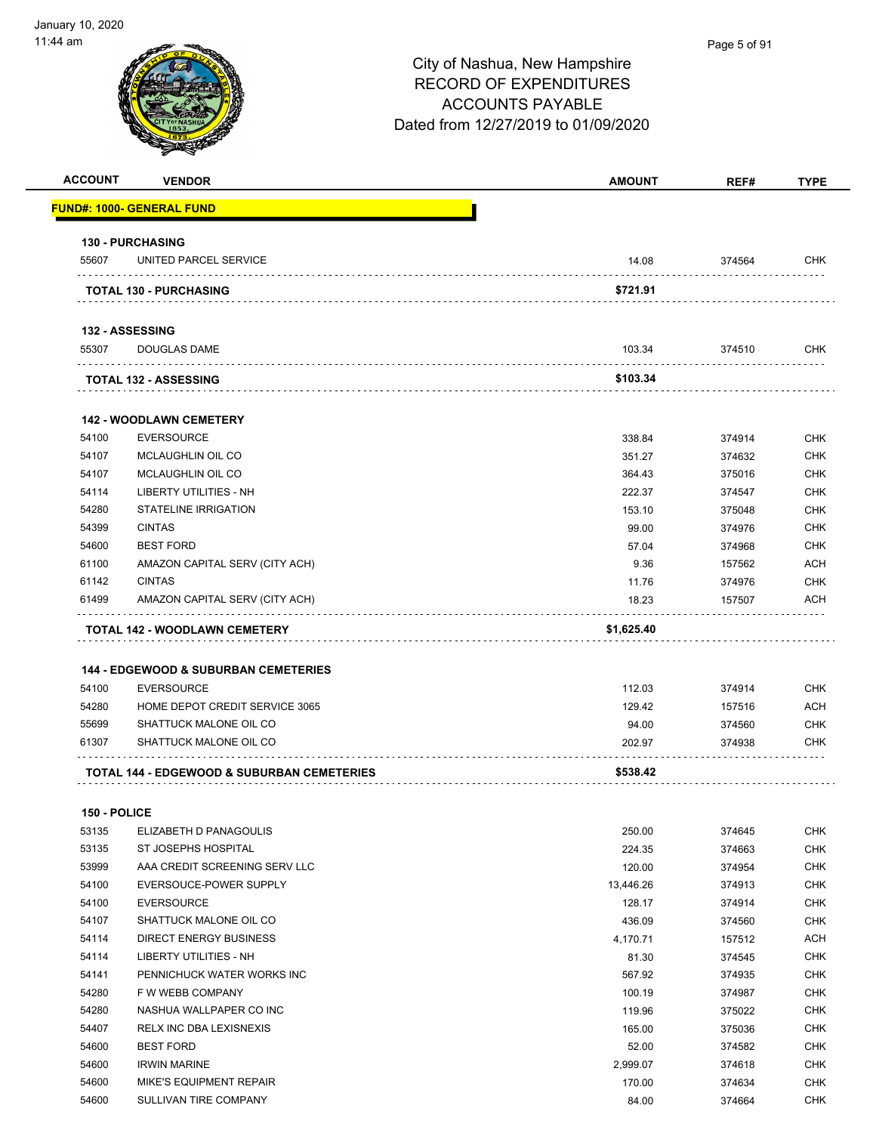| <b>ACCOUNT</b> | <b>VENDOR</b>                                         | <b>AMOUNT</b>    | REF#             | <b>TYPE</b>              |
|----------------|-------------------------------------------------------|------------------|------------------|--------------------------|
|                | <b>FUND#: 1000- GENERAL FUND</b>                      |                  |                  |                          |
|                | <b>130 - PURCHASING</b>                               |                  |                  |                          |
| 55607          | UNITED PARCEL SERVICE                                 | 14.08            | 374564           | CHK                      |
|                | <b>TOTAL 130 - PURCHASING</b>                         | \$721.91         |                  |                          |
|                | <b>132 - ASSESSING</b>                                |                  |                  |                          |
| 55307          | <b>DOUGLAS DAME</b>                                   | 103.34           | 374510           | <b>CHK</b>               |
|                | <b>TOTAL 132 - ASSESSING</b>                          | \$103.34         |                  |                          |
|                | <b>142 - WOODLAWN CEMETERY</b>                        |                  |                  |                          |
| 54100          | <b>EVERSOURCE</b>                                     | 338.84           | 374914           | CHK                      |
| 54107          | MCLAUGHLIN OIL CO                                     | 351.27           | 374632           | <b>CHK</b>               |
| 54107          | MCLAUGHLIN OIL CO                                     | 364.43           | 375016           | <b>CHK</b>               |
| 54114          | LIBERTY UTILITIES - NH                                | 222.37           | 374547           | CHK                      |
| 54280          | <b>STATELINE IRRIGATION</b>                           | 153.10           | 375048           | <b>CHK</b>               |
| 54399          | <b>CINTAS</b>                                         | 99.00            | 374976           | <b>CHK</b>               |
| 54600          | <b>BEST FORD</b>                                      | 57.04            | 374968           | <b>CHK</b>               |
| 61100          | AMAZON CAPITAL SERV (CITY ACH)                        | 9.36             | 157562           | <b>ACH</b>               |
| 61142          | <b>CINTAS</b>                                         | 11.76            | 374976           | <b>CHK</b>               |
| 61499          | AMAZON CAPITAL SERV (CITY ACH)                        | 18.23            | 157507           | ACH                      |
|                |                                                       |                  |                  |                          |
| 54100<br>54280 | <b>EVERSOURCE</b><br>HOME DEPOT CREDIT SERVICE 3065   | 112.03<br>129.42 | 374914<br>157516 | <b>CHK</b><br><b>ACH</b> |
| 55699          | SHATTUCK MALONE OIL CO                                | 94.00            | 374560           | CHK                      |
| 61307          | SHATTUCK MALONE OIL CO                                | 202.97           | 374938           | CHK                      |
|                | <b>TOTAL 144 - EDGEWOOD &amp; SUBURBAN CEMETERIES</b> | \$538.42         |                  |                          |
| 150 - POLICE   |                                                       |                  |                  |                          |
| 53135          | ELIZABETH D PANAGOULIS                                | 250.00           | 374645           | <b>CHK</b>               |
| 53135          | ST JOSEPHS HOSPITAL                                   | 224.35           | 374663           | <b>CHK</b>               |
| 53999          | AAA CREDIT SCREENING SERV LLC                         | 120.00           | 374954           | <b>CHK</b>               |
| 54100          | EVERSOUCE-POWER SUPPLY                                | 13,446.26        | 374913           | <b>CHK</b>               |
| 54100          | <b>EVERSOURCE</b>                                     | 128.17           | 374914           | <b>CHK</b>               |
| 54107          | SHATTUCK MALONE OIL CO                                | 436.09           | 374560           | <b>CHK</b>               |
| 54114          | <b>DIRECT ENERGY BUSINESS</b>                         | 4,170.71         | 157512           | ACH                      |
| 54114          | LIBERTY UTILITIES - NH                                | 81.30            | 374545           | <b>CHK</b>               |
| 54141          | PENNICHUCK WATER WORKS INC                            | 567.92           | 374935           | <b>CHK</b>               |
| 54280          | F W WEBB COMPANY                                      | 100.19           | 374987           | <b>CHK</b>               |
| 54280          | NASHUA WALLPAPER CO INC                               | 119.96           | 375022           | <b>CHK</b>               |
| 54407          | RELX INC DBA LEXISNEXIS                               | 165.00           | 375036           | <b>CHK</b>               |
| 54600          | <b>BEST FORD</b>                                      | 52.00            | 374582           | <b>CHK</b>               |
| 54600          | <b>IRWIN MARINE</b>                                   | 2,999.07         | 374618           | <b>CHK</b>               |
| 54600          | MIKE'S EQUIPMENT REPAIR                               | 170.00           | 374634           | <b>CHK</b>               |
| 54600          | SULLIVAN TIRE COMPANY                                 | 84.00            | 374664           | <b>CHK</b>               |
|                |                                                       |                  |                  |                          |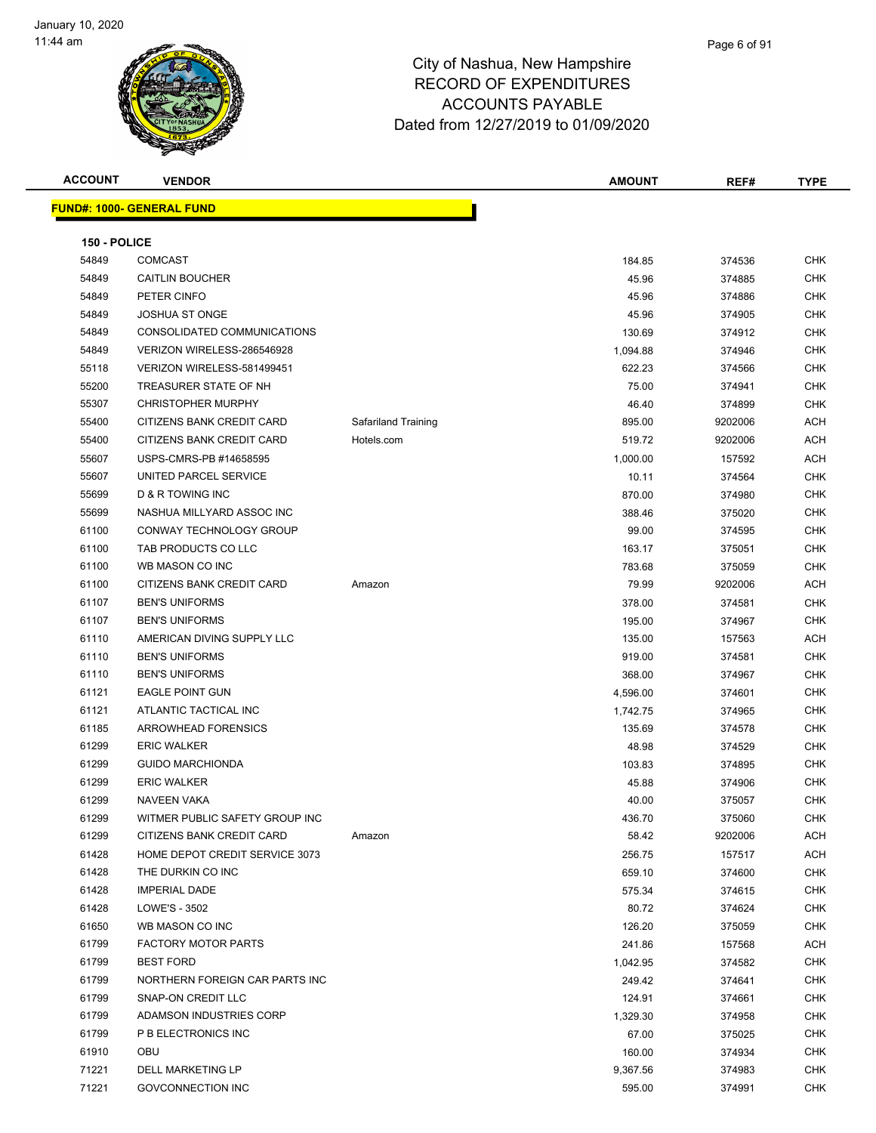

| <b>ACCOUNT</b> | <b>VENDOR</b>                     |                     | <b>AMOUNT</b> | REF#    | <b>TYPE</b> |
|----------------|-----------------------------------|---------------------|---------------|---------|-------------|
|                | <u> FUND#: 1000- GENERAL FUND</u> |                     |               |         |             |
|                |                                   |                     |               |         |             |
| 150 - POLICE   |                                   |                     |               |         |             |
| 54849          | <b>COMCAST</b>                    |                     | 184.85        | 374536  | CHK         |
| 54849          | <b>CAITLIN BOUCHER</b>            |                     | 45.96         | 374885  | CHK         |
| 54849          | PETER CINFO                       |                     | 45.96         | 374886  | <b>CHK</b>  |
| 54849          | <b>JOSHUA ST ONGE</b>             |                     | 45.96         | 374905  | <b>CHK</b>  |
| 54849          | CONSOLIDATED COMMUNICATIONS       |                     | 130.69        | 374912  | <b>CHK</b>  |
| 54849          | VERIZON WIRELESS-286546928        |                     | 1,094.88      | 374946  | <b>CHK</b>  |
| 55118          | VERIZON WIRELESS-581499451        |                     | 622.23        | 374566  | <b>CHK</b>  |
| 55200          | TREASURER STATE OF NH             |                     | 75.00         | 374941  | <b>CHK</b>  |
| 55307          | <b>CHRISTOPHER MURPHY</b>         |                     | 46.40         | 374899  | <b>CHK</b>  |
| 55400          | CITIZENS BANK CREDIT CARD         | Safariland Training | 895.00        | 9202006 | ACH         |
| 55400          | CITIZENS BANK CREDIT CARD         | Hotels.com          | 519.72        | 9202006 | ACH         |
| 55607          | USPS-CMRS-PB #14658595            |                     | 1,000.00      | 157592  | ACH         |
| 55607          | UNITED PARCEL SERVICE             |                     | 10.11         | 374564  | <b>CHK</b>  |
| 55699          | D & R TOWING INC                  |                     | 870.00        | 374980  | <b>CHK</b>  |
| 55699          | NASHUA MILLYARD ASSOC INC         |                     | 388.46        | 375020  | <b>CHK</b>  |
| 61100          | CONWAY TECHNOLOGY GROUP           |                     | 99.00         | 374595  | <b>CHK</b>  |
| 61100          | TAB PRODUCTS CO LLC               |                     | 163.17        | 375051  | <b>CHK</b>  |
| 61100          | WB MASON CO INC                   |                     | 783.68        | 375059  | <b>CHK</b>  |
| 61100          | CITIZENS BANK CREDIT CARD         | Amazon              | 79.99         | 9202006 | ACH         |
| 61107          | <b>BEN'S UNIFORMS</b>             |                     | 378.00        | 374581  | <b>CHK</b>  |
| 61107          | <b>BEN'S UNIFORMS</b>             |                     | 195.00        | 374967  | CHK         |
| 61110          | AMERICAN DIVING SUPPLY LLC        |                     | 135.00        | 157563  | ACH         |
| 61110          | <b>BEN'S UNIFORMS</b>             |                     | 919.00        | 374581  | <b>CHK</b>  |
| 61110          | <b>BEN'S UNIFORMS</b>             |                     | 368.00        | 374967  | <b>CHK</b>  |
| 61121          | <b>EAGLE POINT GUN</b>            |                     | 4,596.00      | 374601  | <b>CHK</b>  |
| 61121          | ATLANTIC TACTICAL INC             |                     | 1,742.75      | 374965  | <b>CHK</b>  |
| 61185          | <b>ARROWHEAD FORENSICS</b>        |                     | 135.69        | 374578  | CHK         |
| 61299          | <b>ERIC WALKER</b>                |                     | 48.98         | 374529  | <b>CHK</b>  |
| 61299          | <b>GUIDO MARCHIONDA</b>           |                     | 103.83        | 374895  | <b>CHK</b>  |
| 61299          | <b>ERIC WALKER</b>                |                     | 45.88         | 374906  | CHK         |
| 61299          | <b>NAVEEN VAKA</b>                |                     | 40.00         | 375057  | <b>CHK</b>  |
| 61299          | WITMER PUBLIC SAFETY GROUP INC    |                     | 436.70        | 375060  | <b>CHK</b>  |
| 61299          | CITIZENS BANK CREDIT CARD         | Amazon              | 58.42         | 9202006 | ACH         |
| 61428          | HOME DEPOT CREDIT SERVICE 3073    |                     | 256.75        | 157517  | ACH         |
| 61428          | THE DURKIN CO INC                 |                     | 659.10        | 374600  | CHK         |
| 61428          | <b>IMPERIAL DADE</b>              |                     | 575.34        | 374615  | <b>CHK</b>  |
| 61428          | LOWE'S - 3502                     |                     | 80.72         | 374624  | <b>CHK</b>  |
| 61650          | WB MASON CO INC                   |                     | 126.20        | 375059  | <b>CHK</b>  |
| 61799          | <b>FACTORY MOTOR PARTS</b>        |                     | 241.86        | 157568  | ACH         |
| 61799          | <b>BEST FORD</b>                  |                     | 1,042.95      | 374582  | CHK         |
| 61799          | NORTHERN FOREIGN CAR PARTS INC    |                     | 249.42        | 374641  | CHK         |
| 61799          | SNAP-ON CREDIT LLC                |                     | 124.91        | 374661  | CHK         |
| 61799          | ADAMSON INDUSTRIES CORP           |                     | 1,329.30      | 374958  | CHK         |
| 61799          | P B ELECTRONICS INC               |                     | 67.00         | 375025  | <b>CHK</b>  |
| 61910          | OBU                               |                     | 160.00        | 374934  | <b>CHK</b>  |
| 71221          | DELL MARKETING LP                 |                     | 9,367.56      | 374983  | CHK         |
| 71221          | GOVCONNECTION INC                 |                     | 595.00        | 374991  | <b>CHK</b>  |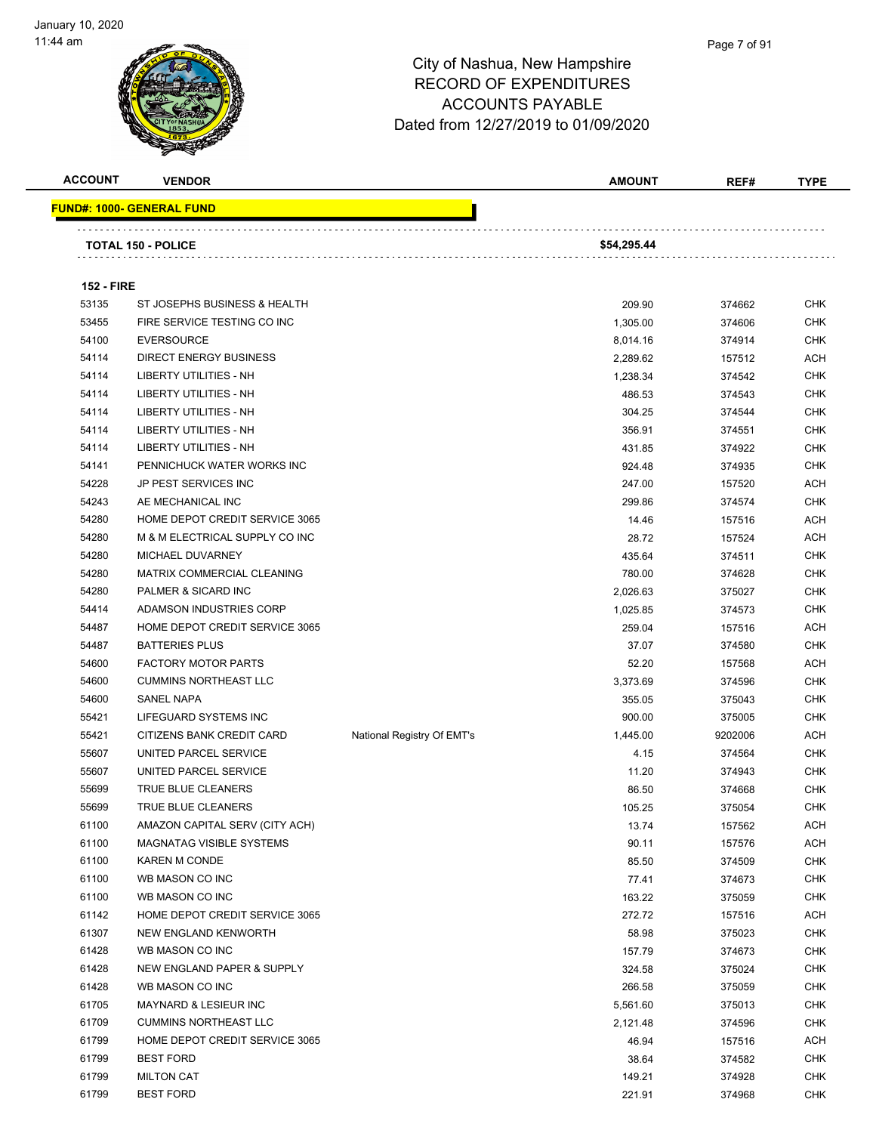

| <b>ACCOUNT</b>    | <b>VENDOR</b>                     |                            | <b>AMOUNT</b> | REF#    | <b>TYPE</b> |
|-------------------|-----------------------------------|----------------------------|---------------|---------|-------------|
|                   | <u> FUND#: 1000- GENERAL FUND</u> |                            |               |         |             |
|                   |                                   |                            |               |         |             |
|                   | <b>TOTAL 150 - POLICE</b>         |                            | \$54,295.44   |         |             |
|                   |                                   |                            |               |         |             |
| <b>152 - FIRE</b> |                                   |                            |               |         |             |
| 53135             | ST JOSEPHS BUSINESS & HEALTH      |                            | 209.90        | 374662  | <b>CHK</b>  |
| 53455             | FIRE SERVICE TESTING CO INC       |                            | 1,305.00      | 374606  | <b>CHK</b>  |
| 54100             | <b>EVERSOURCE</b>                 |                            | 8,014.16      | 374914  | <b>CHK</b>  |
| 54114             | <b>DIRECT ENERGY BUSINESS</b>     |                            | 2,289.62      | 157512  | ACH         |
| 54114             | <b>LIBERTY UTILITIES - NH</b>     |                            | 1,238.34      | 374542  | <b>CHK</b>  |
| 54114             | LIBERTY UTILITIES - NH            |                            | 486.53        | 374543  | <b>CHK</b>  |
| 54114             | LIBERTY UTILITIES - NH            |                            | 304.25        | 374544  | CHK         |
| 54114             | LIBERTY UTILITIES - NH            |                            | 356.91        | 374551  | <b>CHK</b>  |
| 54114             | LIBERTY UTILITIES - NH            |                            | 431.85        | 374922  | <b>CHK</b>  |
| 54141             | PENNICHUCK WATER WORKS INC        |                            | 924.48        | 374935  | CHK         |
| 54228             | JP PEST SERVICES INC              |                            | 247.00        | 157520  | <b>ACH</b>  |
| 54243             | AE MECHANICAL INC                 |                            | 299.86        | 374574  | <b>CHK</b>  |
| 54280             | HOME DEPOT CREDIT SERVICE 3065    |                            | 14.46         | 157516  | <b>ACH</b>  |
| 54280             | M & M ELECTRICAL SUPPLY CO INC    |                            | 28.72         | 157524  | <b>ACH</b>  |
| 54280             | MICHAEL DUVARNEY                  |                            | 435.64        | 374511  | <b>CHK</b>  |
| 54280             | MATRIX COMMERCIAL CLEANING        |                            | 780.00        | 374628  | <b>CHK</b>  |
| 54280             | PALMER & SICARD INC               |                            | 2,026.63      | 375027  | <b>CHK</b>  |
| 54414             | ADAMSON INDUSTRIES CORP           |                            | 1,025.85      | 374573  | <b>CHK</b>  |
| 54487             | HOME DEPOT CREDIT SERVICE 3065    |                            | 259.04        | 157516  | <b>ACH</b>  |
| 54487             | <b>BATTERIES PLUS</b>             |                            | 37.07         | 374580  | <b>CHK</b>  |
| 54600             | <b>FACTORY MOTOR PARTS</b>        |                            | 52.20         | 157568  | <b>ACH</b>  |
| 54600             | <b>CUMMINS NORTHEAST LLC</b>      |                            | 3,373.69      | 374596  | <b>CHK</b>  |
| 54600             | SANEL NAPA                        |                            | 355.05        | 375043  | <b>CHK</b>  |
| 55421             | LIFEGUARD SYSTEMS INC             |                            | 900.00        | 375005  | <b>CHK</b>  |
| 55421             | <b>CITIZENS BANK CREDIT CARD</b>  | National Registry Of EMT's | 1,445.00      | 9202006 | <b>ACH</b>  |
| 55607             | UNITED PARCEL SERVICE             |                            | 4.15          | 374564  | <b>CHK</b>  |
| 55607             | UNITED PARCEL SERVICE             |                            | 11.20         | 374943  | <b>CHK</b>  |
| 55699             | TRUE BLUE CLEANERS                |                            | 86.50         | 374668  | <b>CHK</b>  |
| 55699             | TRUE BLUE CLEANERS                |                            | 105.25        | 375054  | <b>CHK</b>  |
| 61100             | AMAZON CAPITAL SERV (CITY ACH)    |                            | 13.74         | 157562  | <b>ACH</b>  |
| 61100             | <b>MAGNATAG VISIBLE SYSTEMS</b>   |                            | 90.11         | 157576  | <b>ACH</b>  |
| 61100             | <b>KAREN M CONDE</b>              |                            | 85.50         | 374509  | <b>CHK</b>  |
| 61100             | WB MASON CO INC                   |                            | 77.41         | 374673  | <b>CHK</b>  |
| 61100             | WB MASON CO INC                   |                            | 163.22        | 375059  | <b>CHK</b>  |
| 61142             | HOME DEPOT CREDIT SERVICE 3065    |                            | 272.72        | 157516  | ACH         |
| 61307             | NEW ENGLAND KENWORTH              |                            | 58.98         | 375023  | <b>CHK</b>  |
| 61428             | WB MASON CO INC                   |                            | 157.79        | 374673  | <b>CHK</b>  |
| 61428             | NEW ENGLAND PAPER & SUPPLY        |                            | 324.58        | 375024  | <b>CHK</b>  |
| 61428             | WB MASON CO INC                   |                            | 266.58        | 375059  | <b>CHK</b>  |
| 61705             | MAYNARD & LESIEUR INC             |                            | 5,561.60      | 375013  | <b>CHK</b>  |
| 61709             | <b>CUMMINS NORTHEAST LLC</b>      |                            | 2,121.48      | 374596  | <b>CHK</b>  |
| 61799             | HOME DEPOT CREDIT SERVICE 3065    |                            | 46.94         | 157516  | ACH         |
| 61799             | <b>BEST FORD</b>                  |                            | 38.64         | 374582  | <b>CHK</b>  |
| 61799             | <b>MILTON CAT</b>                 |                            | 149.21        | 374928  | <b>CHK</b>  |
| 61799             | <b>BEST FORD</b>                  |                            | 221.91        | 374968  | <b>CHK</b>  |
|                   |                                   |                            |               |         |             |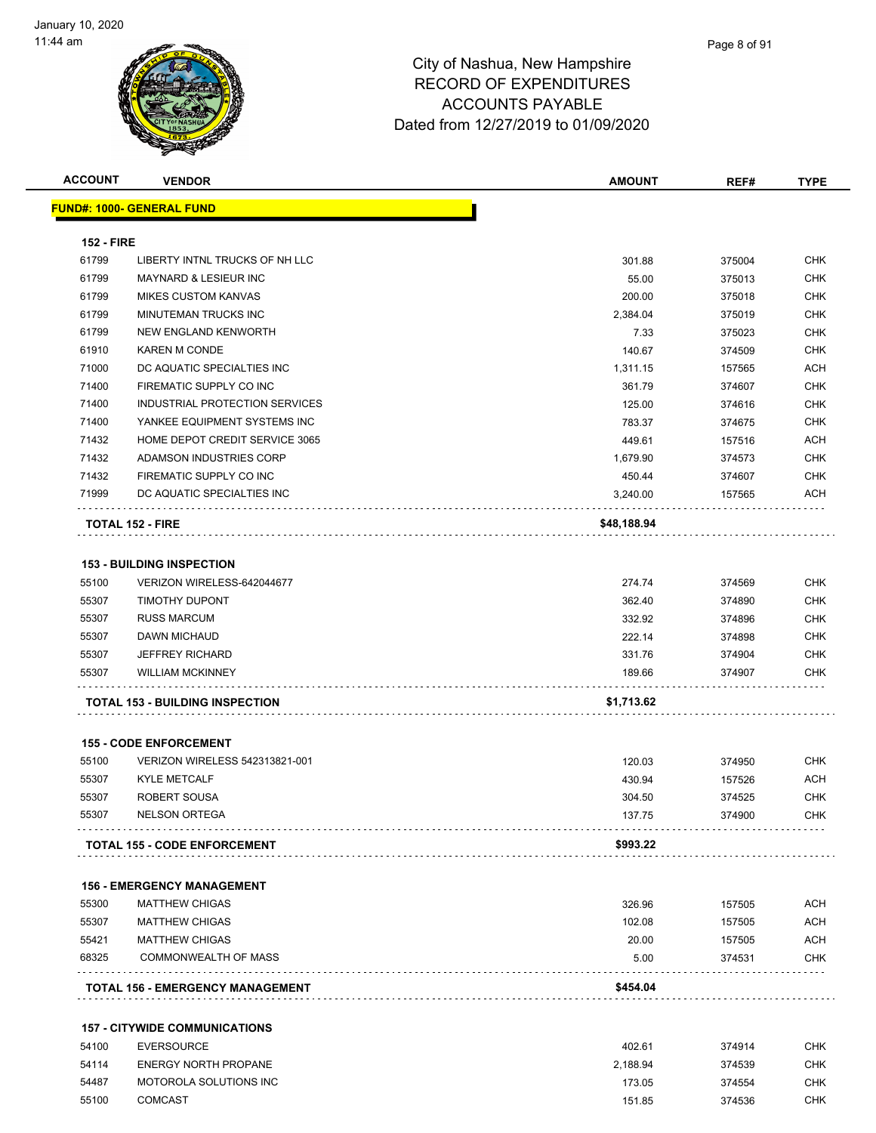

| <b>ACCOUNT</b>    | <b>VENDOR</b>                          | <b>AMOUNT</b> | REF#   | <b>TYPE</b> |
|-------------------|----------------------------------------|---------------|--------|-------------|
|                   | <u> FUND#: 1000- GENERAL FUND</u>      |               |        |             |
|                   |                                        |               |        |             |
| <b>152 - FIRE</b> |                                        |               |        |             |
| 61799             | LIBERTY INTNL TRUCKS OF NH LLC         | 301.88        | 375004 | <b>CHK</b>  |
| 61799             | MAYNARD & LESIEUR INC                  | 55.00         | 375013 | <b>CHK</b>  |
| 61799             | <b>MIKES CUSTOM KANVAS</b>             | 200.00        | 375018 | <b>CHK</b>  |
| 61799             | MINUTEMAN TRUCKS INC                   | 2,384.04      | 375019 | <b>CHK</b>  |
| 61799             | <b>NEW ENGLAND KENWORTH</b>            | 7.33          | 375023 | CHK         |
| 61910             | <b>KAREN M CONDE</b>                   | 140.67        | 374509 | <b>CHK</b>  |
| 71000             | DC AQUATIC SPECIALTIES INC             | 1,311.15      | 157565 | <b>ACH</b>  |
| 71400             | FIREMATIC SUPPLY CO INC                | 361.79        | 374607 | CHK         |
| 71400             | INDUSTRIAL PROTECTION SERVICES         | 125.00        | 374616 | <b>CHK</b>  |
| 71400             | YANKEE EQUIPMENT SYSTEMS INC           | 783.37        | 374675 | CHK         |
| 71432             | HOME DEPOT CREDIT SERVICE 3065         | 449.61        | 157516 | ACH         |
| 71432             | ADAMSON INDUSTRIES CORP                | 1,679.90      | 374573 | <b>CHK</b>  |
| 71432             | FIREMATIC SUPPLY CO INC                | 450.44        | 374607 | <b>CHK</b>  |
| 71999             | DC AQUATIC SPECIALTIES INC             | 3,240.00      | 157565 | ACH         |
|                   |                                        |               |        |             |
|                   | <b>TOTAL 152 - FIRE</b>                | \$48,188.94   |        |             |
|                   |                                        |               |        |             |
|                   | <b>153 - BUILDING INSPECTION</b>       |               |        |             |
| 55100             | VERIZON WIRELESS-642044677             | 274.74        | 374569 | <b>CHK</b>  |
| 55307             | TIMOTHY DUPONT                         | 362.40        | 374890 | CHK         |
| 55307             | <b>RUSS MARCUM</b>                     | 332.92        | 374896 | CHK         |
| 55307             | DAWN MICHAUD                           | 222.14        | 374898 | CHK         |
| 55307             | <b>JEFFREY RICHARD</b>                 | 331.76        | 374904 | CHK         |
| 55307             | <b>WILLIAM MCKINNEY</b>                | 189.66        | 374907 | CHK         |
|                   | <b>TOTAL 153 - BUILDING INSPECTION</b> | \$1,713.62    |        |             |
|                   |                                        |               |        |             |
|                   | <b>155 - CODE ENFORCEMENT</b>          |               |        |             |
| 55100             | VERIZON WIRELESS 542313821-001         | 120.03        | 374950 | CHK         |
| 55307             | <b>KYLE METCALF</b>                    | 430.94        | 157526 | ACH         |
| 55307             | ROBERT SOUSA                           | 304.50        | 374525 | <b>CHK</b>  |
| 55307             | <b>NELSON ORTEGA</b>                   | 137.75        | 374900 | <b>CHK</b>  |
|                   |                                        |               |        |             |
|                   | <b>TOTAL 155 - CODE ENFORCEMENT</b>    | \$993.22      |        |             |
|                   | <b>156 - EMERGENCY MANAGEMENT</b>      |               |        |             |
| 55300             | <b>MATTHEW CHIGAS</b>                  | 326.96        | 157505 | <b>ACH</b>  |
| 55307             | <b>MATTHEW CHIGAS</b>                  | 102.08        | 157505 | <b>ACH</b>  |
| 55421             | <b>MATTHEW CHIGAS</b>                  | 20.00         | 157505 | <b>ACH</b>  |
| 68325             | <b>COMMONWEALTH OF MASS</b>            | 5.00          | 374531 | CHK         |
|                   |                                        |               |        |             |
|                   | TOTAL 156 - EMERGENCY MANAGEMENT       | \$454.04      |        |             |
|                   | <b>157 - CITYWIDE COMMUNICATIONS</b>   |               |        |             |
| 54100             | <b>EVERSOURCE</b>                      | 402.61        | 374914 | <b>CHK</b>  |
| 54114             | <b>ENERGY NORTH PROPANE</b>            | 2,188.94      | 374539 | <b>CHK</b>  |
| 54487             | MOTOROLA SOLUTIONS INC                 | 173.05        | 374554 | <b>CHK</b>  |

COMCAST 151.85 374536 CHK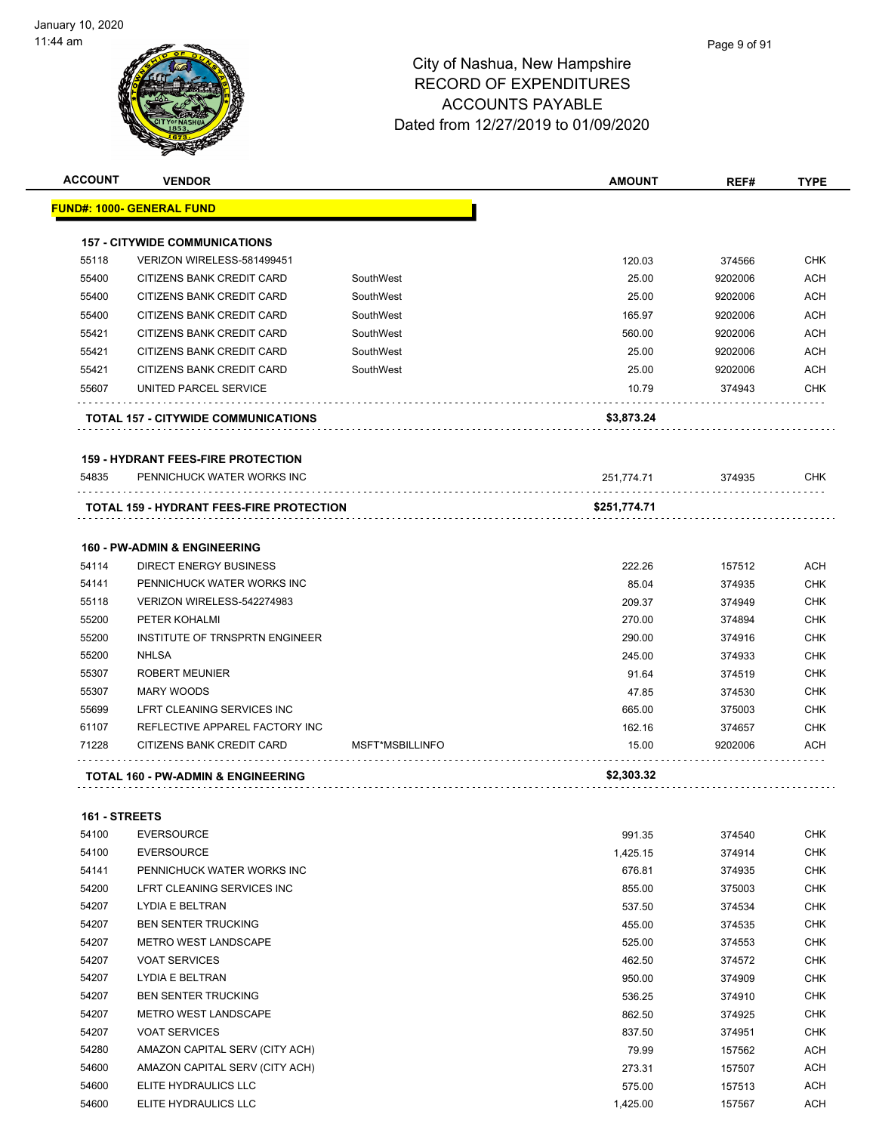| <b>ACCOUNT</b> | <b>VENDOR</b>                                                            |                 | <b>AMOUNT</b>   | REF#    | <b>TYPE</b> |
|----------------|--------------------------------------------------------------------------|-----------------|-----------------|---------|-------------|
|                | <u> FUND#: 1000- GENERAL FUND</u>                                        |                 |                 |         |             |
|                | <b>157 - CITYWIDE COMMUNICATIONS</b>                                     |                 |                 |         |             |
| 55118          | VERIZON WIRELESS-581499451                                               |                 | 120.03          | 374566  | <b>CHK</b>  |
| 55400          | CITIZENS BANK CREDIT CARD                                                | SouthWest       | 25.00           | 9202006 | ACH         |
| 55400          | CITIZENS BANK CREDIT CARD                                                | SouthWest       | 25.00           | 9202006 | <b>ACH</b>  |
| 55400          | CITIZENS BANK CREDIT CARD                                                | SouthWest       | 165.97          | 9202006 | ACH         |
| 55421          | CITIZENS BANK CREDIT CARD                                                | SouthWest       | 560.00          | 9202006 | <b>ACH</b>  |
| 55421          | CITIZENS BANK CREDIT CARD                                                | SouthWest       | 25.00           | 9202006 | <b>ACH</b>  |
| 55421          | CITIZENS BANK CREDIT CARD                                                | SouthWest       | 25.00           | 9202006 | <b>ACH</b>  |
| 55607          | UNITED PARCEL SERVICE                                                    |                 | 10.79           | 374943  | <b>CHK</b>  |
|                | TOTAL 157 - CITYWIDE COMMUNICATIONS                                      |                 | \$3,873.24      |         |             |
|                | <b>159 - HYDRANT FEES-FIRE PROTECTION</b>                                |                 |                 |         |             |
| 54835          | PENNICHUCK WATER WORKS INC                                               |                 | 251,774.71      | 374935  | CHK         |
|                | <b>TOTAL 159 - HYDRANT FEES-FIRE PROTECTION</b>                          |                 | \$251,774.71    |         |             |
|                |                                                                          |                 |                 |         |             |
| 54114          | <b>160 - PW-ADMIN &amp; ENGINEERING</b><br><b>DIRECT ENERGY BUSINESS</b> |                 |                 |         | <b>ACH</b>  |
| 54141          | PENNICHUCK WATER WORKS INC                                               |                 | 222.26<br>85.04 | 157512  | <b>CHK</b>  |
|                |                                                                          |                 |                 | 374935  |             |
| 55118          | VERIZON WIRELESS-542274983                                               |                 | 209.37          | 374949  | <b>CHK</b>  |
| 55200          | PETER KOHALMI                                                            |                 | 270.00          | 374894  | <b>CHK</b>  |
| 55200          | INSTITUTE OF TRNSPRTN ENGINEER                                           |                 | 290.00          | 374916  | <b>CHK</b>  |
| 55200          | <b>NHLSA</b>                                                             |                 | 245.00          | 374933  | CHK         |
| 55307          | <b>ROBERT MEUNIER</b>                                                    |                 | 91.64           | 374519  | <b>CHK</b>  |
| 55307          | <b>MARY WOODS</b>                                                        |                 | 47.85           | 374530  | <b>CHK</b>  |
| 55699          | LFRT CLEANING SERVICES INC                                               |                 | 665.00          | 375003  | <b>CHK</b>  |
| 61107          | REFLECTIVE APPAREL FACTORY INC                                           |                 | 162.16          | 374657  | <b>CHK</b>  |
| 71228          | CITIZENS BANK CREDIT CARD                                                | MSFT*MSBILLINFO | 15.00           | 9202006 | ACH         |
|                | <b>TOTAL 160 - PW-ADMIN &amp; ENGINEERING</b>                            |                 | \$2,303.32      |         |             |
| 161 - STREETS  |                                                                          |                 |                 |         |             |
| 54100          | <b>EVERSOURCE</b>                                                        |                 | 991.35          | 374540  | <b>CHK</b>  |
| 54100          | <b>EVERSOURCE</b>                                                        |                 | 1,425.15        | 374914  | <b>CHK</b>  |
| 54141          | PENNICHUCK WATER WORKS INC                                               |                 | 676.81          | 374935  | CHK         |
| 54200          | LFRT CLEANING SERVICES INC                                               |                 | 855.00          | 375003  | <b>CHK</b>  |
| 54207          | LYDIA E BELTRAN                                                          |                 | 537.50          | 374534  | <b>CHK</b>  |
| 54207          | <b>BEN SENTER TRUCKING</b>                                               |                 | 455.00          | 374535  | <b>CHK</b>  |
| 54207          | METRO WEST LANDSCAPE                                                     |                 | 525.00          | 374553  | <b>CHK</b>  |
| 54207          | <b>VOAT SERVICES</b>                                                     |                 | 462.50          | 374572  | <b>CHK</b>  |
| 54207          | LYDIA E BELTRAN                                                          |                 | 950.00          | 374909  | <b>CHK</b>  |
| 54207          | <b>BEN SENTER TRUCKING</b>                                               |                 | 536.25          | 374910  | <b>CHK</b>  |
| 54207          | METRO WEST LANDSCAPE                                                     |                 | 862.50          | 374925  | <b>CHK</b>  |
| 54207          | <b>VOAT SERVICES</b>                                                     |                 | 837.50          | 374951  | <b>CHK</b>  |
| 54280          | AMAZON CAPITAL SERV (CITY ACH)                                           |                 | 79.99           | 157562  | <b>ACH</b>  |
| 54600          | AMAZON CAPITAL SERV (CITY ACH)                                           |                 | 273.31          | 157507  | ACH         |
| 54600          | ELITE HYDRAULICS LLC                                                     |                 | 575.00          | 157513  | <b>ACH</b>  |

54600 ELITE HYDRAULICS LLC **1,425.00** 1,425.00 157567 ACH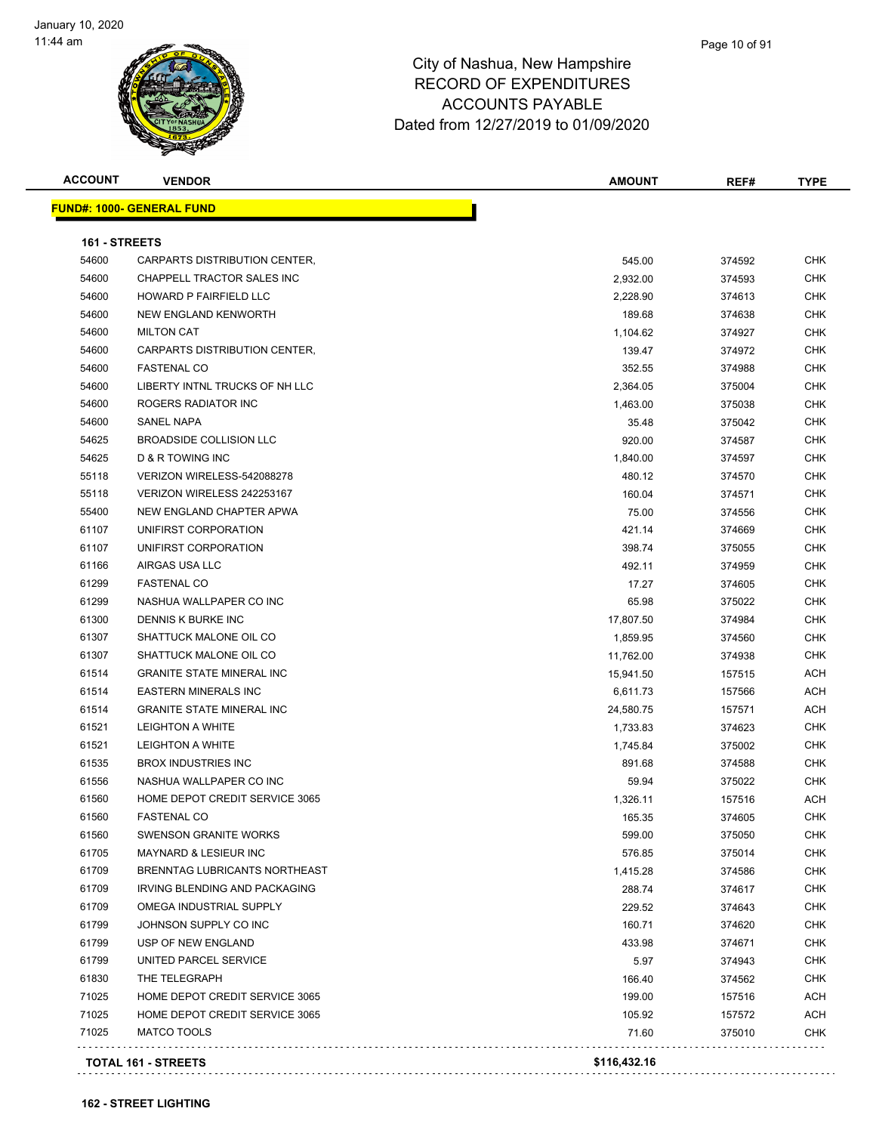#### Page 10 of 91

| <b>ACCOUNT</b> | <b>VENDOR</b>                    | <b>AMOUNT</b> | REF#   | <b>TYPE</b> |
|----------------|----------------------------------|---------------|--------|-------------|
|                | <b>FUND#: 1000- GENERAL FUND</b> |               |        |             |
|                |                                  |               |        |             |
| 161 - STREETS  |                                  |               |        |             |
| 54600          | CARPARTS DISTRIBUTION CENTER,    | 545.00        | 374592 | CHK         |
| 54600          | CHAPPELL TRACTOR SALES INC       | 2,932.00      | 374593 | <b>CHK</b>  |
| 54600          | HOWARD P FAIRFIELD LLC           | 2,228.90      | 374613 | CHK         |
| 54600          | <b>NEW ENGLAND KENWORTH</b>      | 189.68        | 374638 | <b>CHK</b>  |
| 54600          | <b>MILTON CAT</b>                | 1,104.62      | 374927 | <b>CHK</b>  |
| 54600          | CARPARTS DISTRIBUTION CENTER,    | 139.47        | 374972 | <b>CHK</b>  |
| 54600          | <b>FASTENAL CO</b>               | 352.55        | 374988 | CHK         |
| 54600          | LIBERTY INTNL TRUCKS OF NH LLC   | 2,364.05      | 375004 | CHK         |
| 54600          | ROGERS RADIATOR INC              | 1,463.00      | 375038 | <b>CHK</b>  |
| 54600          | <b>SANEL NAPA</b>                | 35.48         | 375042 | <b>CHK</b>  |
| 54625          | <b>BROADSIDE COLLISION LLC</b>   | 920.00        | 374587 | <b>CHK</b>  |
| 54625          | <b>D &amp; R TOWING INC</b>      | 1,840.00      | 374597 | <b>CHK</b>  |
| 55118          | VERIZON WIRELESS-542088278       | 480.12        | 374570 | <b>CHK</b>  |
| 55118          | VERIZON WIRELESS 242253167       | 160.04        | 374571 | CHK         |
| 55400          | NEW ENGLAND CHAPTER APWA         | 75.00         | 374556 | CHK         |
| 61107          | UNIFIRST CORPORATION             | 421.14        | 374669 | <b>CHK</b>  |
| 61107          | UNIFIRST CORPORATION             | 398.74        | 375055 | <b>CHK</b>  |
| 61166          | AIRGAS USA LLC                   | 492.11        | 374959 | CHK         |
| 61299          | <b>FASTENAL CO</b>               | 17.27         | 374605 | CHK         |
| 61299          | NASHUA WALLPAPER CO INC          | 65.98         | 375022 | <b>CHK</b>  |
| 61300          | DENNIS K BURKE INC               | 17,807.50     | 374984 | <b>CHK</b>  |
| 61307          | SHATTUCK MALONE OIL CO           | 1,859.95      | 374560 | <b>CHK</b>  |
| 61307          | SHATTUCK MALONE OIL CO           | 11,762.00     | 374938 | <b>CHK</b>  |
| 61514          | <b>GRANITE STATE MINERAL INC</b> | 15,941.50     | 157515 | ACH         |
| 61514          | <b>EASTERN MINERALS INC</b>      | 6,611.73      | 157566 | ACH         |
| 61514          | <b>GRANITE STATE MINERAL INC</b> | 24,580.75     | 157571 | ACH         |
| 61521          | <b>LEIGHTON A WHITE</b>          | 1,733.83      | 374623 | <b>CHK</b>  |
| 61521          | <b>LEIGHTON A WHITE</b>          | 1,745.84      | 375002 | <b>CHK</b>  |
| 61535          | <b>BROX INDUSTRIES INC</b>       | 891.68        | 374588 | CHK         |
| 61556          | NASHUA WALLPAPER CO INC          | 59.94         | 375022 | CHK         |
| 61560          | HOME DEPOT CREDIT SERVICE 3065   | 1,326.11      | 157516 | ACH         |
| 61560          | <b>FASTENAL CO</b>               | 165.35        | 374605 | CHK         |
| 61560          | <b>SWENSON GRANITE WORKS</b>     | 599.00        | 375050 | <b>CHK</b>  |
| 61705          | <b>MAYNARD &amp; LESIEUR INC</b> | 576.85        | 375014 | <b>CHK</b>  |
| 61709          | BRENNTAG LUBRICANTS NORTHEAST    | 1,415.28      | 374586 | <b>CHK</b>  |
| 61709          | IRVING BLENDING AND PACKAGING    | 288.74        | 374617 | <b>CHK</b>  |
| 61709          | OMEGA INDUSTRIAL SUPPLY          | 229.52        | 374643 | <b>CHK</b>  |
| 61799          | JOHNSON SUPPLY CO INC            | 160.71        | 374620 | <b>CHK</b>  |
| 61799          | USP OF NEW ENGLAND               | 433.98        | 374671 | <b>CHK</b>  |
| 61799          | UNITED PARCEL SERVICE            |               |        | <b>CHK</b>  |
| 61830          | THE TELEGRAPH                    | 5.97          | 374943 | CHK         |
|                |                                  | 166.40        | 374562 |             |
| 71025          | HOME DEPOT CREDIT SERVICE 3065   | 199.00        | 157516 | ACH         |
| 71025          | HOME DEPOT CREDIT SERVICE 3065   | 105.92        | 157572 | <b>ACH</b>  |
| 71025          | MATCO TOOLS                      | 71.60         | 375010 | <b>CHK</b>  |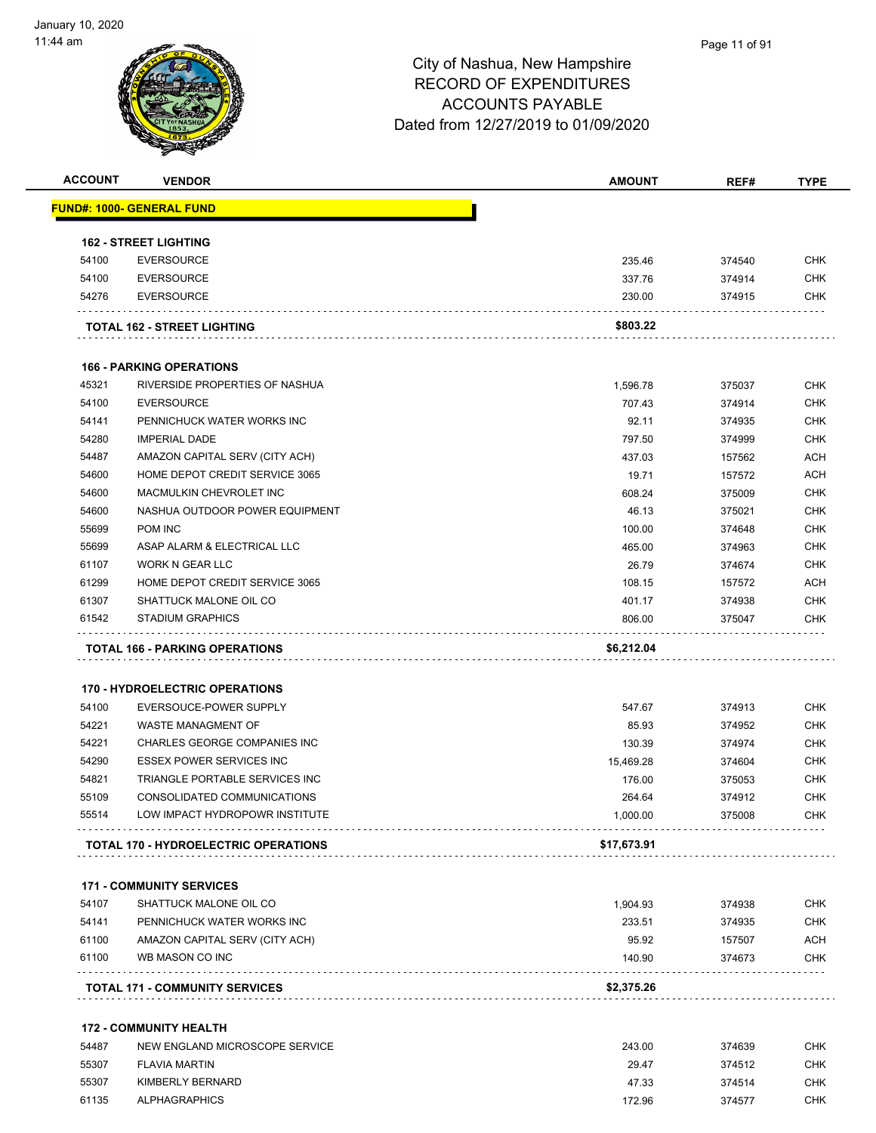

| <b>ACCOUNT</b> | <b>VENDOR</b>                               | <b>AMOUNT</b> | REF#   | <b>TYPE</b> |
|----------------|---------------------------------------------|---------------|--------|-------------|
|                | <u> FUND#: 1000- GENERAL FUND</u>           |               |        |             |
|                | <b>162 - STREET LIGHTING</b>                |               |        |             |
| 54100          | <b>EVERSOURCE</b>                           | 235.46        | 374540 | <b>CHK</b>  |
| 54100          | <b>EVERSOURCE</b>                           | 337.76        | 374914 | <b>CHK</b>  |
| 54276          | <b>EVERSOURCE</b>                           | 230.00        | 374915 | <b>CHK</b>  |
|                | TOTAL 162 - STREET LIGHTING                 | \$803.22      |        |             |
|                |                                             |               |        |             |
|                | <b>166 - PARKING OPERATIONS</b>             |               |        |             |
| 45321          | RIVERSIDE PROPERTIES OF NASHUA              | 1,596.78      | 375037 | <b>CHK</b>  |
| 54100          | <b>EVERSOURCE</b>                           | 707.43        | 374914 | <b>CHK</b>  |
| 54141          | PENNICHUCK WATER WORKS INC                  | 92.11         | 374935 | <b>CHK</b>  |
| 54280          | <b>IMPERIAL DADE</b>                        | 797.50        | 374999 | <b>CHK</b>  |
| 54487          | AMAZON CAPITAL SERV (CITY ACH)              | 437.03        | 157562 | <b>ACH</b>  |
| 54600          | HOME DEPOT CREDIT SERVICE 3065              | 19.71         | 157572 | <b>ACH</b>  |
| 54600          | MACMULKIN CHEVROLET INC                     | 608.24        | 375009 | <b>CHK</b>  |
| 54600          | NASHUA OUTDOOR POWER EQUIPMENT              | 46.13         | 375021 | <b>CHK</b>  |
| 55699          | POM INC                                     | 100.00        | 374648 | <b>CHK</b>  |
| 55699          | ASAP ALARM & ELECTRICAL LLC                 | 465.00        | 374963 | <b>CHK</b>  |
| 61107          | <b>WORK N GEAR LLC</b>                      | 26.79         | 374674 | <b>CHK</b>  |
| 61299          | HOME DEPOT CREDIT SERVICE 3065              | 108.15        | 157572 | <b>ACH</b>  |
| 61307          | SHATTUCK MALONE OIL CO                      | 401.17        | 374938 | <b>CHK</b>  |
| 61542          | <b>STADIUM GRAPHICS</b>                     | 806.00        | 375047 | CHK         |
|                | <b>TOTAL 166 - PARKING OPERATIONS</b>       | \$6,212.04    |        |             |
|                | <b>170 - HYDROELECTRIC OPERATIONS</b>       |               |        |             |
| 54100          | EVERSOUCE-POWER SUPPLY                      | 547.67        | 374913 | CHK         |
| 54221          | <b>WASTE MANAGMENT OF</b>                   | 85.93         | 374952 | <b>CHK</b>  |
| 54221          | CHARLES GEORGE COMPANIES INC                | 130.39        | 374974 | <b>CHK</b>  |
| 54290          | ESSEX POWER SERVICES INC                    | 15,469.28     | 374604 | <b>CHK</b>  |
| 54821          | TRIANGLE PORTABLE SERVICES INC              | 176.00        | 375053 | <b>CHK</b>  |
| 55109          | CONSOLIDATED COMMUNICATIONS                 | 264.64        | 374912 | <b>CHK</b>  |
| 55514          | LOW IMPACT HYDROPOWR INSTITUTE              | 1,000.00      | 375008 | CHK.        |
|                | <b>TOTAL 170 - HYDROELECTRIC OPERATIONS</b> | \$17,673.91   |        |             |
|                | <b>171 - COMMUNITY SERVICES</b>             |               |        |             |
| 54107          | SHATTUCK MALONE OIL CO                      | 1,904.93      | 374938 | <b>CHK</b>  |
| 54141          | PENNICHUCK WATER WORKS INC                  | 233.51        | 374935 | <b>CHK</b>  |
| 61100          | AMAZON CAPITAL SERV (CITY ACH)              | 95.92         | 157507 | <b>ACH</b>  |
| 61100          | WB MASON CO INC                             | 140.90        | 374673 | CHK         |
|                | <b>TOTAL 171 - COMMUNITY SERVICES</b>       | \$2,375.26    |        |             |
|                |                                             |               |        |             |
|                | <b>172 - COMMUNITY HEALTH</b>               |               |        |             |
| 54487          | NEW ENGLAND MICROSCOPE SERVICE              | 243.00        | 374639 | CHK         |
| 55307          | <b>FLAVIA MARTIN</b>                        | 29.47         | 374512 | <b>CHK</b>  |
| 55307          | KIMBERLY BERNARD                            | 47.33         | 374514 | <b>CHK</b>  |

ALPHAGRAPHICS 172.96 374577 CHK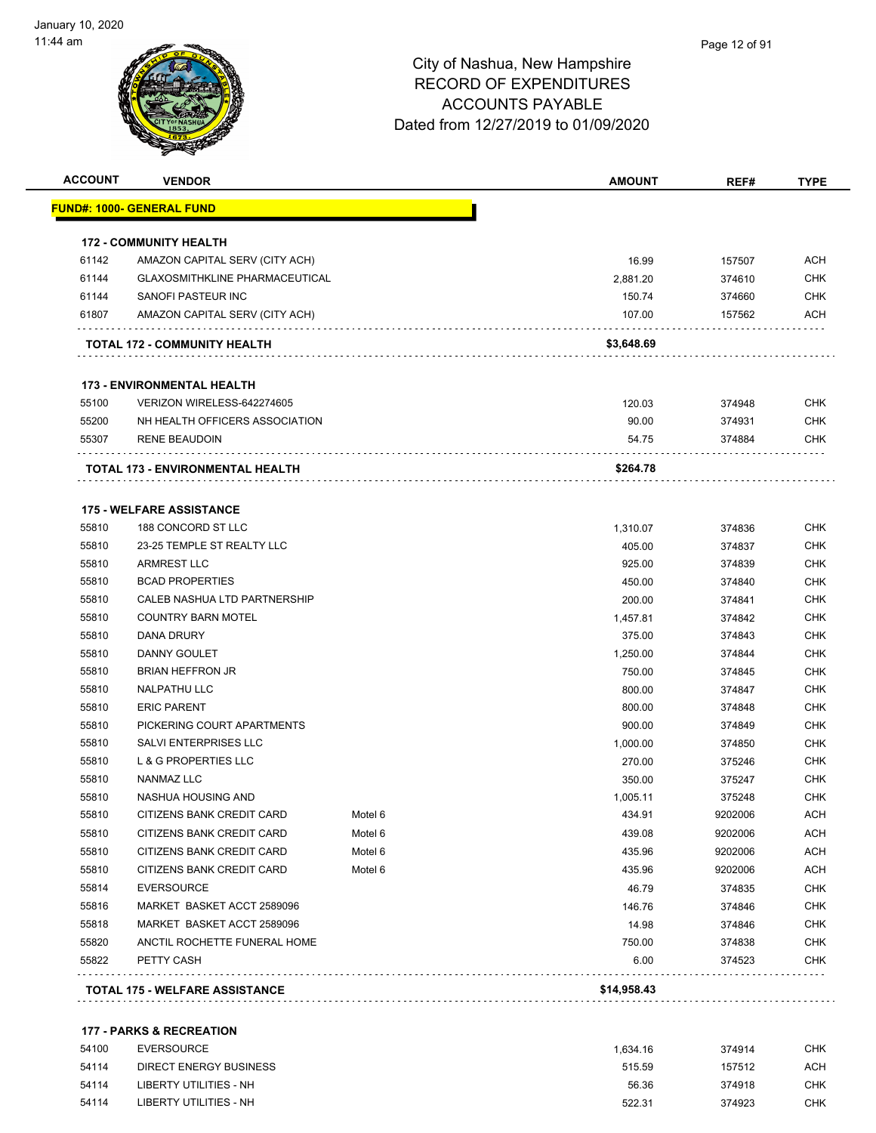#### Page 12 of 91

### City of Nashua, New Hampshire RECORD OF EXPENDITURES ACCOUNTS PAYABLE Dated from 12/27/2019 to 01/09/2020

| <b>ACCOUNT</b> | <b>VENDOR</b>                         |         | <b>AMOUNT</b> | REF#    | <b>TYPE</b> |
|----------------|---------------------------------------|---------|---------------|---------|-------------|
|                | <b>FUND#: 1000- GENERAL FUND</b>      |         |               |         |             |
|                | <b>172 - COMMUNITY HEALTH</b>         |         |               |         |             |
| 61142          | AMAZON CAPITAL SERV (CITY ACH)        |         | 16.99         | 157507  | <b>ACH</b>  |
| 61144          | <b>GLAXOSMITHKLINE PHARMACEUTICAL</b> |         | 2,881.20      | 374610  | <b>CHK</b>  |
| 61144          | SANOFI PASTEUR INC                    |         | 150.74        | 374660  | <b>CHK</b>  |
| 61807          | AMAZON CAPITAL SERV (CITY ACH)        |         | 107.00        | 157562  | <b>ACH</b>  |
|                | <b>TOTAL 172 - COMMUNITY HEALTH</b>   |         | \$3,648.69    |         |             |
|                | <b>173 - ENVIRONMENTAL HEALTH</b>     |         |               |         |             |
| 55100          | VERIZON WIRELESS-642274605            |         | 120.03        | 374948  | <b>CHK</b>  |
| 55200          | NH HEALTH OFFICERS ASSOCIATION        |         | 90.00         | 374931  | <b>CHK</b>  |
| 55307          | <b>RENE BEAUDOIN</b>                  |         | 54.75         | 374884  | <b>CHK</b>  |
|                | TOTAL 173 - ENVIRONMENTAL HEALTH      |         | \$264.78      |         |             |
|                | <b>175 - WELFARE ASSISTANCE</b>       |         |               |         |             |
| 55810          | 188 CONCORD ST LLC                    |         | 1,310.07      | 374836  | <b>CHK</b>  |
| 55810          | 23-25 TEMPLE ST REALTY LLC            |         | 405.00        | 374837  | <b>CHK</b>  |
| 55810          | <b>ARMREST LLC</b>                    |         | 925.00        | 374839  | <b>CHK</b>  |
| 55810          | <b>BCAD PROPERTIES</b>                |         | 450.00        | 374840  | <b>CHK</b>  |
| 55810          | CALEB NASHUA LTD PARTNERSHIP          |         | 200.00        | 374841  | <b>CHK</b>  |
| 55810          | <b>COUNTRY BARN MOTEL</b>             |         | 1,457.81      | 374842  | <b>CHK</b>  |
| 55810          | DANA DRURY                            |         | 375.00        | 374843  | CHK         |
| 55810          | DANNY GOULET                          |         | 1,250.00      | 374844  | <b>CHK</b>  |
| 55810          | <b>BRIAN HEFFRON JR</b>               |         | 750.00        | 374845  | <b>CHK</b>  |
| 55810          | <b>NALPATHU LLC</b>                   |         | 800.00        | 374847  | <b>CHK</b>  |
| 55810          | <b>ERIC PARENT</b>                    |         | 800.00        | 374848  | <b>CHK</b>  |
| 55810          | PICKERING COURT APARTMENTS            |         | 900.00        | 374849  | <b>CHK</b>  |
| 55810          | SALVI ENTERPRISES LLC                 |         | 1,000.00      | 374850  | <b>CHK</b>  |
| 55810          | <b>L &amp; G PROPERTIES LLC</b>       |         | 270.00        | 375246  | <b>CHK</b>  |
| 55810          | NANMAZ LLC                            |         | 350.00        | 375247  | <b>CHK</b>  |
| 55810          | NASHUA HOUSING AND                    |         | 1,005.11      | 375248  | <b>CHK</b>  |
| 55810          | CITIZENS BANK CREDIT CARD             | Motel 6 | 434.91        | 9202006 | ACH         |
| 55810          | CITIZENS BANK CREDIT CARD             | Motel 6 | 439.08        | 9202006 | <b>ACH</b>  |
| 55810          | CITIZENS BANK CREDIT CARD             | Motel 6 | 435.96        | 9202006 | <b>ACH</b>  |
| 55810          | <b>CITIZENS BANK CREDIT CARD</b>      | Motel 6 | 435.96        | 9202006 | <b>ACH</b>  |
| 55814          | <b>EVERSOURCE</b>                     |         | 46.79         | 374835  | <b>CHK</b>  |
| 55816          | MARKET BASKET ACCT 2589096            |         | 146.76        | 374846  | <b>CHK</b>  |
| 55818          | MARKET BASKET ACCT 2589096            |         | 14.98         | 374846  | <b>CHK</b>  |
| 55820          | ANCTIL ROCHETTE FUNERAL HOME          |         | 750.00        | 374838  | <b>CHK</b>  |
| 55822          | PETTY CASH                            |         | 6.00          | 374523  | <b>CHK</b>  |
|                | <b>TOTAL 175 - WELFARE ASSISTANCE</b> |         | \$14,958.43   |         |             |

#### **177 - PARKS & RECREATION**

| 54100 | EVERSOURCE             | 1.634.16 | 374914 | снк |
|-------|------------------------|----------|--------|-----|
| 54114 | DIRECT ENERGY BUSINESS | 515.59   | 157512 | ACH |
| 54114 | LIBERTY UTILITIES - NH | 56.36    | 374918 | СНК |
| 54114 | LIBERTY UTILITIES - NH | 522.31   | 374923 | CHK |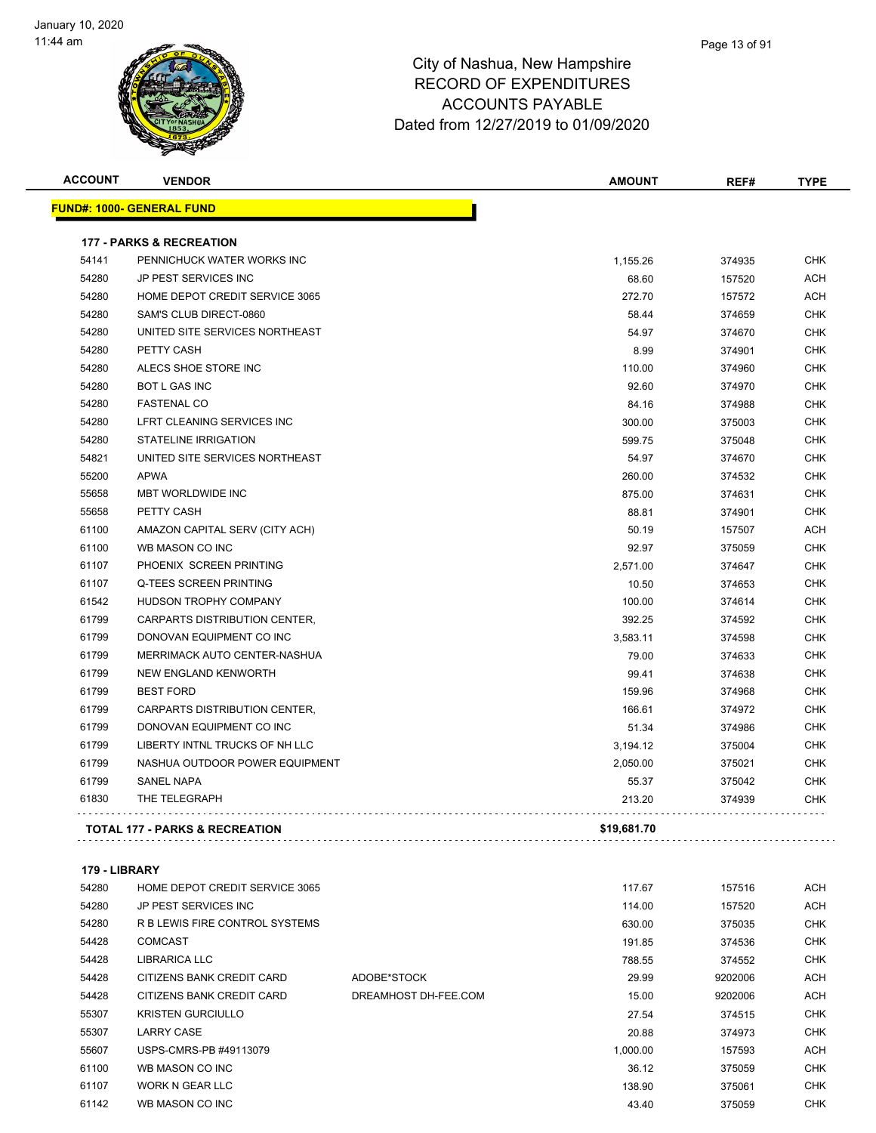

| <b>ACCOUNT</b> | <b>VENDOR</b>                             | <b>AMOUNT</b> | REF#   | <b>TYPE</b> |
|----------------|-------------------------------------------|---------------|--------|-------------|
|                | <u> FUND#: 1000- GENERAL FUND</u>         |               |        |             |
|                | <b>177 - PARKS &amp; RECREATION</b>       |               |        |             |
| 54141          | PENNICHUCK WATER WORKS INC                | 1,155.26      | 374935 | <b>CHK</b>  |
| 54280          | JP PEST SERVICES INC                      | 68.60         | 157520 | <b>ACH</b>  |
| 54280          | HOME DEPOT CREDIT SERVICE 3065            | 272.70        | 157572 | ACH         |
| 54280          | SAM'S CLUB DIRECT-0860                    | 58.44         | 374659 | <b>CHK</b>  |
| 54280          | UNITED SITE SERVICES NORTHEAST            | 54.97         | 374670 | <b>CHK</b>  |
| 54280          | PETTY CASH                                | 8.99          | 374901 | <b>CHK</b>  |
| 54280          | ALECS SHOE STORE INC                      | 110.00        | 374960 | <b>CHK</b>  |
| 54280          | <b>BOT L GAS INC</b>                      | 92.60         | 374970 | <b>CHK</b>  |
| 54280          | <b>FASTENAL CO</b>                        | 84.16         | 374988 | <b>CHK</b>  |
| 54280          | LFRT CLEANING SERVICES INC                | 300.00        | 375003 | <b>CHK</b>  |
| 54280          | <b>STATELINE IRRIGATION</b>               | 599.75        | 375048 | <b>CHK</b>  |
| 54821          | UNITED SITE SERVICES NORTHEAST            | 54.97         | 374670 | <b>CHK</b>  |
| 55200          | <b>APWA</b>                               | 260.00        | 374532 | <b>CHK</b>  |
| 55658          | <b>MBT WORLDWIDE INC</b>                  | 875.00        | 374631 | <b>CHK</b>  |
| 55658          | PETTY CASH                                | 88.81         | 374901 | <b>CHK</b>  |
| 61100          | AMAZON CAPITAL SERV (CITY ACH)            | 50.19         | 157507 | ACH         |
| 61100          | WB MASON CO INC                           | 92.97         | 375059 | <b>CHK</b>  |
| 61107          | PHOENIX SCREEN PRINTING                   | 2,571.00      | 374647 | <b>CHK</b>  |
| 61107          | <b>Q-TEES SCREEN PRINTING</b>             | 10.50         | 374653 | <b>CHK</b>  |
| 61542          | HUDSON TROPHY COMPANY                     | 100.00        | 374614 | <b>CHK</b>  |
| 61799          | CARPARTS DISTRIBUTION CENTER,             | 392.25        | 374592 | <b>CHK</b>  |
| 61799          | DONOVAN EQUIPMENT CO INC                  | 3,583.11      | 374598 | <b>CHK</b>  |
| 61799          | MERRIMACK AUTO CENTER-NASHUA              | 79.00         | 374633 | <b>CHK</b>  |
| 61799          | NEW ENGLAND KENWORTH                      | 99.41         | 374638 | <b>CHK</b>  |
| 61799          | <b>BEST FORD</b>                          | 159.96        | 374968 | <b>CHK</b>  |
| 61799          | CARPARTS DISTRIBUTION CENTER,             | 166.61        | 374972 | <b>CHK</b>  |
| 61799          | DONOVAN EQUIPMENT CO INC                  | 51.34         | 374986 | <b>CHK</b>  |
| 61799          | LIBERTY INTNL TRUCKS OF NH LLC            | 3,194.12      | 375004 | <b>CHK</b>  |
| 61799          | NASHUA OUTDOOR POWER EQUIPMENT            | 2,050.00      | 375021 | <b>CHK</b>  |
| 61799          | <b>SANEL NAPA</b>                         | 55.37         | 375042 | <b>CHK</b>  |
| 61830          | THE TELEGRAPH                             | 213.20        | 374939 | <b>CHK</b>  |
|                | <b>TOTAL 177 - PARKS &amp; RECREATION</b> | \$19,681.70   |        |             |

#### **179 - LIBRARY**

| 54280 | HOME DEPOT CREDIT SERVICE 3065 |                      | 117.67   | 157516  | <b>ACH</b> |
|-------|--------------------------------|----------------------|----------|---------|------------|
| 54280 | JP PEST SERVICES INC           |                      | 114.00   | 157520  | <b>ACH</b> |
| 54280 | R B LEWIS FIRE CONTROL SYSTEMS |                      | 630.00   | 375035  | <b>CHK</b> |
| 54428 | <b>COMCAST</b>                 |                      | 191.85   | 374536  | <b>CHK</b> |
| 54428 | <b>LIBRARICA LLC</b>           |                      | 788.55   | 374552  | <b>CHK</b> |
| 54428 | CITIZENS BANK CREDIT CARD      | ADOBE*STOCK          | 29.99    | 9202006 | <b>ACH</b> |
| 54428 | CITIZENS BANK CREDIT CARD      | DREAMHOST DH-FEE.COM | 15.00    | 9202006 | <b>ACH</b> |
| 55307 | <b>KRISTEN GURCIULLO</b>       |                      | 27.54    | 374515  | <b>CHK</b> |
| 55307 | <b>LARRY CASE</b>              |                      | 20.88    | 374973  | <b>CHK</b> |
| 55607 | USPS-CMRS-PB #49113079         |                      | 1,000.00 | 157593  | <b>ACH</b> |
| 61100 | WB MASON CO INC                |                      | 36.12    | 375059  | <b>CHK</b> |
| 61107 | WORK N GEAR LLC                |                      | 138.90   | 375061  | <b>CHK</b> |
| 61142 | WB MASON CO INC                |                      | 43.40    | 375059  | <b>CHK</b> |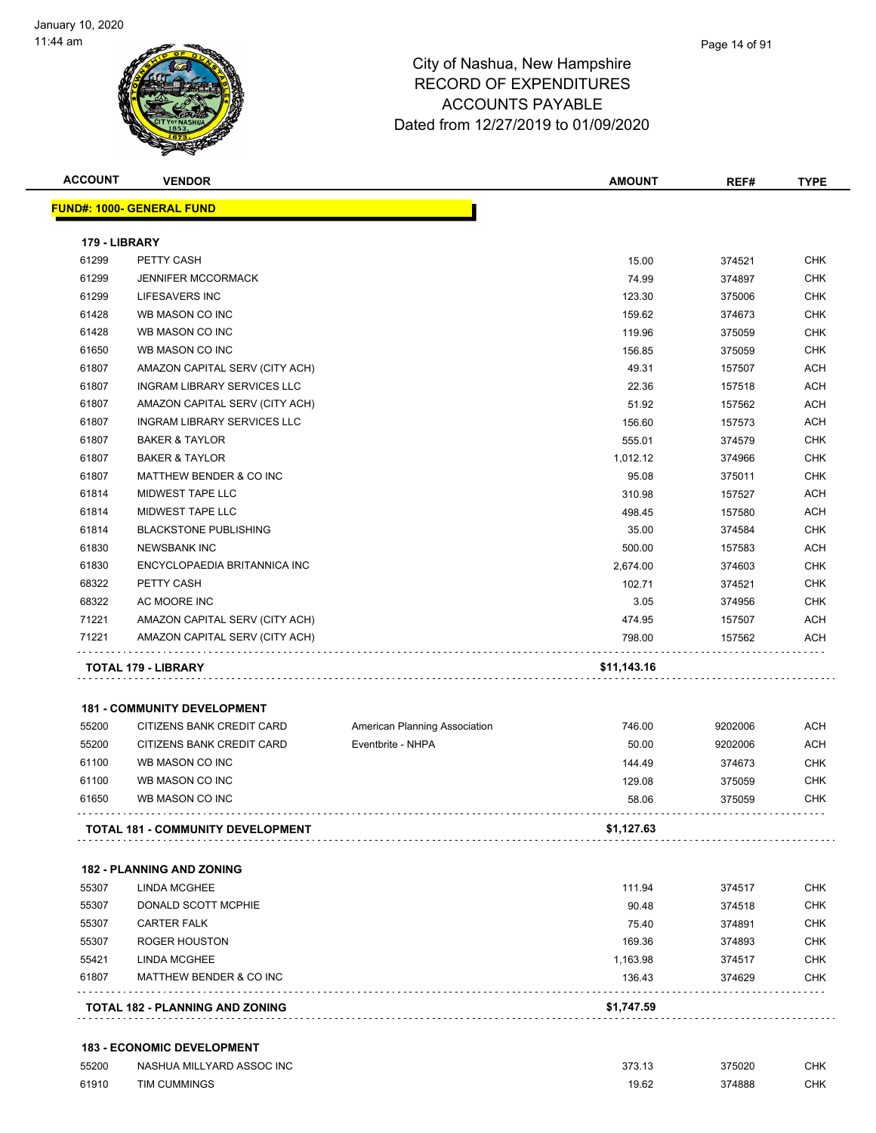

| <b>ACCOUNT</b> | <b>VENDOR</b>                      |                               | <b>AMOUNT</b> | REF#    | <b>TYPE</b> |
|----------------|------------------------------------|-------------------------------|---------------|---------|-------------|
|                | <b>FUND#: 1000- GENERAL FUND</b>   |                               |               |         |             |
| 179 - LIBRARY  |                                    |                               |               |         |             |
| 61299          | PETTY CASH                         |                               | 15.00         | 374521  | CHK         |
| 61299          | <b>JENNIFER MCCORMACK</b>          |                               | 74.99         | 374897  | <b>CHK</b>  |
| 61299          | LIFESAVERS INC                     |                               | 123.30        | 375006  | <b>CHK</b>  |
| 61428          | WB MASON CO INC                    |                               | 159.62        | 374673  | <b>CHK</b>  |
| 61428          | WB MASON CO INC                    |                               | 119.96        | 375059  | <b>CHK</b>  |
| 61650          | WB MASON CO INC                    |                               | 156.85        | 375059  | <b>CHK</b>  |
| 61807          | AMAZON CAPITAL SERV (CITY ACH)     |                               | 49.31         | 157507  | <b>ACH</b>  |
| 61807          | <b>INGRAM LIBRARY SERVICES LLC</b> |                               | 22.36         | 157518  | <b>ACH</b>  |
| 61807          | AMAZON CAPITAL SERV (CITY ACH)     |                               | 51.92         | 157562  | <b>ACH</b>  |
| 61807          | <b>INGRAM LIBRARY SERVICES LLC</b> |                               | 156.60        | 157573  | <b>ACH</b>  |
| 61807          | <b>BAKER &amp; TAYLOR</b>          |                               | 555.01        | 374579  | <b>CHK</b>  |
| 61807          | <b>BAKER &amp; TAYLOR</b>          |                               | 1,012.12      | 374966  | <b>CHK</b>  |
| 61807          | MATTHEW BENDER & CO INC            |                               | 95.08         | 375011  | <b>CHK</b>  |
| 61814          | MIDWEST TAPE LLC                   |                               | 310.98        | 157527  | <b>ACH</b>  |
| 61814          | MIDWEST TAPE LLC                   |                               | 498.45        | 157580  | <b>ACH</b>  |
| 61814          | <b>BLACKSTONE PUBLISHING</b>       |                               | 35.00         | 374584  | <b>CHK</b>  |
| 61830          | <b>NEWSBANK INC</b>                |                               | 500.00        | 157583  | <b>ACH</b>  |
| 61830          | ENCYCLOPAEDIA BRITANNICA INC       |                               | 2,674.00      | 374603  | <b>CHK</b>  |
| 68322          | PETTY CASH                         |                               | 102.71        | 374521  | <b>CHK</b>  |
| 68322          | AC MOORE INC                       |                               | 3.05          | 374956  | CHK         |
| 71221          | AMAZON CAPITAL SERV (CITY ACH)     |                               | 474.95        | 157507  | ACH         |
| 71221          | AMAZON CAPITAL SERV (CITY ACH)     |                               | 798.00        | 157562  | ACH         |
|                | TOTAL 179 - LIBRARY                |                               | \$11,143.16   |         |             |
|                | <b>181 - COMMUNITY DEVELOPMENT</b> |                               |               |         |             |
| 55200          | CITIZENS BANK CREDIT CARD          | American Planning Association | 746.00        | 9202006 | <b>ACH</b>  |
| 55200          | CITIZENS BANK CREDIT CARD          | Eventbrite - NHPA             | 50.00         | 9202006 | <b>ACH</b>  |
| 61100          | WB MASON CO INC                    |                               | 144.49        | 374673  | <b>CHK</b>  |
| 61100          | WB MASON CO INC                    |                               | 129.08        | 375059  | <b>CHK</b>  |
| 61650          | WB MASON CO INC                    |                               | 58.06         | 375059  | CHK         |
|                | TOTAL 181 - COMMUNITY DEVELOPMENT  |                               | \$1,127.63    |         |             |
|                | <b>182 - PLANNING AND ZONING</b>   |                               |               |         |             |
| 55307          | <b>LINDA MCGHEE</b>                |                               | 111.94        | 374517  | CHK         |
| 55307          | DONALD SCOTT MCPHIE                |                               | 90.48         | 374518  | <b>CHK</b>  |
| 55307          | <b>CARTER FALK</b>                 |                               | 75.40         | 374891  | CHK         |
| 55307          | <b>ROGER HOUSTON</b>               |                               | 169.36        | 374893  | <b>CHK</b>  |
| 55421          | <b>LINDA MCGHEE</b>                |                               | 1,163.98      | 374517  | CHK         |
| 61807          | MATTHEW BENDER & CO INC            |                               | 136.43        | 374629  | <b>CHK</b>  |
|                |                                    |                               | \$1,747.59    |         |             |

| 55200 | NASHUA MILLYARD ASSOC INC | 373.13 | 375020 | СНК |
|-------|---------------------------|--------|--------|-----|
| 61910 | TIM CUMMINGS              | 19.62  | 374888 | СНК |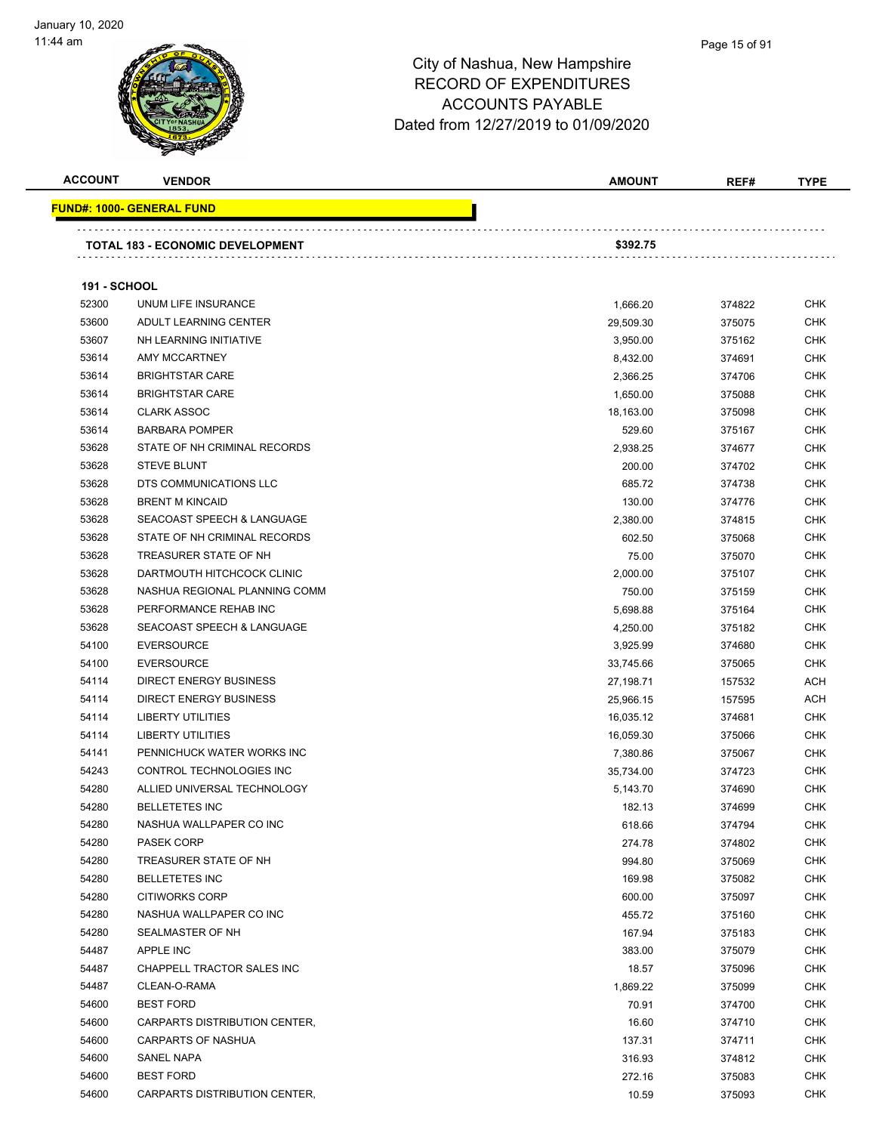

#### Page 15 of 91

| <b>ACCOUNT</b>      | <b>VENDOR</b>                                | <b>AMOUNT</b> | REF#             | <b>TYPE</b>       |
|---------------------|----------------------------------------------|---------------|------------------|-------------------|
|                     | <u> FUND#: 1000- GENERAL FUND</u>            |               |                  |                   |
|                     |                                              |               |                  |                   |
|                     | TOTAL 183 - ECONOMIC DEVELOPMENT             | \$392.75      |                  |                   |
|                     |                                              |               |                  |                   |
| <b>191 - SCHOOL</b> |                                              |               |                  |                   |
| 52300<br>53600      | UNUM LIFE INSURANCE<br>ADULT LEARNING CENTER | 1,666.20      | 374822<br>375075 | <b>CHK</b>        |
| 53607               | NH LEARNING INITIATIVE                       | 29,509.30     |                  | <b>CHK</b><br>CHK |
| 53614               | AMY MCCARTNEY                                | 3,950.00      | 375162<br>374691 | <b>CHK</b>        |
| 53614               | <b>BRIGHTSTAR CARE</b>                       | 8,432.00      |                  | <b>CHK</b>        |
| 53614               | <b>BRIGHTSTAR CARE</b>                       | 2,366.25      | 374706           |                   |
|                     |                                              | 1,650.00      | 375088           | <b>CHK</b>        |
| 53614               | <b>CLARK ASSOC</b>                           | 18,163.00     | 375098           | <b>CHK</b>        |
| 53614               | <b>BARBARA POMPER</b>                        | 529.60        | 375167           | CHK               |
| 53628               | STATE OF NH CRIMINAL RECORDS                 | 2,938.25      | 374677           | <b>CHK</b>        |
| 53628               | <b>STEVE BLUNT</b>                           | 200.00        | 374702           | <b>CHK</b>        |
| 53628               | DTS COMMUNICATIONS LLC                       | 685.72        | 374738           | <b>CHK</b>        |
| 53628               | <b>BRENT M KINCAID</b>                       | 130.00        | 374776           | <b>CHK</b>        |
| 53628               | <b>SEACOAST SPEECH &amp; LANGUAGE</b>        | 2,380.00      | 374815           | <b>CHK</b>        |
| 53628               | STATE OF NH CRIMINAL RECORDS                 | 602.50        | 375068           | <b>CHK</b>        |
| 53628               | TREASURER STATE OF NH                        | 75.00         | 375070           | <b>CHK</b>        |
| 53628               | DARTMOUTH HITCHCOCK CLINIC                   | 2,000.00      | 375107           | <b>CHK</b>        |
| 53628               | NASHUA REGIONAL PLANNING COMM                | 750.00        | 375159           | <b>CHK</b>        |
| 53628               | PERFORMANCE REHAB INC                        | 5,698.88      | 375164           | <b>CHK</b>        |
| 53628               | SEACOAST SPEECH & LANGUAGE                   | 4,250.00      | 375182           | CHK               |
| 54100               | <b>EVERSOURCE</b>                            | 3,925.99      | 374680           | <b>CHK</b>        |
| 54100               | <b>EVERSOURCE</b>                            | 33,745.66     | 375065           | <b>CHK</b>        |
| 54114               | <b>DIRECT ENERGY BUSINESS</b>                | 27,198.71     | 157532           | <b>ACH</b>        |
| 54114               | <b>DIRECT ENERGY BUSINESS</b>                | 25,966.15     | 157595           | <b>ACH</b>        |
| 54114               | <b>LIBERTY UTILITIES</b>                     | 16,035.12     | 374681           | <b>CHK</b>        |
| 54114               | <b>LIBERTY UTILITIES</b>                     | 16,059.30     | 375066           | CHK               |
| 54141               | PENNICHUCK WATER WORKS INC                   | 7,380.86      | 375067           | <b>CHK</b>        |
| 54243               | CONTROL TECHNOLOGIES INC                     | 35,734.00     | 374723           | <b>CHK</b>        |
| 54280               | ALLIED UNIVERSAL TECHNOLOGY                  | 5,143.70      | 374690           | CHK               |
| 54280               | <b>BELLETETES INC</b>                        | 182.13        | 374699           | <b>CHK</b>        |
| 54280               | NASHUA WALLPAPER CO INC                      | 618.66        | 374794           | <b>CHK</b>        |
| 54280               | PASEK CORP                                   | 274.78        | 374802           | <b>CHK</b>        |
| 54280               | TREASURER STATE OF NH                        | 994.80        | 375069           | <b>CHK</b>        |
| 54280               | <b>BELLETETES INC</b>                        | 169.98        | 375082           | <b>CHK</b>        |
| 54280               | <b>CITIWORKS CORP</b>                        | 600.00        | 375097           | <b>CHK</b>        |
| 54280               | NASHUA WALLPAPER CO INC                      | 455.72        | 375160           | <b>CHK</b>        |
| 54280               | SEALMASTER OF NH                             | 167.94        | 375183           | <b>CHK</b>        |
| 54487               | APPLE INC                                    | 383.00        | 375079           | <b>CHK</b>        |
| 54487               | CHAPPELL TRACTOR SALES INC                   | 18.57         | 375096           | <b>CHK</b>        |
| 54487               | CLEAN-O-RAMA                                 | 1,869.22      | 375099           | CHK               |
| 54600               | <b>BEST FORD</b>                             | 70.91         | 374700           | <b>CHK</b>        |
| 54600               | CARPARTS DISTRIBUTION CENTER,                | 16.60         | 374710           | CHK               |
| 54600               | CARPARTS OF NASHUA                           | 137.31        | 374711           | <b>CHK</b>        |
| 54600               | SANEL NAPA                                   | 316.93        | 374812           | <b>CHK</b>        |
| 54600               | <b>BEST FORD</b>                             | 272.16        | 375083           | <b>CHK</b>        |
| 54600               | CARPARTS DISTRIBUTION CENTER,                | 10.59         | 375093           | <b>CHK</b>        |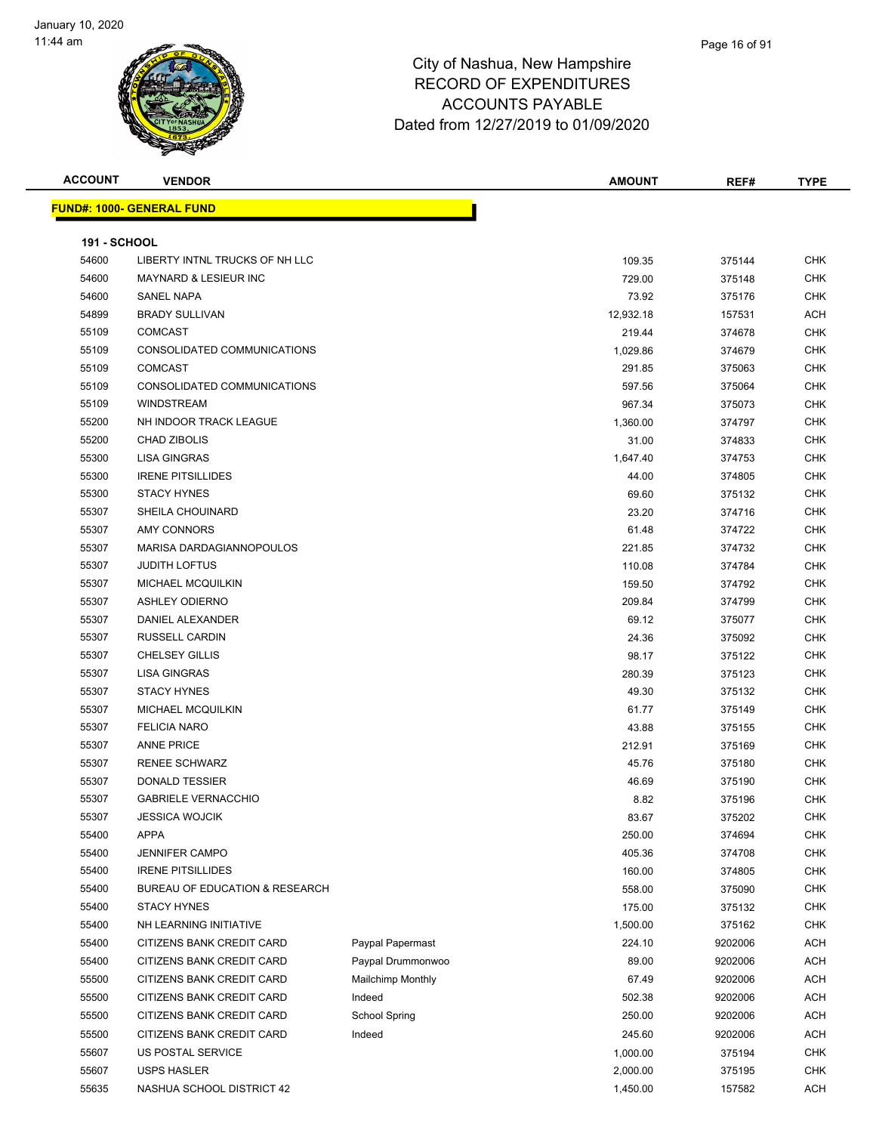

| <b>ACCOUNT</b>      | <b>VENDOR</b>                    |                          | <b>AMOUNT</b> | REF#    | <b>TYPE</b> |
|---------------------|----------------------------------|--------------------------|---------------|---------|-------------|
|                     | <b>FUND#: 1000- GENERAL FUND</b> |                          |               |         |             |
|                     |                                  |                          |               |         |             |
| <b>191 - SCHOOL</b> |                                  |                          |               |         |             |
| 54600               | LIBERTY INTNL TRUCKS OF NH LLC   |                          | 109.35        | 375144  | <b>CHK</b>  |
| 54600               | <b>MAYNARD &amp; LESIEUR INC</b> |                          | 729.00        | 375148  | <b>CHK</b>  |
| 54600               | SANEL NAPA                       |                          | 73.92         | 375176  | CHK         |
| 54899               | <b>BRADY SULLIVAN</b>            |                          | 12,932.18     | 157531  | ACH         |
| 55109               | <b>COMCAST</b>                   |                          | 219.44        | 374678  | <b>CHK</b>  |
| 55109               | CONSOLIDATED COMMUNICATIONS      |                          | 1,029.86      | 374679  | <b>CHK</b>  |
| 55109               | <b>COMCAST</b>                   |                          | 291.85        | 375063  | <b>CHK</b>  |
| 55109               | CONSOLIDATED COMMUNICATIONS      |                          | 597.56        | 375064  | CHK         |
| 55109               | <b>WINDSTREAM</b>                |                          | 967.34        | 375073  | <b>CHK</b>  |
| 55200               | NH INDOOR TRACK LEAGUE           |                          | 1,360.00      | 374797  | <b>CHK</b>  |
| 55200               | <b>CHAD ZIBOLIS</b>              |                          | 31.00         | 374833  | <b>CHK</b>  |
| 55300               | <b>LISA GINGRAS</b>              |                          | 1,647.40      | 374753  | <b>CHK</b>  |
| 55300               | <b>IRENE PITSILLIDES</b>         |                          | 44.00         | 374805  | <b>CHK</b>  |
| 55300               | <b>STACY HYNES</b>               |                          | 69.60         | 375132  | <b>CHK</b>  |
| 55307               | <b>SHEILA CHOUINARD</b>          |                          | 23.20         | 374716  | <b>CHK</b>  |
| 55307               | <b>AMY CONNORS</b>               |                          | 61.48         | 374722  | <b>CHK</b>  |
| 55307               | MARISA DARDAGIANNOPOULOS         |                          | 221.85        | 374732  | <b>CHK</b>  |
| 55307               | <b>JUDITH LOFTUS</b>             |                          | 110.08        | 374784  | CHK         |
| 55307               | MICHAEL MCQUILKIN                |                          | 159.50        | 374792  | CHK         |
| 55307               | <b>ASHLEY ODIERNO</b>            |                          | 209.84        | 374799  | CHK         |
| 55307               | DANIEL ALEXANDER                 |                          | 69.12         | 375077  | CHK         |
| 55307               | RUSSELL CARDIN                   |                          | 24.36         | 375092  | CHK         |
| 55307               | <b>CHELSEY GILLIS</b>            |                          | 98.17         | 375122  | <b>CHK</b>  |
| 55307               | <b>LISA GINGRAS</b>              |                          | 280.39        | 375123  | <b>CHK</b>  |
| 55307               | <b>STACY HYNES</b>               |                          | 49.30         | 375132  | CHK         |
| 55307               | <b>MICHAEL MCQUILKIN</b>         |                          | 61.77         | 375149  | <b>CHK</b>  |
| 55307               | <b>FELICIA NARO</b>              |                          | 43.88         | 375155  | CHK         |
| 55307               | <b>ANNE PRICE</b>                |                          | 212.91        | 375169  | <b>CHK</b>  |
| 55307               | <b>RENEE SCHWARZ</b>             |                          | 45.76         | 375180  | CHK         |
| 55307               | <b>DONALD TESSIER</b>            |                          | 46.69         | 375190  | CHK         |
| 55307               | <b>GABRIELE VERNACCHIO</b>       |                          | 8.82          | 375196  | CHK         |
| 55307               | <b>JESSICA WOJCIK</b>            |                          | 83.67         | 375202  | <b>CHK</b>  |
| 55400               | <b>APPA</b>                      |                          | 250.00        | 374694  | <b>CHK</b>  |
| 55400               | <b>JENNIFER CAMPO</b>            |                          | 405.36        | 374708  | <b>CHK</b>  |
| 55400               | <b>IRENE PITSILLIDES</b>         |                          | 160.00        | 374805  | <b>CHK</b>  |
| 55400               | BUREAU OF EDUCATION & RESEARCH   |                          | 558.00        | 375090  | <b>CHK</b>  |
| 55400               | <b>STACY HYNES</b>               |                          | 175.00        | 375132  | <b>CHK</b>  |
| 55400               | NH LEARNING INITIATIVE           |                          | 1,500.00      | 375162  | <b>CHK</b>  |
| 55400               | CITIZENS BANK CREDIT CARD        | Paypal Papermast         | 224.10        | 9202006 | <b>ACH</b>  |
| 55400               | CITIZENS BANK CREDIT CARD        | Paypal Drummonwoo        | 89.00         | 9202006 | <b>ACH</b>  |
| 55500               | CITIZENS BANK CREDIT CARD        | <b>Mailchimp Monthly</b> | 67.49         | 9202006 | <b>ACH</b>  |
| 55500               | CITIZENS BANK CREDIT CARD        | Indeed                   | 502.38        | 9202006 | <b>ACH</b>  |
| 55500               | CITIZENS BANK CREDIT CARD        | <b>School Spring</b>     | 250.00        | 9202006 | <b>ACH</b>  |
| 55500               | CITIZENS BANK CREDIT CARD        | Indeed                   | 245.60        | 9202006 | <b>ACH</b>  |
| 55607               | US POSTAL SERVICE                |                          | 1,000.00      | 375194  | <b>CHK</b>  |
| 55607               | <b>USPS HASLER</b>               |                          | 2,000.00      | 375195  | <b>CHK</b>  |
| 55635               | NASHUA SCHOOL DISTRICT 42        |                          | 1,450.00      | 157582  | ACH         |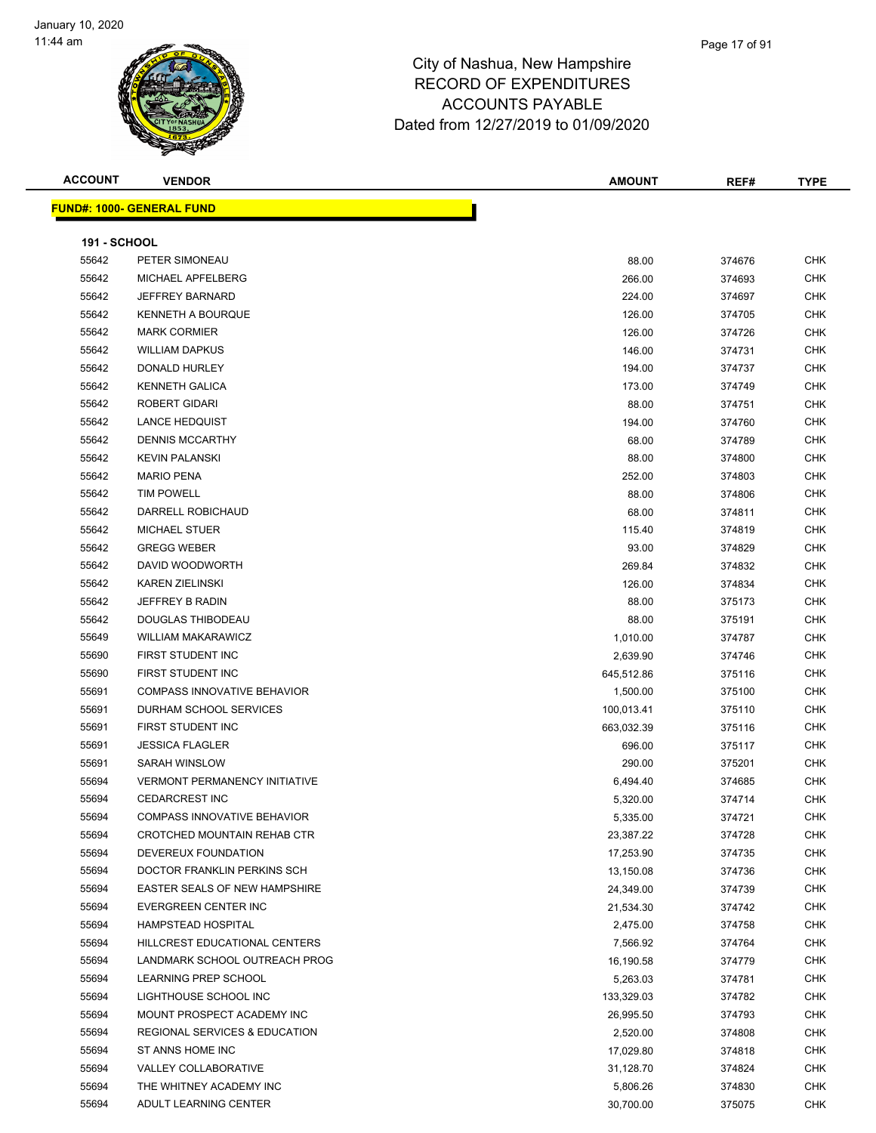

#### Page 17 of 91

| <b>ACCOUNT</b>      | <b>VENDOR</b>                            | <b>AMOUNT</b> | REF#   | <b>TYPE</b> |
|---------------------|------------------------------------------|---------------|--------|-------------|
|                     | <b>FUND#: 1000- GENERAL FUND</b>         |               |        |             |
|                     |                                          |               |        |             |
| <b>191 - SCHOOL</b> |                                          |               |        |             |
| 55642               | PETER SIMONEAU                           | 88.00         | 374676 | <b>CHK</b>  |
| 55642               | MICHAEL APFELBERG                        | 266.00        | 374693 | <b>CHK</b>  |
| 55642               | <b>JEFFREY BARNARD</b>                   | 224.00        | 374697 | <b>CHK</b>  |
| 55642               | <b>KENNETH A BOURQUE</b>                 | 126.00        | 374705 | <b>CHK</b>  |
| 55642               | <b>MARK CORMIER</b>                      | 126.00        | 374726 | <b>CHK</b>  |
| 55642               | <b>WILLIAM DAPKUS</b>                    | 146.00        | 374731 | <b>CHK</b>  |
| 55642               | DONALD HURLEY                            | 194.00        | 374737 | <b>CHK</b>  |
| 55642               | <b>KENNETH GALICA</b>                    | 173.00        | 374749 | <b>CHK</b>  |
| 55642               | <b>ROBERT GIDARI</b>                     | 88.00         | 374751 | <b>CHK</b>  |
| 55642               | <b>LANCE HEDQUIST</b>                    | 194.00        | 374760 | <b>CHK</b>  |
| 55642               | <b>DENNIS MCCARTHY</b>                   | 68.00         | 374789 | <b>CHK</b>  |
| 55642               | <b>KEVIN PALANSKI</b>                    | 88.00         | 374800 | <b>CHK</b>  |
| 55642               | <b>MARIO PENA</b>                        | 252.00        |        | <b>CHK</b>  |
|                     |                                          |               | 374803 |             |
| 55642               | <b>TIM POWELL</b>                        | 88.00         | 374806 | <b>CHK</b>  |
| 55642               | DARRELL ROBICHAUD                        | 68.00         | 374811 | <b>CHK</b>  |
| 55642               | <b>MICHAEL STUER</b>                     | 115.40        | 374819 | CHK         |
| 55642               | <b>GREGG WEBER</b>                       | 93.00         | 374829 | <b>CHK</b>  |
| 55642               | DAVID WOODWORTH                          | 269.84        | 374832 | <b>CHK</b>  |
| 55642               | <b>KAREN ZIELINSKI</b>                   | 126.00        | 374834 | CHK         |
| 55642               | <b>JEFFREY B RADIN</b>                   | 88.00         | 375173 | <b>CHK</b>  |
| 55642               | DOUGLAS THIBODEAU                        | 88.00         | 375191 | <b>CHK</b>  |
| 55649               | <b>WILLIAM MAKARAWICZ</b>                | 1,010.00      | 374787 | <b>CHK</b>  |
| 55690               | FIRST STUDENT INC                        | 2,639.90      | 374746 | <b>CHK</b>  |
| 55690               | FIRST STUDENT INC                        | 645,512.86    | 375116 | <b>CHK</b>  |
| 55691               | <b>COMPASS INNOVATIVE BEHAVIOR</b>       | 1,500.00      | 375100 | <b>CHK</b>  |
| 55691               | DURHAM SCHOOL SERVICES                   | 100,013.41    | 375110 | <b>CHK</b>  |
| 55691               | FIRST STUDENT INC                        | 663,032.39    | 375116 | <b>CHK</b>  |
| 55691               | <b>JESSICA FLAGLER</b>                   | 696.00        | 375117 | <b>CHK</b>  |
| 55691               | <b>SARAH WINSLOW</b>                     | 290.00        | 375201 | <b>CHK</b>  |
| 55694               | <b>VERMONT PERMANENCY INITIATIVE</b>     | 6,494.40      | 374685 | <b>CHK</b>  |
| 55694               | <b>CEDARCREST INC</b>                    | 5,320.00      | 374714 | <b>CHK</b>  |
| 55694               | COMPASS INNOVATIVE BEHAVIOR              | 5,335.00      | 374721 | <b>CHK</b>  |
| 55694               | CROTCHED MOUNTAIN REHAB CTR              | 23,387.22     | 374728 | CHK         |
| 55694               | DEVEREUX FOUNDATION                      | 17,253.90     | 374735 | <b>CHK</b>  |
| 55694               | DOCTOR FRANKLIN PERKINS SCH              | 13,150.08     | 374736 | <b>CHK</b>  |
| 55694               | EASTER SEALS OF NEW HAMPSHIRE            | 24,349.00     | 374739 | <b>CHK</b>  |
| 55694               | EVERGREEN CENTER INC                     | 21,534.30     | 374742 | CHK         |
| 55694               | <b>HAMPSTEAD HOSPITAL</b>                | 2,475.00      | 374758 | <b>CHK</b>  |
| 55694               | HILLCREST EDUCATIONAL CENTERS            | 7,566.92      | 374764 | <b>CHK</b>  |
| 55694               | LANDMARK SCHOOL OUTREACH PROG            | 16,190.58     | 374779 | <b>CHK</b>  |
| 55694               | LEARNING PREP SCHOOL                     | 5,263.03      | 374781 | <b>CHK</b>  |
| 55694               | LIGHTHOUSE SCHOOL INC                    | 133,329.03    | 374782 | <b>CHK</b>  |
| 55694               | MOUNT PROSPECT ACADEMY INC               | 26,995.50     | 374793 | CHK         |
| 55694               | <b>REGIONAL SERVICES &amp; EDUCATION</b> | 2,520.00      | 374808 | <b>CHK</b>  |
| 55694               | ST ANNS HOME INC                         | 17,029.80     | 374818 | <b>CHK</b>  |
| 55694               | VALLEY COLLABORATIVE                     | 31,128.70     | 374824 | <b>CHK</b>  |
| 55694               | THE WHITNEY ACADEMY INC                  | 5,806.26      | 374830 | <b>CHK</b>  |
| 55694               | ADULT LEARNING CENTER                    | 30,700.00     | 375075 | CHK         |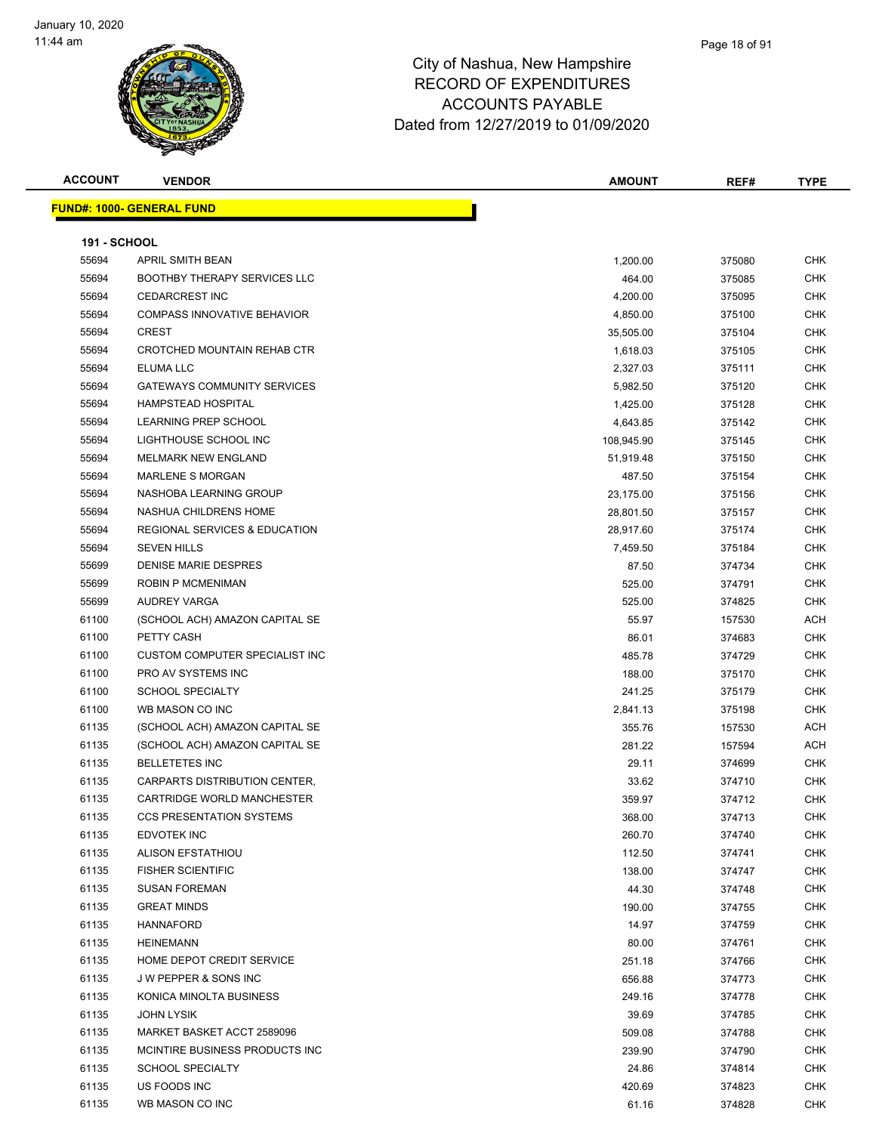

| <b>ACCOUNT</b>      | <b>VENDOR</b>                       | <b>AMOUNT</b> | REF#   | TYPE       |
|---------------------|-------------------------------------|---------------|--------|------------|
|                     | <u> FUND#: 1000- GENERAL FUND</u>   |               |        |            |
|                     |                                     |               |        |            |
| <b>191 - SCHOOL</b> |                                     |               |        |            |
| 55694               | APRIL SMITH BEAN                    | 1,200.00      | 375080 | <b>CHK</b> |
| 55694               | <b>BOOTHBY THERAPY SERVICES LLC</b> | 464.00        | 375085 | <b>CHK</b> |
| 55694               | <b>CEDARCREST INC</b>               | 4,200.00      | 375095 | <b>CHK</b> |
| 55694               | <b>COMPASS INNOVATIVE BEHAVIOR</b>  | 4,850.00      | 375100 | <b>CHK</b> |
| 55694               | <b>CREST</b>                        | 35,505.00     | 375104 | CHK        |
| 55694               | CROTCHED MOUNTAIN REHAB CTR         | 1,618.03      | 375105 | <b>CHK</b> |
| 55694               | ELUMA LLC                           | 2,327.03      | 375111 | CHK        |
| 55694               | <b>GATEWAYS COMMUNITY SERVICES</b>  | 5,982.50      | 375120 | <b>CHK</b> |
| 55694               | <b>HAMPSTEAD HOSPITAL</b>           | 1,425.00      | 375128 | <b>CHK</b> |
| 55694               | <b>LEARNING PREP SCHOOL</b>         | 4,643.85      | 375142 | CHK        |
| 55694               | LIGHTHOUSE SCHOOL INC               | 108,945.90    | 375145 | CHK        |
| 55694               | <b>MELMARK NEW ENGLAND</b>          | 51,919.48     | 375150 | <b>CHK</b> |
| 55694               | <b>MARLENE S MORGAN</b>             | 487.50        | 375154 | <b>CHK</b> |
| 55694               | NASHOBA LEARNING GROUP              | 23,175.00     | 375156 | <b>CHK</b> |
| 55694               | NASHUA CHILDRENS HOME               | 28,801.50     | 375157 | <b>CHK</b> |
| 55694               | REGIONAL SERVICES & EDUCATION       | 28,917.60     | 375174 | CHK        |
| 55694               | <b>SEVEN HILLS</b>                  | 7,459.50      | 375184 | <b>CHK</b> |
| 55699               | DENISE MARIE DESPRES                | 87.50         | 374734 | CHK        |
| 55699               | <b>ROBIN P MCMENIMAN</b>            | 525.00        | 374791 | CHK        |
| 55699               | <b>AUDREY VARGA</b>                 | 525.00        | 374825 | CHK        |
| 61100               | (SCHOOL ACH) AMAZON CAPITAL SE      | 55.97         | 157530 | ACH        |
| 61100               | PETTY CASH                          | 86.01         | 374683 | <b>CHK</b> |
| 61100               | CUSTOM COMPUTER SPECIALIST INC      | 485.78        | 374729 | CHK        |
| 61100               | PRO AV SYSTEMS INC                  | 188.00        | 375170 | <b>CHK</b> |
| 61100               | <b>SCHOOL SPECIALTY</b>             | 241.25        | 375179 | <b>CHK</b> |
| 61100               | WB MASON CO INC                     | 2,841.13      | 375198 | <b>CHK</b> |
| 61135               | (SCHOOL ACH) AMAZON CAPITAL SE      | 355.76        | 157530 | ACH        |
| 61135               | (SCHOOL ACH) AMAZON CAPITAL SE      | 281.22        | 157594 | ACH        |
| 61135               | <b>BELLETETES INC</b>               | 29.11         | 374699 | <b>CHK</b> |
| 61135               | CARPARTS DISTRIBUTION CENTER,       | 33.62         | 374710 | CHK        |
| 61135               | CARTRIDGE WORLD MANCHESTER          | 359.97        | 374712 | <b>CHK</b> |
| 61135               | <b>CCS PRESENTATION SYSTEMS</b>     | 368.00        | 374713 | <b>CHK</b> |
| 61135               | EDVOTEK INC                         | 260.70        | 374740 | <b>CHK</b> |
| 61135               | <b>ALISON EFSTATHIOU</b>            | 112.50        | 374741 | <b>CHK</b> |
| 61135               | <b>FISHER SCIENTIFIC</b>            | 138.00        | 374747 | <b>CHK</b> |
| 61135               | <b>SUSAN FOREMAN</b>                | 44.30         | 374748 | <b>CHK</b> |
| 61135               | <b>GREAT MINDS</b>                  | 190.00        | 374755 | <b>CHK</b> |
| 61135               | <b>HANNAFORD</b>                    | 14.97         | 374759 | <b>CHK</b> |
| 61135               | <b>HEINEMANN</b>                    | 80.00         | 374761 | <b>CHK</b> |
| 61135               | HOME DEPOT CREDIT SERVICE           | 251.18        | 374766 | <b>CHK</b> |
| 61135               | J W PEPPER & SONS INC               | 656.88        | 374773 | <b>CHK</b> |
| 61135               | KONICA MINOLTA BUSINESS             | 249.16        | 374778 | <b>CHK</b> |
| 61135               | <b>JOHN LYSIK</b>                   | 39.69         | 374785 | <b>CHK</b> |
| 61135               | MARKET BASKET ACCT 2589096          | 509.08        | 374788 | <b>CHK</b> |
| 61135               | MCINTIRE BUSINESS PRODUCTS INC      | 239.90        | 374790 | <b>CHK</b> |
| 61135               | <b>SCHOOL SPECIALTY</b>             | 24.86         | 374814 | <b>CHK</b> |
| 61135               | US FOODS INC                        | 420.69        | 374823 | <b>CHK</b> |
| 61135               | WB MASON CO INC                     | 61.16         | 374828 | <b>CHK</b> |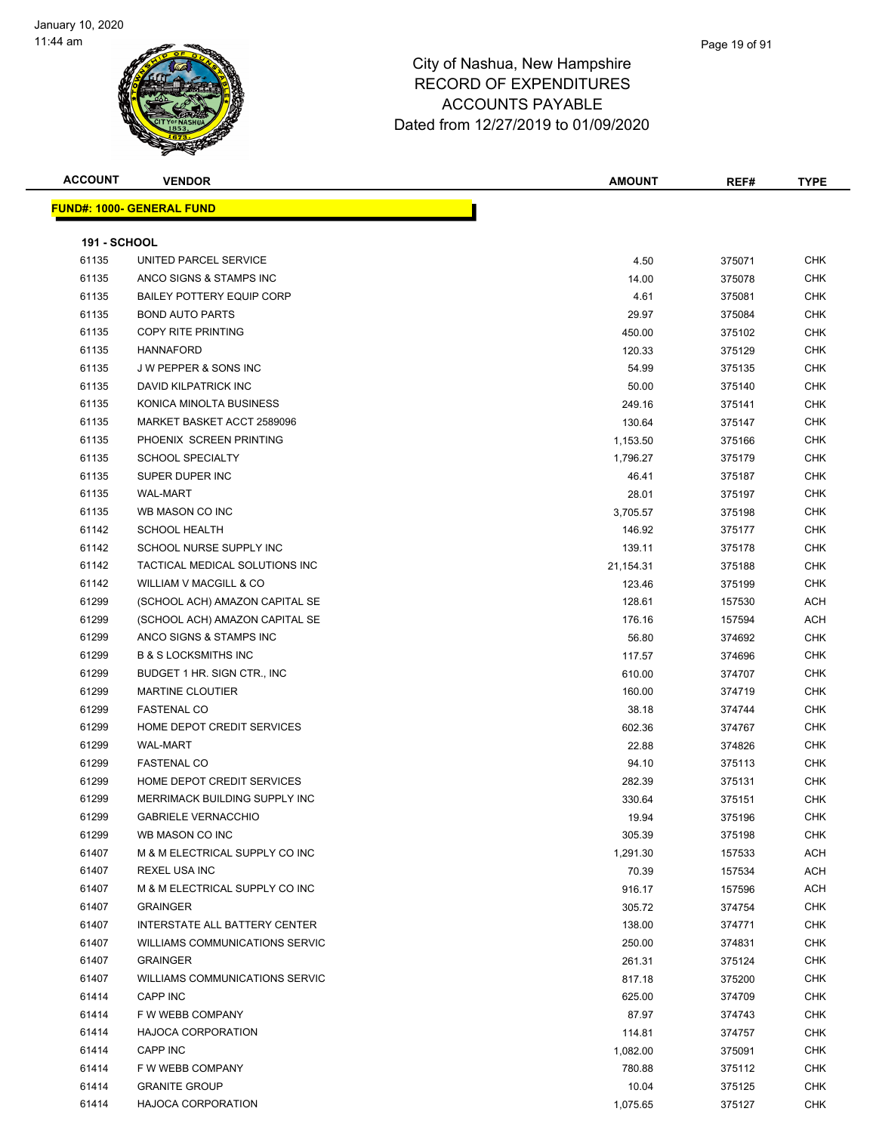#### Page 19 of 91

| <b>ACCOUNT</b>      | <b>VENDOR</b>                                               | <b>AMOUNT</b>   | REF#   | <b>TYPE</b>              |
|---------------------|-------------------------------------------------------------|-----------------|--------|--------------------------|
|                     | <b>FUND#: 1000- GENERAL FUND</b>                            |                 |        |                          |
|                     |                                                             |                 |        |                          |
| <b>191 - SCHOOL</b> |                                                             |                 |        |                          |
| 61135               | UNITED PARCEL SERVICE                                       | 4.50            | 375071 | <b>CHK</b>               |
| 61135               | ANCO SIGNS & STAMPS INC                                     | 14.00           | 375078 | <b>CHK</b>               |
| 61135               | <b>BAILEY POTTERY EQUIP CORP</b>                            | 4.61            | 375081 | <b>CHK</b>               |
| 61135               | <b>BOND AUTO PARTS</b>                                      | 29.97           | 375084 | <b>CHK</b>               |
| 61135               | COPY RITE PRINTING                                          | 450.00          | 375102 | <b>CHK</b>               |
| 61135               | <b>HANNAFORD</b>                                            | 120.33          | 375129 | <b>CHK</b>               |
| 61135               | <b>JW PEPPER &amp; SONS INC</b>                             | 54.99           | 375135 | <b>CHK</b>               |
| 61135               | DAVID KILPATRICK INC                                        | 50.00           | 375140 | <b>CHK</b>               |
| 61135               | KONICA MINOLTA BUSINESS                                     | 249.16          | 375141 | <b>CHK</b>               |
| 61135               | MARKET BASKET ACCT 2589096                                  | 130.64          | 375147 | <b>CHK</b>               |
| 61135               | PHOENIX SCREEN PRINTING                                     | 1,153.50        | 375166 | <b>CHK</b>               |
| 61135               | <b>SCHOOL SPECIALTY</b>                                     | 1,796.27        | 375179 | <b>CHK</b>               |
| 61135               | SUPER DUPER INC                                             | 46.41           | 375187 | <b>CHK</b>               |
| 61135               | <b>WAL-MART</b>                                             | 28.01           | 375197 | <b>CHK</b>               |
| 61135               | WB MASON CO INC                                             | 3,705.57        | 375198 | <b>CHK</b>               |
| 61142               | <b>SCHOOL HEALTH</b>                                        | 146.92          | 375177 | <b>CHK</b>               |
| 61142               | SCHOOL NURSE SUPPLY INC                                     | 139.11          | 375178 | <b>CHK</b>               |
| 61142               | TACTICAL MEDICAL SOLUTIONS INC                              | 21,154.31       | 375188 | <b>CHK</b>               |
| 61142               | <b>WILLIAM V MACGILL &amp; CO</b>                           | 123.46          | 375199 | <b>CHK</b>               |
| 61299               | (SCHOOL ACH) AMAZON CAPITAL SE                              | 128.61          | 157530 | <b>ACH</b>               |
| 61299               | (SCHOOL ACH) AMAZON CAPITAL SE                              | 176.16          | 157594 | <b>ACH</b>               |
| 61299               | ANCO SIGNS & STAMPS INC                                     | 56.80           | 374692 | <b>CHK</b>               |
| 61299               | <b>B &amp; S LOCKSMITHS INC</b>                             |                 |        | <b>CHK</b>               |
| 61299               | BUDGET 1 HR. SIGN CTR., INC.                                | 117.57          | 374696 | <b>CHK</b>               |
| 61299               | <b>MARTINE CLOUTIER</b>                                     | 610.00          | 374707 | <b>CHK</b>               |
| 61299               | <b>FASTENAL CO</b>                                          | 160.00<br>38.18 | 374719 | <b>CHK</b>               |
| 61299               | HOME DEPOT CREDIT SERVICES                                  | 602.36          | 374744 | <b>CHK</b>               |
| 61299               | <b>WAL-MART</b>                                             |                 | 374767 | <b>CHK</b>               |
|                     |                                                             | 22.88           | 374826 | <b>CHK</b>               |
| 61299               | <b>FASTENAL CO</b><br>HOME DEPOT CREDIT SERVICES            | 94.10           | 375113 | <b>CHK</b>               |
| 61299               |                                                             | 282.39          | 375131 |                          |
| 61299               | MERRIMACK BUILDING SUPPLY INC<br><b>GABRIELE VERNACCHIO</b> | 330.64          | 375151 | <b>CHK</b><br><b>CHK</b> |
| 61299<br>61299      | WB MASON CO INC                                             | 19.94           | 375196 |                          |
|                     |                                                             | 305.39          | 375198 | <b>CHK</b>               |
| 61407<br>61407      | M & M ELECTRICAL SUPPLY CO INC<br><b>REXEL USA INC</b>      | 1,291.30        | 157533 | ACH                      |
|                     | M & M ELECTRICAL SUPPLY CO INC                              | 70.39           | 157534 | <b>ACH</b>               |
| 61407<br>61407      | <b>GRAINGER</b>                                             | 916.17          | 157596 | <b>ACH</b>               |
|                     |                                                             | 305.72          | 374754 | <b>CHK</b>               |
| 61407               | INTERSTATE ALL BATTERY CENTER                               | 138.00          | 374771 | <b>CHK</b>               |
| 61407               | <b>WILLIAMS COMMUNICATIONS SERVIC</b>                       | 250.00          | 374831 | <b>CHK</b>               |
| 61407               | <b>GRAINGER</b>                                             | 261.31          | 375124 | <b>CHK</b>               |
| 61407               | <b>WILLIAMS COMMUNICATIONS SERVIC</b>                       | 817.18          | 375200 | <b>CHK</b>               |
| 61414               | <b>CAPP INC</b>                                             | 625.00          | 374709 | <b>CHK</b>               |
| 61414               | F W WEBB COMPANY                                            | 87.97           | 374743 | <b>CHK</b>               |
| 61414               | <b>HAJOCA CORPORATION</b>                                   | 114.81          | 374757 | <b>CHK</b>               |
| 61414               | CAPP INC                                                    | 1,082.00        | 375091 | <b>CHK</b>               |
| 61414               | F W WEBB COMPANY                                            | 780.88          | 375112 | <b>CHK</b>               |
| 61414               | <b>GRANITE GROUP</b>                                        | 10.04           | 375125 | <b>CHK</b>               |
| 61414               | <b>HAJOCA CORPORATION</b>                                   | 1,075.65        | 375127 | <b>CHK</b>               |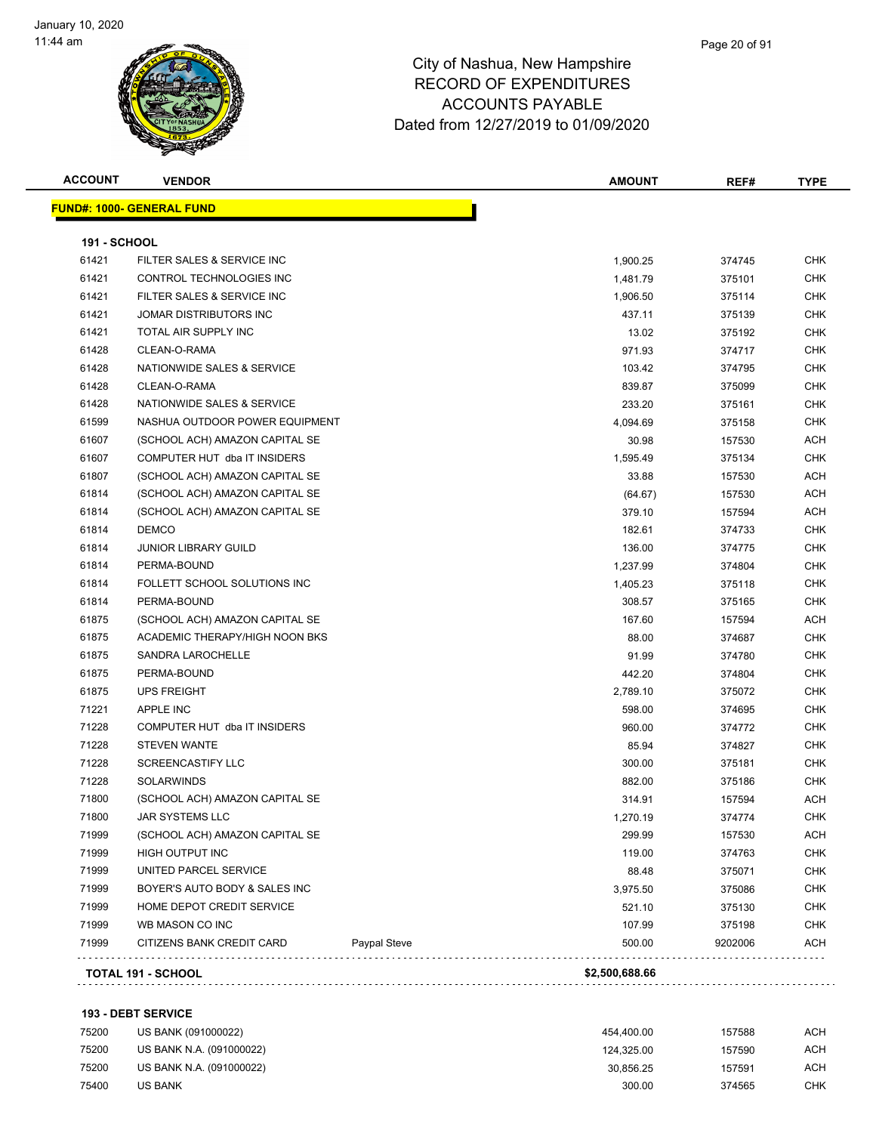#### Page 20 of 91

### City of Nashua, New Hampshire RECORD OF EXPENDITURES ACCOUNTS PAYABLE Dated from 12/27/2019 to 01/09/2020

| <b>ACCOUNT</b>      | <b>VENDOR</b>                     |              | <b>AMOUNT</b> | REF#    | <b>TYPE</b> |
|---------------------|-----------------------------------|--------------|---------------|---------|-------------|
|                     | <u> FUND#: 1000- GENERAL FUND</u> |              |               |         |             |
| <b>191 - SCHOOL</b> |                                   |              |               |         |             |
| 61421               | FILTER SALES & SERVICE INC        |              | 1,900.25      | 374745  | <b>CHK</b>  |
| 61421               | CONTROL TECHNOLOGIES INC          |              | 1,481.79      | 375101  | <b>CHK</b>  |
| 61421               | FILTER SALES & SERVICE INC        |              | 1,906.50      | 375114  | <b>CHK</b>  |
| 61421               | JOMAR DISTRIBUTORS INC            |              | 437.11        | 375139  | <b>CHK</b>  |
| 61421               | TOTAL AIR SUPPLY INC              |              | 13.02         | 375192  | <b>CHK</b>  |
| 61428               | CLEAN-O-RAMA                      |              | 971.93        | 374717  | <b>CHK</b>  |
| 61428               | NATIONWIDE SALES & SERVICE        |              | 103.42        | 374795  | <b>CHK</b>  |
| 61428               | CLEAN-O-RAMA                      |              | 839.87        | 375099  | <b>CHK</b>  |
| 61428               | NATIONWIDE SALES & SERVICE        |              | 233.20        | 375161  | <b>CHK</b>  |
| 61599               | NASHUA OUTDOOR POWER EQUIPMENT    |              | 4,094.69      | 375158  | <b>CHK</b>  |
| 61607               | (SCHOOL ACH) AMAZON CAPITAL SE    |              | 30.98         | 157530  | ACH         |
| 61607               | COMPUTER HUT dba IT INSIDERS      |              | 1,595.49      | 375134  | <b>CHK</b>  |
| 61807               | (SCHOOL ACH) AMAZON CAPITAL SE    |              | 33.88         | 157530  | ACH         |
| 61814               | (SCHOOL ACH) AMAZON CAPITAL SE    |              | (64.67)       | 157530  | <b>ACH</b>  |
| 61814               | (SCHOOL ACH) AMAZON CAPITAL SE    |              | 379.10        | 157594  | <b>ACH</b>  |
| 61814               | <b>DEMCO</b>                      |              | 182.61        | 374733  | <b>CHK</b>  |
| 61814               | <b>JUNIOR LIBRARY GUILD</b>       |              | 136.00        | 374775  | <b>CHK</b>  |
| 61814               | PERMA-BOUND                       |              | 1,237.99      | 374804  | <b>CHK</b>  |
| 61814               | FOLLETT SCHOOL SOLUTIONS INC      |              | 1,405.23      | 375118  | <b>CHK</b>  |
| 61814               | PERMA-BOUND                       |              | 308.57        | 375165  | <b>CHK</b>  |
| 61875               | (SCHOOL ACH) AMAZON CAPITAL SE    |              | 167.60        | 157594  | ACH         |
| 61875               | ACADEMIC THERAPY/HIGH NOON BKS    |              | 88.00         | 374687  | <b>CHK</b>  |
| 61875               | SANDRA LAROCHELLE                 |              | 91.99         | 374780  | <b>CHK</b>  |
| 61875               | PERMA-BOUND                       |              | 442.20        | 374804  | <b>CHK</b>  |
| 61875               | <b>UPS FREIGHT</b>                |              | 2,789.10      | 375072  | <b>CHK</b>  |
| 71221               | <b>APPLE INC</b>                  |              | 598.00        | 374695  | <b>CHK</b>  |
| 71228               | COMPUTER HUT dba IT INSIDERS      |              | 960.00        | 374772  | <b>CHK</b>  |
| 71228               | <b>STEVEN WANTE</b>               |              | 85.94         | 374827  | <b>CHK</b>  |
| 71228               | <b>SCREENCASTIFY LLC</b>          |              | 300.00        | 375181  | <b>CHK</b>  |
| 71228               | <b>SOLARWINDS</b>                 |              | 882.00        | 375186  | <b>CHK</b>  |
| 71800               | (SCHOOL ACH) AMAZON CAPITAL SE    |              | 314.91        | 157594  | ACH         |
| 71800               | JAR SYSTEMS LLC                   |              | 1,270.19      | 374774  | <b>CHK</b>  |
| 71999               | (SCHOOL ACH) AMAZON CAPITAL SE    |              | 299.99        | 157530  | <b>ACH</b>  |
| 71999               | HIGH OUTPUT INC                   |              | 119.00        | 374763  | <b>CHK</b>  |
| 71999               | UNITED PARCEL SERVICE             |              | 88.48         | 375071  | <b>CHK</b>  |
| 71999               | BOYER'S AUTO BODY & SALES INC     |              | 3,975.50      | 375086  | <b>CHK</b>  |
| 71999               | HOME DEPOT CREDIT SERVICE         |              | 521.10        | 375130  | <b>CHK</b>  |
| 71999               | WB MASON CO INC                   |              | 107.99        | 375198  | <b>CHK</b>  |
| 71999               | CITIZENS BANK CREDIT CARD         | Paypal Steve | 500.00        | 9202006 | <b>ACH</b>  |

#### **193 - DEBT SERVICE**

| 75200 | US BANK (091000022)      | 454.400.00 | 157588 | АСН |
|-------|--------------------------|------------|--------|-----|
| 75200 | US BANK N.A. (091000022) | 124.325.00 | 157590 | ACH |
| 75200 | US BANK N.A. (091000022) | 30.856.25  | 157591 | АСН |
| 75400 | <b>US BANK</b>           | 300.00     | 374565 | снк |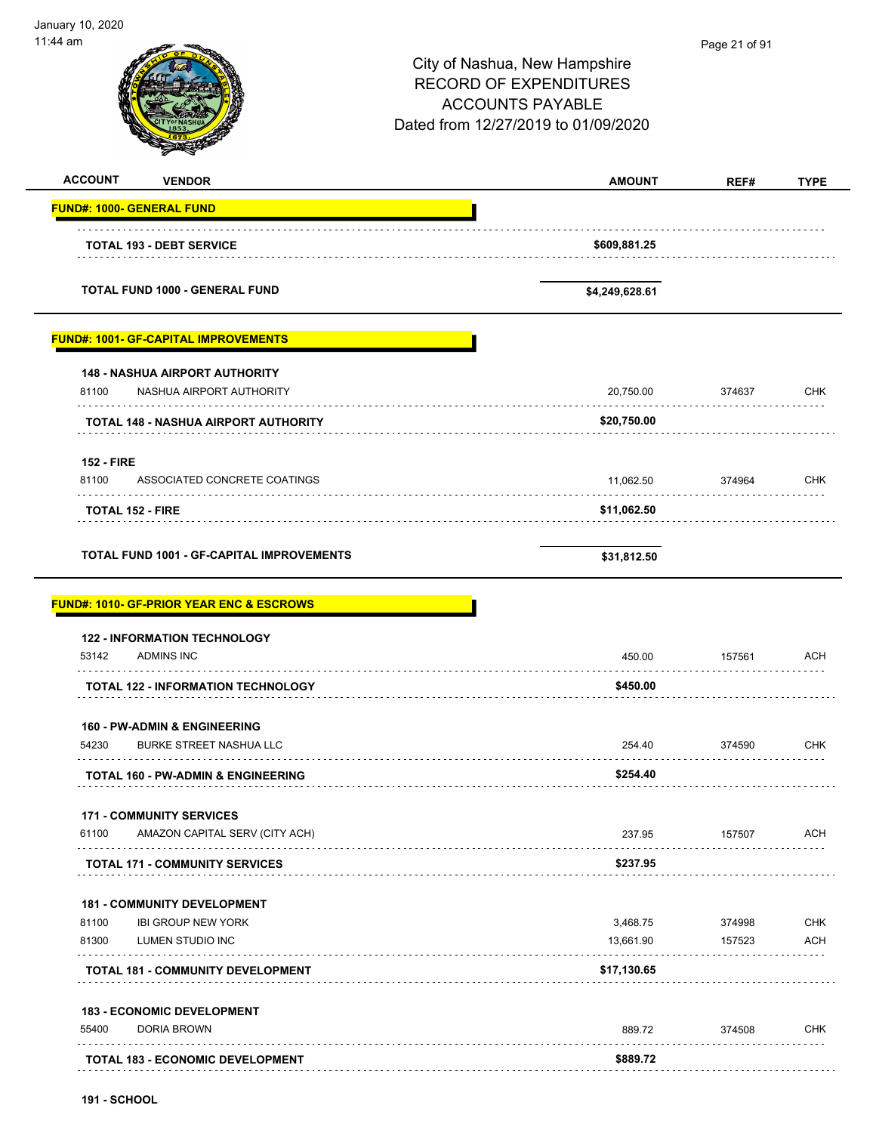| January 10, 2020<br>11:44 am                                                       | City of Nashua, New Hampshire<br><b>RECORD OF EXPENDITURES</b><br><b>ACCOUNTS PAYABLE</b><br>Dated from 12/27/2019 to 01/09/2020 | Page 21 of 91 |                                                                    |
|------------------------------------------------------------------------------------|----------------------------------------------------------------------------------------------------------------------------------|---------------|--------------------------------------------------------------------|
| <b>ACCOUNT</b><br><b>VENDOR</b>                                                    | <b>AMOUNT</b>                                                                                                                    | REF#          | <b>TYPE</b>                                                        |
| <b>FUND#: 1000- GENERAL FUND</b>                                                   |                                                                                                                                  |               |                                                                    |
| <b>TOTAL 193 - DEBT SERVICE</b>                                                    | \$609,881.25                                                                                                                     |               |                                                                    |
| <b>TOTAL FUND 1000 - GENERAL FUND</b>                                              | \$4,249,628.61                                                                                                                   |               |                                                                    |
| <b>FUND#: 1001- GF-CAPITAL IMPROVEMENTS</b>                                        |                                                                                                                                  |               |                                                                    |
| <b>148 - NASHUA AIRPORT AUTHORITY</b><br>81100<br>NASHUA AIRPORT AUTHORITY         | 20,750.00                                                                                                                        | 374637        | <b>CHK</b>                                                         |
| <b>TOTAL 148 - NASHUA AIRPORT AUTHORITY</b>                                        | \$20,750.00                                                                                                                      |               |                                                                    |
| <b>152 - FIRE</b><br>81100<br>ASSOCIATED CONCRETE COATINGS                         | 11,062.50                                                                                                                        | 374964        | CHK                                                                |
|                                                                                    |                                                                                                                                  |               |                                                                    |
| <b>TOTAL 152 - FIRE</b><br>TOTAL FUND 1001 - GF-CAPITAL IMPROVEMENTS               | \$11,062.50<br>\$31,812.50                                                                                                       |               |                                                                    |
| <b>FUND#: 1010- GF-PRIOR YEAR ENC &amp; ESCROWS</b>                                |                                                                                                                                  |               |                                                                    |
| <b>122 - INFORMATION TECHNOLOGY</b><br>53142 ADMINS INC                            | 450.00                                                                                                                           | 157561        | <b>ACH</b>                                                         |
| <b>TOTAL 122 - INFORMATION TECHNOLOGY</b>                                          | \$450.00                                                                                                                         |               |                                                                    |
| <b>160 - PW-ADMIN &amp; ENGINEERING</b><br>54230<br><b>BURKE STREET NASHUA LLC</b> | 254.40                                                                                                                           | 374590        |                                                                    |
| TOTAL 160 - PW-ADMIN & ENGINEERING                                                 | \$254.40                                                                                                                         |               |                                                                    |
| <b>171 - COMMUNITY SERVICES</b><br>61100<br>AMAZON CAPITAL SERV (CITY ACH)         | 237.95                                                                                                                           | 157507        |                                                                    |
| <b>TOTAL 171 - COMMUNITY SERVICES</b>                                              | \$237.95                                                                                                                         |               |                                                                    |
|                                                                                    |                                                                                                                                  |               |                                                                    |
| <b>181 - COMMUNITY DEVELOPMENT</b><br>81100<br><b>IBI GROUP NEW YORK</b>           | 3,468.75                                                                                                                         | 374998        |                                                                    |
| 81300<br>LUMEN STUDIO INC                                                          | 13,661.90                                                                                                                        | 157523        |                                                                    |
| <b>TOTAL 181 - COMMUNITY DEVELOPMENT</b>                                           | \$17,130.65                                                                                                                      |               |                                                                    |
| <b>183 - ECONOMIC DEVELOPMENT</b><br>55400<br>DORIA BROWN                          | 889.72                                                                                                                           | 374508        | <b>CHK</b><br><b>ACH</b><br><b>CHK</b><br><b>ACH</b><br><b>CHK</b> |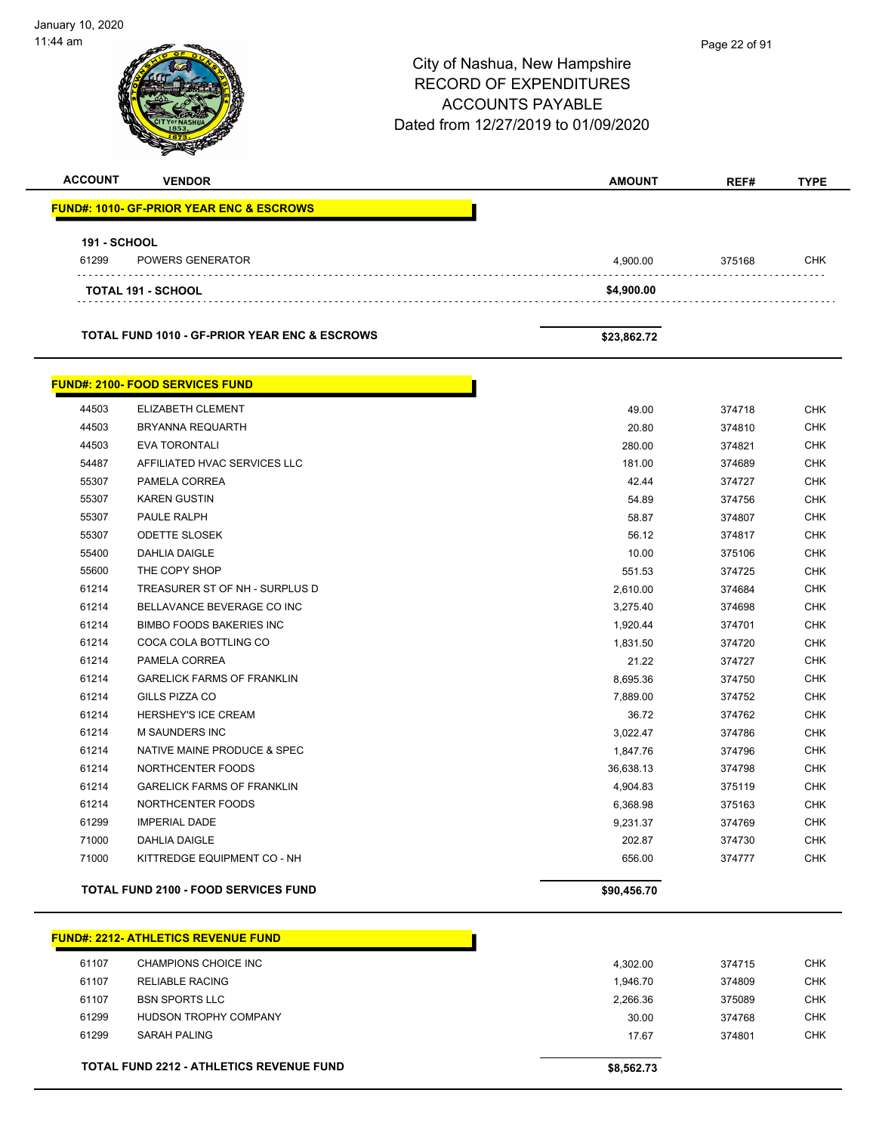City of Nashua, New Hampshire RECORD OF EXPENDITURES ACCOUNTS PAYABLE Dated from 12/27/2019 to 01/09/2020 January 10, 2020 11:44 am **ACCOUNT VENDOR AMOUNT REF# TYPE FUND#: 1010- GF-PRIOR YEAR ENC & ESCROWS 191 - SCHOOL** 61299 POWERS GENERATOR 4,900.00 375168 CHK **TOTAL 191 - SCHOOL \$4,900.00 TOTAL FUND 1010 - GF-PRIOR YEAR ENC & ESCROWS \$23,862.72 FUND#: 2100- FOOD SERVICES FUND** 44503 ELIZABETH CLEMENT 49.00 374718 CHK 44503 BRYANNA REQUARTH 20.80 374810 CHK 44503 EVA TORONTALI 280.00 374821 CHK 54487 AFFILIATED HVAC SERVICES LLC **181.00** 374689 CHK 55307 PAMELA CORREA 42.44 374727 CHK 55307 KAREN GUSTIN 54.89 374756 CHK 55307 PAULE RALPH 58.87 374807 CHK 55307 ODETTE SLOSEK 56.12 374817 CHK 55400 DAHLIA DAIGLE 10.00 375106 CHK 55600 THE COPY SHOP 551.53 STATE COPY SHOP 551.53 STATE SERIES AND THE COPY SHOP 551.53 61214 TREASURER ST OF NH - SURPLUS D 2,610.00 374684 CHK 61214 BELLAVANCE BEVERAGE CO INC 3,275.40 374698 CHK ed and the state of the state of the state of the state of the state of the state of the state of the state of the state of the state of the state of the state of the state of the state of the state of the state of the sta 61214 COCA COLA BOTTLING CO 1,831.50 374720 CHK 61214 PAMELA CORREA 21.22 374727 CHK 61214 GARELICK FARMS OF FRANKLIN 8,695.36 374750 CHK 61214 GILLS PIZZA CO 7,889.00 374752 CHK 61214 HERSHEY'S ICE CREAM 36.72 374762 CHK 61214 M SAUNDERS INC 3,022.47 374786 CHK 61214 NATIVE MAINE PRODUCE & SPEC **1.847.76** 374796 CHK 61214 NORTHCENTER FOODS 36,638.13 374798 CHK er 1999 61214 GARELICK FARMS OF FRANKLIN And the CHK CHANGE CHANGE AND THE 4,904.83 375119 CHK 61214 NORTHCENTER FOODS 6,368.98 375163 CHK 61299 IMPERIAL DADE 9,231.37 374769 CHK 71000 DAHLIA DAIGLE 202.87 374730 CHK The Section of the Section of the Section of the Section of the Section of the Section of the Section of the Section of the Section of the Section of the Section of the Section of the Section of the Section of the Section **TOTAL FUND 2100 - FOOD SERVICES FUND \$90,456.70 FUND#: 2212- ATHLETICS REVENUE FUND** 61107 CHAMPIONS CHOICE INC 4,302.00 374715 CHK 61107 RELIABLE RACING 1,946.70 374809 CHK Page 22 of 91

 61107 BSN SPORTS LLC 2,266.36 375089 CHK 61299 HUDSON TROPHY COMPANY 30.00 374768 CHK 61299 SARAH PALING 17.67 374801 CHK

**TOTAL FUND 2212 - ATHLETICS REVENUE FUND \$8,562.73**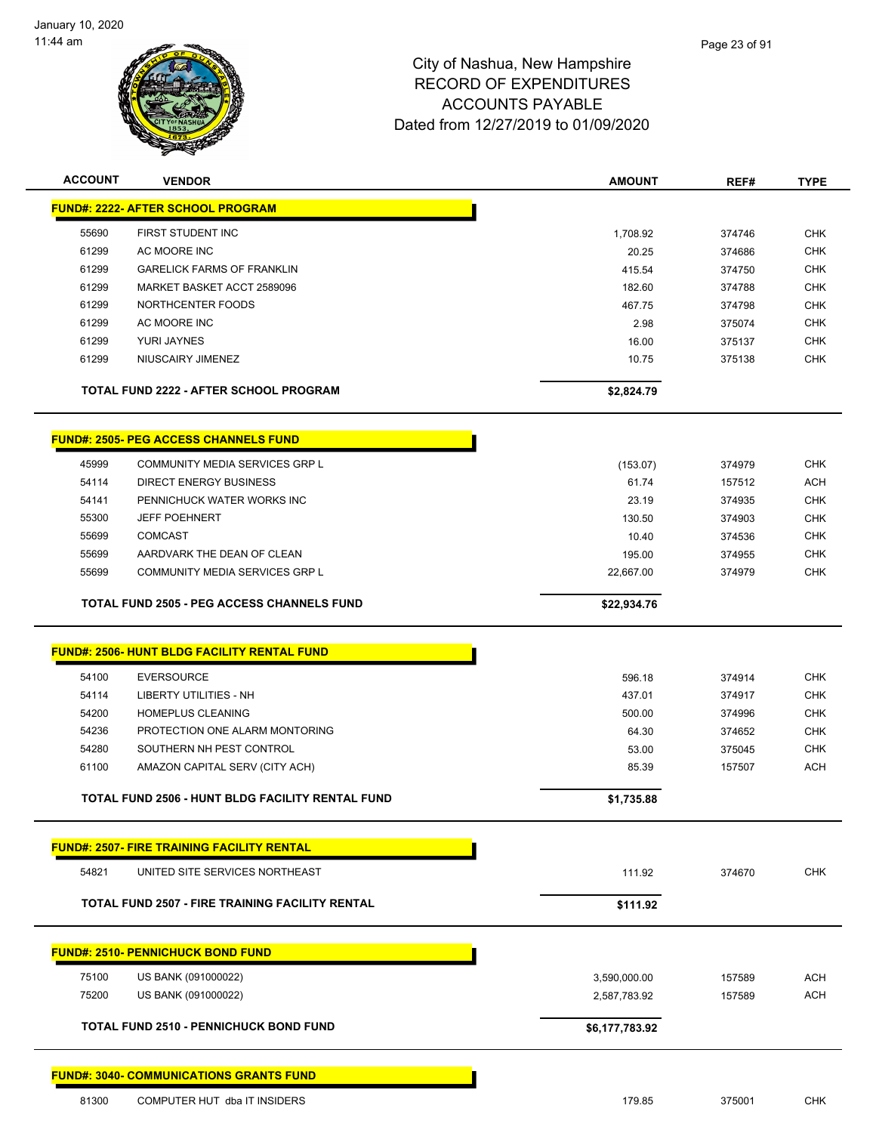

| <b>ACCOUNT</b> | <b>VENDOR</b>                                          | <b>AMOUNT</b>  | REF#   | <b>TYPE</b> |
|----------------|--------------------------------------------------------|----------------|--------|-------------|
|                | <b>FUND#: 2222- AFTER SCHOOL PROGRAM</b>               |                |        |             |
| 55690          | FIRST STUDENT INC                                      | 1,708.92       | 374746 | <b>CHK</b>  |
| 61299          | AC MOORE INC                                           | 20.25          | 374686 | <b>CHK</b>  |
| 61299          | <b>GARELICK FARMS OF FRANKLIN</b>                      | 415.54         | 374750 | <b>CHK</b>  |
| 61299          | MARKET BASKET ACCT 2589096                             | 182.60         | 374788 | <b>CHK</b>  |
| 61299          | NORTHCENTER FOODS                                      | 467.75         | 374798 | <b>CHK</b>  |
| 61299          | AC MOORE INC                                           | 2.98           | 375074 | <b>CHK</b>  |
| 61299          | YURI JAYNES                                            | 16.00          | 375137 | <b>CHK</b>  |
| 61299          | NIUSCAIRY JIMENEZ                                      | 10.75          | 375138 | <b>CHK</b>  |
|                |                                                        |                |        |             |
|                | <b>TOTAL FUND 2222 - AFTER SCHOOL PROGRAM</b>          | \$2,824.79     |        |             |
|                | <b>FUND#: 2505- PEG ACCESS CHANNELS FUND</b>           |                |        |             |
| 45999          | COMMUNITY MEDIA SERVICES GRP L                         | (153.07)       | 374979 | <b>CHK</b>  |
| 54114          | <b>DIRECT ENERGY BUSINESS</b>                          | 61.74          | 157512 | <b>ACH</b>  |
| 54141          | PENNICHUCK WATER WORKS INC                             | 23.19          | 374935 | <b>CHK</b>  |
| 55300          | <b>JEFF POEHNERT</b>                                   | 130.50         | 374903 | <b>CHK</b>  |
| 55699          | <b>COMCAST</b>                                         | 10.40          | 374536 | <b>CHK</b>  |
| 55699          | AARDVARK THE DEAN OF CLEAN                             | 195.00         | 374955 | <b>CHK</b>  |
| 55699          | COMMUNITY MEDIA SERVICES GRP L                         | 22,667.00      | 374979 | <b>CHK</b>  |
|                | <b>TOTAL FUND 2505 - PEG ACCESS CHANNELS FUND</b>      | \$22,934.76    |        |             |
|                |                                                        |                |        |             |
|                | <b>FUND#: 2506- HUNT BLDG FACILITY RENTAL FUND</b>     |                |        |             |
| 54100          | <b>EVERSOURCE</b>                                      | 596.18         | 374914 | <b>CHK</b>  |
| 54114          | <b>LIBERTY UTILITIES - NH</b>                          | 437.01         | 374917 | <b>CHK</b>  |
| 54200          | <b>HOMEPLUS CLEANING</b>                               | 500.00         | 374996 | <b>CHK</b>  |
| 54236          | PROTECTION ONE ALARM MONTORING                         | 64.30          | 374652 | <b>CHK</b>  |
| 54280          | SOUTHERN NH PEST CONTROL                               | 53.00          | 375045 | <b>CHK</b>  |
| 61100          | AMAZON CAPITAL SERV (CITY ACH)                         | 85.39          | 157507 | ACH         |
|                | TOTAL FUND 2506 - HUNT BLDG FACILITY RENTAL FUND       | \$1,735.88     |        |             |
|                |                                                        |                |        |             |
|                | <b>FUND#: 2507- FIRE TRAINING FACILITY RENTAL</b>      |                |        |             |
| 54821          | UNITED SITE SERVICES NORTHEAST                         | 111.92         | 374670 | <b>CHK</b>  |
|                | <b>TOTAL FUND 2507 - FIRE TRAINING FACILITY RENTAL</b> | \$111.92       |        |             |
|                | <b>FUND#: 2510- PENNICHUCK BOND FUND</b>               |                |        |             |
|                |                                                        |                |        |             |
| 75100          | US BANK (091000022)                                    | 3,590,000.00   | 157589 | ACH         |
| 75200          | US BANK (091000022)                                    | 2,587,783.92   | 157589 | <b>ACH</b>  |
|                | <b>TOTAL FUND 2510 - PENNICHUCK BOND FUND</b>          | \$6,177,783.92 |        |             |
|                | <b>FUND#: 3040- COMMUNICATIONS GRANTS FUND</b>         |                |        |             |
| 81300          | COMPUTER HUT dba IT INSIDERS                           | 179.85         | 375001 | <b>CHK</b>  |
|                |                                                        |                |        |             |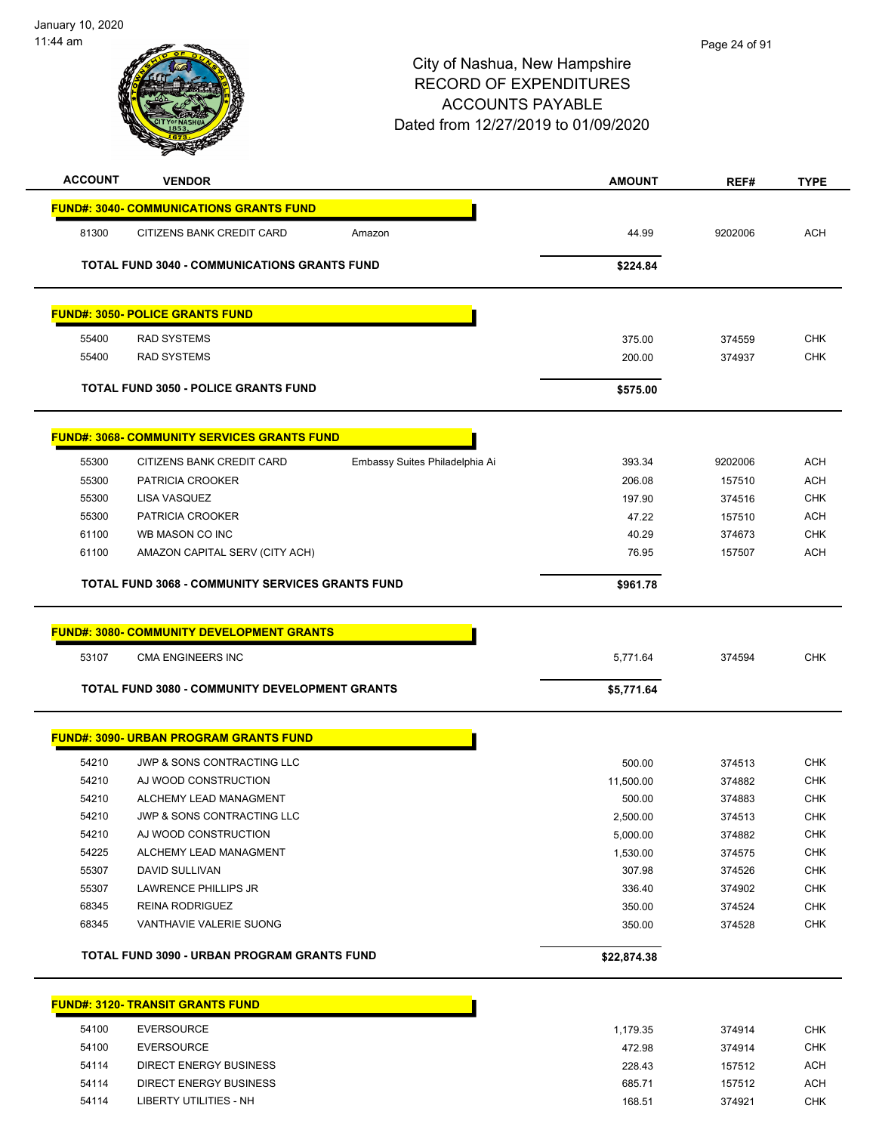

| <b>ACCOUNT</b> | <b>VENDOR</b>                                           |                                | <b>AMOUNT</b> | REF#    | <b>TYPE</b> |
|----------------|---------------------------------------------------------|--------------------------------|---------------|---------|-------------|
|                | <b>FUND#: 3040- COMMUNICATIONS GRANTS FUND</b>          |                                |               |         |             |
| 81300          | CITIZENS BANK CREDIT CARD                               | Amazon                         | 44.99         | 9202006 | <b>ACH</b>  |
|                | <b>TOTAL FUND 3040 - COMMUNICATIONS GRANTS FUND</b>     |                                | \$224.84      |         |             |
|                | <b>FUND#: 3050- POLICE GRANTS FUND</b>                  |                                |               |         |             |
| 55400          | <b>RAD SYSTEMS</b>                                      |                                | 375.00        | 374559  | <b>CHK</b>  |
| 55400          | <b>RAD SYSTEMS</b>                                      |                                | 200.00        | 374937  | <b>CHK</b>  |
|                | <b>TOTAL FUND 3050 - POLICE GRANTS FUND</b>             |                                | \$575.00      |         |             |
|                | <b>FUND#: 3068- COMMUNITY SERVICES GRANTS FUND</b>      |                                |               |         |             |
| 55300          | CITIZENS BANK CREDIT CARD                               | Embassy Suites Philadelphia Ai | 393.34        | 9202006 | <b>ACH</b>  |
| 55300          | PATRICIA CROOKER                                        |                                | 206.08        | 157510  | <b>ACH</b>  |
| 55300          | LISA VASQUEZ                                            |                                | 197.90        | 374516  | <b>CHK</b>  |
| 55300          | PATRICIA CROOKER                                        |                                | 47.22         | 157510  | <b>ACH</b>  |
| 61100          | WB MASON CO INC                                         |                                | 40.29         | 374673  | <b>CHK</b>  |
| 61100          | AMAZON CAPITAL SERV (CITY ACH)                          |                                | 76.95         | 157507  | <b>ACH</b>  |
|                | <b>TOTAL FUND 3068 - COMMUNITY SERVICES GRANTS FUND</b> |                                | \$961.78      |         |             |
| 53107          | CMA ENGINEERS INC                                       |                                | 5,771.64      | 374594  | <b>CHK</b>  |
|                | <b>TOTAL FUND 3080 - COMMUNITY DEVELOPMENT GRANTS</b>   |                                | \$5,771.64    |         |             |
|                | <b>FUND#: 3090- URBAN PROGRAM GRANTS FUND</b>           |                                |               |         |             |
| 54210          | <b>JWP &amp; SONS CONTRACTING LLC</b>                   |                                | 500.00        | 374513  | <b>CHK</b>  |
| 54210          | AJ WOOD CONSTRUCTION                                    |                                | 11,500.00     | 374882  | <b>CHK</b>  |
| 54210          | ALCHEMY LEAD MANAGMENT                                  |                                | 500.00        | 374883  | <b>CHK</b>  |
| 54210          | JWP & SONS CONTRACTING LLC                              |                                | 2,500.00      | 374513  | <b>CHK</b>  |
| 54210          | AJ WOOD CONSTRUCTION                                    |                                | 5,000.00      | 374882  | <b>CHK</b>  |
| 54225          | ALCHEMY LEAD MANAGMENT                                  |                                | 1,530.00      | 374575  | <b>CHK</b>  |
| 55307          | <b>DAVID SULLIVAN</b>                                   |                                | 307.98        | 374526  | <b>CHK</b>  |
| 55307          | LAWRENCE PHILLIPS JR                                    |                                | 336.40        | 374902  | <b>CHK</b>  |
| 68345          | REINA RODRIGUEZ                                         |                                | 350.00        | 374524  | <b>CHK</b>  |
| 68345          | VANTHAVIE VALERIE SUONG                                 |                                | 350.00        | 374528  | <b>CHK</b>  |
|                | TOTAL FUND 3090 - URBAN PROGRAM GRANTS FUND             |                                | \$22,874.38   |         |             |
|                | <b>FUND#: 3120- TRANSIT GRANTS FUND</b>                 |                                |               |         |             |
| 54100          | <b>EVERSOURCE</b>                                       |                                | 1,179.35      | 374914  | <b>CHK</b>  |
| 54100          | <b>EVERSOURCE</b>                                       |                                | 472.98        | 374914  | <b>CHK</b>  |
| 54114          | <b>DIRECT ENERGY BUSINESS</b>                           |                                | 228.43        | 157512  | <b>ACH</b>  |
| 54114          | DIRECT ENERGY BUSINESS                                  |                                | 685.71        | 157512  | <b>ACH</b>  |

54114 LIBERTY UTILITIES - NH 168.51 374921 CHK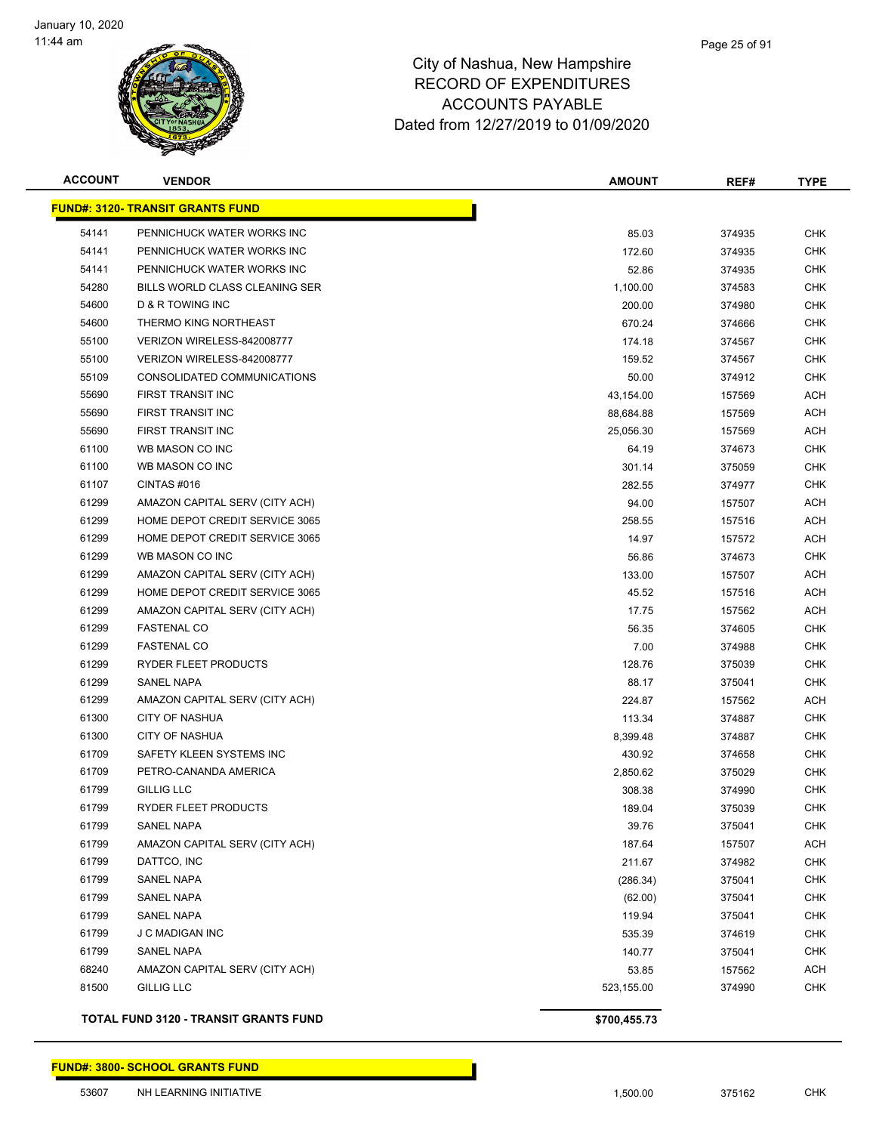

| <b>ACCOUNT</b> | <b>VENDOR</b>                                | <b>AMOUNT</b> | REF#   | <b>TYPE</b> |
|----------------|----------------------------------------------|---------------|--------|-------------|
|                | <b>FUND#: 3120- TRANSIT GRANTS FUND</b>      |               |        |             |
| 54141          | PENNICHUCK WATER WORKS INC                   | 85.03         | 374935 | <b>CHK</b>  |
| 54141          | PENNICHUCK WATER WORKS INC                   | 172.60        | 374935 | <b>CHK</b>  |
| 54141          | PENNICHUCK WATER WORKS INC                   | 52.86         | 374935 | <b>CHK</b>  |
| 54280          | BILLS WORLD CLASS CLEANING SER               | 1,100.00      | 374583 | <b>CHK</b>  |
| 54600          | <b>D &amp; R TOWING INC</b>                  | 200.00        | 374980 | <b>CHK</b>  |
| 54600          | THERMO KING NORTHEAST                        | 670.24        | 374666 | <b>CHK</b>  |
| 55100          | VERIZON WIRELESS-842008777                   | 174.18        | 374567 | <b>CHK</b>  |
| 55100          | VERIZON WIRELESS-842008777                   | 159.52        | 374567 | <b>CHK</b>  |
| 55109          | CONSOLIDATED COMMUNICATIONS                  | 50.00         | 374912 | <b>CHK</b>  |
| 55690          | FIRST TRANSIT INC                            | 43,154.00     | 157569 | <b>ACH</b>  |
| 55690          | FIRST TRANSIT INC                            | 88,684.88     | 157569 | ACH         |
| 55690          | FIRST TRANSIT INC                            | 25,056.30     | 157569 | ACH         |
| 61100          | WB MASON CO INC                              | 64.19         | 374673 | <b>CHK</b>  |
| 61100          | WB MASON CO INC                              | 301.14        | 375059 | <b>CHK</b>  |
| 61107          | CINTAS#016                                   | 282.55        | 374977 | <b>CHK</b>  |
| 61299          | AMAZON CAPITAL SERV (CITY ACH)               | 94.00         | 157507 | ACH         |
| 61299          | HOME DEPOT CREDIT SERVICE 3065               | 258.55        | 157516 | ACH         |
| 61299          | HOME DEPOT CREDIT SERVICE 3065               | 14.97         | 157572 | ACH         |
| 61299          | WB MASON CO INC                              | 56.86         | 374673 | <b>CHK</b>  |
| 61299          | AMAZON CAPITAL SERV (CITY ACH)               | 133.00        | 157507 | ACH         |
| 61299          | HOME DEPOT CREDIT SERVICE 3065               | 45.52         | 157516 | ACH         |
| 61299          | AMAZON CAPITAL SERV (CITY ACH)               | 17.75         | 157562 | ACH         |
| 61299          | <b>FASTENAL CO</b>                           | 56.35         | 374605 | <b>CHK</b>  |
| 61299          | <b>FASTENAL CO</b>                           | 7.00          | 374988 | <b>CHK</b>  |
| 61299          | RYDER FLEET PRODUCTS                         | 128.76        | 375039 | <b>CHK</b>  |
| 61299          | SANEL NAPA                                   | 88.17         | 375041 | <b>CHK</b>  |
| 61299          | AMAZON CAPITAL SERV (CITY ACH)               | 224.87        | 157562 | ACH         |
| 61300          | <b>CITY OF NASHUA</b>                        | 113.34        | 374887 | <b>CHK</b>  |
| 61300          | <b>CITY OF NASHUA</b>                        | 8,399.48      | 374887 | <b>CHK</b>  |
| 61709          | SAFETY KLEEN SYSTEMS INC                     | 430.92        | 374658 | <b>CHK</b>  |
| 61709          | PETRO-CANANDA AMERICA                        | 2,850.62      | 375029 | <b>CHK</b>  |
| 61799          | <b>GILLIG LLC</b>                            | 308.38        | 374990 | <b>CHK</b>  |
| 61799          | RYDER FLEET PRODUCTS                         | 189.04        | 375039 | <b>CHK</b>  |
| 61799          | SANEL NAPA                                   | 39.76         | 375041 | <b>CHK</b>  |
| 61799          | AMAZON CAPITAL SERV (CITY ACH)               | 187.64        | 157507 | ACH         |
| 61799          | DATTCO, INC                                  | 211.67        | 374982 | <b>CHK</b>  |
| 61799          | SANEL NAPA                                   | (286.34)      | 375041 | <b>CHK</b>  |
| 61799          | SANEL NAPA                                   | (62.00)       | 375041 | <b>CHK</b>  |
| 61799          | SANEL NAPA                                   | 119.94        | 375041 | <b>CHK</b>  |
| 61799          | J C MADIGAN INC                              | 535.39        | 374619 | <b>CHK</b>  |
| 61799          | SANEL NAPA                                   | 140.77        | 375041 | <b>CHK</b>  |
| 68240          | AMAZON CAPITAL SERV (CITY ACH)               | 53.85         | 157562 | ACH         |
| 81500          | <b>GILLIG LLC</b>                            | 523,155.00    | 374990 | <b>CHK</b>  |
|                | <b>TOTAL FUND 3120 - TRANSIT GRANTS FUND</b> | \$700,455.73  |        |             |

Т

#### **FUND#: 3800- SCHOOL GRANTS FUND**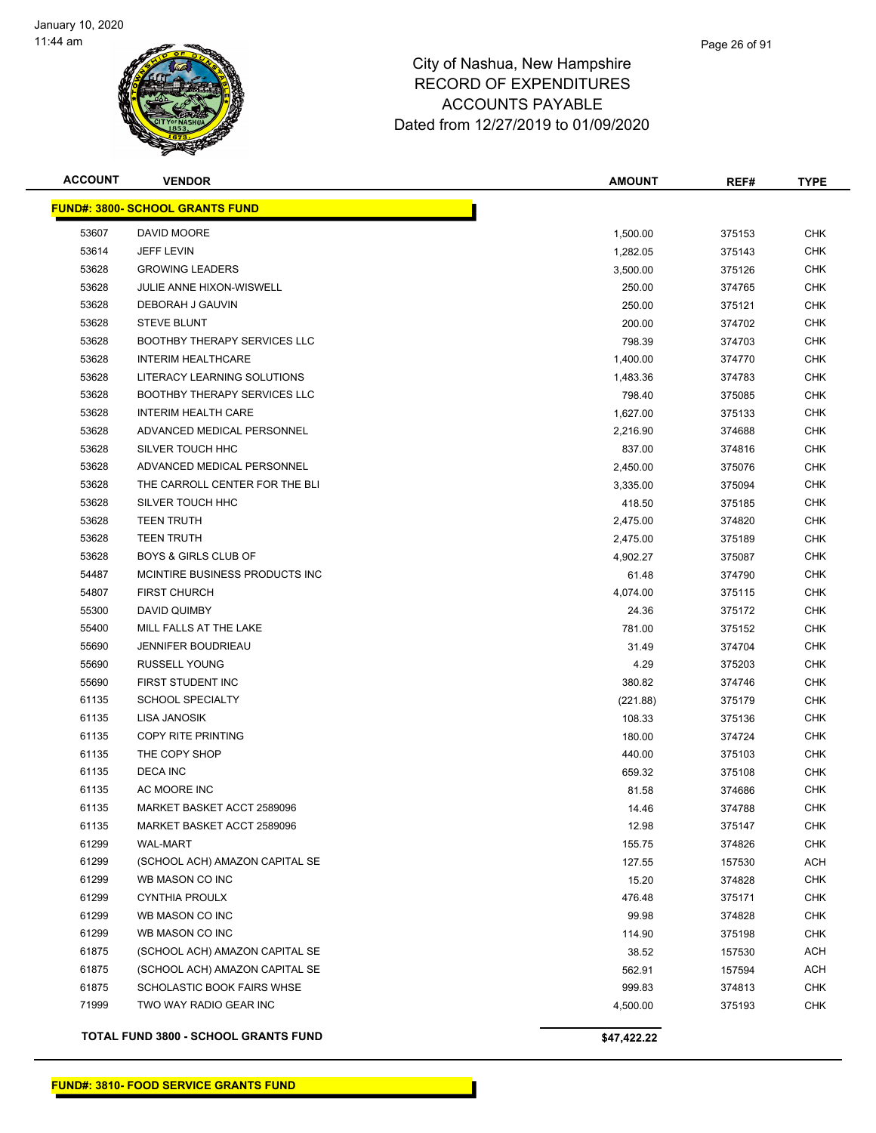

# Page 26 of 91

### City of Nashua, New Hampshire RECORD OF EXPENDITURES ACCOUNTS PAYABLE Dated from 12/27/2019 to 01/09/2020

| <b>ACCOUNT</b> | <b>VENDOR</b>                          | <b>AMOUNT</b> | REF#   | <b>TYPE</b> |
|----------------|----------------------------------------|---------------|--------|-------------|
|                | <b>FUND#: 3800- SCHOOL GRANTS FUND</b> |               |        |             |
| 53607          | DAVID MOORE                            | 1,500.00      | 375153 | <b>CHK</b>  |
| 53614          | <b>JEFF LEVIN</b>                      | 1,282.05      | 375143 | <b>CHK</b>  |
| 53628          | <b>GROWING LEADERS</b>                 | 3,500.00      | 375126 | <b>CHK</b>  |
| 53628          | JULIE ANNE HIXON-WISWELL               | 250.00        | 374765 | <b>CHK</b>  |
| 53628          | DEBORAH J GAUVIN                       | 250.00        | 375121 | <b>CHK</b>  |
| 53628          | <b>STEVE BLUNT</b>                     | 200.00        | 374702 | <b>CHK</b>  |
| 53628          | <b>BOOTHBY THERAPY SERVICES LLC</b>    | 798.39        | 374703 | <b>CHK</b>  |
| 53628          | <b>INTERIM HEALTHCARE</b>              | 1,400.00      | 374770 | <b>CHK</b>  |
| 53628          | LITERACY LEARNING SOLUTIONS            | 1,483.36      | 374783 | <b>CHK</b>  |
| 53628          | <b>BOOTHBY THERAPY SERVICES LLC</b>    | 798.40        | 375085 | <b>CHK</b>  |
| 53628          | <b>INTERIM HEALTH CARE</b>             | 1,627.00      | 375133 | <b>CHK</b>  |
| 53628          | ADVANCED MEDICAL PERSONNEL             | 2,216.90      | 374688 | <b>CHK</b>  |
| 53628          | SILVER TOUCH HHC                       | 837.00        | 374816 | <b>CHK</b>  |
| 53628          | ADVANCED MEDICAL PERSONNEL             | 2,450.00      | 375076 | <b>CHK</b>  |
| 53628          | THE CARROLL CENTER FOR THE BLI         | 3,335.00      | 375094 | <b>CHK</b>  |
| 53628          | SILVER TOUCH HHC                       | 418.50        | 375185 | <b>CHK</b>  |
| 53628          | <b>TEEN TRUTH</b>                      | 2,475.00      | 374820 | <b>CHK</b>  |
| 53628          | <b>TEEN TRUTH</b>                      | 2,475.00      | 375189 | <b>CHK</b>  |
| 53628          | <b>BOYS &amp; GIRLS CLUB OF</b>        | 4,902.27      | 375087 | <b>CHK</b>  |
| 54487          | MCINTIRE BUSINESS PRODUCTS INC         | 61.48         | 374790 | <b>CHK</b>  |
| 54807          | <b>FIRST CHURCH</b>                    | 4,074.00      | 375115 | <b>CHK</b>  |
| 55300          | DAVID QUIMBY                           | 24.36         | 375172 | <b>CHK</b>  |
| 55400          | MILL FALLS AT THE LAKE                 | 781.00        | 375152 | <b>CHK</b>  |
| 55690          | <b>JENNIFER BOUDRIEAU</b>              | 31.49         | 374704 | <b>CHK</b>  |
| 55690          | <b>RUSSELL YOUNG</b>                   | 4.29          | 375203 | <b>CHK</b>  |
| 55690          | FIRST STUDENT INC                      | 380.82        | 374746 | <b>CHK</b>  |
| 61135          | <b>SCHOOL SPECIALTY</b>                | (221.88)      | 375179 | <b>CHK</b>  |
| 61135          | LISA JANOSIK                           | 108.33        | 375136 | <b>CHK</b>  |
| 61135          | <b>COPY RITE PRINTING</b>              | 180.00        | 374724 | <b>CHK</b>  |
| 61135          | THE COPY SHOP                          | 440.00        | 375103 | <b>CHK</b>  |
| 61135          | <b>DECA INC</b>                        | 659.32        | 375108 | <b>CHK</b>  |
| 61135          | AC MOORE INC                           | 81.58         | 374686 | <b>CHK</b>  |
| 61135          | MARKET BASKET ACCT 2589096             | 14.46         | 374788 | <b>CHK</b>  |
| 61135          | MARKET BASKET ACCT 2589096             | 12.98         | 375147 | <b>CHK</b>  |
| 61299          | <b>WAL-MART</b>                        | 155.75        | 374826 | <b>CHK</b>  |
| 61299          | (SCHOOL ACH) AMAZON CAPITAL SE         | 127.55        | 157530 | ACH         |
| 61299          | WB MASON CO INC                        | 15.20         | 374828 | <b>CHK</b>  |
| 61299          | <b>CYNTHIA PROULX</b>                  | 476.48        | 375171 | <b>CHK</b>  |
| 61299          | WB MASON CO INC                        | 99.98         | 374828 | <b>CHK</b>  |
| 61299          | WB MASON CO INC                        | 114.90        | 375198 | <b>CHK</b>  |
| 61875          | (SCHOOL ACH) AMAZON CAPITAL SE         | 38.52         | 157530 | ACH         |
| 61875          | (SCHOOL ACH) AMAZON CAPITAL SE         | 562.91        | 157594 | ACH         |
| 61875          | SCHOLASTIC BOOK FAIRS WHSE             | 999.83        | 374813 | <b>CHK</b>  |
| 71999          | TWO WAY RADIO GEAR INC                 | 4,500.00      | 375193 | <b>CHK</b>  |
|                | TOTAL FUND 3800 - SCHOOL GRANTS FUND   | \$47,422.22   |        |             |

**FUND#: 3810- FOOD SERVICE GRANTS FUND**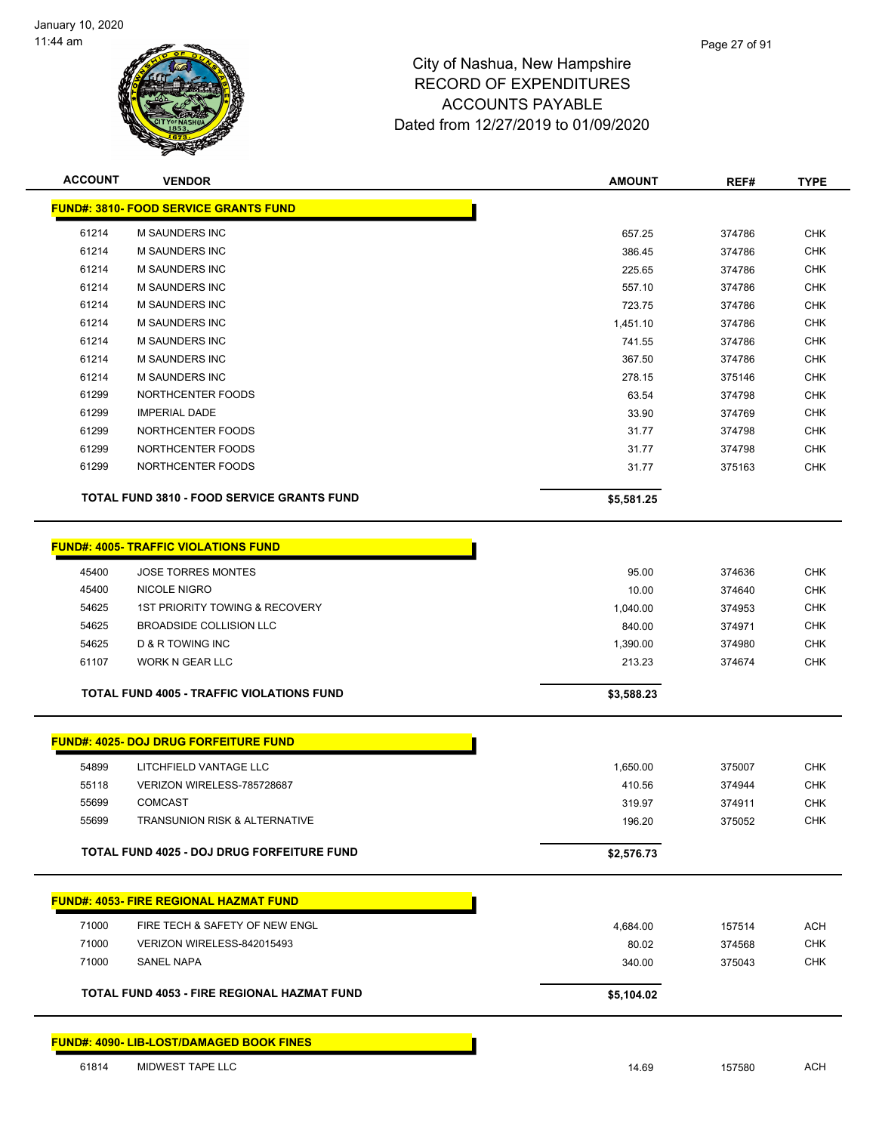

| <b>ACCOUNT</b> | <b>VENDOR</b>                                      | <b>AMOUNT</b> | REF#   | <b>TYPE</b> |
|----------------|----------------------------------------------------|---------------|--------|-------------|
|                | <b>FUND#: 3810- FOOD SERVICE GRANTS FUND</b>       |               |        |             |
| 61214          | <b>M SAUNDERS INC</b>                              | 657.25        | 374786 | <b>CHK</b>  |
| 61214          | <b>M SAUNDERS INC</b>                              | 386.45        | 374786 | <b>CHK</b>  |
| 61214          | <b>M SAUNDERS INC</b>                              | 225.65        | 374786 | <b>CHK</b>  |
| 61214          | <b>M SAUNDERS INC</b>                              | 557.10        | 374786 | <b>CHK</b>  |
| 61214          | <b>M SAUNDERS INC</b>                              | 723.75        | 374786 | <b>CHK</b>  |
| 61214          | <b>M SAUNDERS INC</b>                              | 1,451.10      | 374786 | <b>CHK</b>  |
| 61214          | <b>M SAUNDERS INC</b>                              | 741.55        | 374786 | <b>CHK</b>  |
| 61214          | <b>M SAUNDERS INC</b>                              | 367.50        | 374786 | <b>CHK</b>  |
| 61214          | M SAUNDERS INC                                     | 278.15        | 375146 | CHK         |
| 61299          | NORTHCENTER FOODS                                  | 63.54         | 374798 | CHK         |
| 61299          | <b>IMPERIAL DADE</b>                               | 33.90         | 374769 | <b>CHK</b>  |
| 61299          | NORTHCENTER FOODS                                  | 31.77         | 374798 | <b>CHK</b>  |
| 61299          | NORTHCENTER FOODS                                  | 31.77         | 374798 | <b>CHK</b>  |
| 61299          | NORTHCENTER FOODS                                  | 31.77         | 375163 | <b>CHK</b>  |
|                | <b>TOTAL FUND 3810 - FOOD SERVICE GRANTS FUND</b>  | \$5,581.25    |        |             |
|                | <b>FUND#: 4005- TRAFFIC VIOLATIONS FUND</b>        |               |        |             |
|                |                                                    |               |        |             |
| 45400          | <b>JOSE TORRES MONTES</b>                          | 95.00         | 374636 | <b>CHK</b>  |
| 45400          | NICOLE NIGRO                                       | 10.00         | 374640 | <b>CHK</b>  |
| 54625          | <b>1ST PRIORITY TOWING &amp; RECOVERY</b>          | 1,040.00      | 374953 | <b>CHK</b>  |
| 54625          | <b>BROADSIDE COLLISION LLC</b>                     | 840.00        | 374971 | <b>CHK</b>  |
| 54625          | <b>D &amp; R TOWING INC</b>                        | 1,390.00      | 374980 | <b>CHK</b>  |
| 61107          | WORK N GEAR LLC                                    | 213.23        | 374674 | <b>CHK</b>  |
|                | <b>TOTAL FUND 4005 - TRAFFIC VIOLATIONS FUND</b>   | \$3,588.23    |        |             |
|                | <b>FUND#: 4025- DOJ DRUG FORFEITURE FUND</b>       |               |        |             |
| 54899          | LITCHFIELD VANTAGE LLC                             | 1,650.00      | 375007 | <b>CHK</b>  |
| 55118          | VERIZON WIRELESS-785728687                         | 410.56        | 374944 | <b>CHK</b>  |
| 55699          | <b>COMCAST</b>                                     | 319.97        | 374911 | <b>CHK</b>  |
| 55699          | <b>TRANSUNION RISK &amp; ALTERNATIVE</b>           | 196.20        | 375052 | <b>CHK</b>  |
|                | TOTAL FUND 4025 - DOJ DRUG FORFEITURE FUND         | \$2,576.73    |        |             |
|                | <b>FUND#: 4053- FIRE REGIONAL HAZMAT FUND</b>      |               |        |             |
|                |                                                    |               |        |             |
| 71000          | FIRE TECH & SAFETY OF NEW ENGL                     | 4,684.00      | 157514 | ACH         |
| 71000          | VERIZON WIRELESS-842015493                         | 80.02         | 374568 | <b>CHK</b>  |
| 71000          | SANEL NAPA                                         | 340.00        | 375043 | <b>CHK</b>  |
|                | <b>TOTAL FUND 4053 - FIRE REGIONAL HAZMAT FUND</b> | \$5,104.02    |        |             |
|                |                                                    |               |        |             |
|                | <b>FUND#: 4090- LIB-LOST/DAMAGED BOOK FINES</b>    |               |        |             |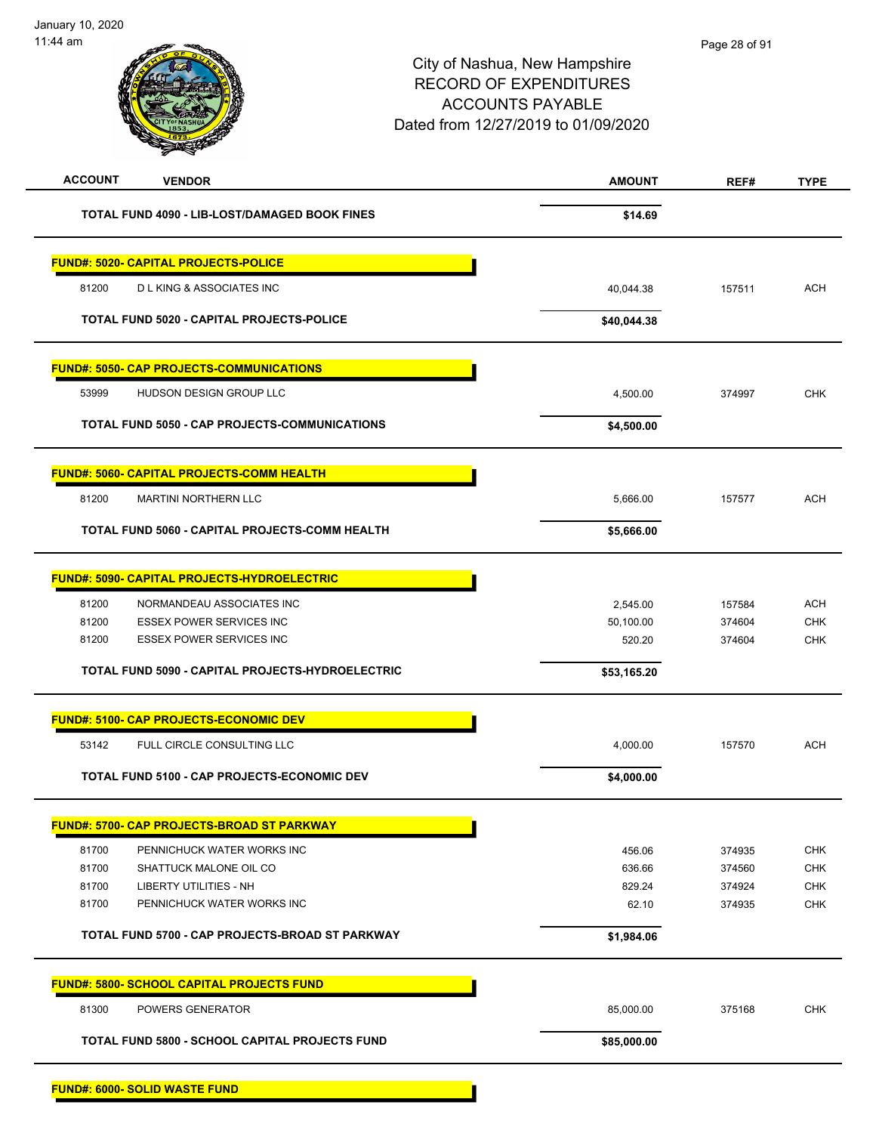| <b>ACCOUNT</b><br><b>VENDOR</b>                    | <b>AMOUNT</b> | REF#   | <b>TYPE</b> |
|----------------------------------------------------|---------------|--------|-------------|
| TOTAL FUND 4090 - LIB-LOST/DAMAGED BOOK FINES      | \$14.69       |        |             |
| <b>FUND#: 5020- CAPITAL PROJECTS-POLICE</b>        |               |        |             |
| 81200<br><b>DLKING &amp; ASSOCIATES INC</b>        | 40,044.38     | 157511 | <b>ACH</b>  |
| TOTAL FUND 5020 - CAPITAL PROJECTS-POLICE          | \$40,044.38   |        |             |
| <b>FUND#: 5050- CAP PROJECTS-COMMUNICATIONS</b>    |               |        |             |
| 53999<br>HUDSON DESIGN GROUP LLC                   | 4,500.00      | 374997 | <b>CHK</b>  |
| TOTAL FUND 5050 - CAP PROJECTS-COMMUNICATIONS      | \$4,500.00    |        |             |
| <b>FUND#: 5060- CAPITAL PROJECTS-COMM HEALTH</b>   |               |        |             |
| 81200<br><b>MARTINI NORTHERN LLC</b>               | 5,666.00      | 157577 | <b>ACH</b>  |
| TOTAL FUND 5060 - CAPITAL PROJECTS-COMM HEALTH     | \$5,666.00    |        |             |
| <b>FUND#: 5090- CAPITAL PROJECTS-HYDROELECTRIC</b> |               |        |             |
| 81200<br>NORMANDEAU ASSOCIATES INC                 | 2,545.00      | 157584 | <b>ACH</b>  |
| 81200<br><b>ESSEX POWER SERVICES INC</b>           | 50,100.00     | 374604 | <b>CHK</b>  |
| <b>ESSEX POWER SERVICES INC</b><br>81200           | 520.20        | 374604 | <b>CHK</b>  |
| TOTAL FUND 5090 - CAPITAL PROJECTS-HYDROELECTRIC   | \$53,165.20   |        |             |
| <b>FUND#: 5100- CAP PROJECTS-ECONOMIC DEV</b>      |               |        |             |
| 53142<br>FULL CIRCLE CONSULTING LLC                | 4,000.00      | 157570 | <b>ACH</b>  |
| TOTAL FUND 5100 - CAP PROJECTS-ECONOMIC DEV        | \$4,000.00    |        |             |
| <b>FUND#: 5700- CAP PROJECTS-BROAD ST PARKWAY</b>  |               |        |             |
| 81700<br>PENNICHUCK WATER WORKS INC                | 456.06        | 374935 | <b>CHK</b>  |
| 81700<br>SHATTUCK MALONE OIL CO                    | 636.66        | 374560 | <b>CHK</b>  |
| 81700<br><b>LIBERTY UTILITIES - NH</b>             | 829.24        | 374924 | <b>CHK</b>  |
| 81700<br>PENNICHUCK WATER WORKS INC                | 62.10         | 374935 | <b>CHK</b>  |
| TOTAL FUND 5700 - CAP PROJECTS-BROAD ST PARKWAY    | \$1,984.06    |        |             |
| <b>FUND#: 5800- SCHOOL CAPITAL PROJECTS FUND</b>   |               |        |             |
|                                                    | 85,000.00     | 375168 | <b>CHK</b>  |
| 81300<br>POWERS GENERATOR                          |               |        |             |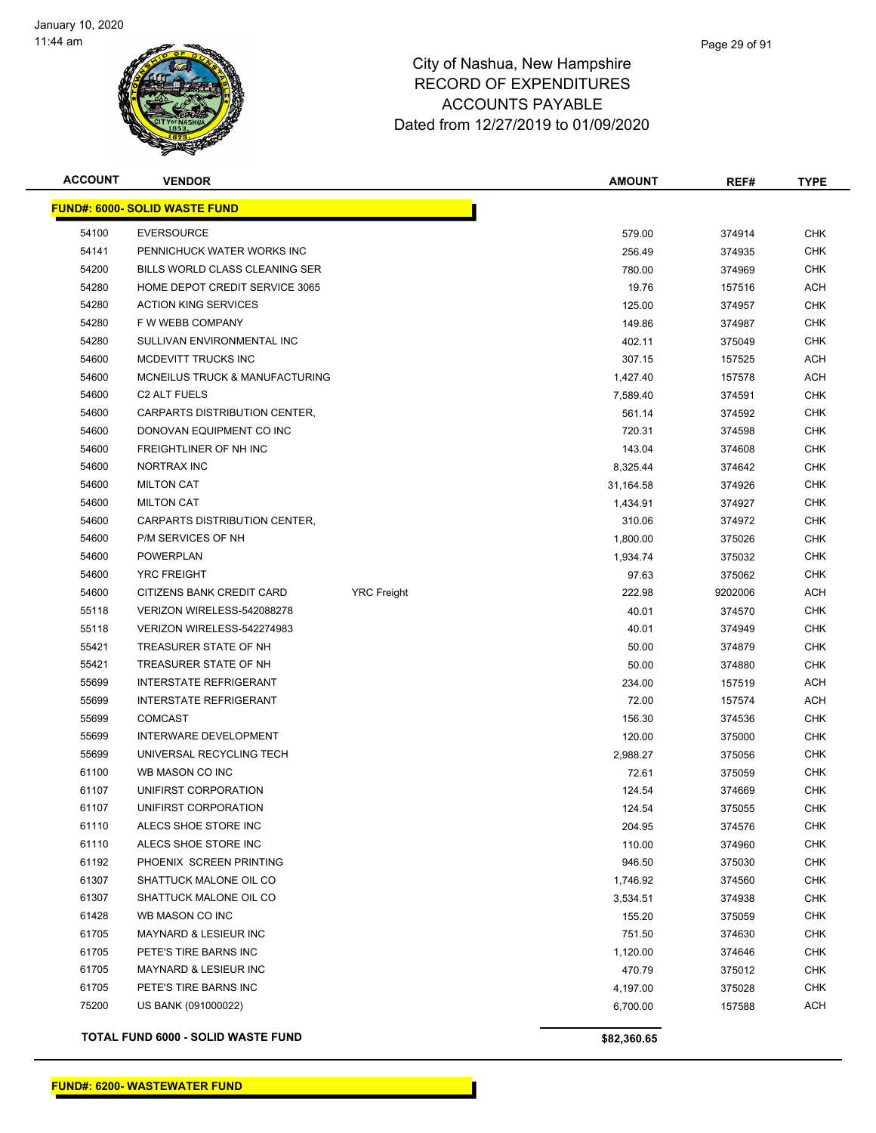

#### Page 29 of 91

| <b>ACCOUNT</b> | <b>VENDOR</b>                        |                    | <b>AMOUNT</b> | REF#    | <b>TYPE</b> |
|----------------|--------------------------------------|--------------------|---------------|---------|-------------|
|                | <b>FUND#: 6000- SOLID WASTE FUND</b> |                    |               |         |             |
| 54100          | <b>EVERSOURCE</b>                    |                    | 579.00        | 374914  | <b>CHK</b>  |
| 54141          | PENNICHUCK WATER WORKS INC           |                    | 256.49        | 374935  | <b>CHK</b>  |
| 54200          | BILLS WORLD CLASS CLEANING SER       |                    | 780.00        | 374969  | <b>CHK</b>  |
| 54280          | HOME DEPOT CREDIT SERVICE 3065       |                    | 19.76         | 157516  | <b>ACH</b>  |
| 54280          | <b>ACTION KING SERVICES</b>          |                    | 125.00        | 374957  | <b>CHK</b>  |
| 54280          | F W WEBB COMPANY                     |                    | 149.86        | 374987  | <b>CHK</b>  |
| 54280          | SULLIVAN ENVIRONMENTAL INC           |                    | 402.11        | 375049  | <b>CHK</b>  |
| 54600          | MCDEVITT TRUCKS INC                  |                    | 307.15        | 157525  | <b>ACH</b>  |
| 54600          | MCNEILUS TRUCK & MANUFACTURING       |                    | 1,427.40      | 157578  | <b>ACH</b>  |
| 54600          | <b>C2 ALT FUELS</b>                  |                    | 7,589.40      | 374591  | <b>CHK</b>  |
| 54600          | CARPARTS DISTRIBUTION CENTER,        |                    | 561.14        | 374592  | <b>CHK</b>  |
| 54600          | DONOVAN EQUIPMENT CO INC             |                    | 720.31        | 374598  | <b>CHK</b>  |
| 54600          | FREIGHTLINER OF NH INC               |                    | 143.04        | 374608  | <b>CHK</b>  |
| 54600          | NORTRAX INC                          |                    | 8,325.44      | 374642  | <b>CHK</b>  |
| 54600          | <b>MILTON CAT</b>                    |                    | 31,164.58     | 374926  | <b>CHK</b>  |
| 54600          | <b>MILTON CAT</b>                    |                    | 1,434.91      | 374927  | <b>CHK</b>  |
| 54600          | CARPARTS DISTRIBUTION CENTER,        |                    | 310.06        | 374972  | <b>CHK</b>  |
| 54600          | P/M SERVICES OF NH                   |                    | 1,800.00      | 375026  | <b>CHK</b>  |
| 54600          | <b>POWERPLAN</b>                     |                    | 1,934.74      | 375032  | <b>CHK</b>  |
| 54600          | <b>YRC FREIGHT</b>                   |                    | 97.63         | 375062  | <b>CHK</b>  |
| 54600          | CITIZENS BANK CREDIT CARD            | <b>YRC</b> Freight | 222.98        | 9202006 | <b>ACH</b>  |
| 55118          | VERIZON WIRELESS-542088278           |                    | 40.01         | 374570  | <b>CHK</b>  |
| 55118          | VERIZON WIRELESS-542274983           |                    | 40.01         | 374949  | <b>CHK</b>  |
| 55421          | TREASURER STATE OF NH                |                    | 50.00         | 374879  | <b>CHK</b>  |
| 55421          | TREASURER STATE OF NH                |                    | 50.00         | 374880  | <b>CHK</b>  |
| 55699          | <b>INTERSTATE REFRIGERANT</b>        |                    | 234.00        | 157519  | <b>ACH</b>  |
| 55699          | <b>INTERSTATE REFRIGERANT</b>        |                    | 72.00         | 157574  | <b>ACH</b>  |
| 55699          | <b>COMCAST</b>                       |                    | 156.30        | 374536  | <b>CHK</b>  |
| 55699          | <b>INTERWARE DEVELOPMENT</b>         |                    | 120.00        | 375000  | <b>CHK</b>  |
| 55699          | UNIVERSAL RECYCLING TECH             |                    | 2,988.27      | 375056  | <b>CHK</b>  |
| 61100          | WB MASON CO INC                      |                    | 72.61         | 375059  | <b>CHK</b>  |
| 61107          | UNIFIRST CORPORATION                 |                    | 124.54        | 374669  | <b>CHK</b>  |
| 61107          | UNIFIRST CORPORATION                 |                    | 124.54        | 375055  | <b>CHK</b>  |
| 61110          | ALECS SHOE STORE INC                 |                    | 204.95        | 374576  | <b>CHK</b>  |
| 61110          | ALECS SHOE STORE INC                 |                    | 110.00        | 374960  | <b>CHK</b>  |
| 61192          | PHOENIX SCREEN PRINTING              |                    | 946.50        | 375030  | <b>CHK</b>  |
| 61307          | SHATTUCK MALONE OIL CO               |                    | 1,746.92      | 374560  | <b>CHK</b>  |
| 61307          | SHATTUCK MALONE OIL CO               |                    | 3,534.51      | 374938  | <b>CHK</b>  |
| 61428          | WB MASON CO INC                      |                    | 155.20        | 375059  | <b>CHK</b>  |
| 61705          | MAYNARD & LESIEUR INC                |                    | 751.50        | 374630  | <b>CHK</b>  |
| 61705          | PETE'S TIRE BARNS INC                |                    | 1,120.00      | 374646  | <b>CHK</b>  |
| 61705          | <b>MAYNARD &amp; LESIEUR INC</b>     |                    | 470.79        | 375012  | <b>CHK</b>  |
| 61705          | PETE'S TIRE BARNS INC                |                    | 4,197.00      | 375028  | <b>CHK</b>  |
| 75200          | US BANK (091000022)                  |                    | 6,700.00      | 157588  | <b>ACH</b>  |
|                | TOTAL FUND 6000 - SOLID WASTE FUND   |                    | \$82,360.65   |         |             |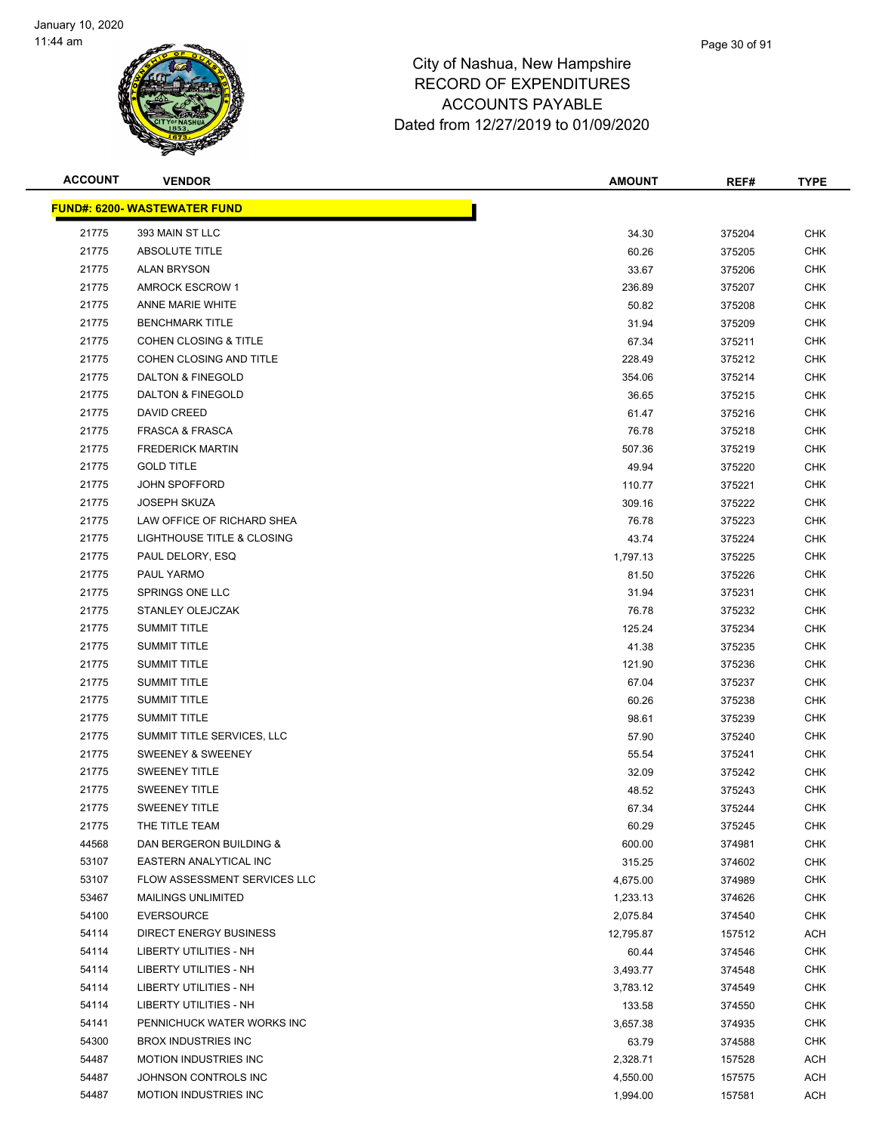

#### Page 30 of 91

| <b>ACCOUNT</b> | <b>VENDOR</b>                       | <b>AMOUNT</b> | REF#   | <b>TYPE</b> |
|----------------|-------------------------------------|---------------|--------|-------------|
|                | <b>FUND#: 6200- WASTEWATER FUND</b> |               |        |             |
| 21775          | 393 MAIN ST LLC                     | 34.30         | 375204 | <b>CHK</b>  |
| 21775          | <b>ABSOLUTE TITLE</b>               | 60.26         | 375205 | <b>CHK</b>  |
| 21775          | <b>ALAN BRYSON</b>                  | 33.67         | 375206 | <b>CHK</b>  |
| 21775          | <b>AMROCK ESCROW 1</b>              | 236.89        | 375207 | <b>CHK</b>  |
| 21775          | ANNE MARIE WHITE                    | 50.82         | 375208 | <b>CHK</b>  |
| 21775          | <b>BENCHMARK TITLE</b>              | 31.94         | 375209 | <b>CHK</b>  |
| 21775          | <b>COHEN CLOSING &amp; TITLE</b>    | 67.34         | 375211 | <b>CHK</b>  |
| 21775          | COHEN CLOSING AND TITLE             | 228.49        | 375212 | <b>CHK</b>  |
| 21775          | DALTON & FINEGOLD                   | 354.06        | 375214 | <b>CHK</b>  |
| 21775          | DALTON & FINEGOLD                   | 36.65         | 375215 | <b>CHK</b>  |
| 21775          | <b>DAVID CREED</b>                  | 61.47         | 375216 | <b>CHK</b>  |
| 21775          | <b>FRASCA &amp; FRASCA</b>          | 76.78         | 375218 | <b>CHK</b>  |
| 21775          | <b>FREDERICK MARTIN</b>             | 507.36        | 375219 | <b>CHK</b>  |
| 21775          | <b>GOLD TITLE</b>                   | 49.94         | 375220 | <b>CHK</b>  |
| 21775          | <b>JOHN SPOFFORD</b>                | 110.77        | 375221 | <b>CHK</b>  |
| 21775          | <b>JOSEPH SKUZA</b>                 | 309.16        | 375222 | <b>CHK</b>  |
| 21775          | LAW OFFICE OF RICHARD SHEA          | 76.78         | 375223 | <b>CHK</b>  |
| 21775          | LIGHTHOUSE TITLE & CLOSING          | 43.74         | 375224 | <b>CHK</b>  |
| 21775          | PAUL DELORY, ESQ                    | 1,797.13      | 375225 | <b>CHK</b>  |
| 21775          | PAUL YARMO                          | 81.50         | 375226 | <b>CHK</b>  |
| 21775          | SPRINGS ONE LLC                     | 31.94         | 375231 | <b>CHK</b>  |
| 21775          | STANLEY OLEJCZAK                    | 76.78         | 375232 | <b>CHK</b>  |
| 21775          | <b>SUMMIT TITLE</b>                 | 125.24        | 375234 | <b>CHK</b>  |
| 21775          | <b>SUMMIT TITLE</b>                 | 41.38         | 375235 | <b>CHK</b>  |
| 21775          | <b>SUMMIT TITLE</b>                 | 121.90        | 375236 | <b>CHK</b>  |
| 21775          | <b>SUMMIT TITLE</b>                 | 67.04         | 375237 | <b>CHK</b>  |
| 21775          | <b>SUMMIT TITLE</b>                 | 60.26         | 375238 | <b>CHK</b>  |
| 21775          | <b>SUMMIT TITLE</b>                 | 98.61         | 375239 | <b>CHK</b>  |
| 21775          | SUMMIT TITLE SERVICES, LLC          | 57.90         | 375240 | <b>CHK</b>  |
| 21775          | SWEENEY & SWEENEY                   | 55.54         | 375241 | <b>CHK</b>  |
| 21775          | <b>SWEENEY TITLE</b>                | 32.09         | 375242 | <b>CHK</b>  |
| 21775          | <b>SWEENEY TITLE</b>                | 48.52         | 375243 | <b>CHK</b>  |
| 21775          | <b>SWEENEY TITLE</b>                | 67.34         | 375244 | <b>CHK</b>  |
| 21775          | THE TITLE TEAM                      | 60.29         | 375245 | <b>CHK</b>  |
| 44568          | DAN BERGERON BUILDING &             | 600.00        | 374981 | <b>CHK</b>  |
| 53107          | EASTERN ANALYTICAL INC              | 315.25        | 374602 | <b>CHK</b>  |
| 53107          | <b>FLOW ASSESSMENT SERVICES LLC</b> | 4,675.00      | 374989 | <b>CHK</b>  |
| 53467          | <b>MAILINGS UNLIMITED</b>           | 1,233.13      | 374626 | <b>CHK</b>  |
| 54100          | <b>EVERSOURCE</b>                   | 2,075.84      | 374540 | <b>CHK</b>  |
| 54114          | <b>DIRECT ENERGY BUSINESS</b>       | 12,795.87     | 157512 | ACH         |
| 54114          | LIBERTY UTILITIES - NH              | 60.44         | 374546 | <b>CHK</b>  |
| 54114          | <b>LIBERTY UTILITIES - NH</b>       | 3,493.77      | 374548 | <b>CHK</b>  |
| 54114          | LIBERTY UTILITIES - NH              | 3,783.12      | 374549 | <b>CHK</b>  |
| 54114          | LIBERTY UTILITIES - NH              | 133.58        | 374550 | <b>CHK</b>  |
| 54141          | PENNICHUCK WATER WORKS INC          | 3,657.38      | 374935 | <b>CHK</b>  |
| 54300          | <b>BROX INDUSTRIES INC</b>          | 63.79         | 374588 | <b>CHK</b>  |
| 54487          | <b>MOTION INDUSTRIES INC</b>        | 2,328.71      | 157528 | ACH         |
| 54487          | JOHNSON CONTROLS INC                | 4,550.00      | 157575 | ACH         |
| 54487          | <b>MOTION INDUSTRIES INC</b>        | 1,994.00      | 157581 | ACH         |
|                |                                     |               |        |             |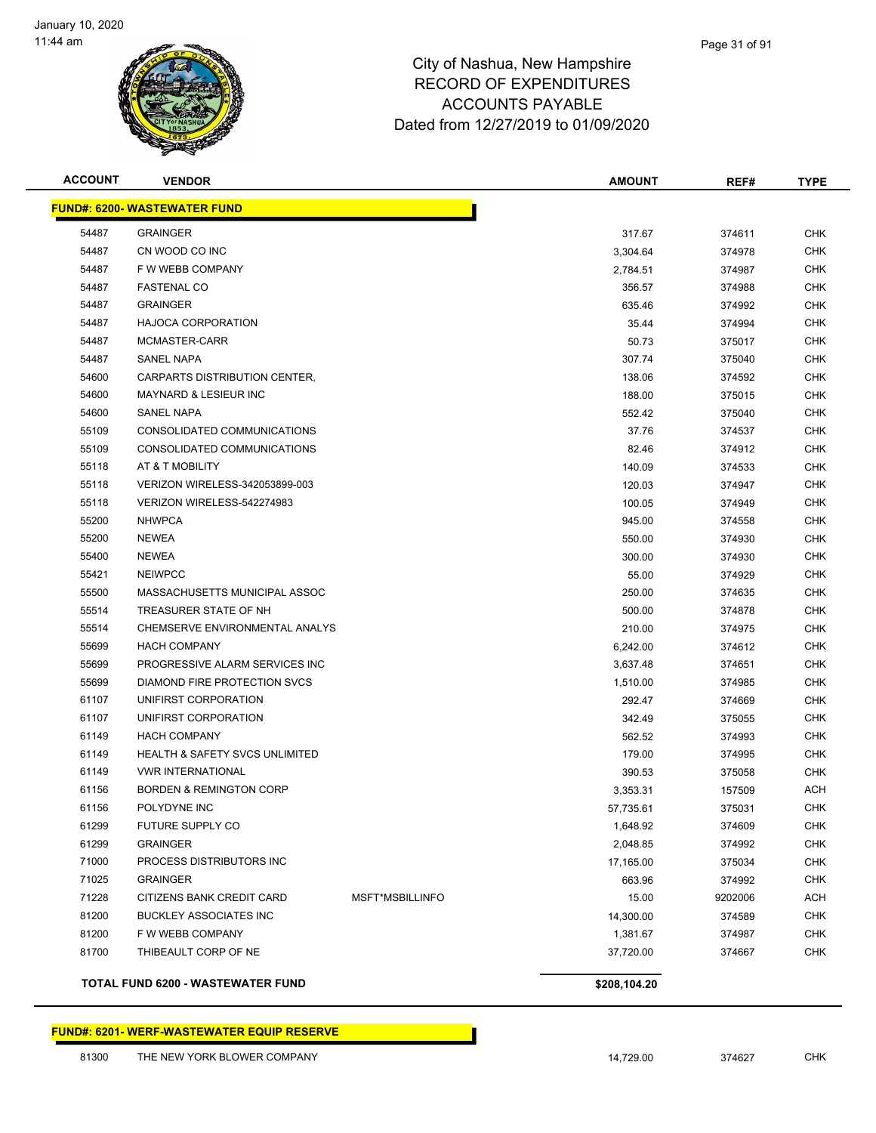

#### Page 31 of 91

### City of Nashua, New Hampshire RECORD OF EXPENDITURES ACCOUNTS PAYABLE Dated from 12/27/2019 to 01/09/2020

| <b>ACCOUNT</b> | <b>VENDOR</b>                             |                 | <b>AMOUNT</b> | REF#    | <b>TYPE</b> |
|----------------|-------------------------------------------|-----------------|---------------|---------|-------------|
|                | <b>FUND#: 6200- WASTEWATER FUND</b>       |                 |               |         |             |
| 54487          | <b>GRAINGER</b>                           |                 | 317.67        | 374611  | <b>CHK</b>  |
| 54487          | CN WOOD CO INC                            |                 | 3,304.64      | 374978  | <b>CHK</b>  |
| 54487          | F W WEBB COMPANY                          |                 | 2,784.51      | 374987  | <b>CHK</b>  |
| 54487          | <b>FASTENAL CO</b>                        |                 | 356.57        | 374988  | <b>CHK</b>  |
| 54487          | <b>GRAINGER</b>                           |                 | 635.46        | 374992  | <b>CHK</b>  |
| 54487          | <b>HAJOCA CORPORATION</b>                 |                 | 35.44         | 374994  | <b>CHK</b>  |
| 54487          | MCMASTER-CARR                             |                 | 50.73         | 375017  | <b>CHK</b>  |
| 54487          | <b>SANEL NAPA</b>                         |                 | 307.74        | 375040  | <b>CHK</b>  |
| 54600          | CARPARTS DISTRIBUTION CENTER,             |                 | 138.06        | 374592  | <b>CHK</b>  |
| 54600          | <b>MAYNARD &amp; LESIEUR INC</b>          |                 | 188.00        | 375015  | <b>CHK</b>  |
| 54600          | SANEL NAPA                                |                 | 552.42        | 375040  | <b>CHK</b>  |
| 55109          | CONSOLIDATED COMMUNICATIONS               |                 | 37.76         | 374537  | CHK         |
| 55109          | CONSOLIDATED COMMUNICATIONS               |                 | 82.46         | 374912  | <b>CHK</b>  |
| 55118          | AT & T MOBILITY                           |                 | 140.09        | 374533  | <b>CHK</b>  |
| 55118          | VERIZON WIRELESS-342053899-003            |                 | 120.03        | 374947  | <b>CHK</b>  |
| 55118          | VERIZON WIRELESS-542274983                |                 | 100.05        | 374949  | <b>CHK</b>  |
| 55200          | <b>NHWPCA</b>                             |                 | 945.00        | 374558  | <b>CHK</b>  |
| 55200          | <b>NEWEA</b>                              |                 | 550.00        | 374930  | <b>CHK</b>  |
| 55400          | <b>NEWEA</b>                              |                 | 300.00        | 374930  | <b>CHK</b>  |
| 55421          | <b>NEIWPCC</b>                            |                 | 55.00         | 374929  | <b>CHK</b>  |
| 55500          | MASSACHUSETTS MUNICIPAL ASSOC             |                 | 250.00        | 374635  | <b>CHK</b>  |
| 55514          | TREASURER STATE OF NH                     |                 | 500.00        | 374878  | <b>CHK</b>  |
| 55514          | CHEMSERVE ENVIRONMENTAL ANALYS            |                 | 210.00        | 374975  | <b>CHK</b>  |
| 55699          | <b>HACH COMPANY</b>                       |                 | 6,242.00      | 374612  | <b>CHK</b>  |
| 55699          | PROGRESSIVE ALARM SERVICES INC            |                 | 3,637.48      | 374651  | <b>CHK</b>  |
| 55699          | DIAMOND FIRE PROTECTION SVCS              |                 | 1,510.00      | 374985  | <b>CHK</b>  |
| 61107          | UNIFIRST CORPORATION                      |                 | 292.47        | 374669  | <b>CHK</b>  |
| 61107          | UNIFIRST CORPORATION                      |                 | 342.49        | 375055  | <b>CHK</b>  |
| 61149          | <b>HACH COMPANY</b>                       |                 | 562.52        | 374993  | <b>CHK</b>  |
| 61149          | <b>HEALTH &amp; SAFETY SVCS UNLIMITED</b> |                 | 179.00        | 374995  | <b>CHK</b>  |
| 61149          | <b>VWR INTERNATIONAL</b>                  |                 | 390.53        | 375058  | CHK         |
| 61156          | <b>BORDEN &amp; REMINGTON CORP</b>        |                 | 3,353.31      | 157509  | <b>ACH</b>  |
| 61156          | POLYDYNE INC                              |                 | 57,735.61     | 375031  | <b>CHK</b>  |
| 61299          | FUTURE SUPPLY CO                          |                 | 1,648.92      | 374609  | <b>CHK</b>  |
| 61299          | <b>GRAINGER</b>                           |                 | 2,048.85      | 374992  | CHK         |
| 71000          | PROCESS DISTRIBUTORS INC                  |                 | 17,165.00     | 375034  | <b>CHK</b>  |
| 71025          | <b>GRAINGER</b>                           |                 | 663.96        | 374992  | <b>CHK</b>  |
| 71228          | CITIZENS BANK CREDIT CARD                 | MSFT*MSBILLINFO | 15.00         | 9202006 | <b>ACH</b>  |
| 81200          | <b>BUCKLEY ASSOCIATES INC</b>             |                 | 14,300.00     | 374589  | CHK         |
| 81200          | F W WEBB COMPANY                          |                 | 1,381.67      | 374987  | <b>CHK</b>  |
| 81700          | THIBEAULT CORP OF NE                      |                 | 37,720.00     | 374667  | <b>CHK</b>  |
|                | <b>TOTAL FUND 6200 - WASTEWATER FUND</b>  |                 | \$208,104.20  |         |             |

**FUND#: 6201- WERF-WASTEWATER EQUIP RESERVE**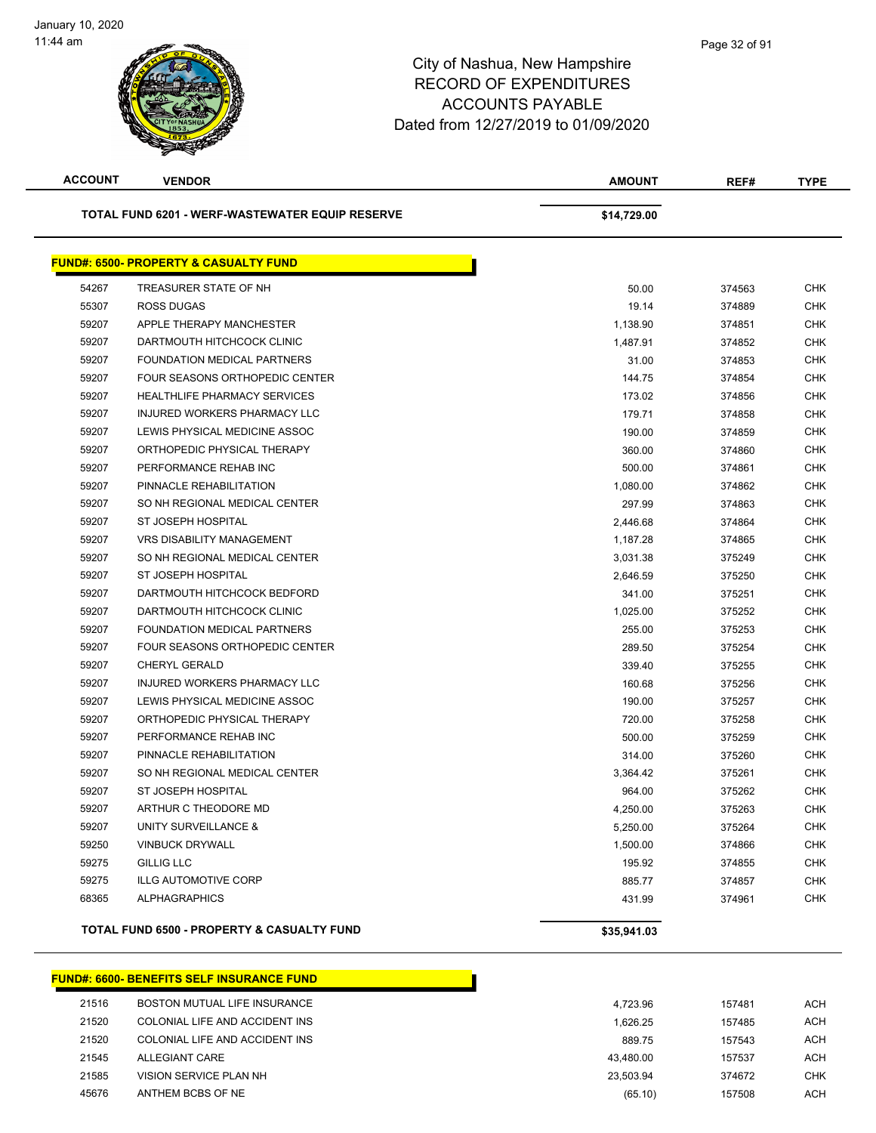#### Page 32 of 91

### City of Nashua, New Hampshire RECORD OF EXPENDITURES ACCOUNTS PAYABLE Dated from 12/27/2019 to 01/09/2020

| <b>ACCOUNT</b> | <b>VENDOR</b>                                          | <b>AMOUNT</b> | REF#   | <b>TYPE</b> |
|----------------|--------------------------------------------------------|---------------|--------|-------------|
|                | <b>TOTAL FUND 6201 - WERF-WASTEWATER EQUIP RESERVE</b> | \$14,729.00   |        |             |
|                | <b>FUND#: 6500- PROPERTY &amp; CASUALTY FUND</b>       |               |        |             |
| 54267          | TREASURER STATE OF NH                                  | 50.00         | 374563 | <b>CHK</b>  |
| 55307          | ROSS DUGAS                                             | 19.14         | 374889 | <b>CHK</b>  |
| 59207          | APPLE THERAPY MANCHESTER                               | 1,138.90      | 374851 | <b>CHK</b>  |
| 59207          | DARTMOUTH HITCHCOCK CLINIC                             | 1,487.91      | 374852 | <b>CHK</b>  |
| 59207          | FOUNDATION MEDICAL PARTNERS                            | 31.00         | 374853 | <b>CHK</b>  |
| 59207          | FOUR SEASONS ORTHOPEDIC CENTER                         | 144.75        | 374854 | <b>CHK</b>  |
| 59207          | <b>HEALTHLIFE PHARMACY SERVICES</b>                    | 173.02        | 374856 | <b>CHK</b>  |
| 59207          | INJURED WORKERS PHARMACY LLC                           | 179.71        | 374858 | <b>CHK</b>  |
| 59207          | LEWIS PHYSICAL MEDICINE ASSOC                          | 190.00        | 374859 | <b>CHK</b>  |
| 59207          | ORTHOPEDIC PHYSICAL THERAPY                            | 360.00        | 374860 | <b>CHK</b>  |
| 59207          | PERFORMANCE REHAB INC                                  | 500.00        | 374861 | <b>CHK</b>  |
| 59207          | PINNACLE REHABILITATION                                | 1,080.00      | 374862 | <b>CHK</b>  |
| 59207          | SO NH REGIONAL MEDICAL CENTER                          | 297.99        | 374863 | <b>CHK</b>  |
| 59207          | ST JOSEPH HOSPITAL                                     | 2,446.68      | 374864 | <b>CHK</b>  |
| 59207          | <b>VRS DISABILITY MANAGEMENT</b>                       | 1,187.28      | 374865 | <b>CHK</b>  |
| 59207          | SO NH REGIONAL MEDICAL CENTER                          | 3,031.38      | 375249 | <b>CHK</b>  |
| 59207          | ST JOSEPH HOSPITAL                                     | 2,646.59      | 375250 | <b>CHK</b>  |
| 59207          | DARTMOUTH HITCHCOCK BEDFORD                            | 341.00        | 375251 | <b>CHK</b>  |
| 59207          | DARTMOUTH HITCHCOCK CLINIC                             | 1,025.00      | 375252 | <b>CHK</b>  |
| 59207          | FOUNDATION MEDICAL PARTNERS                            | 255.00        | 375253 | <b>CHK</b>  |
| 59207          | FOUR SEASONS ORTHOPEDIC CENTER                         | 289.50        | 375254 | <b>CHK</b>  |
| 59207          | <b>CHERYL GERALD</b>                                   | 339.40        | 375255 | <b>CHK</b>  |
| 59207          | INJURED WORKERS PHARMACY LLC                           | 160.68        | 375256 | <b>CHK</b>  |
| 59207          | LEWIS PHYSICAL MEDICINE ASSOC                          | 190.00        | 375257 | CHK         |
| 59207          | ORTHOPEDIC PHYSICAL THERAPY                            | 720.00        | 375258 | <b>CHK</b>  |
| 59207          | PERFORMANCE REHAB INC                                  | 500.00        | 375259 | <b>CHK</b>  |
| 59207          | PINNACLE REHABILITATION                                | 314.00        | 375260 | <b>CHK</b>  |
| 59207          | SO NH REGIONAL MEDICAL CENTER                          | 3,364.42      | 375261 | <b>CHK</b>  |
| 59207          | ST JOSEPH HOSPITAL                                     | 964.00        | 375262 | <b>CHK</b>  |
| 59207          | ARTHUR C THEODORE MD                                   | 4.250.00      | 375263 | <b>CHK</b>  |
| 59207          | UNITY SURVEILLANCE &                                   | 5,250.00      | 375264 | <b>CHK</b>  |
| 59250          | <b>VINBUCK DRYWALL</b>                                 | 1,500.00      | 374866 | <b>CHK</b>  |
| 59275          | <b>GILLIG LLC</b>                                      | 195.92        | 374855 | <b>CHK</b>  |
| 59275          | <b>ILLG AUTOMOTIVE CORP</b>                            | 885.77        | 374857 | <b>CHK</b>  |
| 68365          | <b>ALPHAGRAPHICS</b>                                   | 431.99        | 374961 | <b>CHK</b>  |
|                | TOTAL FUND 6500 - PROPERTY & CASUALTY FUND             | \$35,941.03   |        |             |

#### **FUND#: 6600- BENEFITS SELF INSURANCE FUND** 21516 BOSTON MUTUAL LIFE INSURANCE **12.000 MUTUAL LIFE INSURANCE 157481** ACH 21520 COLONIAL LIFE AND ACCIDENT INS 1,626.25 157485 ACH 21520 COLONIAL LIFE AND ACCIDENT INS **21520 COLONIAL LIFE AND ACCIDENT INS** 889.75 ALLEGIANT CARE 43,480.00 157537 ACH VISION SERVICE PLAN NH 23,503.94 374672 CHK ANTHEM BCBS OF NE (65.10) 157508 ACH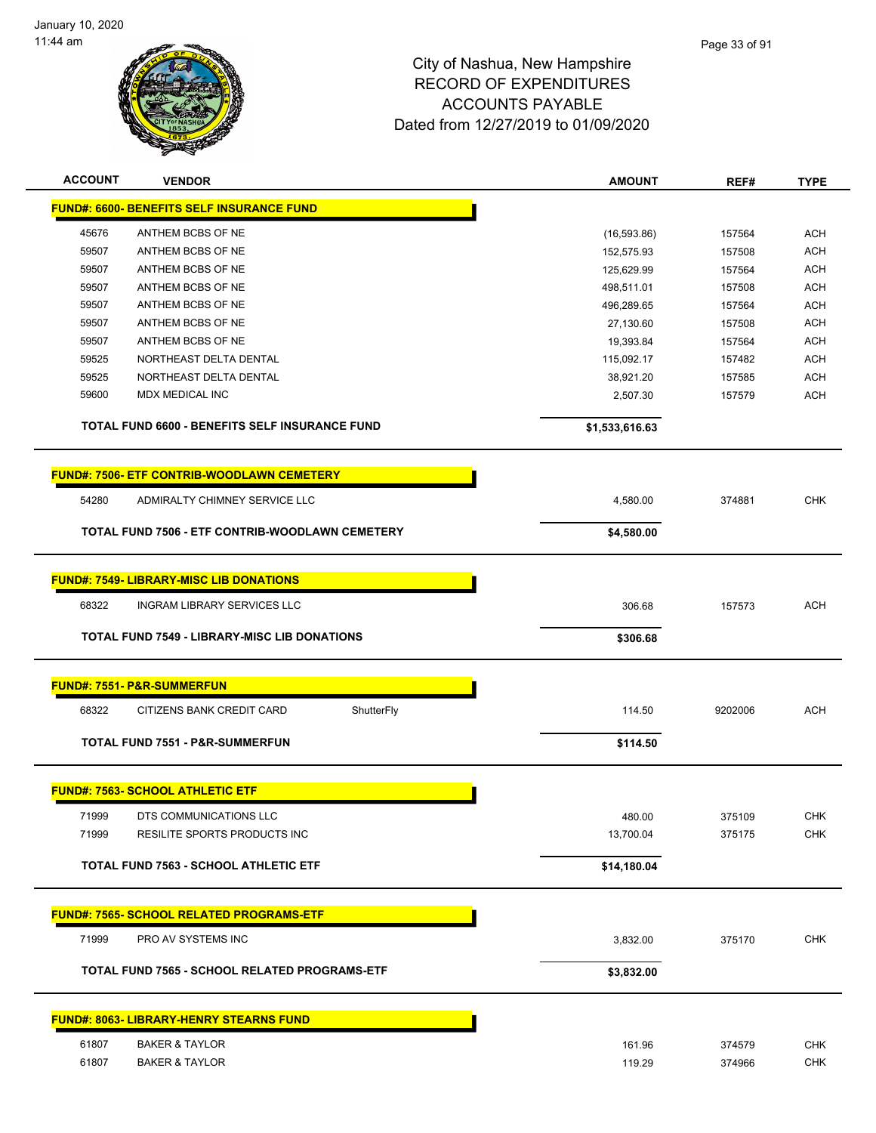

| <b>ACCOUNT</b> | <b>VENDOR</b>                                       | <b>AMOUNT</b>  | REF#    | <b>TYPE</b> |
|----------------|-----------------------------------------------------|----------------|---------|-------------|
|                | <b>FUND#: 6600- BENEFITS SELF INSURANCE FUND</b>    |                |         |             |
| 45676          | ANTHEM BCBS OF NE                                   | (16, 593.86)   | 157564  | ACH         |
| 59507          | ANTHEM BCBS OF NE                                   | 152,575.93     | 157508  | <b>ACH</b>  |
| 59507          | ANTHEM BCBS OF NE                                   | 125,629.99     | 157564  | <b>ACH</b>  |
| 59507          | ANTHEM BCBS OF NE                                   | 498,511.01     | 157508  | <b>ACH</b>  |
| 59507          | ANTHEM BCBS OF NE                                   | 496,289.65     | 157564  | <b>ACH</b>  |
| 59507          | ANTHEM BCBS OF NE                                   | 27,130.60      | 157508  | <b>ACH</b>  |
| 59507          | ANTHEM BCBS OF NE                                   | 19,393.84      | 157564  | <b>ACH</b>  |
| 59525          | NORTHEAST DELTA DENTAL                              | 115,092.17     | 157482  | <b>ACH</b>  |
| 59525          | NORTHEAST DELTA DENTAL                              | 38,921.20      | 157585  | <b>ACH</b>  |
| 59600          | MDX MEDICAL INC                                     | 2,507.30       | 157579  | <b>ACH</b>  |
|                | TOTAL FUND 6600 - BENEFITS SELF INSURANCE FUND      | \$1,533,616.63 |         |             |
|                | <b>FUND#: 7506- ETF CONTRIB-WOODLAWN CEMETERY</b>   |                |         |             |
| 54280          | ADMIRALTY CHIMNEY SERVICE LLC                       | 4,580.00       | 374881  | <b>CHK</b>  |
|                | TOTAL FUND 7506 - ETF CONTRIB-WOODLAWN CEMETERY     | \$4,580.00     |         |             |
|                |                                                     |                |         |             |
|                | <b>FUND#: 7549- LIBRARY-MISC LIB DONATIONS</b>      |                |         |             |
| 68322          | <b>INGRAM LIBRARY SERVICES LLC</b>                  | 306.68         | 157573  | <b>ACH</b>  |
|                | <b>TOTAL FUND 7549 - LIBRARY-MISC LIB DONATIONS</b> | \$306.68       |         |             |
|                |                                                     |                |         |             |
|                | <b>FUND#: 7551- P&amp;R-SUMMERFUN</b>               |                |         |             |
| 68322          | CITIZENS BANK CREDIT CARD<br>ShutterFly             | 114.50         | 9202006 | <b>ACH</b>  |
|                | <b>TOTAL FUND 7551 - P&amp;R-SUMMERFUN</b>          | \$114.50       |         |             |
|                |                                                     |                |         |             |
|                | <b>FUND#: 7563- SCHOOL ATHLETIC ETF</b>             |                |         |             |
| 71999          | DTS COMMUNICATIONS LLC                              | 480.00         | 375109  | <b>CHK</b>  |
| 71999          | RESILITE SPORTS PRODUCTS INC                        | 13,700.04      | 375175  | <b>CHK</b>  |
|                | TOTAL FUND 7563 - SCHOOL ATHLETIC ETF               | \$14,180.04    |         |             |
|                | <b>FUND#: 7565- SCHOOL RELATED PROGRAMS-ETF</b>     |                |         |             |
| 71999          | PRO AV SYSTEMS INC                                  | 3,832.00       | 375170  | CHK         |
|                |                                                     |                |         |             |
|                | TOTAL FUND 7565 - SCHOOL RELATED PROGRAMS-ETF       | \$3,832.00     |         |             |
|                | <b>FUND#: 8063- LIBRARY-HENRY STEARNS FUND</b>      |                |         |             |
| 61807          | <b>BAKER &amp; TAYLOR</b>                           | 161.96         | 374579  | <b>CHK</b>  |
| 61807          | <b>BAKER &amp; TAYLOR</b>                           | 119.29         | 374966  | <b>CHK</b>  |
|                |                                                     |                |         |             |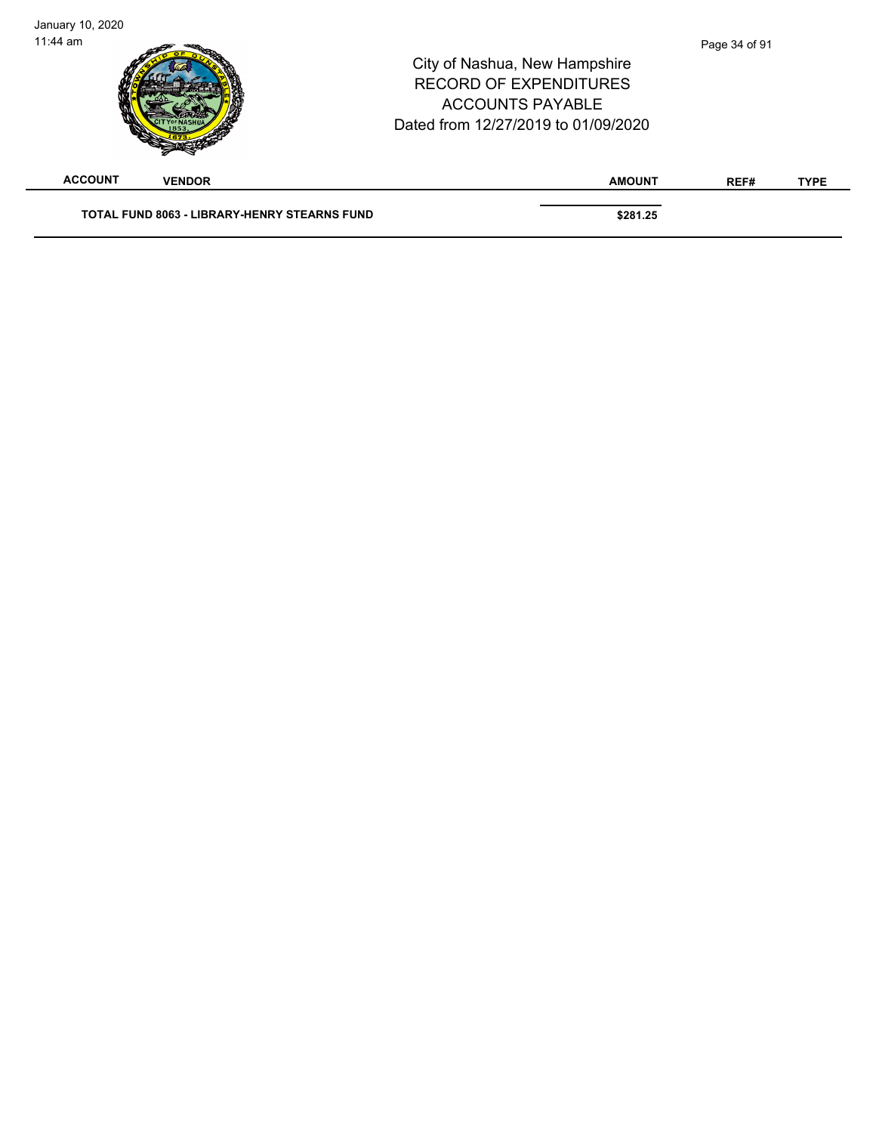| <b>ACCOUNT</b> | <b>VENDOR</b> | <b>AMOUNT</b>                                                                                                                    | REF#          | <b>TYPE</b> |
|----------------|---------------|----------------------------------------------------------------------------------------------------------------------------------|---------------|-------------|
| $11:44$ am     |               | City of Nashua, New Hampshire<br><b>RECORD OF EXPENDITURES</b><br><b>ACCOUNTS PAYABLE</b><br>Dated from 12/27/2019 to 01/09/2020 | Page 34 of 91 |             |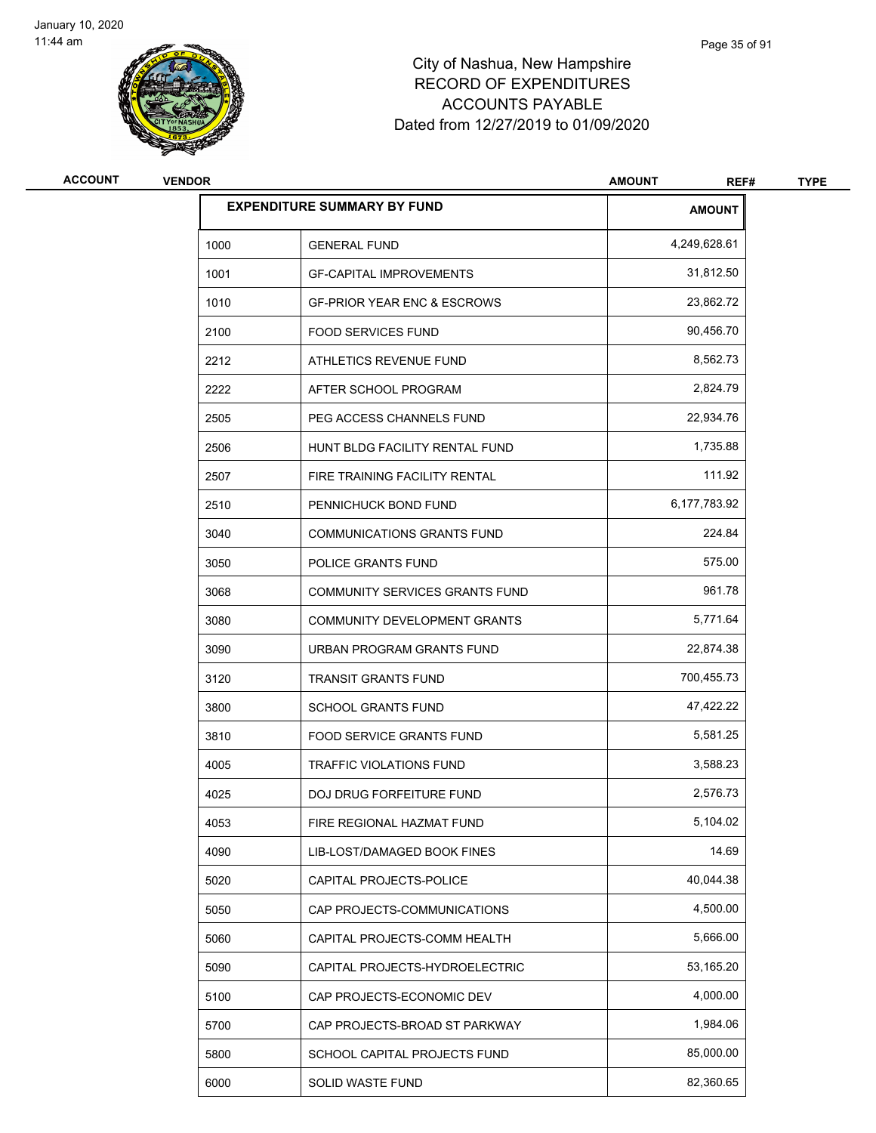

| <b>ACCOUNT</b> | <b>VENDOR</b> |                                        | <b>AMOUNT</b><br>REF# | <b>TYPE</b> |
|----------------|---------------|----------------------------------------|-----------------------|-------------|
|                |               | <b>EXPENDITURE SUMMARY BY FUND</b>     | <b>AMOUNT</b>         |             |
|                | 1000          | <b>GENERAL FUND</b>                    | 4,249,628.61          |             |
|                | 1001          | <b>GF-CAPITAL IMPROVEMENTS</b>         | 31,812.50             |             |
|                | 1010          | <b>GF-PRIOR YEAR ENC &amp; ESCROWS</b> | 23,862.72             |             |
|                | 2100          | <b>FOOD SERVICES FUND</b>              | 90,456.70             |             |
|                | 2212          | ATHLETICS REVENUE FUND                 | 8,562.73              |             |
|                | 2222          | AFTER SCHOOL PROGRAM                   | 2,824.79              |             |
|                | 2505          | PEG ACCESS CHANNELS FUND               | 22,934.76             |             |
|                | 2506          | HUNT BLDG FACILITY RENTAL FUND         | 1,735.88              |             |
|                | 2507          | FIRE TRAINING FACILITY RENTAL          | 111.92                |             |
|                | 2510          | PENNICHUCK BOND FUND                   | 6,177,783.92          |             |
|                | 3040          | <b>COMMUNICATIONS GRANTS FUND</b>      | 224.84                |             |
|                | 3050          | POLICE GRANTS FUND                     | 575.00                |             |
|                | 3068          | COMMUNITY SERVICES GRANTS FUND         | 961.78                |             |
|                | 3080          | COMMUNITY DEVELOPMENT GRANTS           | 5,771.64              |             |
|                | 3090          | URBAN PROGRAM GRANTS FUND              | 22,874.38             |             |
|                | 3120          | <b>TRANSIT GRANTS FUND</b>             | 700,455.73            |             |
|                | 3800          | <b>SCHOOL GRANTS FUND</b>              | 47,422.22             |             |
|                | 3810          | <b>FOOD SERVICE GRANTS FUND</b>        | 5,581.25              |             |
|                | 4005          | <b>TRAFFIC VIOLATIONS FUND</b>         | 3,588.23              |             |
|                | 4025          | DOJ DRUG FORFEITURE FUND               | 2,576.73              |             |
|                | 4053          | FIRE REGIONAL HAZMAT FUND              | 5,104.02              |             |
|                | 4090          | LIB-LOST/DAMAGED BOOK FINES            | 14.69                 |             |
|                | 5020          | CAPITAL PROJECTS-POLICE                | 40,044.38             |             |
|                | 5050          | CAP PROJECTS-COMMUNICATIONS            | 4,500.00              |             |
|                | 5060          | CAPITAL PROJECTS-COMM HEALTH           | 5,666.00              |             |
|                | 5090          | CAPITAL PROJECTS-HYDROELECTRIC         | 53,165.20             |             |
|                | 5100          | CAP PROJECTS-ECONOMIC DEV              | 4,000.00              |             |
|                | 5700          | CAP PROJECTS-BROAD ST PARKWAY          | 1,984.06              |             |
|                | 5800          | SCHOOL CAPITAL PROJECTS FUND           | 85,000.00             |             |
|                | 6000          | SOLID WASTE FUND                       | 82,360.65             |             |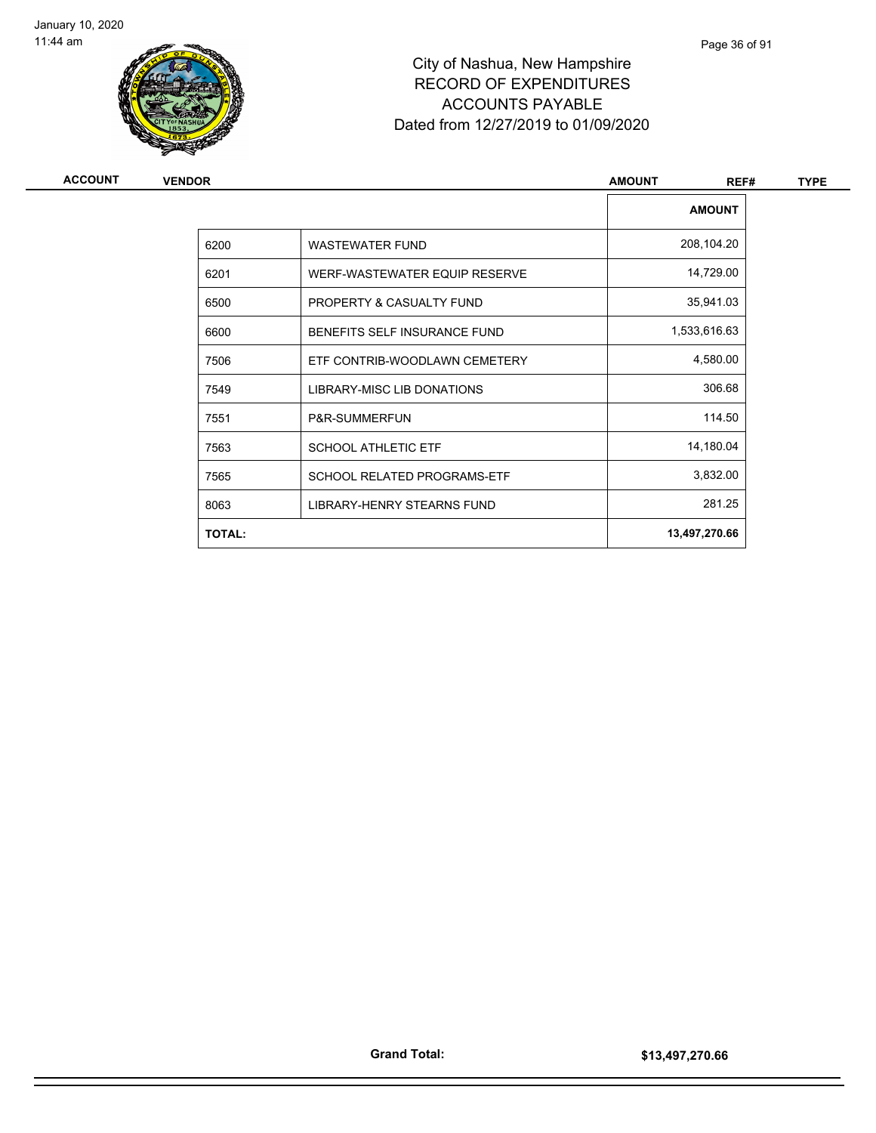

Page 36 of 91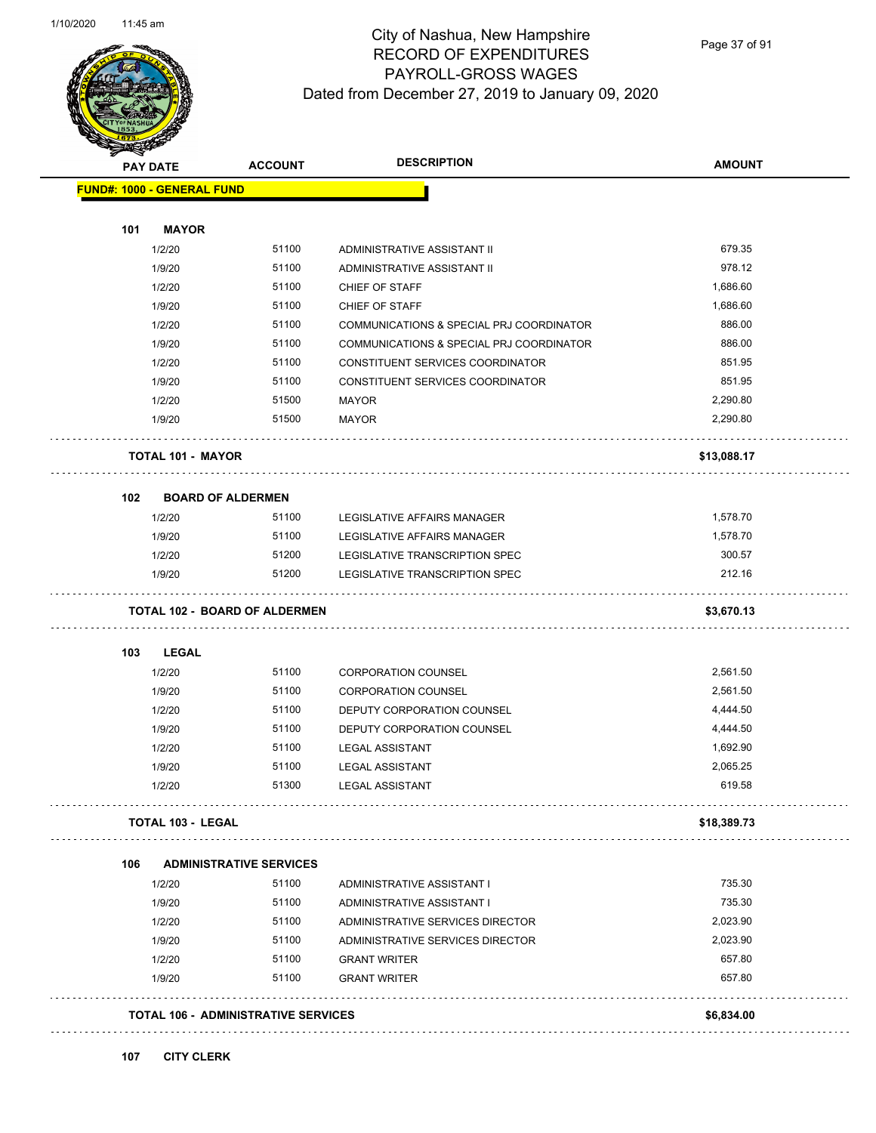

Page 37 of 91

| <b>PAY DATE</b>                   | <b>ACCOUNT</b>                       | <b>DESCRIPTION</b>                       | <b>AMOUNT</b> |
|-----------------------------------|--------------------------------------|------------------------------------------|---------------|
| <b>FUND#: 1000 - GENERAL FUND</b> |                                      |                                          |               |
| 101<br><b>MAYOR</b>               |                                      |                                          |               |
| 1/2/20                            | 51100                                | ADMINISTRATIVE ASSISTANT II              | 679.35        |
| 1/9/20                            | 51100                                | ADMINISTRATIVE ASSISTANT II              | 978.12        |
| 1/2/20                            | 51100                                | CHIEF OF STAFF                           | 1,686.60      |
| 1/9/20                            | 51100                                | CHIEF OF STAFF                           | 1,686.60      |
| 1/2/20                            | 51100                                | COMMUNICATIONS & SPECIAL PRJ COORDINATOR | 886.00        |
| 1/9/20                            | 51100                                | COMMUNICATIONS & SPECIAL PRJ COORDINATOR | 886.00        |
| 1/2/20                            | 51100                                | CONSTITUENT SERVICES COORDINATOR         | 851.95        |
| 1/9/20                            | 51100                                | CONSTITUENT SERVICES COORDINATOR         | 851.95        |
| 1/2/20                            | 51500                                | <b>MAYOR</b>                             | 2,290.80      |
| 1/9/20                            | 51500                                | <b>MAYOR</b>                             | 2,290.80      |
| <b>TOTAL 101 - MAYOR</b>          |                                      |                                          | \$13,088.17   |
| 102                               | <b>BOARD OF ALDERMEN</b>             |                                          |               |
| 1/2/20                            | 51100                                | LEGISLATIVE AFFAIRS MANAGER              | 1,578.70      |
| 1/9/20                            | 51100                                | LEGISLATIVE AFFAIRS MANAGER              | 1,578.70      |
| 1/2/20                            | 51200                                | LEGISLATIVE TRANSCRIPTION SPEC           | 300.57        |
| 1/9/20                            | 51200                                | LEGISLATIVE TRANSCRIPTION SPEC           | 212.16        |
|                                   | <b>TOTAL 102 - BOARD OF ALDERMEN</b> |                                          | \$3,670.13    |
| 103<br><b>LEGAL</b>               |                                      |                                          |               |
| 1/2/20                            | 51100                                | <b>CORPORATION COUNSEL</b>               | 2,561.50      |
| 1/9/20                            | 51100                                | <b>CORPORATION COUNSEL</b>               | 2,561.50      |
| 1/2/20                            | 51100                                | DEPUTY CORPORATION COUNSEL               | 4,444.50      |
| 1/9/20                            | 51100                                | DEPUTY CORPORATION COUNSEL               | 4,444.50      |
| 1/2/20                            | 51100                                | <b>LEGAL ASSISTANT</b>                   | 1,692.90      |
| 1/9/20                            | 51100                                | <b>LEGAL ASSISTANT</b>                   | 2,065.25      |
| 1/2/20                            | 51300                                | <b>LEGAL ASSISTANT</b>                   | 619.58        |
| <b>TOTAL 103 - LEGAL</b>          |                                      |                                          | \$18,389.73   |
| 106                               | <b>ADMINISTRATIVE SERVICES</b>       |                                          |               |
| 1/2/20                            | 51100                                | ADMINISTRATIVE ASSISTANT I               | 735.30        |
| 1/9/20                            | 51100                                | ADMINISTRATIVE ASSISTANT I               | 735.30        |
| 1/2/20                            | 51100                                | ADMINISTRATIVE SERVICES DIRECTOR         | 2,023.90      |
| 1/9/20                            | 51100                                | ADMINISTRATIVE SERVICES DIRECTOR         | 2,023.90      |
| 1/2/20                            | 51100                                | <b>GRANT WRITER</b>                      | 657.80        |
|                                   | 51100                                | <b>GRANT WRITER</b>                      | 657.80        |
| 1/9/20                            | TOTAL 106 - ADMINISTRATIVE SERVICES  |                                          |               |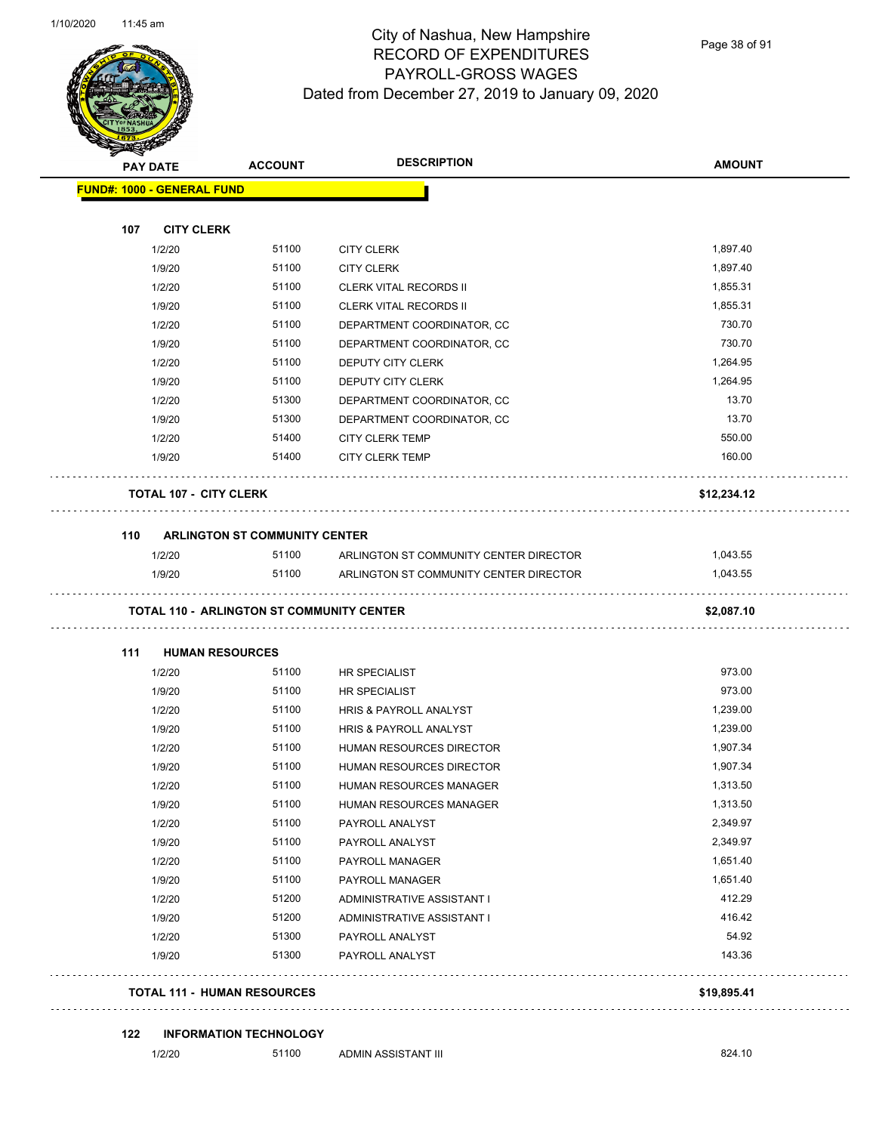Page 38 of 91

| <b>STARTING</b> |                                                  |                                      | <b>DESCRIPTION</b>                                             |               |
|-----------------|--------------------------------------------------|--------------------------------------|----------------------------------------------------------------|---------------|
|                 | <b>PAY DATE</b>                                  | <b>ACCOUNT</b>                       |                                                                | <b>AMOUNT</b> |
|                 | <b>FUND#: 1000 - GENERAL FUND</b>                |                                      |                                                                |               |
|                 |                                                  |                                      |                                                                |               |
| 107             | <b>CITY CLERK</b>                                | 51100                                | <b>CITY CLERK</b>                                              | 1,897.40      |
|                 | 1/2/20                                           | 51100                                |                                                                | 1,897.40      |
|                 | 1/9/20<br>1/2/20                                 | 51100                                | <b>CITY CLERK</b>                                              | 1,855.31      |
|                 | 1/9/20                                           | 51100                                | <b>CLERK VITAL RECORDS II</b><br><b>CLERK VITAL RECORDS II</b> | 1,855.31      |
|                 |                                                  |                                      |                                                                | 730.70        |
|                 | 1/2/20                                           | 51100                                | DEPARTMENT COORDINATOR, CC                                     | 730.70        |
|                 | 1/9/20                                           | 51100                                | DEPARTMENT COORDINATOR, CC                                     | 1,264.95      |
|                 | 1/2/20                                           | 51100                                | DEPUTY CITY CLERK                                              |               |
|                 | 1/9/20                                           | 51100                                | DEPUTY CITY CLERK                                              | 1,264.95      |
|                 | 1/2/20                                           | 51300                                | DEPARTMENT COORDINATOR, CC                                     | 13.70         |
|                 | 1/9/20                                           | 51300                                | DEPARTMENT COORDINATOR, CC                                     | 13.70         |
|                 | 1/2/20                                           | 51400                                | <b>CITY CLERK TEMP</b>                                         | 550.00        |
|                 | 1/9/20                                           | 51400                                | <b>CITY CLERK TEMP</b>                                         | 160.00        |
|                 | <b>TOTAL 107 - CITY CLERK</b>                    |                                      |                                                                | \$12,234.12   |
| 110             |                                                  | <b>ARLINGTON ST COMMUNITY CENTER</b> |                                                                |               |
|                 | 1/2/20                                           | 51100                                | ARLINGTON ST COMMUNITY CENTER DIRECTOR                         | 1,043.55      |
|                 | 1/9/20                                           | 51100                                | ARLINGTON ST COMMUNITY CENTER DIRECTOR                         | 1,043.55      |
|                 | <b>TOTAL 110 - ARLINGTON ST COMMUNITY CENTER</b> |                                      |                                                                | \$2,087.10    |
| 111             | <b>HUMAN RESOURCES</b>                           |                                      |                                                                |               |
|                 | 1/2/20                                           | 51100                                | <b>HR SPECIALIST</b>                                           | 973.00        |
|                 | 1/9/20                                           | 51100                                | <b>HR SPECIALIST</b>                                           | 973.00        |
|                 | 1/2/20                                           | 51100                                | HRIS & PAYROLL ANALYST                                         | 1,239.00      |
|                 | 1/9/20                                           | 51100                                | HRIS & PAYROLL ANALYST                                         | 1,239.00      |
|                 | 1/2/20                                           | 51100                                | <b>HUMAN RESOURCES DIRECTOR</b>                                | 1,907.34      |
|                 | 1/9/20                                           | 51100                                | HUMAN RESOURCES DIRECTOR                                       | 1,907.34      |
|                 | 1/2/20                                           | 51100                                | HUMAN RESOURCES MANAGER                                        | 1,313.50      |
|                 | 1/9/20                                           | 51100                                | HUMAN RESOURCES MANAGER                                        | 1,313.50      |
|                 | 1/2/20                                           | 51100                                | PAYROLL ANALYST                                                | 2,349.97      |
|                 | 1/9/20                                           | 51100                                | PAYROLL ANALYST                                                | 2,349.97      |
|                 | 1/2/20                                           | 51100                                | PAYROLL MANAGER                                                | 1,651.40      |
|                 | 1/9/20                                           | 51100                                | PAYROLL MANAGER                                                | 1,651.40      |
|                 | 1/2/20                                           | 51200                                | ADMINISTRATIVE ASSISTANT I                                     | 412.29        |
|                 | 1/9/20                                           | 51200                                | ADMINISTRATIVE ASSISTANT I                                     | 416.42        |
|                 | 1/2/20                                           | 51300                                | PAYROLL ANALYST                                                | 54.92         |
|                 | 1/9/20                                           | 51300                                | PAYROLL ANALYST                                                | 143.36        |
|                 | <b>TOTAL 111 - HUMAN RESOURCES</b>               |                                      |                                                                | \$19,895.41   |
|                 |                                                  |                                      |                                                                |               |
| 122             |                                                  | <b>INFORMATION TECHNOLOGY</b>        |                                                                |               |
|                 | 1/2/20                                           | 51100                                | ADMIN ASSISTANT III                                            | 824.10        |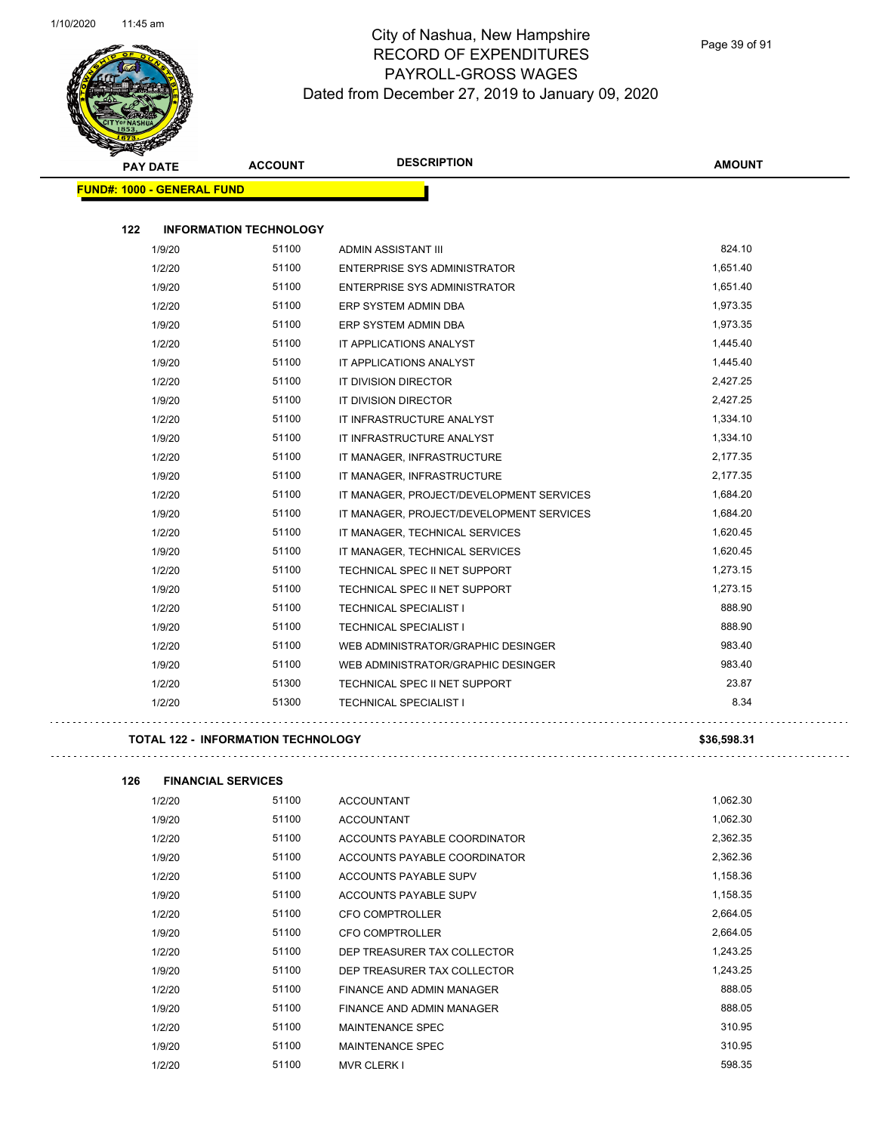$\mathbb{R}^2$ 

. . . . . . . . . . . . .



### City of Nashua, New Hampshire RECORD OF EXPENDITURES PAYROLL-GROSS WAGES Dated from December 27, 2019 to January 09, 2020

Page 39 of 91

| <b>SANGRAP</b><br><b>PAY DATE</b> |                               | <b>ACCOUNT</b> | <b>DESCRIPTION</b>                       | <b>AMOUNT</b> |
|-----------------------------------|-------------------------------|----------------|------------------------------------------|---------------|
| <b>FUND#: 1000 - GENERAL FUND</b> |                               |                |                                          |               |
|                                   |                               |                |                                          |               |
| 122                               | <b>INFORMATION TECHNOLOGY</b> |                |                                          |               |
|                                   | 1/9/20                        | 51100          | ADMIN ASSISTANT III                      | 824.10        |
|                                   | 1/2/20                        | 51100          | <b>ENTERPRISE SYS ADMINISTRATOR</b>      | 1,651.40      |
|                                   | 1/9/20                        | 51100          | ENTERPRISE SYS ADMINISTRATOR             | 1,651.40      |
|                                   | 1/2/20                        | 51100          | ERP SYSTEM ADMIN DBA                     | 1,973.35      |
|                                   | 1/9/20                        | 51100          | ERP SYSTEM ADMIN DBA                     | 1,973.35      |
|                                   | 1/2/20                        | 51100          | IT APPLICATIONS ANALYST                  | 1,445.40      |
|                                   | 1/9/20                        | 51100          | IT APPLICATIONS ANALYST                  | 1,445.40      |
|                                   | 1/2/20                        | 51100          | IT DIVISION DIRECTOR                     | 2,427.25      |
|                                   | 1/9/20                        | 51100          | IT DIVISION DIRECTOR                     | 2,427.25      |
|                                   | 1/2/20                        | 51100          | IT INFRASTRUCTURE ANALYST                | 1,334.10      |
|                                   | 1/9/20                        | 51100          | IT INFRASTRUCTURE ANALYST                | 1,334.10      |
|                                   | 1/2/20                        | 51100          | IT MANAGER, INFRASTRUCTURE               | 2,177.35      |
|                                   | 1/9/20                        | 51100          | IT MANAGER, INFRASTRUCTURE               | 2,177.35      |
|                                   | 1/2/20                        | 51100          | IT MANAGER, PROJECT/DEVELOPMENT SERVICES | 1,684.20      |
|                                   | 1/9/20                        | 51100          | IT MANAGER, PROJECT/DEVELOPMENT SERVICES | 1,684.20      |
|                                   | 1/2/20                        | 51100          | IT MANAGER, TECHNICAL SERVICES           | 1,620.45      |
|                                   | 1/9/20                        | 51100          | IT MANAGER, TECHNICAL SERVICES           | 1,620.45      |
|                                   | 1/2/20                        | 51100          | TECHNICAL SPEC II NET SUPPORT            | 1,273.15      |
|                                   | 1/9/20                        | 51100          | TECHNICAL SPEC II NET SUPPORT            | 1,273.15      |
|                                   | 1/2/20                        | 51100          | <b>TECHNICAL SPECIALIST I</b>            | 888.90        |
|                                   | 1/9/20                        | 51100          | TECHNICAL SPECIALIST I                   | 888.90        |
|                                   | 1/2/20                        | 51100          | WEB ADMINISTRATOR/GRAPHIC DESINGER       | 983.40        |
|                                   | 1/9/20                        | 51100          | WEB ADMINISTRATOR/GRAPHIC DESINGER       | 983.40        |
|                                   | 1/2/20                        | 51300          | TECHNICAL SPEC II NET SUPPORT            | 23.87         |
|                                   | 1/2/20                        | 51300          | <b>TECHNICAL SPECIALIST I</b>            | 8.34          |

### **TOTAL 122 - INFORMATION TECHNOLOGY \$36,598.31**

. . . . . . . . . . . . . . . . .

**126 FINANCIAL SERVICES** 1/2/20 51100 ACCOUNTANT 1,062.30 1/9/20 51100 ACCOUNTANT 1,062.30 1/2/20 51100 ACCOUNTS PAYABLE COORDINATOR 2,362.35 1/9/20 51100 ACCOUNTS PAYABLE COORDINATOR 2,362.36 1/2/20 51100 ACCOUNTS PAYABLE SUPV 1,158.36 1/9/20 51100 ACCOUNTS PAYABLE SUPV 1,158.35 1/2/20 51100 CFO COMPTROLLER 2,664.05 1/9/20 51100 CFO COMPTROLLER 2,664.05 1/2/20 51100 DEP TREASURER TAX COLLECTOR 1,243.25 1/9/20 51100 DEP TREASURER TAX COLLECTOR 1,243.25 1/2/20 51100 FINANCE AND ADMIN MANAGER 888.05 1/9/20 51100 FINANCE AND ADMIN MANAGER 888.05 1/2/20 51100 MAINTENANCE SPEC 310.95 1/9/20 51100 MAINTENANCE SPEC 310.95 1/2/20 51100 MVR CLERK I 598.35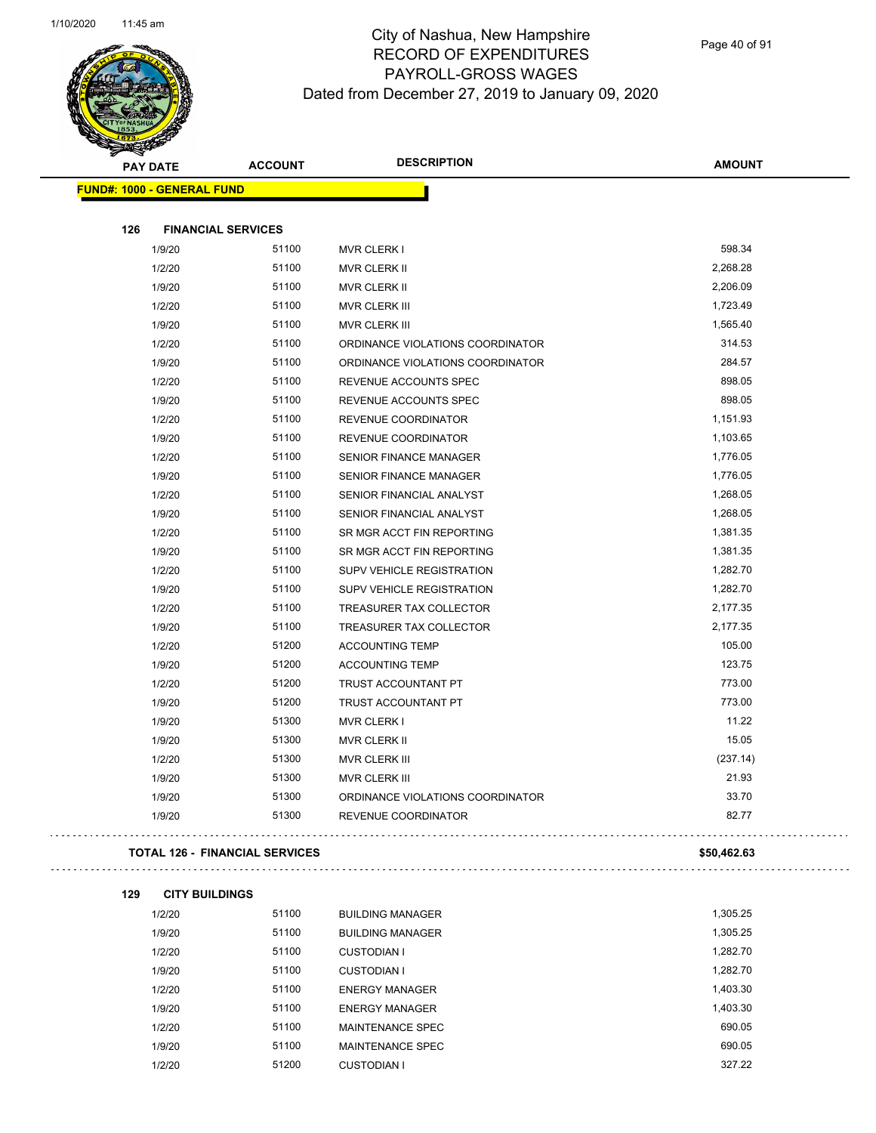

Page 40 of 91

| <b>STATES RAD</b>                 |                                       |                                  |               |
|-----------------------------------|---------------------------------------|----------------------------------|---------------|
| <b>PAY DATE</b>                   | <b>ACCOUNT</b>                        | <b>DESCRIPTION</b>               | <b>AMOUNT</b> |
| <b>FUND#: 1000 - GENERAL FUND</b> |                                       |                                  |               |
|                                   |                                       |                                  |               |
| 126                               | <b>FINANCIAL SERVICES</b>             |                                  |               |
| 1/9/20                            | 51100                                 | <b>MVR CLERK I</b>               | 598.34        |
| 1/2/20                            | 51100                                 | MVR CLERK II                     | 2,268.28      |
| 1/9/20                            | 51100                                 | MVR CLERK II                     | 2,206.09      |
| 1/2/20                            | 51100                                 | MVR CLERK III                    | 1,723.49      |
| 1/9/20                            | 51100                                 | <b>MVR CLERK III</b>             | 1,565.40      |
| 1/2/20                            | 51100                                 | ORDINANCE VIOLATIONS COORDINATOR | 314.53        |
| 1/9/20                            | 51100                                 | ORDINANCE VIOLATIONS COORDINATOR | 284.57        |
| 1/2/20                            | 51100                                 | REVENUE ACCOUNTS SPEC            | 898.05        |
| 1/9/20                            | 51100                                 | REVENUE ACCOUNTS SPEC            | 898.05        |
| 1/2/20                            | 51100                                 | REVENUE COORDINATOR              | 1,151.93      |
| 1/9/20                            | 51100                                 | <b>REVENUE COORDINATOR</b>       | 1,103.65      |
| 1/2/20                            | 51100                                 | <b>SENIOR FINANCE MANAGER</b>    | 1,776.05      |
| 1/9/20                            | 51100                                 | <b>SENIOR FINANCE MANAGER</b>    | 1,776.05      |
| 1/2/20                            | 51100                                 | SENIOR FINANCIAL ANALYST         | 1,268.05      |
| 1/9/20                            | 51100                                 | SENIOR FINANCIAL ANALYST         | 1,268.05      |
| 1/2/20                            | 51100                                 | SR MGR ACCT FIN REPORTING        | 1,381.35      |
| 1/9/20                            | 51100                                 | SR MGR ACCT FIN REPORTING        | 1,381.35      |
| 1/2/20                            | 51100                                 | <b>SUPV VEHICLE REGISTRATION</b> | 1,282.70      |
| 1/9/20                            | 51100                                 | <b>SUPV VEHICLE REGISTRATION</b> | 1,282.70      |
| 1/2/20                            | 51100                                 | TREASURER TAX COLLECTOR          | 2,177.35      |
| 1/9/20                            | 51100                                 | TREASURER TAX COLLECTOR          | 2,177.35      |
| 1/2/20                            | 51200                                 | <b>ACCOUNTING TEMP</b>           | 105.00        |
| 1/9/20                            | 51200                                 | <b>ACCOUNTING TEMP</b>           | 123.75        |
| 1/2/20                            | 51200                                 | <b>TRUST ACCOUNTANT PT</b>       | 773.00        |
| 1/9/20                            | 51200                                 | TRUST ACCOUNTANT PT              | 773.00        |
| 1/9/20                            | 51300                                 | MVR CLERK I                      | 11.22         |
| 1/9/20                            | 51300                                 | MVR CLERK II                     | 15.05         |
| 1/2/20                            | 51300                                 | <b>MVR CLERK III</b>             | (237.14)      |
| 1/9/20                            | 51300                                 | MVR CLERK III                    | 21.93         |
| 1/9/20                            | 51300                                 | ORDINANCE VIOLATIONS COORDINATOR | 33.70         |
| 1/9/20                            | 51300                                 | REVENUE COORDINATOR              | 82.77         |
|                                   |                                       |                                  |               |
|                                   | <b>TOTAL 126 - FINANCIAL SERVICES</b> |                                  | \$50,462.63   |
| 129                               | <b>CITY BUILDINGS</b>                 |                                  |               |
| 1/2/20                            | 51100                                 | <b>BUILDING MANAGER</b>          | 1,305.25      |
| 1/9/20                            | 51100                                 | <b>BUILDING MANAGER</b>          | 1,305.25      |
| 1/2/20                            | 51100                                 | <b>CUSTODIAN I</b>               | 1,282.70      |
| 1/9/20                            | 51100                                 | <b>CUSTODIAN I</b>               | 1,282.70      |
| 1/2/20                            | 51100                                 | <b>ENERGY MANAGER</b>            | 1,403.30      |
| 1/9/20                            | 51100                                 | <b>ENERGY MANAGER</b>            | 1,403.30      |
| 1/2/20                            | 51100                                 | MAINTENANCE SPEC                 | 690.05        |
| 1/9/20                            | 51100                                 | MAINTENANCE SPEC                 | 690.05        |

1/2/20 51200 CUSTODIAN I 327.22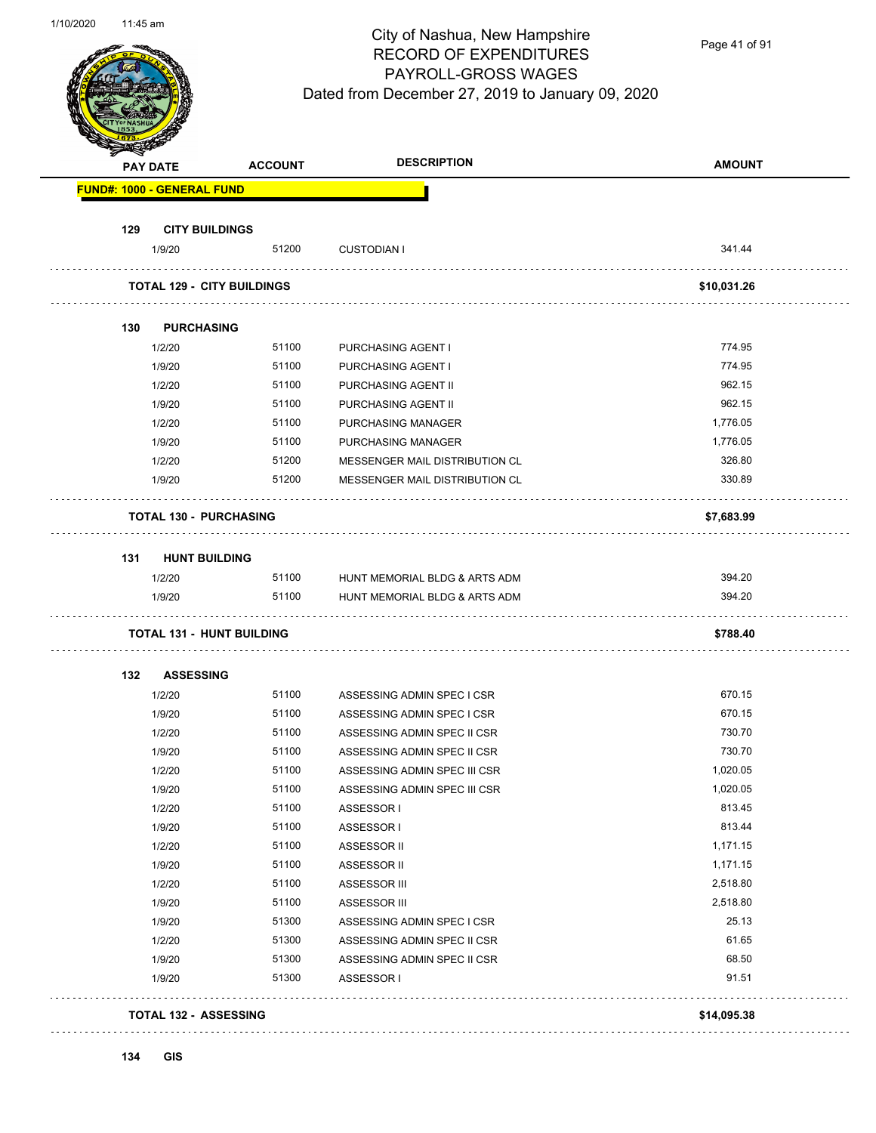Page 41 of 91

| <b>PAY DATE</b>                   | <b>ACCOUNT</b> | <b>DESCRIPTION</b>             | <b>AMOUNT</b> |
|-----------------------------------|----------------|--------------------------------|---------------|
| <b>FUND#: 1000 - GENERAL FUND</b> |                |                                |               |
| 129<br><b>CITY BUILDINGS</b>      |                |                                |               |
| 1/9/20                            | 51200          | <b>CUSTODIAN I</b>             | 341.44        |
| <b>TOTAL 129 - CITY BUILDINGS</b> |                |                                | \$10,031.26   |
| 130<br><b>PURCHASING</b>          |                |                                |               |
| 1/2/20                            | 51100          | PURCHASING AGENT I             | 774.95        |
| 1/9/20                            | 51100          | PURCHASING AGENT I             | 774.95        |
| 1/2/20                            | 51100          | PURCHASING AGENT II            | 962.15        |
| 1/9/20                            | 51100          | PURCHASING AGENT II            | 962.15        |
| 1/2/20                            | 51100          | <b>PURCHASING MANAGER</b>      | 1,776.05      |
| 1/9/20                            | 51100          | PURCHASING MANAGER             | 1,776.05      |
| 1/2/20                            | 51200          | MESSENGER MAIL DISTRIBUTION CL | 326.80        |
| 1/9/20                            | 51200          | MESSENGER MAIL DISTRIBUTION CL | 330.89        |
| <b>TOTAL 130 - PURCHASING</b>     |                |                                | \$7,683.99    |
| 131<br><b>HUNT BUILDING</b>       |                |                                |               |
| 1/2/20                            | 51100          | HUNT MEMORIAL BLDG & ARTS ADM  | 394.20        |
| 1/9/20                            | 51100          | HUNT MEMORIAL BLDG & ARTS ADM  | 394.20        |
| <b>TOTAL 131 - HUNT BUILDING</b>  |                |                                | \$788.40      |
| 132<br><b>ASSESSING</b>           |                |                                |               |
| 1/2/20                            | 51100          | ASSESSING ADMIN SPEC I CSR     | 670.15        |
| 1/9/20                            | 51100          | ASSESSING ADMIN SPEC I CSR     | 670.15        |
| 1/2/20                            | 51100          | ASSESSING ADMIN SPEC II CSR    | 730.70        |
| 1/9/20                            | 51100          | ASSESSING ADMIN SPEC II CSR    | 730.70        |
| 1/2/20                            | 51100          | ASSESSING ADMIN SPEC III CSR   | 1,020.05      |
| 1/9/20                            | 51100          | ASSESSING ADMIN SPEC III CSR   | 1,020.05      |
| 1/2/20                            | 51100          | ASSESSOR I                     | 813.45        |
| 1/9/20                            | 51100          | ASSESSOR I                     | 813.44        |
| 1/2/20                            | 51100          | ASSESSOR II                    | 1,171.15      |
| 1/9/20                            | 51100          | ASSESSOR II                    | 1,171.15      |
| 1/2/20                            | 51100          | ASSESSOR III                   | 2,518.80      |
| 1/9/20                            | 51100          | ASSESSOR III                   | 2,518.80      |
| 1/9/20                            | 51300          | ASSESSING ADMIN SPEC I CSR     | 25.13         |
| 1/2/20                            | 51300          | ASSESSING ADMIN SPEC II CSR    | 61.65         |
| 1/9/20                            | 51300          | ASSESSING ADMIN SPEC II CSR    | 68.50         |
| 1/9/20                            | 51300          | ASSESSOR I                     | 91.51         |
|                                   |                |                                |               |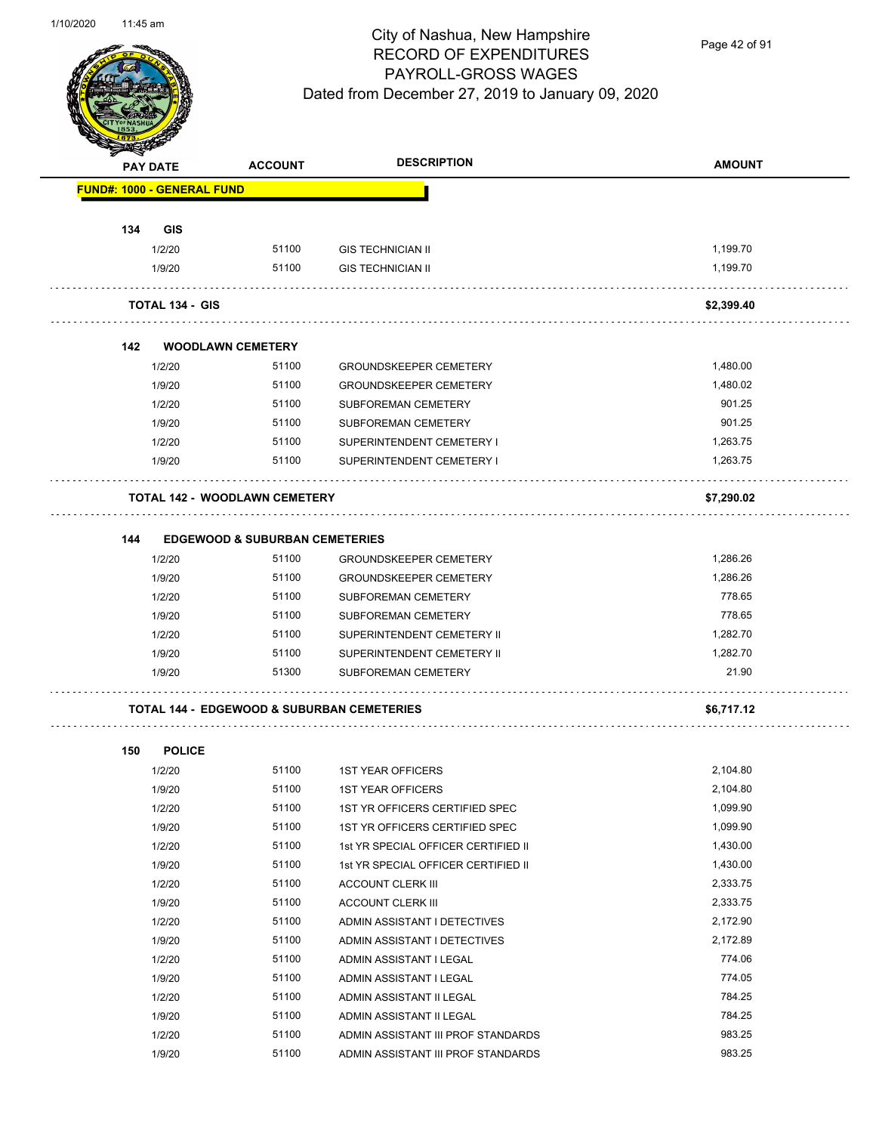

Page 42 of 91

| <b>STATERS</b> |                                      |                                           |                                                       |                   |
|----------------|--------------------------------------|-------------------------------------------|-------------------------------------------------------|-------------------|
|                | <b>PAY DATE</b>                      | <b>ACCOUNT</b>                            | <b>DESCRIPTION</b>                                    | <b>AMOUNT</b>     |
|                | <b>FUND#: 1000 - GENERAL FUND</b>    |                                           |                                                       |                   |
|                |                                      |                                           |                                                       |                   |
| 134            | <b>GIS</b>                           |                                           |                                                       |                   |
|                | 1/2/20                               | 51100                                     | <b>GIS TECHNICIAN II</b>                              | 1,199.70          |
|                | 1/9/20                               | 51100                                     | <b>GIS TECHNICIAN II</b>                              | 1,199.70          |
|                | <b>TOTAL 134 - GIS</b>               |                                           |                                                       | \$2,399.40        |
| 142            | <b>WOODLAWN CEMETERY</b>             |                                           |                                                       |                   |
|                | 1/2/20                               | 51100                                     | <b>GROUNDSKEEPER CEMETERY</b>                         | 1,480.00          |
|                | 1/9/20                               | 51100                                     | <b>GROUNDSKEEPER CEMETERY</b>                         | 1,480.02          |
|                | 1/2/20                               | 51100                                     | SUBFOREMAN CEMETERY                                   | 901.25            |
|                | 1/9/20                               | 51100                                     | SUBFOREMAN CEMETERY                                   | 901.25            |
|                | 1/2/20                               | 51100                                     | SUPERINTENDENT CEMETERY I                             | 1,263.75          |
|                | 1/9/20                               | 51100                                     | SUPERINTENDENT CEMETERY I                             | 1,263.75          |
|                | <b>TOTAL 142 - WOODLAWN CEMETERY</b> |                                           |                                                       | \$7,290.02        |
|                |                                      |                                           |                                                       |                   |
| 144            |                                      | <b>EDGEWOOD &amp; SUBURBAN CEMETERIES</b> |                                                       |                   |
|                | 1/2/20                               | 51100                                     | <b>GROUNDSKEEPER CEMETERY</b>                         | 1,286.26          |
|                | 1/9/20                               | 51100                                     | GROUNDSKEEPER CEMETERY                                | 1,286.26          |
|                | 1/2/20                               | 51100                                     | SUBFOREMAN CEMETERY                                   | 778.65            |
|                | 1/9/20                               | 51100                                     | <b>SUBFOREMAN CEMETERY</b>                            | 778.65            |
|                | 1/2/20                               | 51100                                     | SUPERINTENDENT CEMETERY II                            | 1,282.70          |
|                | 1/9/20<br>1/9/20                     | 51100<br>51300                            | SUPERINTENDENT CEMETERY II<br>SUBFOREMAN CEMETERY     | 1,282.70<br>21.90 |
|                |                                      |                                           |                                                       |                   |
|                |                                      |                                           | <b>TOTAL 144 - EDGEWOOD &amp; SUBURBAN CEMETERIES</b> | \$6,717.12        |
| 150            | <b>POLICE</b>                        |                                           |                                                       |                   |
|                | 1/2/20                               | 51100                                     | <b>1ST YEAR OFFICERS</b>                              | 2,104.80          |
|                | 1/9/20                               | 51100                                     | 1ST YEAR OFFICERS                                     | 2,104.80          |
|                | 1/2/20                               | 51100                                     | 1ST YR OFFICERS CERTIFIED SPEC                        | 1,099.90          |
|                | 1/9/20                               | 51100                                     | 1ST YR OFFICERS CERTIFIED SPEC                        | 1,099.90          |
|                | 1/2/20                               | 51100                                     | 1st YR SPECIAL OFFICER CERTIFIED II                   | 1,430.00          |
|                | 1/9/20                               | 51100                                     | 1st YR SPECIAL OFFICER CERTIFIED II                   | 1,430.00          |
|                | 1/2/20                               | 51100                                     | <b>ACCOUNT CLERK III</b>                              | 2,333.75          |
|                | 1/9/20                               | 51100                                     | <b>ACCOUNT CLERK III</b>                              | 2,333.75          |
|                | 1/2/20                               | 51100                                     | ADMIN ASSISTANT I DETECTIVES                          | 2,172.90          |
|                | 1/9/20                               | 51100                                     | ADMIN ASSISTANT I DETECTIVES                          | 2,172.89          |
|                | 1/2/20                               | 51100                                     | ADMIN ASSISTANT I LEGAL                               | 774.06            |
|                | 1/9/20                               | 51100                                     | ADMIN ASSISTANT I LEGAL                               | 774.05            |
|                | 1/2/20                               | 51100                                     | ADMIN ASSISTANT II LEGAL                              | 784.25            |
|                | 1/9/20                               | 51100                                     | ADMIN ASSISTANT II LEGAL                              | 784.25            |

1/2/20 51100 ADMIN ASSISTANT III PROF STANDARDS 1/9/20 51100 ADMIN ASSISTANT III PROF STANDARDS 983.25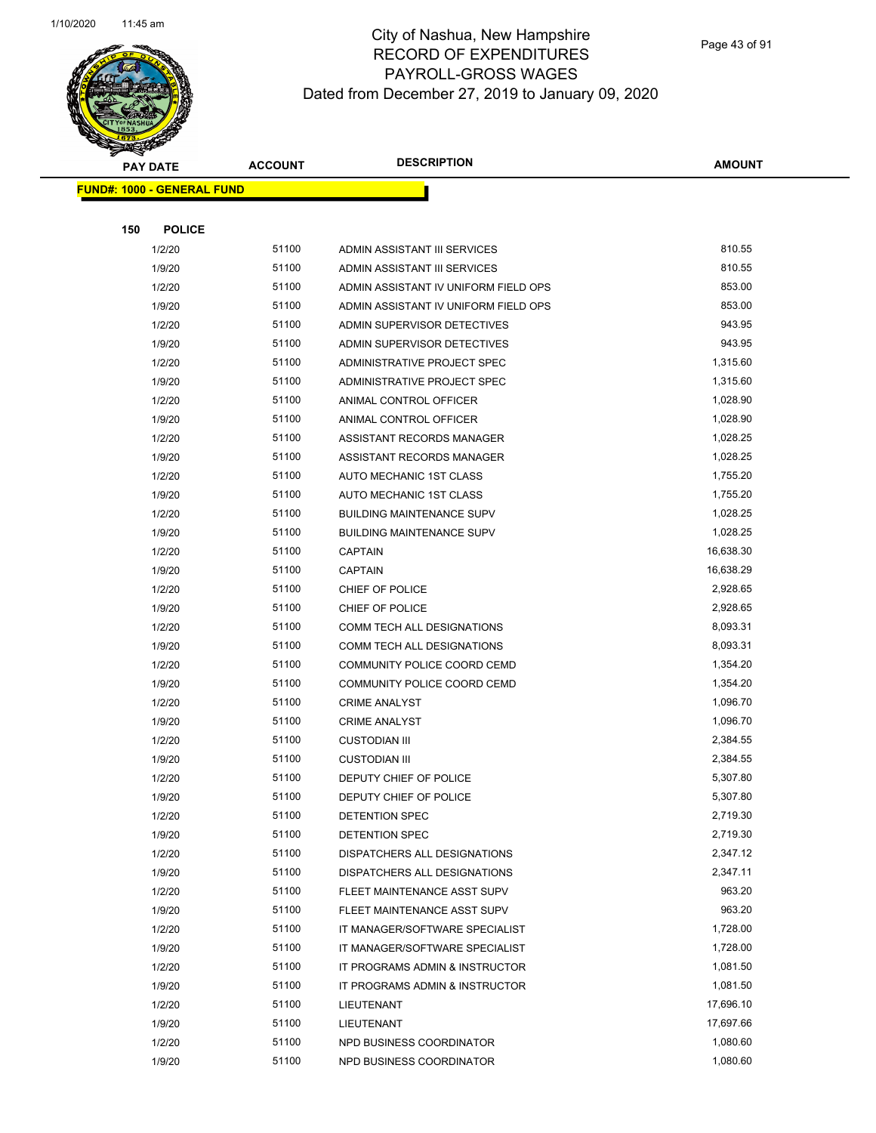

Page 43 of 91

| <b>PAY DATE</b>                   | <b>ACCOUNT</b> | <b>DESCRIPTION</b>                     | <b>AMOUNT</b>        |
|-----------------------------------|----------------|----------------------------------------|----------------------|
| <b>FUND#: 1000 - GENERAL FUND</b> |                |                                        |                      |
|                                   |                |                                        |                      |
| 150<br><b>POLICE</b>              |                |                                        |                      |
| 1/2/20                            | 51100          | ADMIN ASSISTANT III SERVICES           | 810.55               |
| 1/9/20                            | 51100          | ADMIN ASSISTANT III SERVICES           | 810.55               |
| 1/2/20                            | 51100          | ADMIN ASSISTANT IV UNIFORM FIELD OPS   | 853.00               |
| 1/9/20                            | 51100          | ADMIN ASSISTANT IV UNIFORM FIELD OPS   | 853.00               |
| 1/2/20                            | 51100          | ADMIN SUPERVISOR DETECTIVES            | 943.95               |
| 1/9/20                            | 51100          | ADMIN SUPERVISOR DETECTIVES            | 943.95               |
| 1/2/20                            | 51100          | ADMINISTRATIVE PROJECT SPEC            | 1,315.60             |
| 1/9/20                            | 51100          | ADMINISTRATIVE PROJECT SPEC            | 1,315.60             |
| 1/2/20                            | 51100          | ANIMAL CONTROL OFFICER                 | 1,028.90             |
| 1/9/20                            | 51100          | ANIMAL CONTROL OFFICER                 | 1,028.90             |
| 1/2/20                            | 51100          | ASSISTANT RECORDS MANAGER              | 1,028.25             |
| 1/9/20                            | 51100          | ASSISTANT RECORDS MANAGER              | 1,028.25             |
| 1/2/20                            | 51100          | AUTO MECHANIC 1ST CLASS                | 1,755.20             |
| 1/9/20                            | 51100          | AUTO MECHANIC 1ST CLASS                | 1,755.20             |
| 1/2/20                            | 51100          | <b>BUILDING MAINTENANCE SUPV</b>       | 1,028.25             |
| 1/9/20                            | 51100          | <b>BUILDING MAINTENANCE SUPV</b>       | 1,028.25             |
| 1/2/20                            | 51100          | <b>CAPTAIN</b>                         | 16,638.30            |
| 1/9/20                            | 51100          | <b>CAPTAIN</b>                         | 16,638.29            |
| 1/2/20                            | 51100          | CHIEF OF POLICE                        | 2,928.65             |
| 1/9/20                            | 51100          | CHIEF OF POLICE                        | 2,928.65             |
| 1/2/20                            | 51100          | COMM TECH ALL DESIGNATIONS             | 8,093.31             |
| 1/9/20                            | 51100          | COMM TECH ALL DESIGNATIONS             | 8,093.31             |
| 1/2/20                            | 51100          | COMMUNITY POLICE COORD CEMD            | 1,354.20             |
| 1/9/20                            | 51100          | COMMUNITY POLICE COORD CEMD            | 1,354.20             |
| 1/2/20                            | 51100          | <b>CRIME ANALYST</b>                   | 1,096.70             |
| 1/9/20                            | 51100          | <b>CRIME ANALYST</b>                   | 1,096.70             |
| 1/2/20                            | 51100          | <b>CUSTODIAN III</b>                   | 2,384.55             |
| 1/9/20                            | 51100          | <b>CUSTODIAN III</b>                   | 2,384.55             |
| 1/2/20                            | 51100          | DEPUTY CHIEF OF POLICE                 | 5,307.80             |
| 1/9/20                            | 51100          | DEPUTY CHIEF OF POLICE                 | 5,307.80             |
| 1/2/20                            | 51100          | DETENTION SPEC                         | 2,719.30             |
| 1/9/20                            | 51100          | DETENTION SPEC                         | 2,719.30             |
| 1/2/20                            | 51100          | DISPATCHERS ALL DESIGNATIONS           | 2,347.12             |
| 1/9/20                            | 51100          | DISPATCHERS ALL DESIGNATIONS           | 2,347.11             |
| 1/2/20                            | 51100          | FLEET MAINTENANCE ASST SUPV            | 963.20               |
| 1/9/20                            | 51100          | FLEET MAINTENANCE ASST SUPV            | 963.20               |
| 1/2/20                            | 51100          | IT MANAGER/SOFTWARE SPECIALIST         | 1,728.00             |
| 1/9/20                            | 51100          | IT MANAGER/SOFTWARE SPECIALIST         | 1,728.00             |
| 1/2/20                            | 51100<br>51100 | IT PROGRAMS ADMIN & INSTRUCTOR         | 1,081.50<br>1,081.50 |
| 1/9/20                            | 51100          | IT PROGRAMS ADMIN & INSTRUCTOR         | 17,696.10            |
| 1/2/20                            | 51100          | LIEUTENANT                             | 17,697.66            |
| 1/9/20<br>1/2/20                  | 51100          | LIEUTENANT<br>NPD BUSINESS COORDINATOR | 1,080.60             |
| 1/9/20                            | 51100          | NPD BUSINESS COORDINATOR               | 1,080.60             |
|                                   |                |                                        |                      |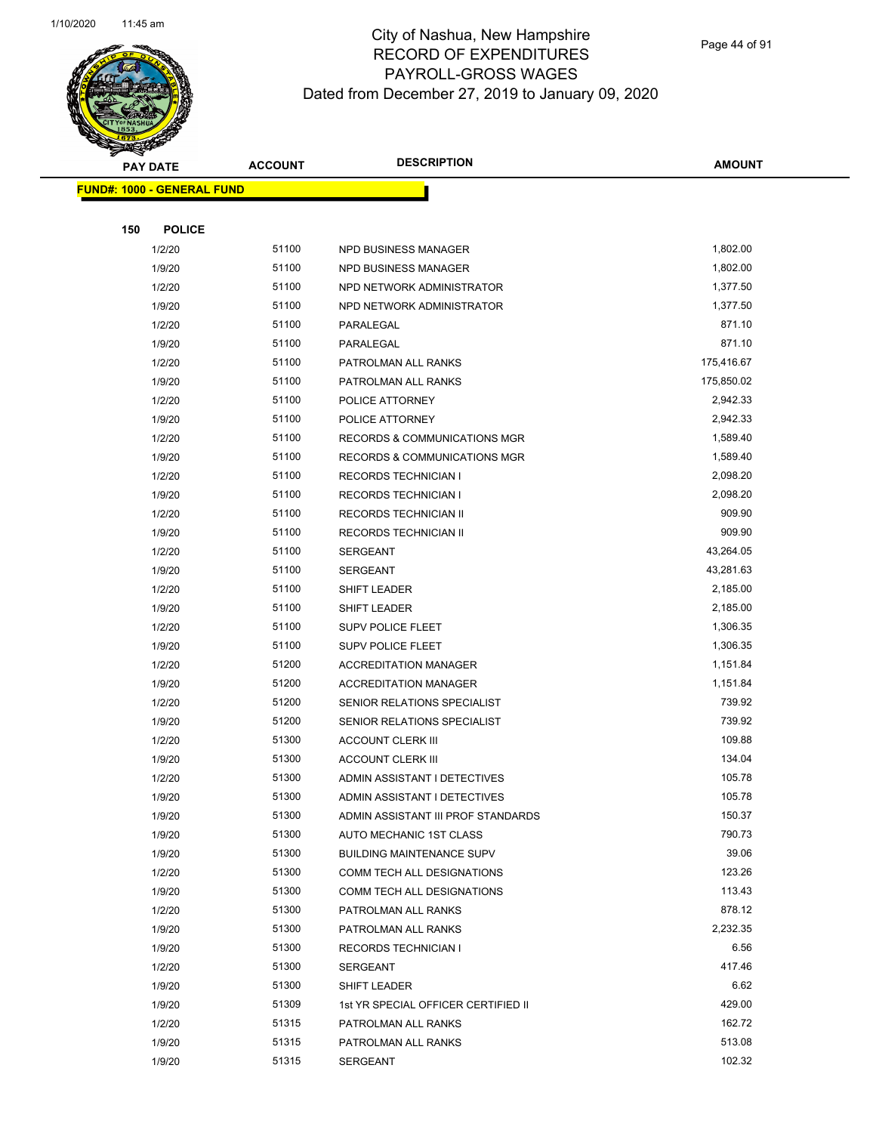

Page 44 of 91

|     | <b>PAY DATE</b>                   | <b>ACCOUNT</b> | <b>DESCRIPTION</b>                         | <b>AMOUNT</b>   |
|-----|-----------------------------------|----------------|--------------------------------------------|-----------------|
|     | <b>FUND#: 1000 - GENERAL FUND</b> |                |                                            |                 |
|     |                                   |                |                                            |                 |
| 150 | <b>POLICE</b>                     |                |                                            |                 |
|     | 1/2/20                            | 51100          | NPD BUSINESS MANAGER                       | 1,802.00        |
|     | 1/9/20                            | 51100          | NPD BUSINESS MANAGER                       | 1,802.00        |
|     | 1/2/20                            | 51100          | NPD NETWORK ADMINISTRATOR                  | 1,377.50        |
|     | 1/9/20                            | 51100          | NPD NETWORK ADMINISTRATOR                  | 1,377.50        |
|     | 1/2/20                            | 51100          | PARALEGAL                                  | 871.10          |
|     | 1/9/20                            | 51100          | PARALEGAL                                  | 871.10          |
|     | 1/2/20                            | 51100          | PATROLMAN ALL RANKS                        | 175,416.67      |
|     | 1/9/20                            | 51100          | PATROLMAN ALL RANKS                        | 175,850.02      |
|     | 1/2/20                            | 51100          | POLICE ATTORNEY                            | 2,942.33        |
|     | 1/9/20                            | 51100          | POLICE ATTORNEY                            | 2,942.33        |
|     | 1/2/20                            | 51100          | <b>RECORDS &amp; COMMUNICATIONS MGR</b>    | 1,589.40        |
|     | 1/9/20                            | 51100          | RECORDS & COMMUNICATIONS MGR               | 1,589.40        |
|     | 1/2/20                            | 51100          | <b>RECORDS TECHNICIAN I</b>                | 2,098.20        |
|     | 1/9/20                            | 51100          | <b>RECORDS TECHNICIAN I</b>                | 2,098.20        |
|     | 1/2/20                            | 51100          | RECORDS TECHNICIAN II                      | 909.90          |
|     | 1/9/20                            | 51100          | RECORDS TECHNICIAN II                      | 909.90          |
|     | 1/2/20                            | 51100          | <b>SERGEANT</b>                            | 43,264.05       |
|     | 1/9/20                            | 51100          | <b>SERGEANT</b>                            | 43,281.63       |
|     | 1/2/20                            | 51100          | SHIFT LEADER                               | 2,185.00        |
|     | 1/9/20                            | 51100          | SHIFT LEADER                               | 2,185.00        |
|     | 1/2/20                            | 51100          | <b>SUPV POLICE FLEET</b>                   | 1,306.35        |
|     | 1/9/20                            | 51100          | <b>SUPV POLICE FLEET</b>                   | 1,306.35        |
|     | 1/2/20                            | 51200          | <b>ACCREDITATION MANAGER</b>               | 1,151.84        |
|     | 1/9/20                            | 51200          | <b>ACCREDITATION MANAGER</b>               | 1,151.84        |
|     | 1/2/20                            | 51200          | SENIOR RELATIONS SPECIALIST                | 739.92          |
|     | 1/9/20                            | 51200          | SENIOR RELATIONS SPECIALIST                | 739.92          |
|     | 1/2/20                            | 51300          | <b>ACCOUNT CLERK III</b>                   | 109.88          |
|     | 1/9/20                            | 51300          | <b>ACCOUNT CLERK III</b>                   | 134.04          |
|     | 1/2/20                            | 51300          | ADMIN ASSISTANT I DETECTIVES               | 105.78          |
|     | 1/9/20                            | 51300          | ADMIN ASSISTANT I DETECTIVES               | 105.78          |
|     | 1/9/20                            | 51300          | ADMIN ASSISTANT III PROF STANDARDS         | 150.37          |
|     | 1/9/20                            | 51300          | AUTO MECHANIC 1ST CLASS                    | 790.73          |
|     | 1/9/20                            | 51300          | <b>BUILDING MAINTENANCE SUPV</b>           | 39.06<br>123.26 |
|     | 1/2/20                            | 51300<br>51300 | COMM TECH ALL DESIGNATIONS                 | 113.43          |
|     | 1/9/20                            | 51300          | COMM TECH ALL DESIGNATIONS                 | 878.12          |
|     | 1/2/20<br>1/9/20                  | 51300          | PATROLMAN ALL RANKS<br>PATROLMAN ALL RANKS | 2,232.35        |
|     | 1/9/20                            | 51300          | <b>RECORDS TECHNICIAN I</b>                | 6.56            |
|     | 1/2/20                            | 51300          | SERGEANT                                   | 417.46          |
|     | 1/9/20                            | 51300          | SHIFT LEADER                               | 6.62            |
|     | 1/9/20                            | 51309          | 1st YR SPECIAL OFFICER CERTIFIED II        | 429.00          |
|     | 1/2/20                            | 51315          | PATROLMAN ALL RANKS                        | 162.72          |
|     | 1/9/20                            | 51315          | PATROLMAN ALL RANKS                        | 513.08          |
|     | 1/9/20                            | 51315          | SERGEANT                                   | 102.32          |
|     |                                   |                |                                            |                 |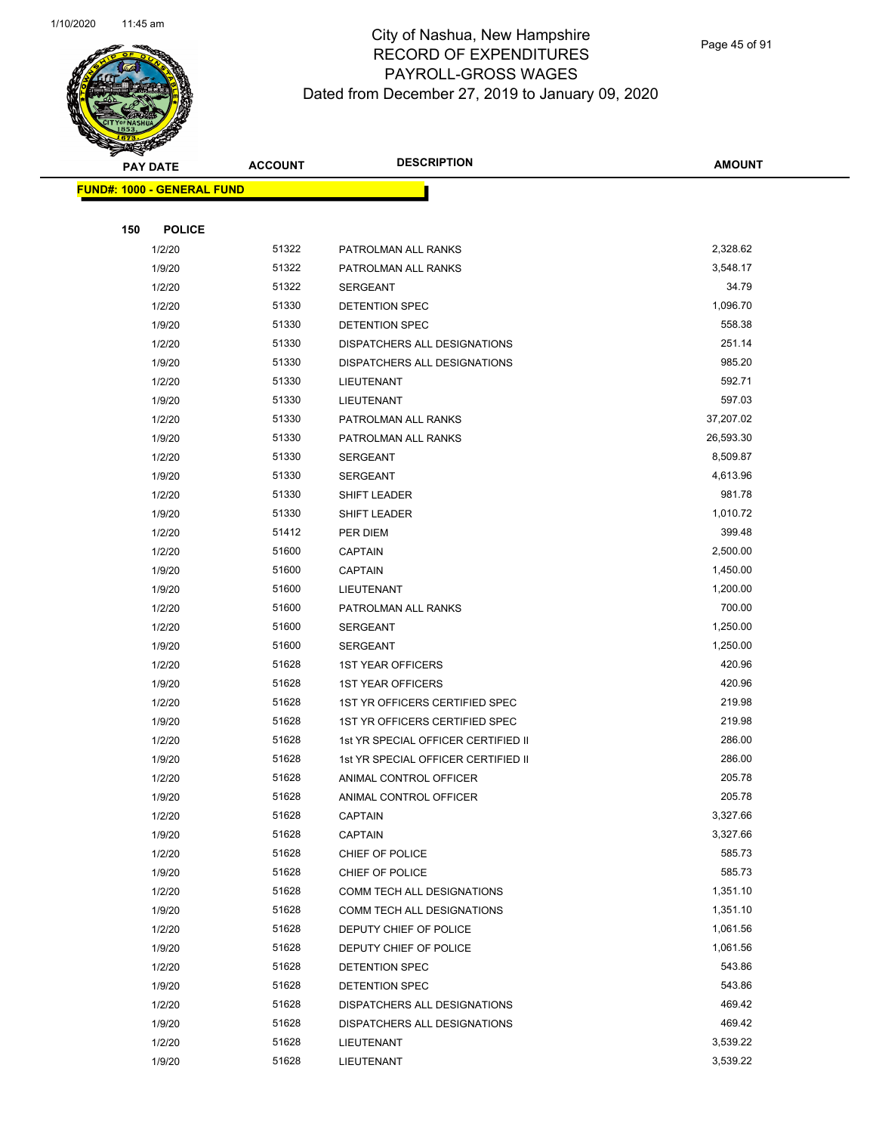

Page 45 of 91

|     | <b>PAY DATE</b>                   | <b>ACCOUNT</b> | <b>DESCRIPTION</b>                  | <b>AMOUNT</b> |
|-----|-----------------------------------|----------------|-------------------------------------|---------------|
|     | <b>FUND#: 1000 - GENERAL FUND</b> |                |                                     |               |
|     |                                   |                |                                     |               |
| 150 | <b>POLICE</b>                     |                |                                     |               |
|     | 1/2/20                            | 51322          | PATROLMAN ALL RANKS                 | 2,328.62      |
|     | 1/9/20                            | 51322          | PATROLMAN ALL RANKS                 | 3,548.17      |
|     | 1/2/20                            | 51322          | SERGEANT                            | 34.79         |
|     | 1/2/20                            | 51330          | DETENTION SPEC                      | 1,096.70      |
|     | 1/9/20                            | 51330          | DETENTION SPEC                      | 558.38        |
|     | 1/2/20                            | 51330          | DISPATCHERS ALL DESIGNATIONS        | 251.14        |
|     | 1/9/20                            | 51330          | DISPATCHERS ALL DESIGNATIONS        | 985.20        |
|     | 1/2/20                            | 51330          | LIEUTENANT                          | 592.71        |
|     | 1/9/20                            | 51330          | LIEUTENANT                          | 597.03        |
|     | 1/2/20                            | 51330          | PATROLMAN ALL RANKS                 | 37,207.02     |
|     | 1/9/20                            | 51330          | PATROLMAN ALL RANKS                 | 26,593.30     |
|     | 1/2/20                            | 51330          | <b>SERGEANT</b>                     | 8,509.87      |
|     | 1/9/20                            | 51330          | <b>SERGEANT</b>                     | 4,613.96      |
|     | 1/2/20                            | 51330          | SHIFT LEADER                        | 981.78        |
|     | 1/9/20                            | 51330          | SHIFT LEADER                        | 1,010.72      |
|     | 1/2/20                            | 51412          | PER DIEM                            | 399.48        |
|     | 1/2/20                            | 51600          | <b>CAPTAIN</b>                      | 2,500.00      |
|     | 1/9/20                            | 51600          | CAPTAIN                             | 1,450.00      |
|     | 1/9/20                            | 51600          | LIEUTENANT                          | 1,200.00      |
|     | 1/2/20                            | 51600          | PATROLMAN ALL RANKS                 | 700.00        |
|     | 1/2/20                            | 51600          | <b>SERGEANT</b>                     | 1,250.00      |
|     | 1/9/20                            | 51600          | SERGEANT                            | 1,250.00      |
|     | 1/2/20                            | 51628          | <b>1ST YEAR OFFICERS</b>            | 420.96        |
|     | 1/9/20                            | 51628          | <b>1ST YEAR OFFICERS</b>            | 420.96        |
|     | 1/2/20                            | 51628          | 1ST YR OFFICERS CERTIFIED SPEC      | 219.98        |
|     | 1/9/20                            | 51628          | 1ST YR OFFICERS CERTIFIED SPEC      | 219.98        |
|     | 1/2/20                            | 51628          | 1st YR SPECIAL OFFICER CERTIFIED II | 286.00        |
|     | 1/9/20                            | 51628          | 1st YR SPECIAL OFFICER CERTIFIED II | 286.00        |
|     | 1/2/20                            | 51628          | ANIMAL CONTROL OFFICER              | 205.78        |
|     | 1/9/20                            | 51628          | ANIMAL CONTROL OFFICER              | 205.78        |
|     | 1/2/20                            | 51628          | CAPTAIN                             | 3,327.66      |
|     | 1/9/20                            | 51628          | CAPTAIN                             | 3,327.66      |
|     | 1/2/20                            | 51628          | CHIEF OF POLICE                     | 585.73        |
|     | 1/9/20                            | 51628          | CHIEF OF POLICE                     | 585.73        |
|     | 1/2/20                            | 51628          | COMM TECH ALL DESIGNATIONS          | 1,351.10      |
|     | 1/9/20                            | 51628          | COMM TECH ALL DESIGNATIONS          | 1,351.10      |
|     | 1/2/20                            | 51628          | DEPUTY CHIEF OF POLICE              | 1,061.56      |
|     | 1/9/20                            | 51628          | DEPUTY CHIEF OF POLICE              | 1,061.56      |
|     | 1/2/20                            | 51628          | DETENTION SPEC                      | 543.86        |
|     | 1/9/20                            | 51628          | DETENTION SPEC                      | 543.86        |
|     | 1/2/20                            | 51628          | DISPATCHERS ALL DESIGNATIONS        | 469.42        |
|     | 1/9/20                            | 51628          | DISPATCHERS ALL DESIGNATIONS        | 469.42        |
|     | 1/2/20                            | 51628          | LIEUTENANT                          | 3,539.22      |
|     | 1/9/20                            | 51628          | LIEUTENANT                          | 3,539.22      |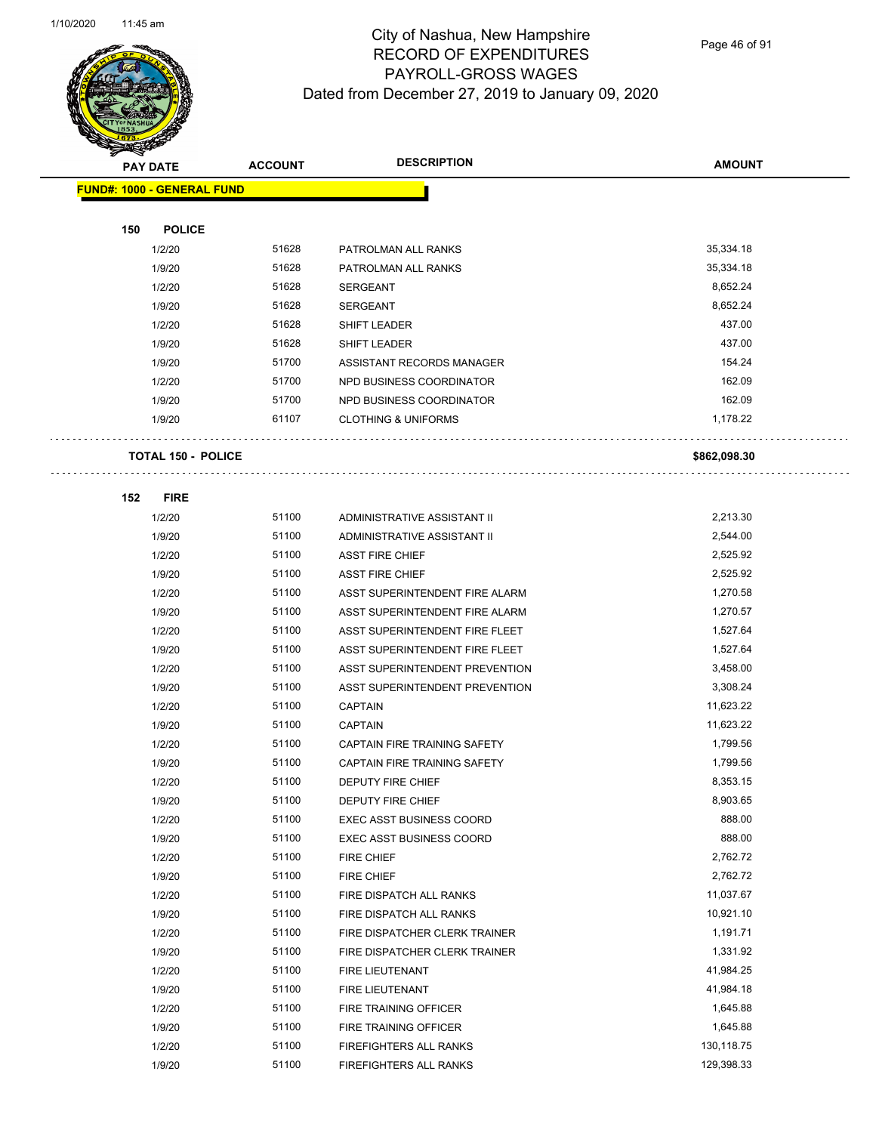

Page 46 of 91

|     | <b>PAY DATE</b>                   | <b>ACCOUNT</b> | <b>DESCRIPTION</b>              | <b>AMOUNT</b> |
|-----|-----------------------------------|----------------|---------------------------------|---------------|
|     | <b>FUND#: 1000 - GENERAL FUND</b> |                |                                 |               |
|     |                                   |                |                                 |               |
| 150 | <b>POLICE</b>                     |                |                                 |               |
|     | 1/2/20                            | 51628          | PATROLMAN ALL RANKS             | 35,334.18     |
|     | 1/9/20                            | 51628          | PATROLMAN ALL RANKS             | 35,334.18     |
|     | 1/2/20                            | 51628          | <b>SERGEANT</b>                 | 8,652.24      |
|     | 1/9/20                            | 51628          | <b>SERGEANT</b>                 | 8,652.24      |
|     | 1/2/20                            | 51628          | <b>SHIFT LEADER</b>             | 437.00        |
|     | 1/9/20                            | 51628          | SHIFT LEADER                    | 437.00        |
|     | 1/9/20                            | 51700          | ASSISTANT RECORDS MANAGER       | 154.24        |
|     | 1/2/20                            | 51700          | NPD BUSINESS COORDINATOR        | 162.09        |
|     | 1/9/20                            | 51700          | NPD BUSINESS COORDINATOR        | 162.09        |
|     | 1/9/20                            | 61107          | <b>CLOTHING &amp; UNIFORMS</b>  | 1,178.22      |
|     | <b>TOTAL 150 - POLICE</b>         |                |                                 | \$862,098.30  |
|     |                                   |                |                                 |               |
| 152 | <b>FIRE</b>                       |                |                                 |               |
|     | 1/2/20                            | 51100          | ADMINISTRATIVE ASSISTANT II     | 2,213.30      |
|     | 1/9/20                            | 51100          | ADMINISTRATIVE ASSISTANT II     | 2,544.00      |
|     | 1/2/20                            | 51100          | <b>ASST FIRE CHIEF</b>          | 2,525.92      |
|     | 1/9/20                            | 51100          | <b>ASST FIRE CHIEF</b>          | 2,525.92      |
|     | 1/2/20                            | 51100          | ASST SUPERINTENDENT FIRE ALARM  | 1,270.58      |
|     | 1/9/20                            | 51100          | ASST SUPERINTENDENT FIRE ALARM  | 1,270.57      |
|     | 1/2/20                            | 51100          | ASST SUPERINTENDENT FIRE FLEET  | 1,527.64      |
|     | 1/9/20                            | 51100          | ASST SUPERINTENDENT FIRE FLEET  | 1,527.64      |
|     | 1/2/20                            | 51100          | ASST SUPERINTENDENT PREVENTION  | 3,458.00      |
|     | 1/9/20                            | 51100          | ASST SUPERINTENDENT PREVENTION  | 3,308.24      |
|     | 1/2/20                            | 51100          | <b>CAPTAIN</b>                  | 11,623.22     |
|     | 1/9/20                            | 51100          | <b>CAPTAIN</b>                  | 11,623.22     |
|     | 1/2/20                            | 51100          | CAPTAIN FIRE TRAINING SAFETY    | 1,799.56      |
|     | 1/9/20                            | 51100          | CAPTAIN FIRE TRAINING SAFETY    | 1,799.56      |
|     | 1/2/20                            | 51100          | <b>DEPUTY FIRE CHIEF</b>        | 8,353.15      |
|     | 1/9/20                            | 51100          | DEPUTY FIRE CHIEF               | 8,903.65      |
|     | 1/2/20                            | 51100          | <b>EXEC ASST BUSINESS COORD</b> | 888.00        |
|     | 1/9/20                            | 51100          | <b>EXEC ASST BUSINESS COORD</b> | 888.00        |
|     | 1/2/20                            | 51100          | FIRE CHIEF                      | 2,762.72      |
|     | 1/9/20                            | 51100          | FIRE CHIEF                      | 2,762.72      |
|     | 1/2/20                            | 51100          | FIRE DISPATCH ALL RANKS         | 11,037.67     |
|     | 1/9/20                            | 51100          | FIRE DISPATCH ALL RANKS         | 10,921.10     |
|     | 1/2/20                            | 51100          | FIRE DISPATCHER CLERK TRAINER   | 1,191.71      |
|     | 1/9/20                            | 51100          | FIRE DISPATCHER CLERK TRAINER   | 1,331.92      |
|     | 1/2/20                            | 51100          | FIRE LIEUTENANT                 | 41,984.25     |
|     | 1/9/20                            | 51100          | FIRE LIEUTENANT                 | 41,984.18     |
|     | 1/2/20                            | 51100          | FIRE TRAINING OFFICER           | 1,645.88      |
|     | 1/9/20                            | 51100          | FIRE TRAINING OFFICER           | 1,645.88      |
|     | 1/2/20                            | 51100          | FIREFIGHTERS ALL RANKS          | 130,118.75    |
|     | 1/9/20                            | 51100          | FIREFIGHTERS ALL RANKS          | 129,398.33    |
|     |                                   |                |                                 |               |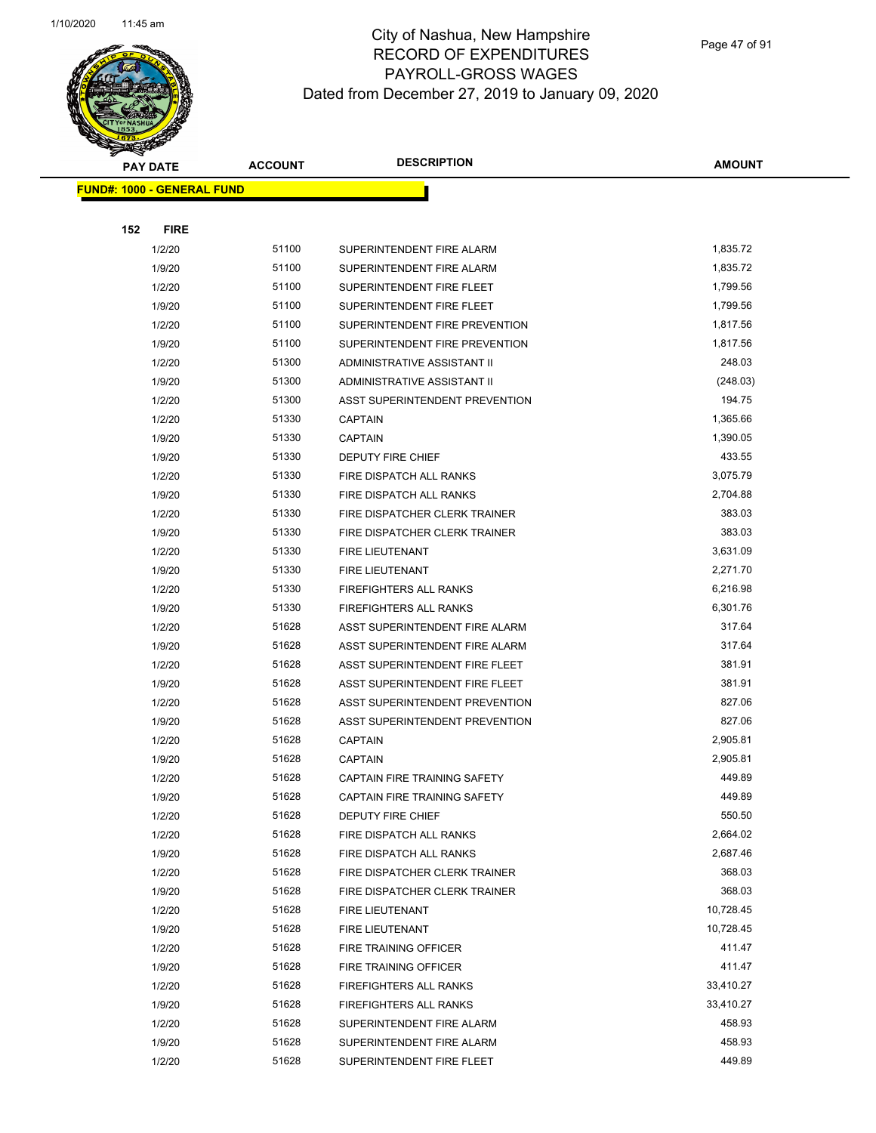

Page 47 of 91

|                                   | <b>PAY DATE</b>  | <b>ACCOUNT</b> | <b>DESCRIPTION</b>                 | AMOUNT           |
|-----------------------------------|------------------|----------------|------------------------------------|------------------|
| <b>FUND#: 1000 - GENERAL FUND</b> |                  |                |                                    |                  |
|                                   |                  |                |                                    |                  |
| 152                               | <b>FIRE</b>      |                |                                    |                  |
|                                   | 1/2/20           | 51100          | SUPERINTENDENT FIRE ALARM          | 1,835.72         |
|                                   | 1/9/20           | 51100          | SUPERINTENDENT FIRE ALARM          | 1,835.72         |
|                                   | 1/2/20           | 51100          | SUPERINTENDENT FIRE FLEET          | 1,799.56         |
|                                   | 1/9/20           | 51100          | SUPERINTENDENT FIRE FLEET          | 1,799.56         |
|                                   | 1/2/20           | 51100          | SUPERINTENDENT FIRE PREVENTION     | 1,817.56         |
|                                   | 1/9/20           | 51100          | SUPERINTENDENT FIRE PREVENTION     | 1,817.56         |
|                                   | 1/2/20           | 51300          | ADMINISTRATIVE ASSISTANT II        | 248.03           |
|                                   | 1/9/20           | 51300          | ADMINISTRATIVE ASSISTANT II        | (248.03)         |
|                                   | 1/2/20           | 51300          | ASST SUPERINTENDENT PREVENTION     | 194.75           |
|                                   | 1/2/20           | 51330          | <b>CAPTAIN</b>                     | 1,365.66         |
|                                   | 1/9/20           | 51330          | <b>CAPTAIN</b>                     | 1,390.05         |
|                                   | 1/9/20           | 51330          | DEPUTY FIRE CHIEF                  | 433.55           |
|                                   | 1/2/20           | 51330          | FIRE DISPATCH ALL RANKS            | 3,075.79         |
|                                   | 1/9/20           | 51330          | FIRE DISPATCH ALL RANKS            | 2,704.88         |
|                                   | 1/2/20           | 51330          | FIRE DISPATCHER CLERK TRAINER      | 383.03           |
|                                   | 1/9/20           | 51330          | FIRE DISPATCHER CLERK TRAINER      | 383.03           |
|                                   | 1/2/20           | 51330          | FIRE LIEUTENANT                    | 3,631.09         |
|                                   | 1/9/20           | 51330          | FIRE LIEUTENANT                    | 2,271.70         |
|                                   | 1/2/20           | 51330          | <b>FIREFIGHTERS ALL RANKS</b>      | 6,216.98         |
|                                   | 1/9/20           | 51330          | <b>FIREFIGHTERS ALL RANKS</b>      | 6,301.76         |
|                                   | 1/2/20           | 51628          | ASST SUPERINTENDENT FIRE ALARM     | 317.64           |
|                                   | 1/9/20           | 51628          | ASST SUPERINTENDENT FIRE ALARM     | 317.64           |
|                                   | 1/2/20           | 51628          | ASST SUPERINTENDENT FIRE FLEET     | 381.91           |
|                                   | 1/9/20           | 51628          | ASST SUPERINTENDENT FIRE FLEET     | 381.91           |
|                                   | 1/2/20           | 51628          | ASST SUPERINTENDENT PREVENTION     | 827.06           |
|                                   | 1/9/20           | 51628          | ASST SUPERINTENDENT PREVENTION     | 827.06           |
|                                   | 1/2/20           | 51628          | <b>CAPTAIN</b>                     | 2,905.81         |
|                                   | 1/9/20           | 51628          | <b>CAPTAIN</b>                     | 2,905.81         |
|                                   | 1/2/20           | 51628          | CAPTAIN FIRE TRAINING SAFETY       | 449.89           |
|                                   | 1/9/20           | 51628          | CAPTAIN FIRE TRAINING SAFETY       | 449.89           |
|                                   | 1/2/20           | 51628          | DEPUTY FIRE CHIEF                  | 550.50           |
|                                   | 1/2/20           | 51628          | FIRE DISPATCH ALL RANKS            | 2,664.02         |
|                                   | 1/9/20           | 51628<br>51628 | FIRE DISPATCH ALL RANKS            | 2,687.46         |
|                                   | 1/2/20           | 51628          | FIRE DISPATCHER CLERK TRAINER      | 368.03<br>368.03 |
|                                   | 1/9/20<br>1/2/20 | 51628          | FIRE DISPATCHER CLERK TRAINER      | 10,728.45        |
|                                   | 1/9/20           | 51628          | FIRE LIEUTENANT<br>FIRE LIEUTENANT | 10,728.45        |
|                                   | 1/2/20           | 51628          | FIRE TRAINING OFFICER              | 411.47           |
|                                   | 1/9/20           | 51628          | FIRE TRAINING OFFICER              | 411.47           |
|                                   | 1/2/20           | 51628          | FIREFIGHTERS ALL RANKS             | 33,410.27        |
|                                   | 1/9/20           | 51628          | FIREFIGHTERS ALL RANKS             | 33,410.27        |
|                                   | 1/2/20           | 51628          | SUPERINTENDENT FIRE ALARM          | 458.93           |
|                                   | 1/9/20           | 51628          | SUPERINTENDENT FIRE ALARM          | 458.93           |
|                                   | 1/2/20           | 51628          | SUPERINTENDENT FIRE FLEET          | 449.89           |
|                                   |                  |                |                                    |                  |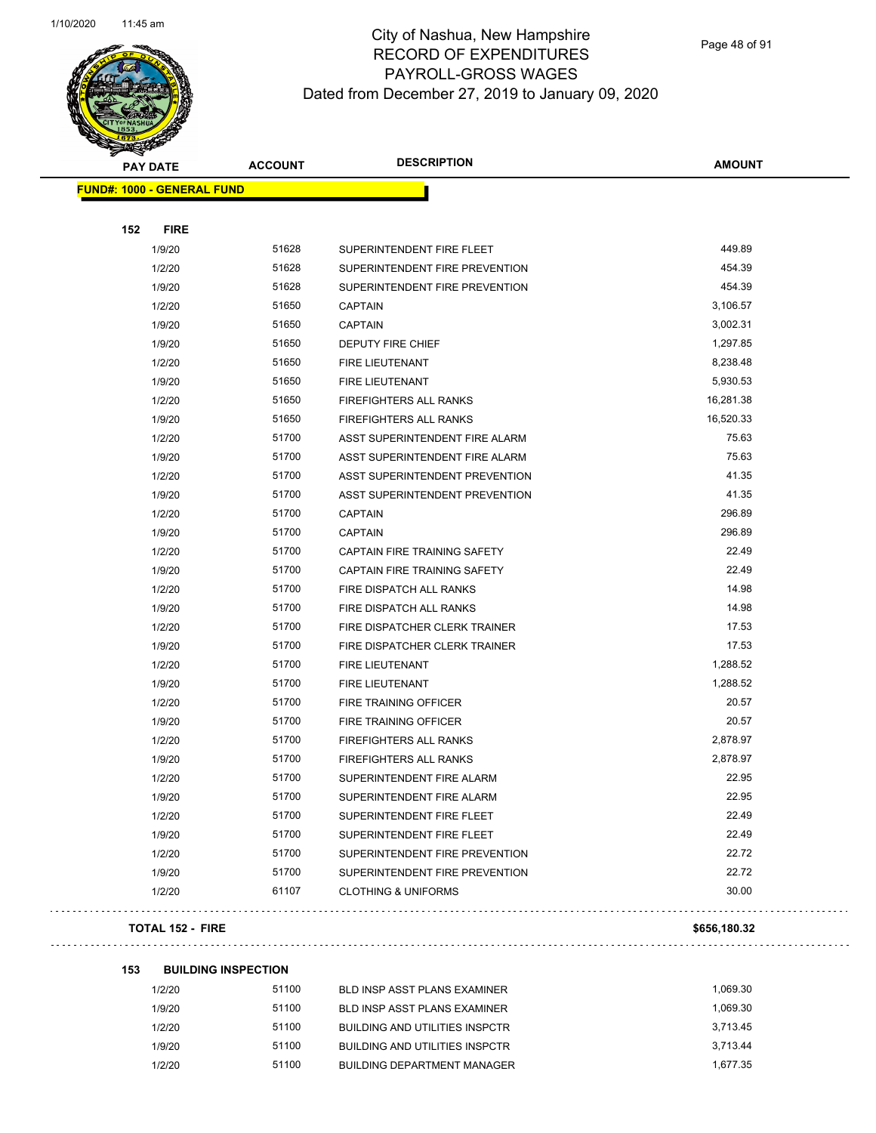

Page 48 of 91

| <b>PAY DATE</b>                   | <b>ACCOUNT</b> | <b>DESCRIPTION</b>             | <b>AMOUNT</b> |
|-----------------------------------|----------------|--------------------------------|---------------|
| <b>FUND#: 1000 - GENERAL FUND</b> |                |                                |               |
|                                   |                |                                |               |
| 152<br><b>FIRE</b>                |                |                                |               |
| 1/9/20                            | 51628          | SUPERINTENDENT FIRE FLEET      | 449.89        |
| 1/2/20                            | 51628          | SUPERINTENDENT FIRE PREVENTION | 454.39        |
| 1/9/20                            | 51628          | SUPERINTENDENT FIRE PREVENTION | 454.39        |
| 1/2/20                            | 51650          | <b>CAPTAIN</b>                 | 3,106.57      |
| 1/9/20                            | 51650          | <b>CAPTAIN</b>                 | 3,002.31      |
| 1/9/20                            | 51650          | <b>DEPUTY FIRE CHIEF</b>       | 1,297.85      |
| 1/2/20                            | 51650          | <b>FIRE LIEUTENANT</b>         | 8,238.48      |
| 1/9/20                            | 51650          | <b>FIRE LIEUTENANT</b>         | 5,930.53      |
| 1/2/20                            | 51650          | FIREFIGHTERS ALL RANKS         | 16,281.38     |
| 1/9/20                            | 51650          | <b>FIREFIGHTERS ALL RANKS</b>  | 16,520.33     |
| 1/2/20                            | 51700          | ASST SUPERINTENDENT FIRE ALARM | 75.63         |
| 1/9/20                            | 51700          | ASST SUPERINTENDENT FIRE ALARM | 75.63         |
| 1/2/20                            | 51700          | ASST SUPERINTENDENT PREVENTION | 41.35         |
| 1/9/20                            | 51700          | ASST SUPERINTENDENT PREVENTION | 41.35         |
| 1/2/20                            | 51700          | <b>CAPTAIN</b>                 | 296.89        |
| 1/9/20                            | 51700          | <b>CAPTAIN</b>                 | 296.89        |
| 1/2/20                            | 51700          | CAPTAIN FIRE TRAINING SAFETY   | 22.49         |
| 1/9/20                            | 51700          | CAPTAIN FIRE TRAINING SAFETY   | 22.49         |
| 1/2/20                            | 51700          | FIRE DISPATCH ALL RANKS        | 14.98         |
| 1/9/20                            | 51700          | FIRE DISPATCH ALL RANKS        | 14.98         |
| 1/2/20                            | 51700          | FIRE DISPATCHER CLERK TRAINER  | 17.53         |
| 1/9/20                            | 51700          | FIRE DISPATCHER CLERK TRAINER  | 17.53         |
| 1/2/20                            | 51700          | <b>FIRE LIEUTENANT</b>         | 1,288.52      |
| 1/9/20                            | 51700          | FIRE LIEUTENANT                | 1,288.52      |
| 1/2/20                            | 51700          | FIRE TRAINING OFFICER          | 20.57         |
| 1/9/20                            | 51700          | FIRE TRAINING OFFICER          | 20.57         |
| 1/2/20                            | 51700          | <b>FIREFIGHTERS ALL RANKS</b>  | 2,878.97      |
| 1/9/20                            | 51700          | <b>FIREFIGHTERS ALL RANKS</b>  | 2,878.97      |
| 1/2/20                            | 51700          | SUPERINTENDENT FIRE ALARM      | 22.95         |
| 1/9/20                            | 51700          | SUPERINTENDENT FIRE ALARM      | 22.95         |
| 1/2/20                            | 51700          | SUPERINTENDENT FIRE FLEET      | 22.49         |
| 1/9/20                            | 51700          | SUPERINTENDENT FIRE FLEET      | 22.49         |
| 1/2/20                            | 51700          | SUPERINTENDENT FIRE PREVENTION | 22.72         |
| 1/9/20                            | 51700          | SUPERINTENDENT FIRE PREVENTION | 22.72         |
| 1/2/20                            | 61107          | <b>CLOTHING &amp; UNIFORMS</b> | 30.00         |
| <b>TOTAL 152 - FIRE</b>           |                |                                | \$656,180.32  |

| 153 | <b>BUILDING INSPECTION</b> |
|-----|----------------------------|
|     |                            |

| 1/2/20 | 51100 | BLD INSP ASST PLANS EXAMINER          | 1.069.30 |
|--------|-------|---------------------------------------|----------|
| 1/9/20 | 51100 | BLD INSP ASST PLANS EXAMINER          | 1.069.30 |
| 1/2/20 | 51100 | <b>BUILDING AND UTILITIES INSPCTR</b> | 3.713.45 |
| 1/9/20 | 51100 | <b>BUILDING AND UTILITIES INSPCTR</b> | 3.713.44 |
| 1/2/20 | 51100 | <b>BUILDING DEPARTMENT MANAGER</b>    | 1.677.35 |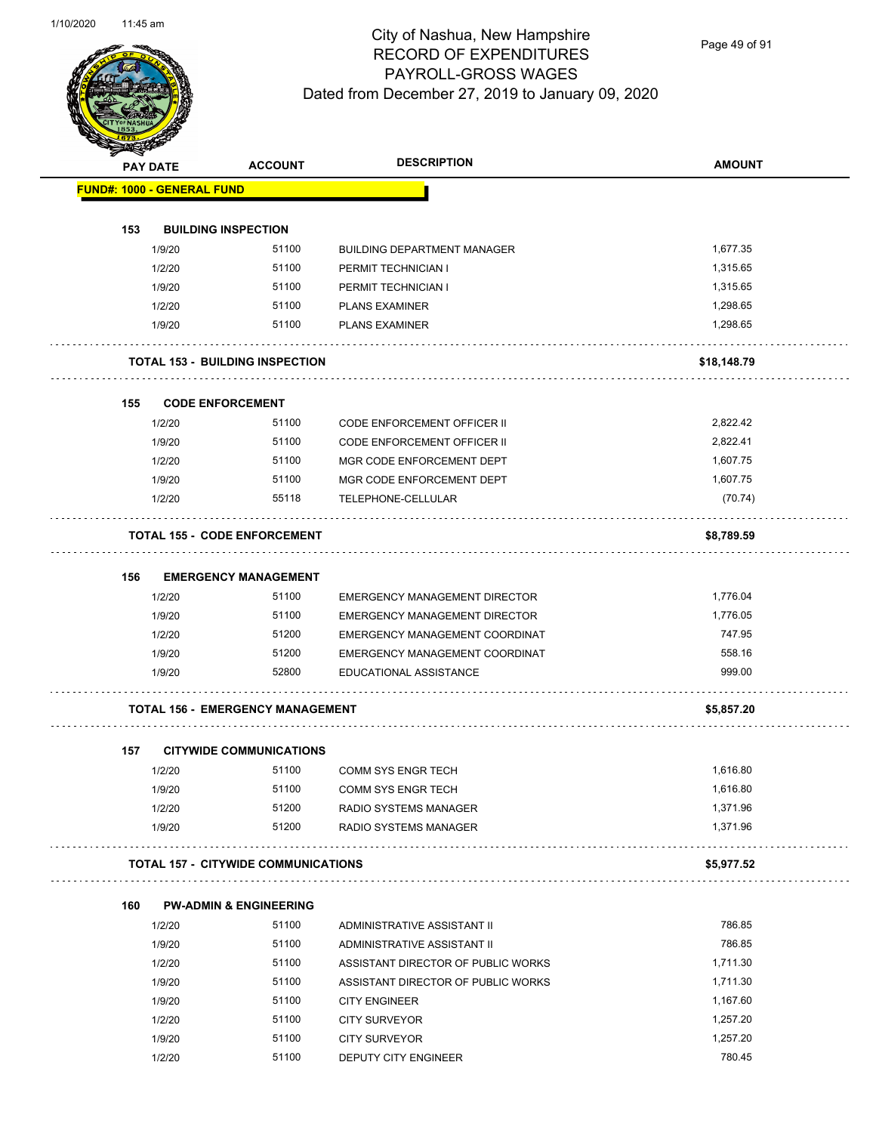Page 49 of 91

| <b>PAY DATE</b> |                                            | <b>ACCOUNT</b> | <b>DESCRIPTION</b>                   | <b>AMOUNT</b> |
|-----------------|--------------------------------------------|----------------|--------------------------------------|---------------|
|                 | <b>FUND#: 1000 - GENERAL FUND</b>          |                |                                      |               |
|                 |                                            |                |                                      |               |
| 153             | <b>BUILDING INSPECTION</b>                 |                |                                      |               |
| 1/9/20          |                                            | 51100          | <b>BUILDING DEPARTMENT MANAGER</b>   | 1,677.35      |
| 1/2/20          |                                            | 51100          | PERMIT TECHNICIAN I                  | 1,315.65      |
| 1/9/20          |                                            | 51100          | PERMIT TECHNICIAN I                  | 1,315.65      |
| 1/2/20          |                                            | 51100          | <b>PLANS EXAMINER</b>                | 1,298.65      |
| 1/9/20          |                                            | 51100          | <b>PLANS EXAMINER</b>                | 1.298.65      |
|                 | <b>TOTAL 153 - BUILDING INSPECTION</b>     |                |                                      | \$18,148.79   |
| 155             | <b>CODE ENFORCEMENT</b>                    |                |                                      |               |
| 1/2/20          |                                            | 51100          | <b>CODE ENFORCEMENT OFFICER II</b>   | 2,822.42      |
| 1/9/20          |                                            | 51100          | CODE ENFORCEMENT OFFICER II          | 2,822.41      |
| 1/2/20          |                                            | 51100          | MGR CODE ENFORCEMENT DEPT            | 1,607.75      |
| 1/9/20          |                                            | 51100          | MGR CODE ENFORCEMENT DEPT            | 1,607.75      |
| 1/2/20          |                                            | 55118          | TELEPHONE-CELLULAR                   | (70.74)       |
|                 | <b>TOTAL 155 - CODE ENFORCEMENT</b>        |                |                                      | \$8,789.59    |
| 156             | <b>EMERGENCY MANAGEMENT</b>                |                |                                      |               |
| 1/2/20          |                                            | 51100          | <b>EMERGENCY MANAGEMENT DIRECTOR</b> | 1,776.04      |
| 1/9/20          |                                            | 51100          | EMERGENCY MANAGEMENT DIRECTOR        | 1,776.05      |
| 1/2/20          |                                            | 51200          | EMERGENCY MANAGEMENT COORDINAT       | 747.95        |
| 1/9/20          |                                            | 51200          | EMERGENCY MANAGEMENT COORDINAT       | 558.16        |
| 1/9/20          |                                            | 52800          | EDUCATIONAL ASSISTANCE               | 999.00        |
|                 | <b>TOTAL 156 - EMERGENCY MANAGEMENT</b>    |                |                                      | \$5,857.20    |
| 157             | <b>CITYWIDE COMMUNICATIONS</b>             |                |                                      |               |
| 1/2/20          |                                            | 51100          | COMM SYS ENGR TECH                   | 1,616.80      |
| 1/9/20          |                                            | 51100          | <b>COMM SYS ENGR TECH</b>            | 1,616.80      |
| 1/2/20          |                                            | 51200          | RADIO SYSTEMS MANAGER                | 1,371.96      |
| 1/9/20          |                                            | 51200          | RADIO SYSTEMS MANAGER                | 1,371.96      |
|                 | <b>TOTAL 157 - CITYWIDE COMMUNICATIONS</b> |                |                                      | \$5,977.52    |
| 160             | <b>PW-ADMIN &amp; ENGINEERING</b>          |                |                                      |               |
| 1/2/20          |                                            | 51100          | ADMINISTRATIVE ASSISTANT II          | 786.85        |
| 1/9/20          |                                            | 51100          | ADMINISTRATIVE ASSISTANT II          | 786.85        |
| 1/2/20          |                                            | 51100          | ASSISTANT DIRECTOR OF PUBLIC WORKS   | 1,711.30      |
| 1/9/20          |                                            | 51100          | ASSISTANT DIRECTOR OF PUBLIC WORKS   | 1,711.30      |
| 1/9/20          |                                            | 51100          | <b>CITY ENGINEER</b>                 | 1,167.60      |
| 1/2/20          |                                            | 51100          | <b>CITY SURVEYOR</b>                 | 1,257.20      |
| 1/9/20          |                                            | 51100          | <b>CITY SURVEYOR</b>                 | 1,257.20      |
| 1/2/20          |                                            | 51100          | DEPUTY CITY ENGINEER                 | 780.45        |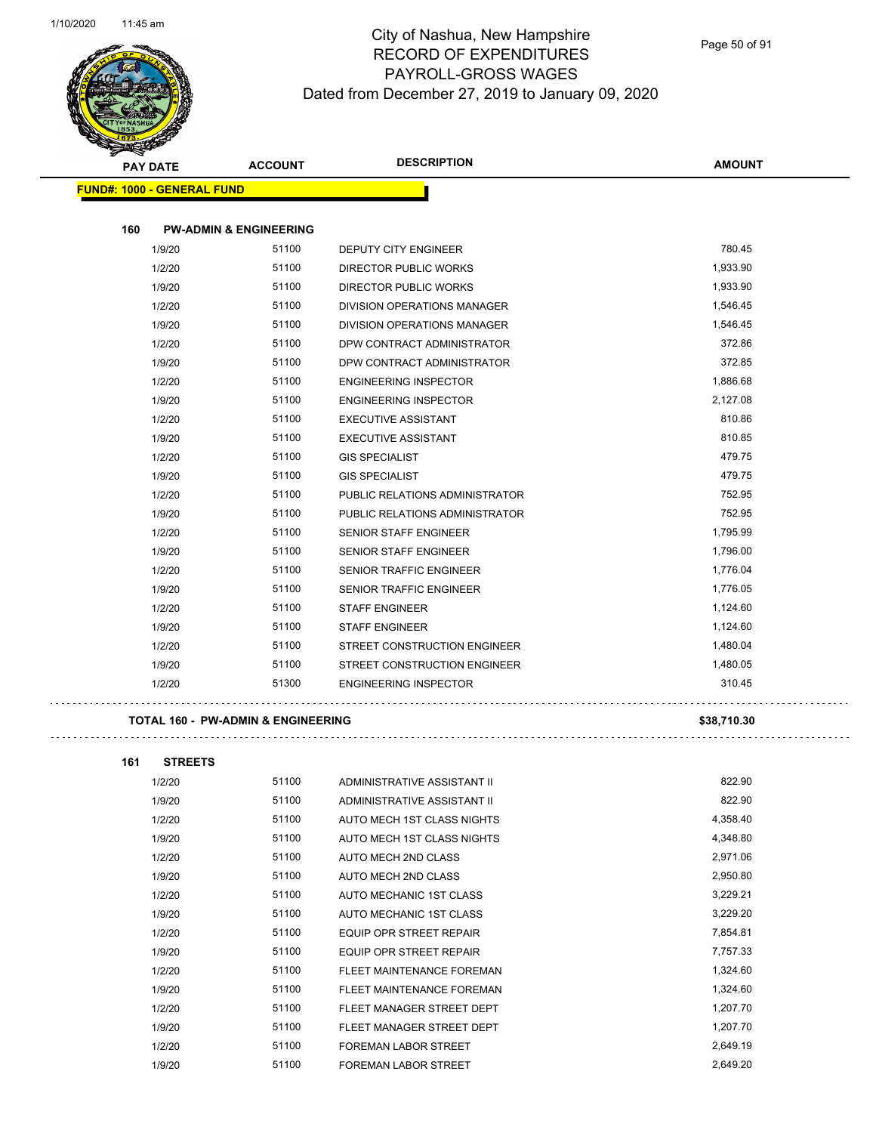$\mathbb{R}^2$ 



### City of Nashua, New Hampshire RECORD OF EXPENDITURES PAYROLL-GROSS WAGES Dated from December 27, 2019 to January 09, 2020

Page 50 of 91

| $\tilde{\phantom{a}}$<br><b>PAY DATE</b> | <b>ACCOUNT</b>                    | <b>DESCRIPTION</b>                 | <b>AMOUNT</b> |
|------------------------------------------|-----------------------------------|------------------------------------|---------------|
| <b>FUND#: 1000 - GENERAL FUND</b>        |                                   |                                    |               |
|                                          |                                   |                                    |               |
| 160                                      | <b>PW-ADMIN &amp; ENGINEERING</b> |                                    |               |
| 1/9/20                                   | 51100                             | <b>DEPUTY CITY ENGINEER</b>        | 780.45        |
| 1/2/20                                   | 51100                             | <b>DIRECTOR PUBLIC WORKS</b>       | 1,933.90      |
| 1/9/20                                   | 51100                             | <b>DIRECTOR PUBLIC WORKS</b>       | 1,933.90      |
| 1/2/20                                   | 51100                             | <b>DIVISION OPERATIONS MANAGER</b> | 1,546.45      |
| 1/9/20                                   | 51100                             | DIVISION OPERATIONS MANAGER        | 1,546.45      |
| 1/2/20                                   | 51100                             | DPW CONTRACT ADMINISTRATOR         | 372.86        |
| 1/9/20                                   | 51100                             | DPW CONTRACT ADMINISTRATOR         | 372.85        |
| 1/2/20                                   | 51100                             | <b>ENGINEERING INSPECTOR</b>       | 1,886.68      |
| 1/9/20                                   | 51100                             | <b>ENGINEERING INSPECTOR</b>       | 2,127.08      |
| 1/2/20                                   | 51100                             | <b>EXECUTIVE ASSISTANT</b>         | 810.86        |
| 1/9/20                                   | 51100                             | <b>EXECUTIVE ASSISTANT</b>         | 810.85        |
| 1/2/20                                   | 51100                             | <b>GIS SPECIALIST</b>              | 479.75        |
| 1/9/20                                   | 51100                             | <b>GIS SPECIALIST</b>              | 479.75        |
| 1/2/20                                   | 51100                             | PUBLIC RELATIONS ADMINISTRATOR     | 752.95        |
| 1/9/20                                   | 51100                             | PUBLIC RELATIONS ADMINISTRATOR     | 752.95        |
| 1/2/20                                   | 51100                             | <b>SENIOR STAFF ENGINEER</b>       | 1,795.99      |
| 1/9/20                                   | 51100                             | <b>SENIOR STAFF ENGINEER</b>       | 1,796.00      |
| 1/2/20                                   | 51100                             | SENIOR TRAFFIC ENGINEER            | 1,776.04      |
| 1/9/20                                   | 51100                             | SENIOR TRAFFIC ENGINEER            | 1,776.05      |
| 1/2/20                                   | 51100                             | <b>STAFF ENGINEER</b>              | 1,124.60      |
| 1/9/20                                   | 51100                             | <b>STAFF ENGINEER</b>              | 1,124.60      |
| 1/2/20                                   | 51100                             | STREET CONSTRUCTION ENGINEER       | 1,480.04      |
| 1/9/20                                   | 51100                             | STREET CONSTRUCTION ENGINEER       | 1,480.05      |
| 1/2/20                                   | 51300                             | <b>ENGINEERING INSPECTOR</b>       | 310.45        |
|                                          |                                   |                                    |               |

### **TOTAL 160 - PW-ADMIN & ENGINEERING \$38,710.30**

| 161 | <b>STREETS</b> |       |                                |          |
|-----|----------------|-------|--------------------------------|----------|
|     | 1/2/20         | 51100 | ADMINISTRATIVE ASSISTANT II    | 822.90   |
|     | 1/9/20         | 51100 | ADMINISTRATIVE ASSISTANT II    | 822.90   |
|     | 1/2/20         | 51100 | AUTO MECH 1ST CLASS NIGHTS     | 4,358.40 |
|     | 1/9/20         | 51100 | AUTO MECH 1ST CLASS NIGHTS     | 4,348.80 |
|     | 1/2/20         | 51100 | AUTO MECH 2ND CLASS            | 2,971.06 |
|     | 1/9/20         | 51100 | AUTO MECH 2ND CLASS            | 2,950.80 |
|     | 1/2/20         | 51100 | <b>AUTO MECHANIC 1ST CLASS</b> | 3,229.21 |
|     | 1/9/20         | 51100 | AUTO MECHANIC 1ST CLASS        | 3,229.20 |
|     | 1/2/20         | 51100 | <b>EQUIP OPR STREET REPAIR</b> | 7,854.81 |
|     | 1/9/20         | 51100 | <b>EQUIP OPR STREET REPAIR</b> | 7,757.33 |
|     | 1/2/20         | 51100 | FLEET MAINTENANCE FOREMAN      | 1,324.60 |
|     | 1/9/20         | 51100 | FLEET MAINTENANCE FOREMAN      | 1,324.60 |
|     | 1/2/20         | 51100 | FLEET MANAGER STREET DEPT      | 1,207.70 |
|     | 1/9/20         | 51100 | FLEET MANAGER STREET DEPT      | 1,207.70 |
|     | 1/2/20         | 51100 | <b>FOREMAN LABOR STREET</b>    | 2,649.19 |
|     | 1/9/20         | 51100 | <b>FOREMAN LABOR STREET</b>    | 2,649.20 |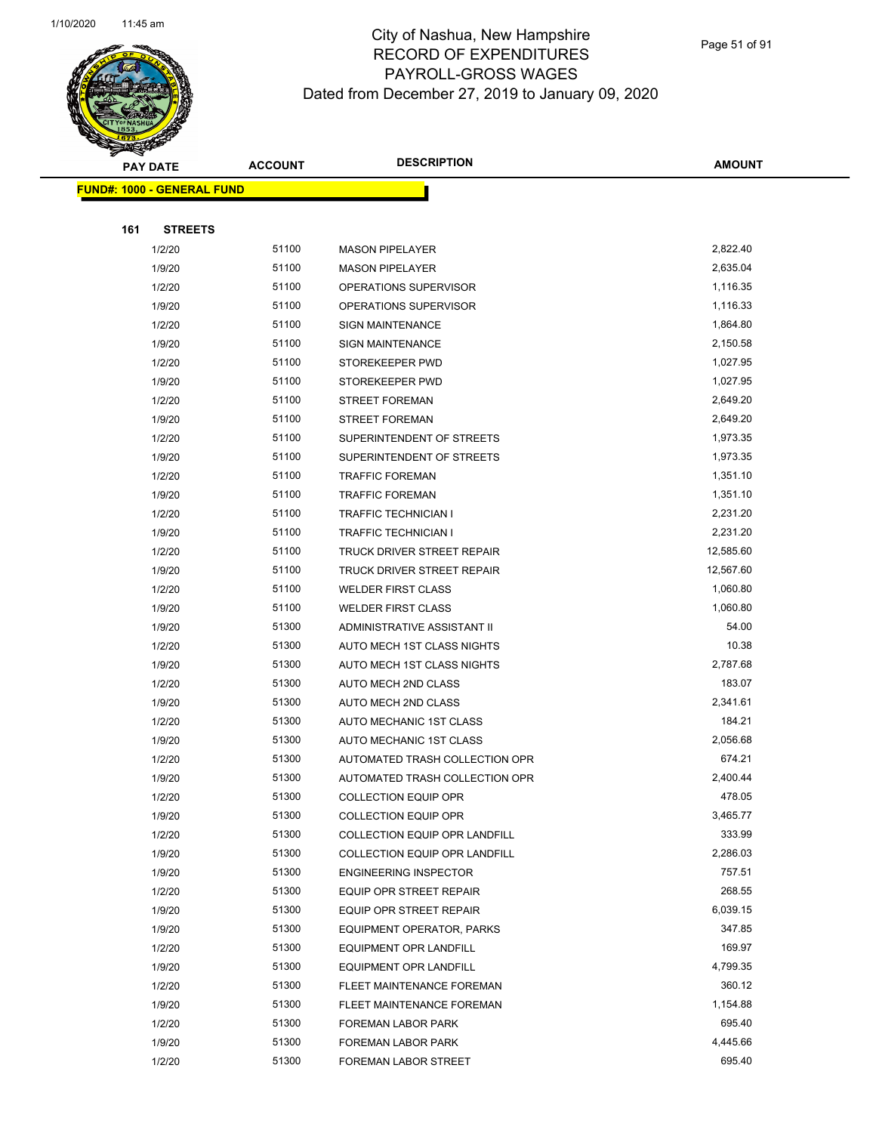

Page 51 of 91

| <b>PAY DATE</b> | <b>ACCOUNT</b>                    | <b>DESCRIPTION</b>               | <b>AMOUNT</b> |  |
|-----------------|-----------------------------------|----------------------------------|---------------|--|
|                 | <b>FUND#: 1000 - GENERAL FUND</b> |                                  |               |  |
|                 |                                   |                                  |               |  |
| 161             | <b>STREETS</b>                    |                                  |               |  |
| 1/2/20          | 51100                             | <b>MASON PIPELAYER</b>           | 2,822.40      |  |
| 1/9/20          | 51100                             | <b>MASON PIPELAYER</b>           | 2,635.04      |  |
| 1/2/20          | 51100                             | OPERATIONS SUPERVISOR            | 1,116.35      |  |
| 1/9/20          | 51100                             | OPERATIONS SUPERVISOR            | 1,116.33      |  |
| 1/2/20          | 51100                             | <b>SIGN MAINTENANCE</b>          | 1,864.80      |  |
| 1/9/20          | 51100                             | <b>SIGN MAINTENANCE</b>          | 2,150.58      |  |
| 1/2/20          | 51100                             | STOREKEEPER PWD                  | 1,027.95      |  |
| 1/9/20          | 51100                             | STOREKEEPER PWD                  | 1,027.95      |  |
| 1/2/20          | 51100                             | <b>STREET FOREMAN</b>            | 2,649.20      |  |
| 1/9/20          | 51100                             | <b>STREET FOREMAN</b>            | 2,649.20      |  |
| 1/2/20          | 51100                             | SUPERINTENDENT OF STREETS        | 1,973.35      |  |
| 1/9/20          | 51100                             | SUPERINTENDENT OF STREETS        | 1,973.35      |  |
| 1/2/20          | 51100                             | <b>TRAFFIC FOREMAN</b>           | 1,351.10      |  |
| 1/9/20          | 51100                             | <b>TRAFFIC FOREMAN</b>           | 1,351.10      |  |
| 1/2/20          | 51100                             | <b>TRAFFIC TECHNICIAN I</b>      | 2,231.20      |  |
| 1/9/20          | 51100                             | <b>TRAFFIC TECHNICIAN I</b>      | 2,231.20      |  |
| 1/2/20          | 51100                             | TRUCK DRIVER STREET REPAIR       | 12,585.60     |  |
| 1/9/20          | 51100                             | TRUCK DRIVER STREET REPAIR       | 12,567.60     |  |
| 1/2/20          | 51100                             | <b>WELDER FIRST CLASS</b>        | 1,060.80      |  |
| 1/9/20          | 51100                             | <b>WELDER FIRST CLASS</b>        | 1,060.80      |  |
| 1/9/20          | 51300                             | ADMINISTRATIVE ASSISTANT II      | 54.00         |  |
| 1/2/20          | 51300                             | AUTO MECH 1ST CLASS NIGHTS       | 10.38         |  |
| 1/9/20          | 51300                             | AUTO MECH 1ST CLASS NIGHTS       | 2,787.68      |  |
| 1/2/20          | 51300                             | AUTO MECH 2ND CLASS              | 183.07        |  |
| 1/9/20          | 51300                             | AUTO MECH 2ND CLASS              | 2,341.61      |  |
| 1/2/20          | 51300                             | AUTO MECHANIC 1ST CLASS          | 184.21        |  |
| 1/9/20          | 51300                             | AUTO MECHANIC 1ST CLASS          | 2,056.68      |  |
| 1/2/20          | 51300                             | AUTOMATED TRASH COLLECTION OPR   | 674.21        |  |
| 1/9/20          | 51300                             | AUTOMATED TRASH COLLECTION OPR   | 2,400.44      |  |
| 1/2/20          | 51300                             | COLLECTION EQUIP OPR             | 478.05        |  |
| 1/9/20          | 51300                             | <b>COLLECTION EQUIP OPR</b>      | 3,465.77      |  |
| 1/2/20          | 51300                             | COLLECTION EQUIP OPR LANDFILL    | 333.99        |  |
| 1/9/20          | 51300                             | COLLECTION EQUIP OPR LANDFILL    | 2,286.03      |  |
| 1/9/20          | 51300                             | <b>ENGINEERING INSPECTOR</b>     | 757.51        |  |
| 1/2/20          | 51300                             | EQUIP OPR STREET REPAIR          | 268.55        |  |
| 1/9/20          | 51300                             | EQUIP OPR STREET REPAIR          | 6,039.15      |  |
| 1/9/20          | 51300                             | <b>EQUIPMENT OPERATOR, PARKS</b> | 347.85        |  |
| 1/2/20          | 51300                             | EQUIPMENT OPR LANDFILL           | 169.97        |  |
| 1/9/20          | 51300                             | <b>EQUIPMENT OPR LANDFILL</b>    | 4,799.35      |  |
| 1/2/20          | 51300                             | FLEET MAINTENANCE FOREMAN        | 360.12        |  |
| 1/9/20          | 51300                             | FLEET MAINTENANCE FOREMAN        | 1,154.88      |  |
| 1/2/20          | 51300                             | FOREMAN LABOR PARK               | 695.40        |  |
| 1/9/20          | 51300                             | FOREMAN LABOR PARK               | 4,445.66      |  |
| 1/2/20          | 51300                             | FOREMAN LABOR STREET             | 695.40        |  |
|                 |                                   |                                  |               |  |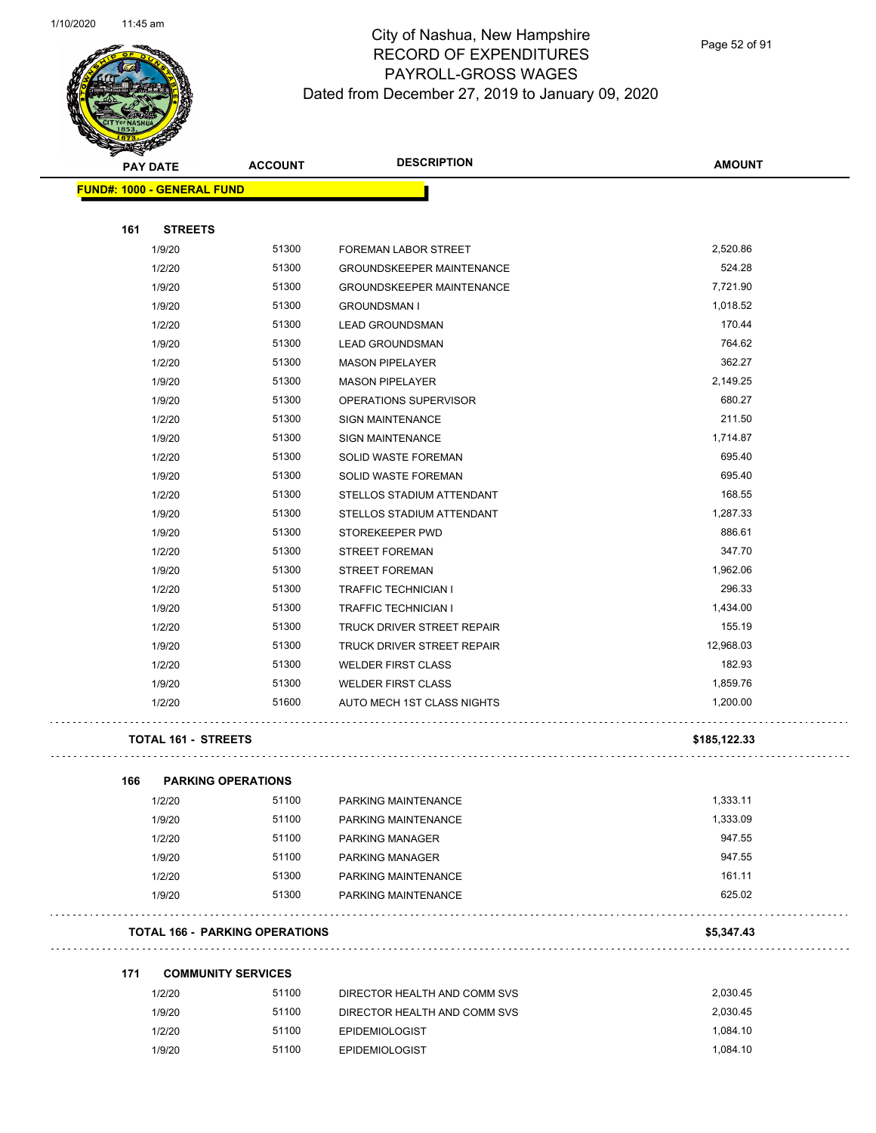

Page 52 of 91

| <b>STATERS</b> |                                       |                |                                  |               |
|----------------|---------------------------------------|----------------|----------------------------------|---------------|
|                | <b>PAY DATE</b>                       | <b>ACCOUNT</b> | <b>DESCRIPTION</b>               | <b>AMOUNT</b> |
|                | <b>FUND#: 1000 - GENERAL FUND</b>     |                |                                  |               |
|                |                                       |                |                                  |               |
| 161            | <b>STREETS</b>                        |                |                                  |               |
|                | 1/9/20                                | 51300          | FOREMAN LABOR STREET             | 2,520.86      |
|                | 1/2/20                                | 51300          | <b>GROUNDSKEEPER MAINTENANCE</b> | 524.28        |
|                | 1/9/20                                | 51300          | <b>GROUNDSKEEPER MAINTENANCE</b> | 7,721.90      |
|                | 1/9/20                                | 51300          | <b>GROUNDSMAN I</b>              | 1,018.52      |
|                | 1/2/20                                | 51300          | <b>LEAD GROUNDSMAN</b>           | 170.44        |
|                | 1/9/20                                | 51300          | <b>LEAD GROUNDSMAN</b>           | 764.62        |
|                | 1/2/20                                | 51300          | <b>MASON PIPELAYER</b>           | 362.27        |
|                | 1/9/20                                | 51300          | <b>MASON PIPELAYER</b>           | 2,149.25      |
|                | 1/9/20                                | 51300          | OPERATIONS SUPERVISOR            | 680.27        |
|                | 1/2/20                                | 51300          | <b>SIGN MAINTENANCE</b>          | 211.50        |
|                | 1/9/20                                | 51300          | <b>SIGN MAINTENANCE</b>          | 1,714.87      |
|                | 1/2/20                                | 51300          | SOLID WASTE FOREMAN              | 695.40        |
|                | 1/9/20                                | 51300          | SOLID WASTE FOREMAN              | 695.40        |
|                | 1/2/20                                | 51300          | STELLOS STADIUM ATTENDANT        | 168.55        |
|                | 1/9/20                                | 51300          | STELLOS STADIUM ATTENDANT        | 1,287.33      |
|                | 1/9/20                                | 51300          | STOREKEEPER PWD                  | 886.61        |
|                | 1/2/20                                | 51300          | <b>STREET FOREMAN</b>            | 347.70        |
|                | 1/9/20                                | 51300          | <b>STREET FOREMAN</b>            | 1,962.06      |
|                | 1/2/20                                | 51300          | <b>TRAFFIC TECHNICIAN I</b>      | 296.33        |
|                | 1/9/20                                | 51300          | <b>TRAFFIC TECHNICIAN I</b>      | 1,434.00      |
|                | 1/2/20                                | 51300          | TRUCK DRIVER STREET REPAIR       | 155.19        |
|                | 1/9/20                                | 51300          | TRUCK DRIVER STREET REPAIR       | 12,968.03     |
|                | 1/2/20                                | 51300          | <b>WELDER FIRST CLASS</b>        | 182.93        |
|                | 1/9/20                                | 51300          | <b>WELDER FIRST CLASS</b>        | 1,859.76      |
|                | 1/2/20                                | 51600          | AUTO MECH 1ST CLASS NIGHTS       | 1,200.00      |
|                | <b>TOTAL 161 - STREETS</b>            |                |                                  | \$185,122.33  |
| 166            | <b>PARKING OPERATIONS</b>             |                |                                  |               |
|                | 1/2/20                                | 51100          | PARKING MAINTENANCE              | 1,333.11      |
|                | 1/9/20                                | 51100          | PARKING MAINTENANCE              | 1,333.09      |
|                | 1/2/20                                | 51100          | PARKING MANAGER                  | 947.55        |
|                | 1/9/20                                | 51100          | PARKING MANAGER                  | 947.55        |
|                | 1/2/20                                | 51300          | PARKING MAINTENANCE              | 161.11        |
|                | 1/9/20                                | 51300          | PARKING MAINTENANCE              | 625.02        |
|                | <b>TOTAL 166 - PARKING OPERATIONS</b> |                |                                  | \$5,347.43    |
| 171            |                                       |                |                                  |               |
|                | <b>COMMUNITY SERVICES</b>             | 51100          |                                  | 2,030.45      |
|                | 1/2/20                                |                | DIRECTOR HEALTH AND COMM SVS     |               |
|                | 1/9/20                                | 51100          | DIRECTOR HEALTH AND COMM SVS     | 2,030.45      |
|                | 1/2/20                                | 51100          | <b>EPIDEMIOLOGIST</b>            | 1,084.10      |
|                | 1/9/20                                | 51100          | <b>EPIDEMIOLOGIST</b>            | 1,084.10      |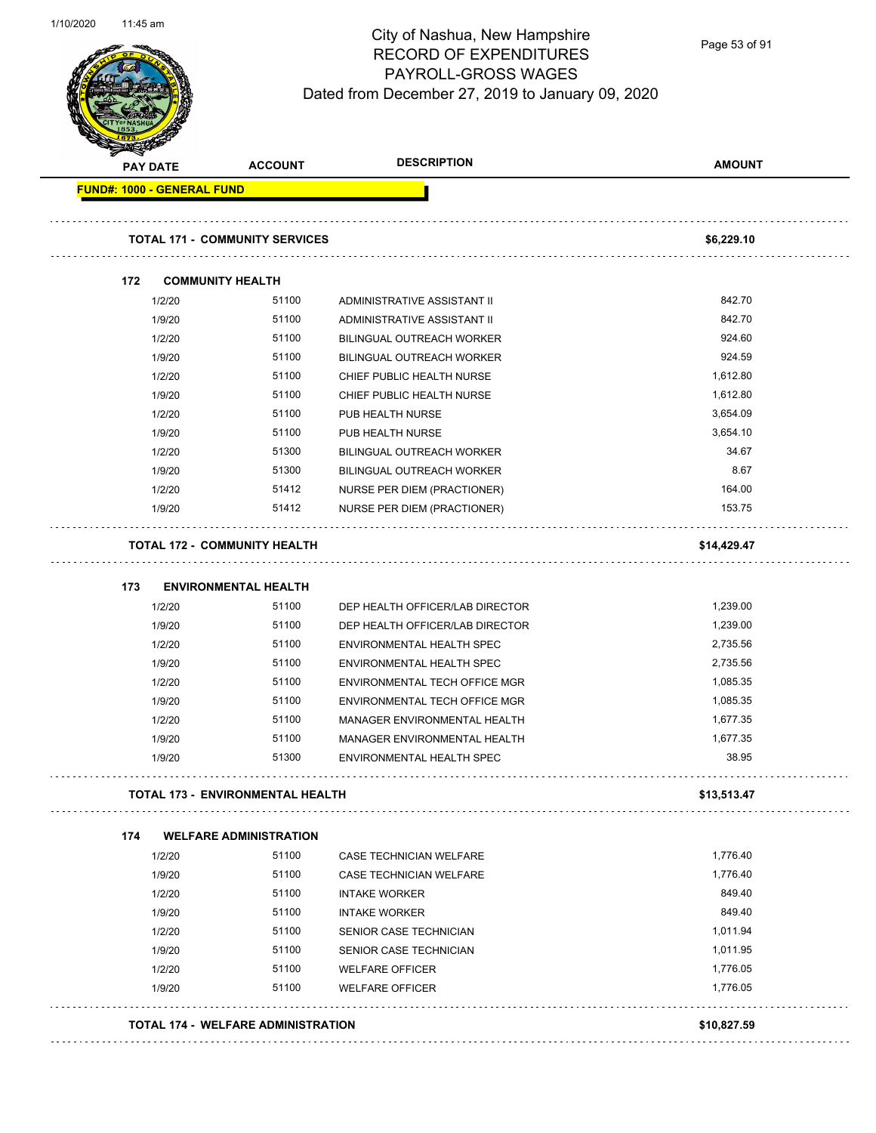

Page 53 of 91

| <b>PAY DATE</b>                   | <b>ACCOUNT</b>                        | <b>DESCRIPTION</b>               | <b>AMOUNT</b> |
|-----------------------------------|---------------------------------------|----------------------------------|---------------|
| <b>FUND#: 1000 - GENERAL FUND</b> |                                       |                                  |               |
|                                   | <b>TOTAL 171 - COMMUNITY SERVICES</b> |                                  | \$6,229.10    |
| 172                               | <b>COMMUNITY HEALTH</b>               |                                  |               |
| 1/2/20                            | 51100                                 | ADMINISTRATIVE ASSISTANT II      | 842.70        |
| 1/9/20                            | 51100                                 | ADMINISTRATIVE ASSISTANT II      | 842.70        |
| 1/2/20                            | 51100                                 | BILINGUAL OUTREACH WORKER        | 924.60        |
| 1/9/20                            | 51100                                 | <b>BILINGUAL OUTREACH WORKER</b> | 924.59        |
| 1/2/20                            | 51100                                 | CHIEF PUBLIC HEALTH NURSE        | 1,612.80      |
| 1/9/20                            | 51100                                 | CHIEF PUBLIC HEALTH NURSE        | 1,612.80      |
| 1/2/20                            | 51100                                 | PUB HEALTH NURSE                 | 3,654.09      |
| 1/9/20                            | 51100                                 | PUB HEALTH NURSE                 | 3,654.10      |
| 1/2/20                            | 51300                                 | BILINGUAL OUTREACH WORKER        | 34.67         |
| 1/9/20                            | 51300                                 | <b>BILINGUAL OUTREACH WORKER</b> | 8.67          |
| 1/2/20                            | 51412                                 | NURSE PER DIEM (PRACTIONER)      | 164.00        |
| 1/9/20                            | 51412                                 | NURSE PER DIEM (PRACTIONER)      | 153.75        |
|                                   | <b>TOTAL 172 - COMMUNITY HEALTH</b>   |                                  | \$14,429.47   |
| 173                               | <b>ENVIRONMENTAL HEALTH</b>           |                                  |               |
| 1/2/20                            | 51100                                 | DEP HEALTH OFFICER/LAB DIRECTOR  | 1,239.00      |
| 1/9/20                            | 51100                                 | DEP HEALTH OFFICER/LAB DIRECTOR  | 1,239.00      |
| 1/2/20                            | 51100                                 | ENVIRONMENTAL HEALTH SPEC        | 2,735.56      |
| 1/9/20                            | 51100                                 | ENVIRONMENTAL HEALTH SPEC        | 2,735.56      |
| 1/2/20                            | 51100                                 | ENVIRONMENTAL TECH OFFICE MGR    | 1,085.35      |
| 1/9/20                            | 51100                                 | ENVIRONMENTAL TECH OFFICE MGR    | 1,085.35      |
| 1/2/20                            | 51100                                 | MANAGER ENVIRONMENTAL HEALTH     | 1,677.35      |
| 1/9/20                            | 51100                                 | MANAGER ENVIRONMENTAL HEALTH     | 1,677.35      |
| 1/9/20                            | 51300                                 | ENVIRONMENTAL HEALTH SPEC        | 38.95         |
|                                   | TOTAL 173 - ENVIRONMENTAL HEALTH      |                                  | \$13,513.47   |
| 174                               | <b>WELFARE ADMINISTRATION</b>         |                                  |               |
| 1/2/20                            | 51100                                 | <b>CASE TECHNICIAN WELFARE</b>   | 1,776.40      |
| 1/9/20                            | 51100                                 | CASE TECHNICIAN WELFARE          | 1,776.40      |
| 1/2/20                            | 51100                                 | <b>INTAKE WORKER</b>             | 849.40        |
| 1/9/20                            | 51100                                 | <b>INTAKE WORKER</b>             | 849.40        |
| 1/2/20                            | 51100                                 | <b>SENIOR CASE TECHNICIAN</b>    | 1,011.94      |
| 1/9/20                            | 51100                                 | SENIOR CASE TECHNICIAN           | 1,011.95      |
| 1/2/20                            | 51100                                 | <b>WELFARE OFFICER</b>           | 1,776.05      |
| 1/9/20                            | 51100                                 | <b>WELFARE OFFICER</b>           | 1,776.05      |
|                                   |                                       |                                  |               |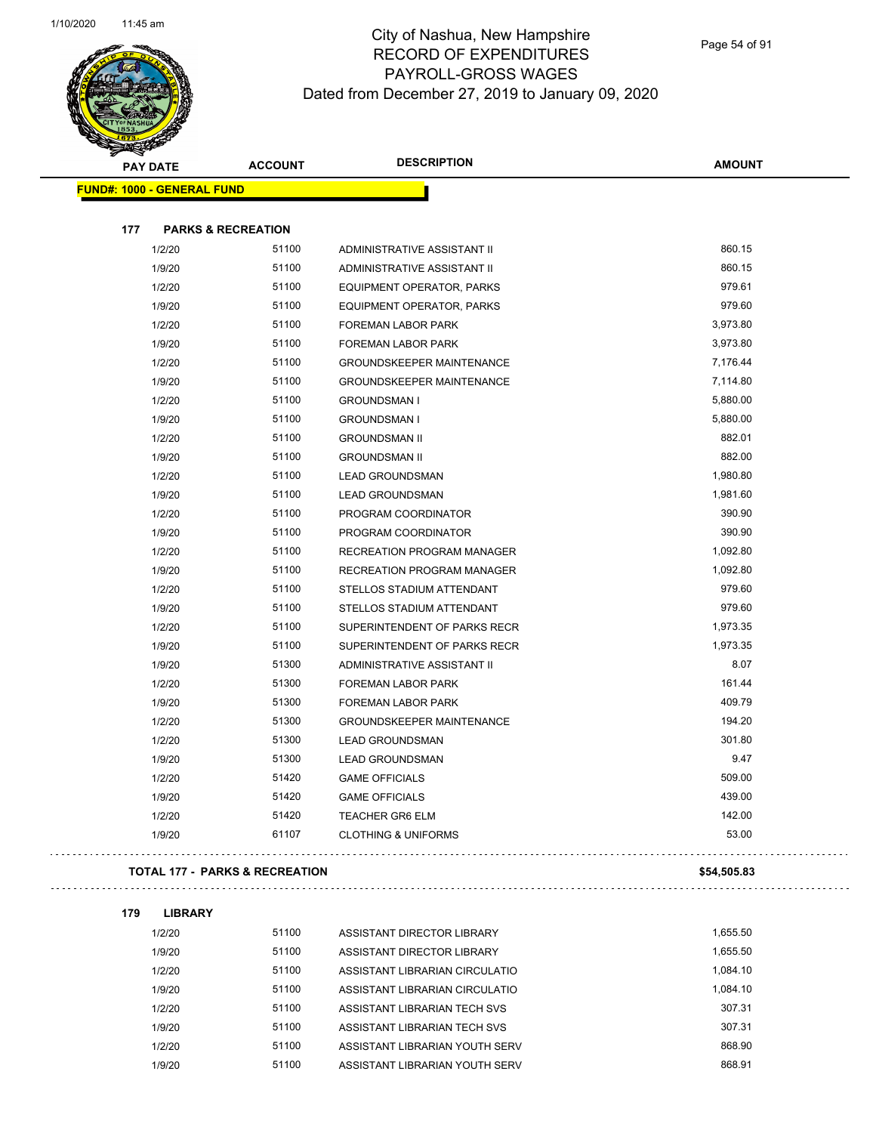

Page 54 of 91

| <b>Service Contract Contract Contract Contract Contract Contract Contract Contract Contract Contract Contract Contract Contract Contract Contract Contract Contract Contract Contract Contract Contract Contract Contract Contra</b><br><b>PAY DATE</b> | <b>ACCOUNT</b>                | <b>DESCRIPTION</b>               | <b>AMOUNT</b> |
|---------------------------------------------------------------------------------------------------------------------------------------------------------------------------------------------------------------------------------------------------------|-------------------------------|----------------------------------|---------------|
| <b>FUND#: 1000 - GENERAL FUND</b>                                                                                                                                                                                                                       |                               |                                  |               |
|                                                                                                                                                                                                                                                         |                               |                                  |               |
| 177                                                                                                                                                                                                                                                     | <b>PARKS &amp; RECREATION</b> |                                  |               |
| 1/2/20                                                                                                                                                                                                                                                  | 51100                         | ADMINISTRATIVE ASSISTANT II      | 860.15        |
| 1/9/20                                                                                                                                                                                                                                                  | 51100                         | ADMINISTRATIVE ASSISTANT II      | 860.15        |
| 1/2/20                                                                                                                                                                                                                                                  | 51100                         | EQUIPMENT OPERATOR, PARKS        | 979.61        |
| 1/9/20                                                                                                                                                                                                                                                  | 51100                         | EQUIPMENT OPERATOR, PARKS        | 979.60        |
| 1/2/20                                                                                                                                                                                                                                                  | 51100                         | FOREMAN LABOR PARK               | 3,973.80      |
| 1/9/20                                                                                                                                                                                                                                                  | 51100                         | <b>FOREMAN LABOR PARK</b>        | 3,973.80      |
| 1/2/20                                                                                                                                                                                                                                                  | 51100                         | <b>GROUNDSKEEPER MAINTENANCE</b> | 7,176.44      |
| 1/9/20                                                                                                                                                                                                                                                  | 51100                         | <b>GROUNDSKEEPER MAINTENANCE</b> | 7,114.80      |
| 1/2/20                                                                                                                                                                                                                                                  | 51100                         | <b>GROUNDSMAN I</b>              | 5,880.00      |
| 1/9/20                                                                                                                                                                                                                                                  | 51100                         | <b>GROUNDSMAN I</b>              | 5,880.00      |
| 1/2/20                                                                                                                                                                                                                                                  | 51100                         | <b>GROUNDSMAN II</b>             | 882.01        |
| 1/9/20                                                                                                                                                                                                                                                  | 51100                         | <b>GROUNDSMAN II</b>             | 882.00        |
| 1/2/20                                                                                                                                                                                                                                                  | 51100                         | <b>LEAD GROUNDSMAN</b>           | 1,980.80      |
| 1/9/20                                                                                                                                                                                                                                                  | 51100                         | <b>LEAD GROUNDSMAN</b>           | 1,981.60      |
| 1/2/20                                                                                                                                                                                                                                                  | 51100                         | PROGRAM COORDINATOR              | 390.90        |
| 1/9/20                                                                                                                                                                                                                                                  | 51100                         | PROGRAM COORDINATOR              | 390.90        |
| 1/2/20                                                                                                                                                                                                                                                  | 51100                         | RECREATION PROGRAM MANAGER       | 1,092.80      |
| 1/9/20                                                                                                                                                                                                                                                  | 51100                         | RECREATION PROGRAM MANAGER       | 1,092.80      |
| 1/2/20                                                                                                                                                                                                                                                  | 51100                         | STELLOS STADIUM ATTENDANT        | 979.60        |
| 1/9/20                                                                                                                                                                                                                                                  | 51100                         | STELLOS STADIUM ATTENDANT        | 979.60        |
| 1/2/20                                                                                                                                                                                                                                                  | 51100                         | SUPERINTENDENT OF PARKS RECR     | 1,973.35      |
| 1/9/20                                                                                                                                                                                                                                                  | 51100                         | SUPERINTENDENT OF PARKS RECR     | 1,973.35      |
| 1/9/20                                                                                                                                                                                                                                                  | 51300                         | ADMINISTRATIVE ASSISTANT II      | 8.07          |
| 1/2/20                                                                                                                                                                                                                                                  | 51300                         | FOREMAN LABOR PARK               | 161.44        |
| 1/9/20                                                                                                                                                                                                                                                  | 51300                         | FOREMAN LABOR PARK               | 409.79        |
| 1/2/20                                                                                                                                                                                                                                                  | 51300                         | <b>GROUNDSKEEPER MAINTENANCE</b> | 194.20        |
| 1/2/20                                                                                                                                                                                                                                                  | 51300                         | <b>LEAD GROUNDSMAN</b>           | 301.80        |
| 1/9/20                                                                                                                                                                                                                                                  | 51300                         | <b>LEAD GROUNDSMAN</b>           | 9.47          |
| 1/2/20                                                                                                                                                                                                                                                  | 51420                         | <b>GAME OFFICIALS</b>            | 509.00        |
| 1/9/20                                                                                                                                                                                                                                                  | 51420                         | <b>GAME OFFICIALS</b>            | 439.00        |
| 1/2/20                                                                                                                                                                                                                                                  | 51420                         | <b>TEACHER GR6 ELM</b>           | 142.00        |
| 1/9/20                                                                                                                                                                                                                                                  | 61107                         | <b>CLOTHING &amp; UNIFORMS</b>   | 53.00         |
| <b>TOTAL 177 - PARKS &amp; RECREATION</b>                                                                                                                                                                                                               |                               |                                  | \$54,505.83   |

. . . . . . . . . . . .

**179 LIBRARY** 1/2/20 51100 ASSISTANT DIRECTOR LIBRARY 1,655.50 1/9/20 51100 ASSISTANT DIRECTOR LIBRARY 1,655.50 1/2/20 51100 ASSISTANT LIBRARIAN CIRCULATIO 1,084.10 1/9/20 51100 ASSISTANT LIBRARIAN CIRCULATIO 1,084.10 1/2/20 51100 ASSISTANT LIBRARIAN TECH SVS 307.31 1/9/20 51100 ASSISTANT LIBRARIAN TECH SVS 307.31 1/2/20 51100 ASSISTANT LIBRARIAN YOUTH SERV 868.90 1/9/20 51100 ASSISTANT LIBRARIAN YOUTH SERV 868.91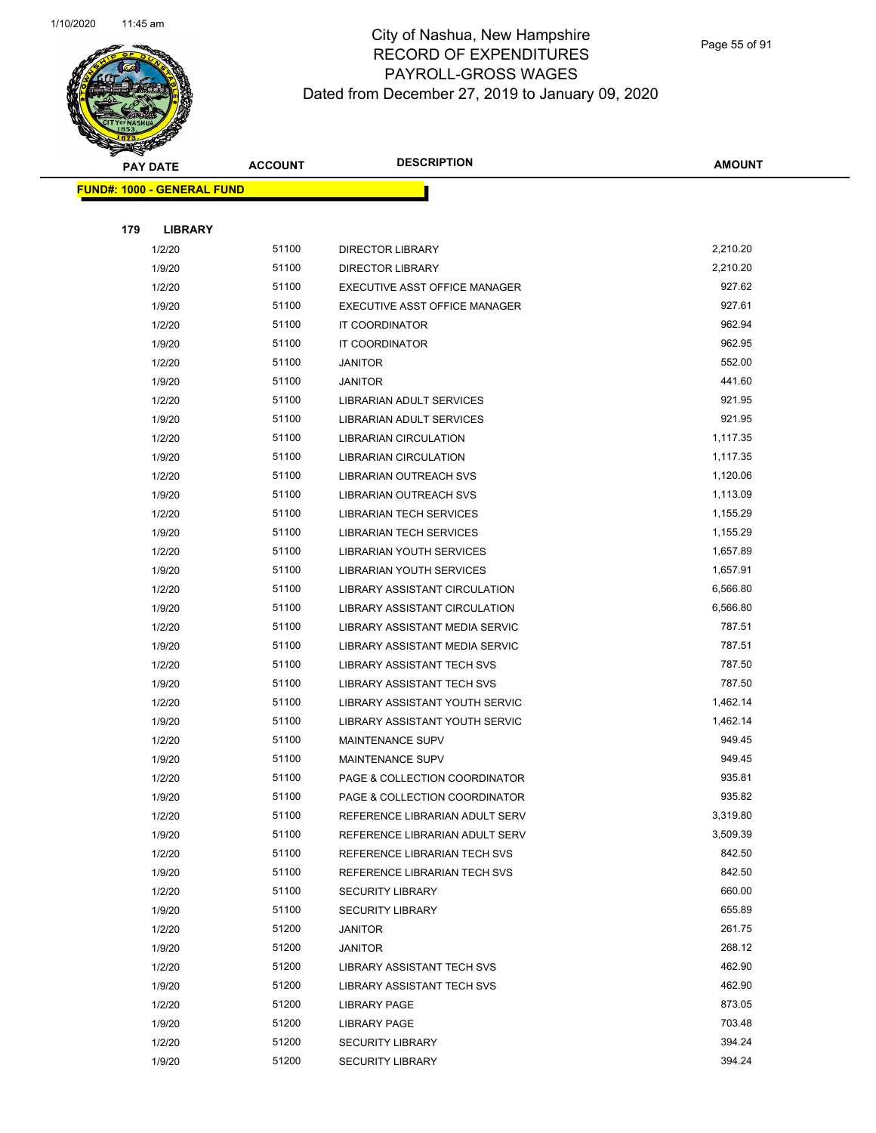

Page 55 of 91

| <b>PAY DATE</b>                   | <b>ACCOUNT</b> | <b>DESCRIPTION</b>                                       | <b>AMOUNT</b>    |
|-----------------------------------|----------------|----------------------------------------------------------|------------------|
| <b>FUND#: 1000 - GENERAL FUND</b> |                |                                                          |                  |
|                                   |                |                                                          |                  |
| 179<br><b>LIBRARY</b>             |                |                                                          |                  |
| 1/2/20                            | 51100          | <b>DIRECTOR LIBRARY</b>                                  | 2,210.20         |
| 1/9/20                            | 51100          | <b>DIRECTOR LIBRARY</b>                                  | 2,210.20         |
| 1/2/20                            | 51100          | EXECUTIVE ASST OFFICE MANAGER                            | 927.62           |
| 1/9/20                            | 51100          | EXECUTIVE ASST OFFICE MANAGER                            | 927.61           |
| 1/2/20                            | 51100          | IT COORDINATOR                                           | 962.94           |
| 1/9/20                            | 51100          | IT COORDINATOR                                           | 962.95           |
| 1/2/20                            | 51100          | <b>JANITOR</b>                                           | 552.00           |
| 1/9/20                            | 51100          | <b>JANITOR</b>                                           | 441.60           |
| 1/2/20                            | 51100          | LIBRARIAN ADULT SERVICES                                 | 921.95           |
| 1/9/20                            | 51100          | LIBRARIAN ADULT SERVICES                                 | 921.95           |
| 1/2/20                            | 51100          | LIBRARIAN CIRCULATION                                    | 1,117.35         |
| 1/9/20                            | 51100          | LIBRARIAN CIRCULATION                                    | 1,117.35         |
| 1/2/20                            | 51100          | LIBRARIAN OUTREACH SVS                                   | 1,120.06         |
| 1/9/20                            | 51100          | LIBRARIAN OUTREACH SVS                                   | 1,113.09         |
| 1/2/20                            | 51100          | LIBRARIAN TECH SERVICES                                  | 1,155.29         |
| 1/9/20                            | 51100          | LIBRARIAN TECH SERVICES                                  | 1,155.29         |
| 1/2/20                            | 51100          | LIBRARIAN YOUTH SERVICES                                 | 1,657.89         |
| 1/9/20                            | 51100          | LIBRARIAN YOUTH SERVICES                                 | 1,657.91         |
| 1/2/20                            | 51100          | LIBRARY ASSISTANT CIRCULATION                            | 6,566.80         |
| 1/9/20                            | 51100          | LIBRARY ASSISTANT CIRCULATION                            | 6,566.80         |
| 1/2/20                            | 51100          | LIBRARY ASSISTANT MEDIA SERVIC                           | 787.51           |
| 1/9/20                            | 51100          | LIBRARY ASSISTANT MEDIA SERVIC                           | 787.51           |
| 1/2/20                            | 51100          | <b>LIBRARY ASSISTANT TECH SVS</b>                        | 787.50           |
| 1/9/20                            | 51100          | <b>LIBRARY ASSISTANT TECH SVS</b>                        | 787.50           |
| 1/2/20                            | 51100          | LIBRARY ASSISTANT YOUTH SERVIC                           | 1,462.14         |
| 1/9/20                            | 51100          | LIBRARY ASSISTANT YOUTH SERVIC                           | 1,462.14         |
| 1/2/20                            | 51100          | MAINTENANCE SUPV                                         | 949.45           |
| 1/9/20                            | 51100          | <b>MAINTENANCE SUPV</b>                                  | 949.45           |
| 1/2/20                            | 51100          | PAGE & COLLECTION COORDINATOR                            | 935.81           |
| 1/9/20                            | 51100          | PAGE & COLLECTION COORDINATOR                            | 935.82           |
| 1/2/20                            | 51100          | REFERENCE LIBRARIAN ADULT SERV                           | 3,319.80         |
| 1/9/20                            | 51100          | REFERENCE LIBRARIAN ADULT SERV                           | 3,509.39         |
| 1/2/20                            | 51100          | REFERENCE LIBRARIAN TECH SVS                             | 842.50           |
| 1/9/20                            | 51100          | REFERENCE LIBRARIAN TECH SVS                             | 842.50           |
| 1/2/20                            | 51100          | <b>SECURITY LIBRARY</b>                                  | 660.00           |
| 1/9/20                            | 51100          | <b>SECURITY LIBRARY</b>                                  | 655.89<br>261.75 |
| 1/2/20                            | 51200<br>51200 | <b>JANITOR</b>                                           | 268.12           |
| 1/9/20<br>1/2/20                  | 51200          | JANITOR<br>LIBRARY ASSISTANT TECH SVS                    | 462.90           |
|                                   | 51200          |                                                          | 462.90           |
| 1/9/20<br>1/2/20                  | 51200          | <b>LIBRARY ASSISTANT TECH SVS</b><br><b>LIBRARY PAGE</b> | 873.05           |
|                                   | 51200          |                                                          | 703.48           |
| 1/9/20<br>1/2/20                  | 51200          | <b>LIBRARY PAGE</b><br><b>SECURITY LIBRARY</b>           | 394.24           |
| 1/9/20                            | 51200          | <b>SECURITY LIBRARY</b>                                  | 394.24           |
|                                   |                |                                                          |                  |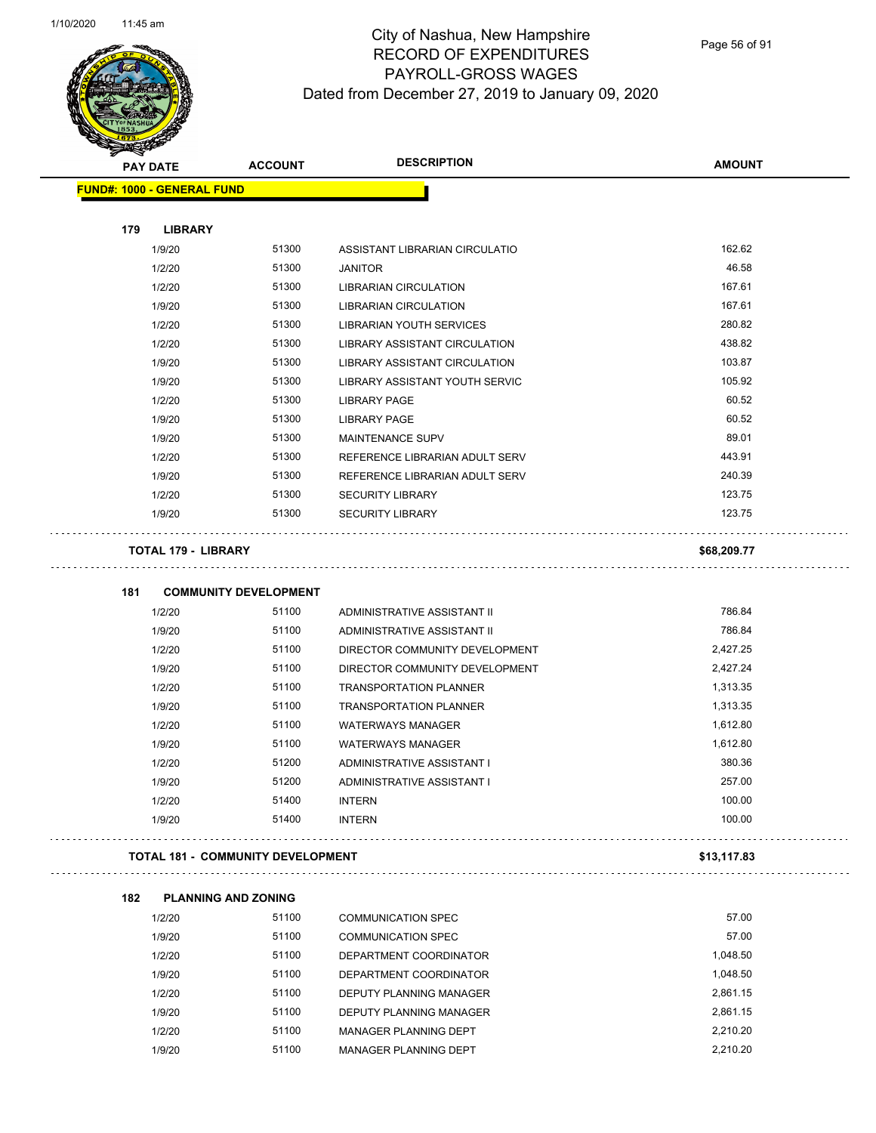Page 56 of 91

| <b>SARAHA</b><br><b>PAY DATE</b>         | <b>ACCOUNT</b>               | <b>DESCRIPTION</b>                                     | <b>AMOUNT</b>        |
|------------------------------------------|------------------------------|--------------------------------------------------------|----------------------|
| FUND#: 1000 - GENERAL FUND               |                              |                                                        |                      |
|                                          |                              |                                                        |                      |
| 179<br><b>LIBRARY</b>                    |                              |                                                        |                      |
| 1/9/20                                   | 51300                        | ASSISTANT LIBRARIAN CIRCULATIO                         | 162.62               |
| 1/2/20                                   | 51300                        | <b>JANITOR</b>                                         | 46.58                |
| 1/2/20                                   | 51300                        | <b>LIBRARIAN CIRCULATION</b>                           | 167.61               |
| 1/9/20                                   | 51300                        | <b>LIBRARIAN CIRCULATION</b>                           | 167.61               |
| 1/2/20                                   | 51300                        | LIBRARIAN YOUTH SERVICES                               | 280.82               |
| 1/2/20                                   | 51300                        | LIBRARY ASSISTANT CIRCULATION                          | 438.82               |
| 1/9/20                                   | 51300                        | LIBRARY ASSISTANT CIRCULATION                          | 103.87               |
| 1/9/20                                   | 51300                        | LIBRARY ASSISTANT YOUTH SERVIC                         | 105.92               |
| 1/2/20                                   | 51300                        | <b>LIBRARY PAGE</b>                                    | 60.52                |
| 1/9/20                                   | 51300                        | <b>LIBRARY PAGE</b>                                    | 60.52                |
| 1/9/20                                   | 51300                        | <b>MAINTENANCE SUPV</b>                                | 89.01                |
| 1/2/20                                   | 51300                        | REFERENCE LIBRARIAN ADULT SERV                         | 443.91               |
| 1/9/20                                   | 51300                        | REFERENCE LIBRARIAN ADULT SERV                         | 240.39               |
| 1/2/20                                   | 51300                        | <b>SECURITY LIBRARY</b>                                | 123.75               |
| 1/9/20                                   | 51300                        | <b>SECURITY LIBRARY</b>                                | 123.75               |
| <b>TOTAL 179 - LIBRARY</b>               |                              |                                                        | \$68,209.77          |
|                                          |                              |                                                        |                      |
| 181                                      | <b>COMMUNITY DEVELOPMENT</b> |                                                        |                      |
| 1/2/20                                   | 51100                        | ADMINISTRATIVE ASSISTANT II                            | 786.84               |
| 1/9/20                                   | 51100                        | ADMINISTRATIVE ASSISTANT II                            | 786.84               |
| 1/2/20                                   | 51100                        | DIRECTOR COMMUNITY DEVELOPMENT                         | 2,427.25             |
| 1/9/20                                   | 51100                        | DIRECTOR COMMUNITY DEVELOPMENT                         | 2,427.24             |
| 1/2/20                                   | 51100                        | <b>TRANSPORTATION PLANNER</b>                          | 1,313.35             |
| 1/9/20                                   | 51100<br>51100               | <b>TRANSPORTATION PLANNER</b>                          | 1,313.35             |
| 1/2/20                                   | 51100                        | <b>WATERWAYS MANAGER</b>                               | 1,612.80<br>1,612.80 |
| 1/9/20                                   |                              | <b>WATERWAYS MANAGER</b><br>ADMINISTRATIVE ASSISTANT I | 380.36               |
| 1/2/20<br>1/9/20                         | 51200<br>51200               | ADMINISTRATIVE ASSISTANT I                             | 257.00               |
|                                          | 51400                        |                                                        | 100.00               |
| 1/2/20<br>1/9/20                         | 51400                        | <b>INTERN</b><br><b>INTERN</b>                         | 100.00               |
| <b>TOTAL 181 - COMMUNITY DEVELOPMENT</b> |                              |                                                        | \$13,117.83          |
|                                          |                              |                                                        |                      |
| 182<br><b>PLANNING AND ZONING</b>        |                              |                                                        |                      |
| 1/2/20                                   | 51100                        | <b>COMMUNICATION SPEC</b>                              | 57.00                |
| 1/9/20                                   | 51100                        | <b>COMMUNICATION SPEC</b>                              | 57.00                |
| 1/2/20                                   | 51100                        | DEPARTMENT COORDINATOR                                 | 1,048.50             |
| 1/9/20                                   | 51100                        | DEPARTMENT COORDINATOR                                 | 1,048.50             |
| 1/2/20                                   | 51100                        | DEPUTY PLANNING MANAGER                                | 2,861.15             |
| 1/9/20                                   | 51100                        | DEPUTY PLANNING MANAGER                                | 2,861.15             |
| 1/2/20                                   | 51100                        | MANAGER PLANNING DEPT                                  | 2,210.20             |

1/9/20 51100 MANAGER PLANNING DEPT 2,210.20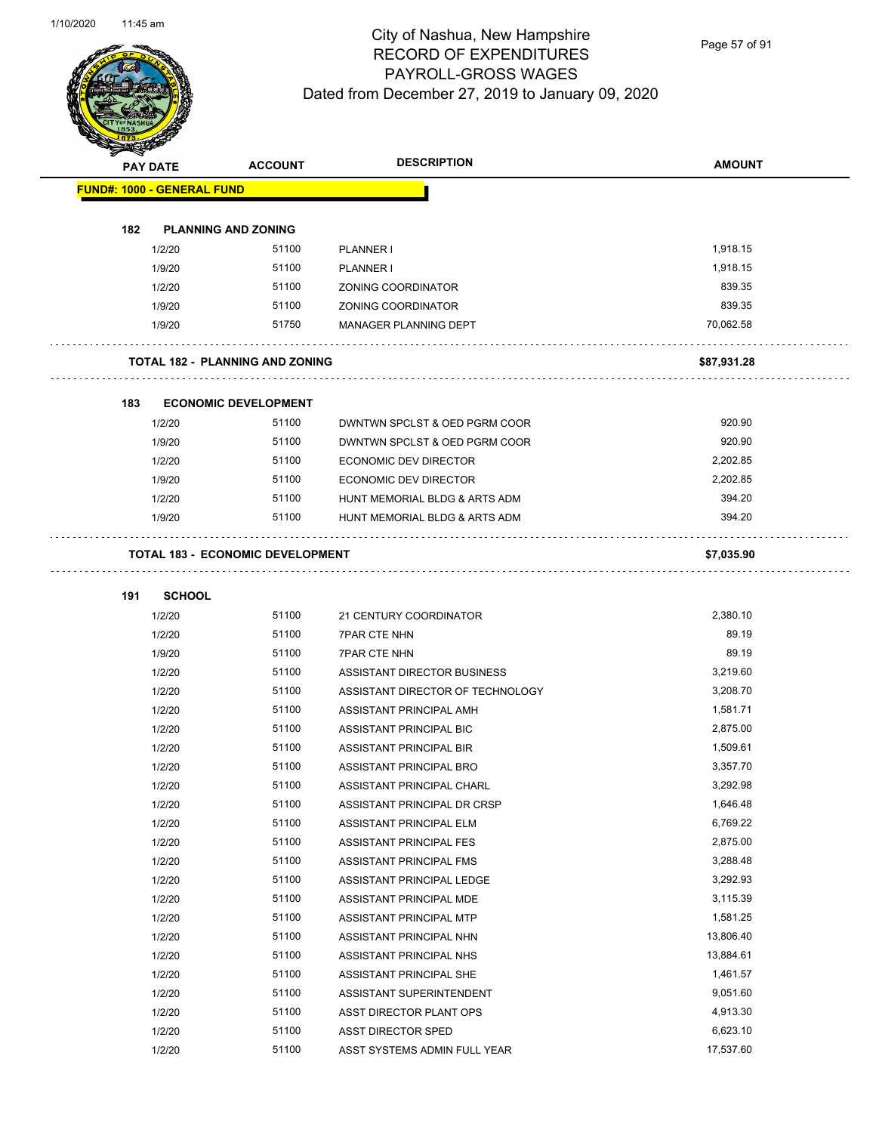Page 57 of 91

|     | <b>PAY DATE</b>                   | <b>ACCOUNT</b>                          | <b>DESCRIPTION</b>                                 | <b>AMOUNT</b> |
|-----|-----------------------------------|-----------------------------------------|----------------------------------------------------|---------------|
|     | <b>FUND#: 1000 - GENERAL FUND</b> |                                         |                                                    |               |
| 182 |                                   | <b>PLANNING AND ZONING</b>              |                                                    |               |
|     | 1/2/20                            | 51100                                   | PLANNER I                                          | 1,918.15      |
|     | 1/9/20                            | 51100                                   | <b>PLANNER I</b>                                   | 1,918.15      |
|     | 1/2/20                            | 51100                                   | ZONING COORDINATOR                                 | 839.35        |
|     | 1/9/20                            | 51100                                   | ZONING COORDINATOR                                 | 839.35        |
|     | 1/9/20                            | 51750                                   | <b>MANAGER PLANNING DEPT</b>                       | 70,062.58     |
|     |                                   | <b>TOTAL 182 - PLANNING AND ZONING</b>  |                                                    | \$87,931.28   |
| 183 |                                   | <b>ECONOMIC DEVELOPMENT</b>             |                                                    |               |
|     | 1/2/20                            | 51100                                   | DWNTWN SPCLST & OED PGRM COOR                      | 920.90        |
|     | 1/9/20                            | 51100                                   | DWNTWN SPCLST & OED PGRM COOR                      | 920.90        |
|     | 1/2/20                            | 51100                                   | ECONOMIC DEV DIRECTOR                              | 2,202.85      |
|     | 1/9/20                            | 51100                                   | ECONOMIC DEV DIRECTOR                              | 2,202.85      |
|     | 1/2/20                            | 51100                                   | HUNT MEMORIAL BLDG & ARTS ADM                      | 394.20        |
|     | 1/9/20                            | 51100                                   | HUNT MEMORIAL BLDG & ARTS ADM                      | 394.20        |
|     |                                   | <b>TOTAL 183 - ECONOMIC DEVELOPMENT</b> |                                                    | \$7,035.90    |
|     |                                   |                                         |                                                    |               |
| 191 | <b>SCHOOL</b><br>1/2/20           | 51100                                   | 21 CENTURY COORDINATOR                             | 2,380.10      |
|     | 1/2/20                            | 51100                                   | <b>7PAR CTE NHN</b>                                | 89.19         |
|     | 1/9/20                            | 51100                                   | <b>7PAR CTE NHN</b>                                | 89.19         |
|     | 1/2/20                            | 51100                                   | ASSISTANT DIRECTOR BUSINESS                        | 3,219.60      |
|     | 1/2/20                            | 51100                                   | ASSISTANT DIRECTOR OF TECHNOLOGY                   | 3,208.70      |
|     | 1/2/20                            | 51100                                   | ASSISTANT PRINCIPAL AMH                            | 1,581.71      |
|     | 1/2/20                            | 51100                                   | ASSISTANT PRINCIPAL BIC                            | 2,875.00      |
|     | 1/2/20                            | 51100                                   | ASSISTANT PRINCIPAL BIR                            | 1,509.61      |
|     | 1/2/20                            | 51100                                   | ASSISTANT PRINCIPAL BRO                            | 3,357.70      |
|     | 1/2/20                            | 51100                                   | ASSISTANT PRINCIPAL CHARL                          | 3,292.98      |
|     | 1/2/20                            | 51100                                   | ASSISTANT PRINCIPAL DR CRSP                        | 1,646.48      |
|     | 1/2/20                            | 51100                                   | ASSISTANT PRINCIPAL ELM                            | 6,769.22      |
|     | 1/2/20                            | 51100                                   | ASSISTANT PRINCIPAL FES                            | 2,875.00      |
|     | 1/2/20                            | 51100                                   | ASSISTANT PRINCIPAL FMS                            | 3,288.48      |
|     | 1/2/20                            | 51100                                   | ASSISTANT PRINCIPAL LEDGE                          | 3,292.93      |
|     |                                   | 51100                                   |                                                    | 3,115.39      |
|     | 1/2/20                            | 51100                                   | ASSISTANT PRINCIPAL MDE<br>ASSISTANT PRINCIPAL MTP | 1,581.25      |
|     | 1/2/20                            |                                         |                                                    | 13,806.40     |
|     | 1/2/20                            | 51100                                   | ASSISTANT PRINCIPAL NHN                            |               |
|     | 1/2/20                            | 51100                                   | ASSISTANT PRINCIPAL NHS                            | 13,884.61     |
|     | 1/2/20                            | 51100                                   | ASSISTANT PRINCIPAL SHE                            | 1,461.57      |
|     | 1/2/20                            | 51100                                   | ASSISTANT SUPERINTENDENT                           | 9,051.60      |
|     | 1/2/20                            | 51100                                   | ASST DIRECTOR PLANT OPS                            | 4,913.30      |
|     | 1/2/20                            | 51100                                   | ASST DIRECTOR SPED                                 | 6,623.10      |
|     | 1/2/20                            | 51100                                   | ASST SYSTEMS ADMIN FULL YEAR                       | 17,537.60     |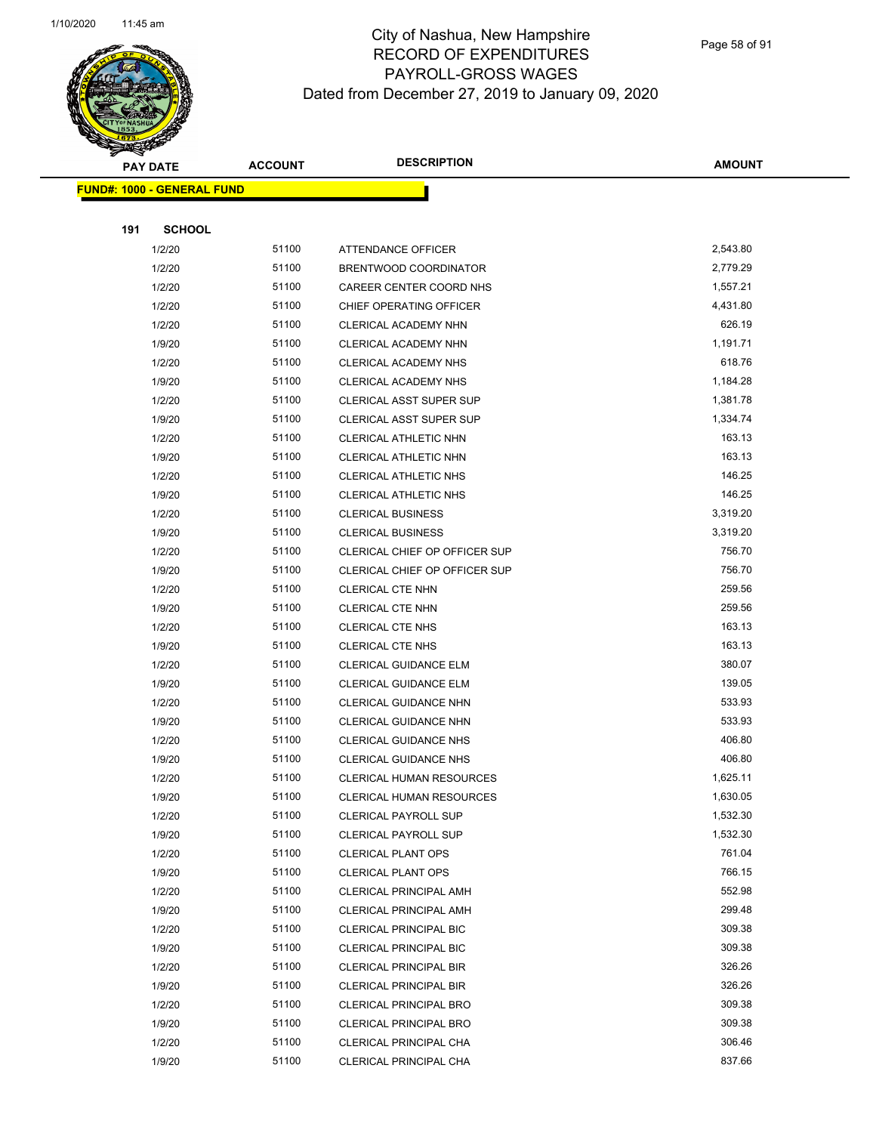

Page 58 of 91

|     | <b>PAY DATE</b>                   | <b>ACCOUNT</b> | <b>DESCRIPTION</b>                                       | <b>AMOUNT</b>        |  |
|-----|-----------------------------------|----------------|----------------------------------------------------------|----------------------|--|
|     | <b>FUND#: 1000 - GENERAL FUND</b> |                |                                                          |                      |  |
|     |                                   |                |                                                          |                      |  |
| 191 | <b>SCHOOL</b>                     |                |                                                          |                      |  |
|     | 1/2/20                            | 51100          | ATTENDANCE OFFICER                                       | 2,543.80             |  |
|     | 1/2/20                            | 51100          | BRENTWOOD COORDINATOR                                    | 2,779.29             |  |
|     | 1/2/20                            | 51100          | CAREER CENTER COORD NHS                                  | 1,557.21             |  |
|     | 1/2/20                            | 51100          | CHIEF OPERATING OFFICER                                  | 4,431.80             |  |
|     | 1/2/20                            | 51100          | <b>CLERICAL ACADEMY NHN</b>                              | 626.19               |  |
|     | 1/9/20                            | 51100          | CLERICAL ACADEMY NHN                                     | 1,191.71             |  |
|     | 1/2/20                            | 51100          | CLERICAL ACADEMY NHS                                     | 618.76               |  |
|     | 1/9/20                            | 51100          | CLERICAL ACADEMY NHS                                     | 1,184.28             |  |
|     | 1/2/20                            | 51100          | <b>CLERICAL ASST SUPER SUP</b>                           | 1,381.78             |  |
|     | 1/9/20                            | 51100          | <b>CLERICAL ASST SUPER SUP</b>                           | 1,334.74             |  |
|     | 1/2/20                            | 51100          | CLERICAL ATHLETIC NHN                                    | 163.13               |  |
|     | 1/9/20                            | 51100          | <b>CLERICAL ATHLETIC NHN</b>                             | 163.13               |  |
|     | 1/2/20                            | 51100          | CLERICAL ATHLETIC NHS                                    | 146.25               |  |
|     | 1/9/20                            | 51100          | CLERICAL ATHLETIC NHS                                    | 146.25               |  |
|     | 1/2/20                            | 51100          | <b>CLERICAL BUSINESS</b>                                 | 3,319.20             |  |
|     | 1/9/20                            | 51100          | <b>CLERICAL BUSINESS</b>                                 | 3,319.20             |  |
|     | 1/2/20                            | 51100          | CLERICAL CHIEF OP OFFICER SUP                            | 756.70               |  |
|     | 1/9/20                            | 51100          | CLERICAL CHIEF OP OFFICER SUP                            | 756.70               |  |
|     | 1/2/20                            | 51100          | CLERICAL CTE NHN                                         | 259.56               |  |
|     | 1/9/20                            | 51100          | CLERICAL CTE NHN                                         | 259.56               |  |
|     | 1/2/20                            | 51100          | <b>CLERICAL CTE NHS</b>                                  | 163.13               |  |
|     | 1/9/20                            | 51100          | CLERICAL CTE NHS                                         | 163.13               |  |
|     | 1/2/20                            | 51100          | <b>CLERICAL GUIDANCE ELM</b>                             | 380.07               |  |
|     | 1/9/20                            | 51100          | <b>CLERICAL GUIDANCE ELM</b>                             | 139.05               |  |
|     | 1/2/20                            | 51100          | CLERICAL GUIDANCE NHN                                    | 533.93               |  |
|     | 1/9/20                            | 51100          | CLERICAL GUIDANCE NHN                                    | 533.93               |  |
|     | 1/2/20                            | 51100          | <b>CLERICAL GUIDANCE NHS</b>                             | 406.80               |  |
|     | 1/9/20                            | 51100          | <b>CLERICAL GUIDANCE NHS</b>                             | 406.80               |  |
|     | 1/2/20                            | 51100          | CLERICAL HUMAN RESOURCES                                 | 1,625.11             |  |
|     | 1/9/20                            | 51100          | <b>CLERICAL HUMAN RESOURCES</b>                          | 1,630.05             |  |
|     | 1/2/20                            | 51100<br>51100 | <b>CLERICAL PAYROLL SUP</b>                              | 1,532.30<br>1,532.30 |  |
|     | 1/9/20<br>1/2/20                  | 51100          | <b>CLERICAL PAYROLL SUP</b><br><b>CLERICAL PLANT OPS</b> | 761.04               |  |
|     | 1/9/20                            | 51100          | <b>CLERICAL PLANT OPS</b>                                | 766.15               |  |
|     | 1/2/20                            | 51100          | <b>CLERICAL PRINCIPAL AMH</b>                            | 552.98               |  |
|     | 1/9/20                            | 51100          | <b>CLERICAL PRINCIPAL AMH</b>                            | 299.48               |  |
|     | 1/2/20                            | 51100          | <b>CLERICAL PRINCIPAL BIC</b>                            | 309.38               |  |
|     | 1/9/20                            | 51100          | <b>CLERICAL PRINCIPAL BIC</b>                            | 309.38               |  |
|     | 1/2/20                            | 51100          | CLERICAL PRINCIPAL BIR                                   | 326.26               |  |
|     | 1/9/20                            | 51100          | <b>CLERICAL PRINCIPAL BIR</b>                            | 326.26               |  |
|     | 1/2/20                            | 51100          | <b>CLERICAL PRINCIPAL BRO</b>                            | 309.38               |  |
|     | 1/9/20                            | 51100          | <b>CLERICAL PRINCIPAL BRO</b>                            | 309.38               |  |
|     | 1/2/20                            | 51100          | CLERICAL PRINCIPAL CHA                                   | 306.46               |  |
|     | 1/9/20                            | 51100          | CLERICAL PRINCIPAL CHA                                   | 837.66               |  |
|     |                                   |                |                                                          |                      |  |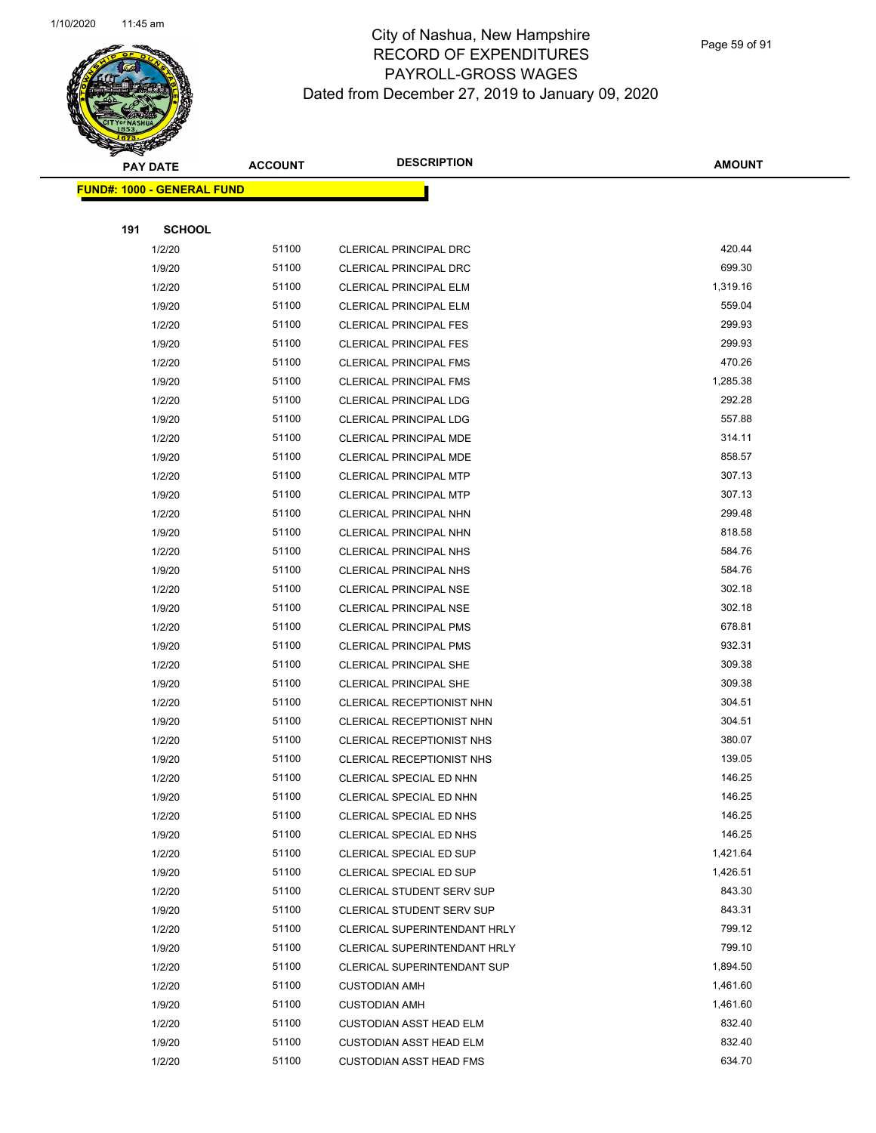

Page 59 of 91

| <b>PAY DATE</b>                    | <b>ACCOUNT</b> | <b>DESCRIPTION</b>             | <b>AMOUNT</b> |
|------------------------------------|----------------|--------------------------------|---------------|
| <u> FUND#: 1000 - GENERAL FUND</u> |                |                                |               |
|                                    |                |                                |               |
| 191<br><b>SCHOOL</b>               |                |                                |               |
| 1/2/20                             | 51100          | CLERICAL PRINCIPAL DRC         | 420.44        |
| 1/9/20                             | 51100          | CLERICAL PRINCIPAL DRC         | 699.30        |
| 1/2/20                             | 51100          | <b>CLERICAL PRINCIPAL ELM</b>  | 1,319.16      |
| 1/9/20                             | 51100          | <b>CLERICAL PRINCIPAL ELM</b>  | 559.04        |
| 1/2/20                             | 51100          | <b>CLERICAL PRINCIPAL FES</b>  | 299.93        |
| 1/9/20                             | 51100          | <b>CLERICAL PRINCIPAL FES</b>  | 299.93        |
| 1/2/20                             | 51100          | <b>CLERICAL PRINCIPAL FMS</b>  | 470.26        |
| 1/9/20                             | 51100          | <b>CLERICAL PRINCIPAL FMS</b>  | 1,285.38      |
| 1/2/20                             | 51100          | <b>CLERICAL PRINCIPAL LDG</b>  | 292.28        |
| 1/9/20                             | 51100          | <b>CLERICAL PRINCIPAL LDG</b>  | 557.88        |
| 1/2/20                             | 51100          | <b>CLERICAL PRINCIPAL MDE</b>  | 314.11        |
| 1/9/20                             | 51100          | CLERICAL PRINCIPAL MDE         | 858.57        |
| 1/2/20                             | 51100          | <b>CLERICAL PRINCIPAL MTP</b>  | 307.13        |
| 1/9/20                             | 51100          | <b>CLERICAL PRINCIPAL MTP</b>  | 307.13        |
| 1/2/20                             | 51100          | CLERICAL PRINCIPAL NHN         | 299.48        |
| 1/9/20                             | 51100          | CLERICAL PRINCIPAL NHN         | 818.58        |
| 1/2/20                             | 51100          | <b>CLERICAL PRINCIPAL NHS</b>  | 584.76        |
| 1/9/20                             | 51100          | CLERICAL PRINCIPAL NHS         | 584.76        |
| 1/2/20                             | 51100          | <b>CLERICAL PRINCIPAL NSE</b>  | 302.18        |
| 1/9/20                             | 51100          | <b>CLERICAL PRINCIPAL NSE</b>  | 302.18        |
| 1/2/20                             | 51100          | <b>CLERICAL PRINCIPAL PMS</b>  | 678.81        |
| 1/9/20                             | 51100          | <b>CLERICAL PRINCIPAL PMS</b>  | 932.31        |
| 1/2/20                             | 51100          | <b>CLERICAL PRINCIPAL SHE</b>  | 309.38        |
| 1/9/20                             | 51100          | <b>CLERICAL PRINCIPAL SHE</b>  | 309.38        |
| 1/2/20                             | 51100          | CLERICAL RECEPTIONIST NHN      | 304.51        |
| 1/9/20                             | 51100          | CLERICAL RECEPTIONIST NHN      | 304.51        |
| 1/2/20                             | 51100          | CLERICAL RECEPTIONIST NHS      | 380.07        |
| 1/9/20                             | 51100          | CLERICAL RECEPTIONIST NHS      | 139.05        |
| 1/2/20                             | 51100          | CLERICAL SPECIAL ED NHN        | 146.25        |
| 1/9/20                             | 51100          | CLERICAL SPECIAL ED NHN        | 146.25        |
| 1/2/20                             | 51100          | CLERICAL SPECIAL ED NHS        | 146.25        |
| 1/9/20                             | 51100          | CLERICAL SPECIAL ED NHS        | 146.25        |
| 1/2/20                             | 51100          | CLERICAL SPECIAL ED SUP        | 1,421.64      |
| 1/9/20                             | 51100          | CLERICAL SPECIAL ED SUP        | 1,426.51      |
| 1/2/20                             | 51100          | CLERICAL STUDENT SERV SUP      | 843.30        |
| 1/9/20                             | 51100          | CLERICAL STUDENT SERV SUP      | 843.31        |
| 1/2/20                             | 51100          | CLERICAL SUPERINTENDANT HRLY   | 799.12        |
| 1/9/20                             | 51100          | CLERICAL SUPERINTENDANT HRLY   | 799.10        |
| 1/2/20                             | 51100          | CLERICAL SUPERINTENDANT SUP    | 1,894.50      |
| 1/2/20                             | 51100          | <b>CUSTODIAN AMH</b>           | 1,461.60      |
| 1/9/20                             | 51100          | <b>CUSTODIAN AMH</b>           | 1,461.60      |
| 1/2/20                             | 51100          | <b>CUSTODIAN ASST HEAD ELM</b> | 832.40        |
| 1/9/20                             | 51100          | <b>CUSTODIAN ASST HEAD ELM</b> | 832.40        |
| 1/2/20                             | 51100          | <b>CUSTODIAN ASST HEAD FMS</b> | 634.70        |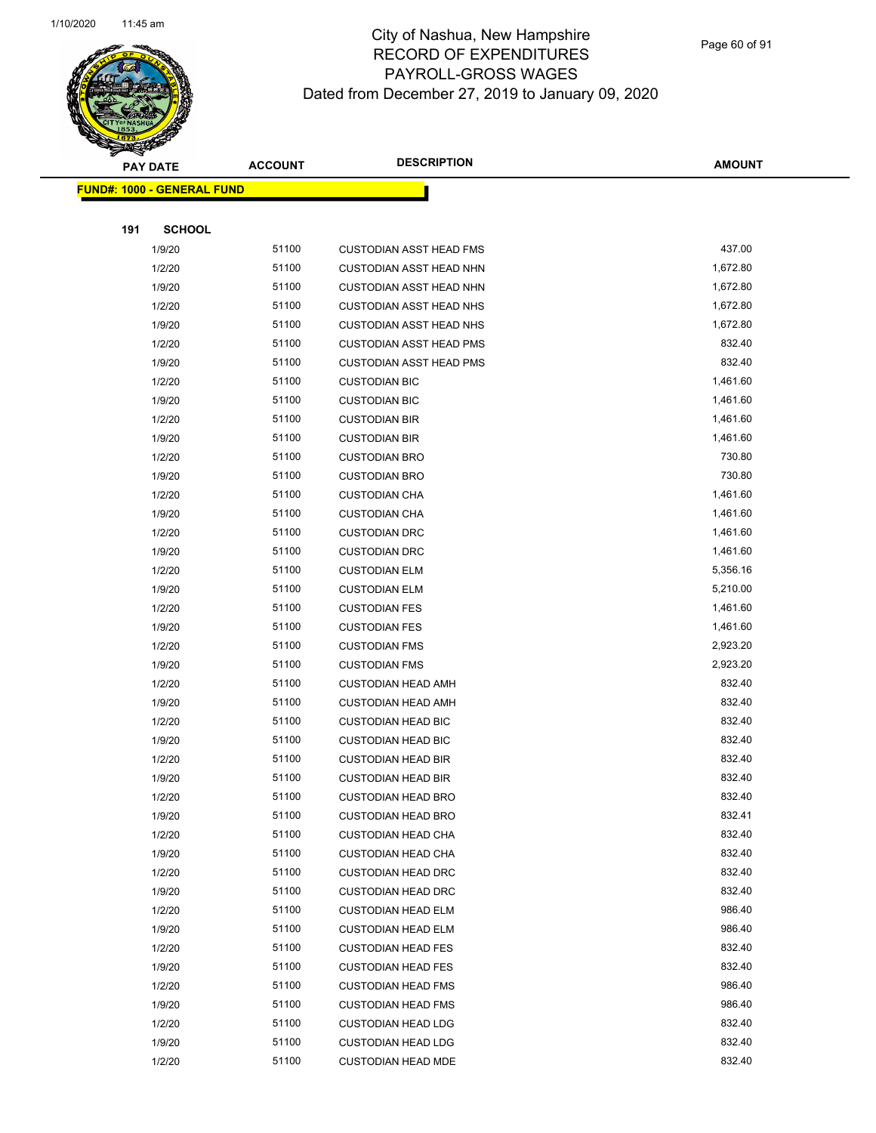

Page 60 of 91

|     | <b>PAY DATE</b>                   | <b>ACCOUNT</b> | <b>DESCRIPTION</b>             | <b>AMOUNT</b> |
|-----|-----------------------------------|----------------|--------------------------------|---------------|
|     | <b>FUND#: 1000 - GENERAL FUND</b> |                |                                |               |
|     |                                   |                |                                |               |
| 191 | <b>SCHOOL</b>                     |                |                                |               |
|     | 1/9/20                            | 51100          | <b>CUSTODIAN ASST HEAD FMS</b> | 437.00        |
|     | 1/2/20                            | 51100          | <b>CUSTODIAN ASST HEAD NHN</b> | 1,672.80      |
|     | 1/9/20                            | 51100          | <b>CUSTODIAN ASST HEAD NHN</b> | 1,672.80      |
|     | 1/2/20                            | 51100          | <b>CUSTODIAN ASST HEAD NHS</b> | 1,672.80      |
|     | 1/9/20                            | 51100          | <b>CUSTODIAN ASST HEAD NHS</b> | 1,672.80      |
|     | 1/2/20                            | 51100          | <b>CUSTODIAN ASST HEAD PMS</b> | 832.40        |
|     | 1/9/20                            | 51100          | <b>CUSTODIAN ASST HEAD PMS</b> | 832.40        |
|     | 1/2/20                            | 51100          | <b>CUSTODIAN BIC</b>           | 1,461.60      |
|     | 1/9/20                            | 51100          | <b>CUSTODIAN BIC</b>           | 1,461.60      |
|     | 1/2/20                            | 51100          | <b>CUSTODIAN BIR</b>           | 1,461.60      |
|     | 1/9/20                            | 51100          | <b>CUSTODIAN BIR</b>           | 1,461.60      |
|     | 1/2/20                            | 51100          | <b>CUSTODIAN BRO</b>           | 730.80        |
|     | 1/9/20                            | 51100          | <b>CUSTODIAN BRO</b>           | 730.80        |
|     | 1/2/20                            | 51100          | <b>CUSTODIAN CHA</b>           | 1,461.60      |
|     | 1/9/20                            | 51100          | <b>CUSTODIAN CHA</b>           | 1,461.60      |
|     | 1/2/20                            | 51100          | <b>CUSTODIAN DRC</b>           | 1,461.60      |
|     | 1/9/20                            | 51100          | <b>CUSTODIAN DRC</b>           | 1,461.60      |
|     | 1/2/20                            | 51100          | <b>CUSTODIAN ELM</b>           | 5,356.16      |
|     | 1/9/20                            | 51100          | <b>CUSTODIAN ELM</b>           | 5,210.00      |
|     | 1/2/20                            | 51100          | <b>CUSTODIAN FES</b>           | 1,461.60      |
|     | 1/9/20                            | 51100          | <b>CUSTODIAN FES</b>           | 1,461.60      |
|     | 1/2/20                            | 51100          | <b>CUSTODIAN FMS</b>           | 2,923.20      |
|     | 1/9/20                            | 51100          | <b>CUSTODIAN FMS</b>           | 2,923.20      |
|     | 1/2/20                            | 51100          | <b>CUSTODIAN HEAD AMH</b>      | 832.40        |
|     | 1/9/20                            | 51100          | <b>CUSTODIAN HEAD AMH</b>      | 832.40        |
|     | 1/2/20                            | 51100          | <b>CUSTODIAN HEAD BIC</b>      | 832.40        |
|     | 1/9/20                            | 51100          | <b>CUSTODIAN HEAD BIC</b>      | 832.40        |
|     | 1/2/20                            | 51100          | <b>CUSTODIAN HEAD BIR</b>      | 832.40        |
|     | 1/9/20                            | 51100          | <b>CUSTODIAN HEAD BIR</b>      | 832.40        |
|     | 1/2/20                            | 51100          | <b>CUSTODIAN HEAD BRO</b>      | 832.40        |
|     | 1/9/20                            | 51100          | <b>CUSTODIAN HEAD BRO</b>      | 832.41        |
|     | 1/2/20                            | 51100          | <b>CUSTODIAN HEAD CHA</b>      | 832.40        |
|     | 1/9/20                            | 51100          | <b>CUSTODIAN HEAD CHA</b>      | 832.40        |
|     | 1/2/20                            | 51100          | <b>CUSTODIAN HEAD DRC</b>      | 832.40        |
|     | 1/9/20                            | 51100          | <b>CUSTODIAN HEAD DRC</b>      | 832.40        |
|     | 1/2/20                            | 51100          | <b>CUSTODIAN HEAD ELM</b>      | 986.40        |
|     | 1/9/20                            | 51100          | <b>CUSTODIAN HEAD ELM</b>      | 986.40        |
|     | 1/2/20                            | 51100          | <b>CUSTODIAN HEAD FES</b>      | 832.40        |
|     | 1/9/20                            | 51100          | <b>CUSTODIAN HEAD FES</b>      | 832.40        |
|     | 1/2/20                            | 51100          | <b>CUSTODIAN HEAD FMS</b>      | 986.40        |
|     | 1/9/20                            | 51100          | <b>CUSTODIAN HEAD FMS</b>      | 986.40        |
|     | 1/2/20                            | 51100          | <b>CUSTODIAN HEAD LDG</b>      | 832.40        |
|     | 1/9/20                            | 51100          | <b>CUSTODIAN HEAD LDG</b>      | 832.40        |
|     | 1/2/20                            | 51100          | <b>CUSTODIAN HEAD MDE</b>      | 832.40        |
|     |                                   |                |                                |               |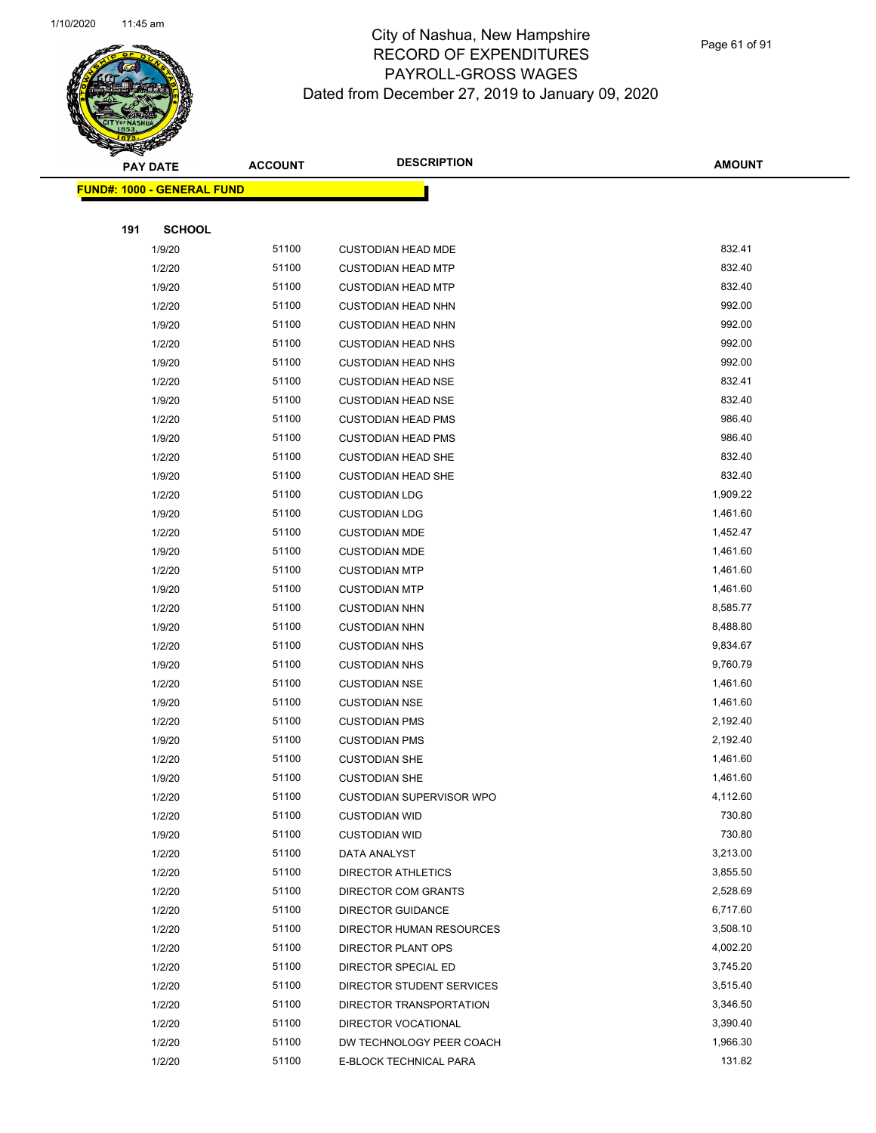

Page 61 of 91

| <b>PAY DATE</b>                   | <b>ACCOUNT</b> | <b>DESCRIPTION</b>        | <b>AMOUNT</b> |
|-----------------------------------|----------------|---------------------------|---------------|
| <b>FUND#: 1000 - GENERAL FUND</b> |                |                           |               |
|                                   |                |                           |               |
| 191<br><b>SCHOOL</b>              |                |                           |               |
| 1/9/20                            | 51100          | <b>CUSTODIAN HEAD MDE</b> | 832.41        |
| 1/2/20                            | 51100          | <b>CUSTODIAN HEAD MTP</b> | 832.40        |
| 1/9/20                            | 51100          | <b>CUSTODIAN HEAD MTP</b> | 832.40        |
| 1/2/20                            | 51100          | <b>CUSTODIAN HEAD NHN</b> | 992.00        |
| 1/9/20                            | 51100          | <b>CUSTODIAN HEAD NHN</b> | 992.00        |
| 1/2/20                            | 51100          | <b>CUSTODIAN HEAD NHS</b> | 992.00        |
| 1/9/20                            | 51100          | <b>CUSTODIAN HEAD NHS</b> | 992.00        |
| 1/2/20                            | 51100          | <b>CUSTODIAN HEAD NSE</b> | 832.41        |
| 1/9/20                            | 51100          | <b>CUSTODIAN HEAD NSE</b> | 832.40        |
| 1/2/20                            | 51100          | <b>CUSTODIAN HEAD PMS</b> | 986.40        |
| 1/9/20                            | 51100          | <b>CUSTODIAN HEAD PMS</b> | 986.40        |
| 1/2/20                            | 51100          | <b>CUSTODIAN HEAD SHE</b> | 832.40        |
| 1/9/20                            | 51100          | <b>CUSTODIAN HEAD SHE</b> | 832.40        |
| 1/2/20                            | 51100          | <b>CUSTODIAN LDG</b>      | 1,909.22      |
| 1/9/20                            | 51100          | <b>CUSTODIAN LDG</b>      | 1,461.60      |
| 1/2/20                            | 51100          | <b>CUSTODIAN MDE</b>      | 1,452.47      |
| 1/9/20                            | 51100          | <b>CUSTODIAN MDE</b>      | 1,461.60      |
| 1/2/20                            | 51100          | <b>CUSTODIAN MTP</b>      | 1,461.60      |
| 1/9/20                            | 51100          | <b>CUSTODIAN MTP</b>      | 1,461.60      |
| 1/2/20                            | 51100          | <b>CUSTODIAN NHN</b>      | 8,585.77      |
| 1/9/20                            | 51100          | <b>CUSTODIAN NHN</b>      | 8,488.80      |
| 1/2/20                            | 51100          | <b>CUSTODIAN NHS</b>      | 9,834.67      |
| 1/9/20                            | 51100          | <b>CUSTODIAN NHS</b>      | 9,760.79      |
| 1/2/20                            | 51100          | <b>CUSTODIAN NSE</b>      | 1,461.60      |
| 1/9/20                            | 51100          | <b>CUSTODIAN NSE</b>      | 1,461.60      |
| 1/2/20                            | 51100          | <b>CUSTODIAN PMS</b>      | 2,192.40      |
| 1/9/20                            | 51100          | <b>CUSTODIAN PMS</b>      | 2,192.40      |
| 1/2/20                            | 51100          | <b>CUSTODIAN SHE</b>      | 1,461.60      |
| 1/9/20                            | 51100          | <b>CUSTODIAN SHE</b>      | 1,461.60      |
| 1/2/20                            | 51100          | CUSTODIAN SUPERVISOR WPO  | 4,112.60      |
| 1/2/20                            | 51100          | <b>CUSTODIAN WID</b>      | 730.80        |
| 1/9/20                            | 51100          | <b>CUSTODIAN WID</b>      | 730.80        |
| 1/2/20                            | 51100          | DATA ANALYST              | 3,213.00      |
| 1/2/20                            | 51100          | <b>DIRECTOR ATHLETICS</b> | 3,855.50      |
| 1/2/20                            | 51100          | DIRECTOR COM GRANTS       | 2,528.69      |
| 1/2/20                            | 51100          | <b>DIRECTOR GUIDANCE</b>  | 6,717.60      |
| 1/2/20                            | 51100          | DIRECTOR HUMAN RESOURCES  | 3,508.10      |
| 1/2/20                            | 51100          | DIRECTOR PLANT OPS        | 4,002.20      |
| 1/2/20                            | 51100          | DIRECTOR SPECIAL ED       | 3,745.20      |
| 1/2/20                            | 51100          | DIRECTOR STUDENT SERVICES | 3,515.40      |
| 1/2/20                            | 51100          | DIRECTOR TRANSPORTATION   | 3,346.50      |
| 1/2/20                            | 51100          | DIRECTOR VOCATIONAL       | 3,390.40      |
| 1/2/20                            | 51100          | DW TECHNOLOGY PEER COACH  | 1,966.30      |
| 1/2/20                            | 51100          | E-BLOCK TECHNICAL PARA    | 131.82        |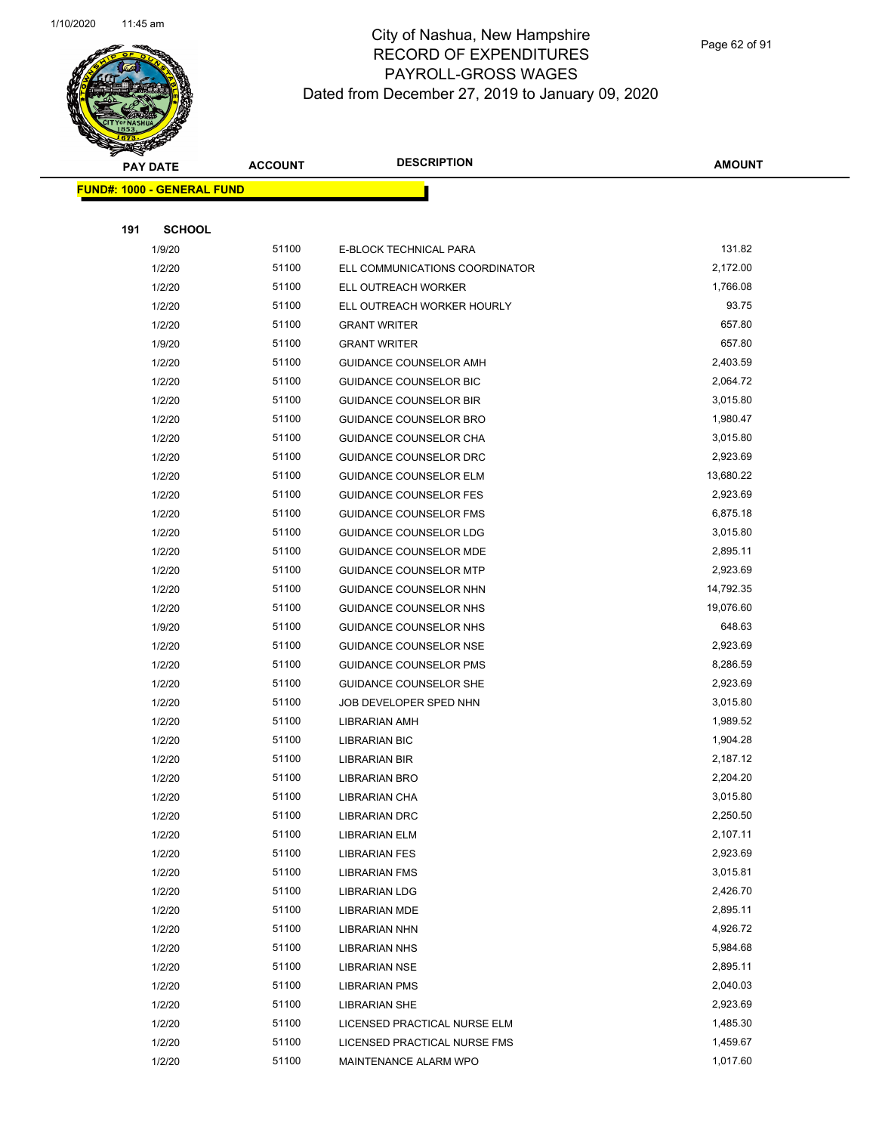

Page 62 of 91

|     | <b>PAY DATE</b>                    | <b>ACCOUNT</b> | <b>DESCRIPTION</b>             | <b>AMOUNT</b> |
|-----|------------------------------------|----------------|--------------------------------|---------------|
|     | <u> FUND#: 1000 - GENERAL FUND</u> |                |                                |               |
|     |                                    |                |                                |               |
| 191 | <b>SCHOOL</b>                      |                |                                |               |
|     | 1/9/20                             | 51100          | E-BLOCK TECHNICAL PARA         | 131.82        |
|     | 1/2/20                             | 51100          | ELL COMMUNICATIONS COORDINATOR | 2,172.00      |
|     | 1/2/20                             | 51100          | ELL OUTREACH WORKER            | 1,766.08      |
|     | 1/2/20                             | 51100          | ELL OUTREACH WORKER HOURLY     | 93.75         |
|     | 1/2/20                             | 51100          | <b>GRANT WRITER</b>            | 657.80        |
|     | 1/9/20                             | 51100          | <b>GRANT WRITER</b>            | 657.80        |
|     | 1/2/20                             | 51100          | GUIDANCE COUNSELOR AMH         | 2,403.59      |
|     | 1/2/20                             | 51100          | GUIDANCE COUNSELOR BIC         | 2,064.72      |
|     | 1/2/20                             | 51100          | <b>GUIDANCE COUNSELOR BIR</b>  | 3,015.80      |
|     | 1/2/20                             | 51100          | GUIDANCE COUNSELOR BRO         | 1,980.47      |
|     | 1/2/20                             | 51100          | GUIDANCE COUNSELOR CHA         | 3,015.80      |
|     | 1/2/20                             | 51100          | <b>GUIDANCE COUNSELOR DRC</b>  | 2,923.69      |
|     | 1/2/20                             | 51100          | <b>GUIDANCE COUNSELOR ELM</b>  | 13,680.22     |
|     | 1/2/20                             | 51100          | <b>GUIDANCE COUNSELOR FES</b>  | 2,923.69      |
|     | 1/2/20                             | 51100          | <b>GUIDANCE COUNSELOR FMS</b>  | 6,875.18      |
|     | 1/2/20                             | 51100          | <b>GUIDANCE COUNSELOR LDG</b>  | 3,015.80      |
|     | 1/2/20                             | 51100          | GUIDANCE COUNSELOR MDE         | 2,895.11      |
|     | 1/2/20                             | 51100          | <b>GUIDANCE COUNSELOR MTP</b>  | 2,923.69      |
|     | 1/2/20                             | 51100          | GUIDANCE COUNSELOR NHN         | 14,792.35     |
|     | 1/2/20                             | 51100          | GUIDANCE COUNSELOR NHS         | 19,076.60     |
|     | 1/9/20                             | 51100          | GUIDANCE COUNSELOR NHS         | 648.63        |
|     | 1/2/20                             | 51100          | <b>GUIDANCE COUNSELOR NSE</b>  | 2,923.69      |
|     | 1/2/20                             | 51100          | GUIDANCE COUNSELOR PMS         | 8,286.59      |
|     | 1/2/20                             | 51100          | <b>GUIDANCE COUNSELOR SHE</b>  | 2,923.69      |
|     | 1/2/20                             | 51100          | JOB DEVELOPER SPED NHN         | 3,015.80      |
|     | 1/2/20                             | 51100          | <b>LIBRARIAN AMH</b>           | 1,989.52      |
|     | 1/2/20                             | 51100          | <b>LIBRARIAN BIC</b>           | 1,904.28      |
|     | 1/2/20                             | 51100          | <b>LIBRARIAN BIR</b>           | 2,187.12      |
|     | 1/2/20                             | 51100          | <b>LIBRARIAN BRO</b>           | 2,204.20      |
|     | 1/2/20                             | 51100          | <b>LIBRARIAN CHA</b>           | 3,015.80      |
|     | 1/2/20                             | 51100          | <b>LIBRARIAN DRC</b>           | 2,250.50      |
|     | 1/2/20                             | 51100          | <b>LIBRARIAN ELM</b>           | 2,107.11      |
|     | 1/2/20                             | 51100          | <b>LIBRARIAN FES</b>           | 2,923.69      |
|     | 1/2/20                             | 51100          | <b>LIBRARIAN FMS</b>           | 3,015.81      |
|     | 1/2/20                             | 51100          | <b>LIBRARIAN LDG</b>           | 2,426.70      |
|     | 1/2/20                             | 51100          | <b>LIBRARIAN MDE</b>           | 2,895.11      |
|     | 1/2/20                             | 51100          | <b>LIBRARIAN NHN</b>           | 4,926.72      |
|     | 1/2/20                             | 51100          | LIBRARIAN NHS                  | 5,984.68      |
|     | 1/2/20                             | 51100          | <b>LIBRARIAN NSE</b>           | 2,895.11      |
|     | 1/2/20                             | 51100          | <b>LIBRARIAN PMS</b>           | 2,040.03      |
|     | 1/2/20                             | 51100          | <b>LIBRARIAN SHE</b>           | 2,923.69      |
|     | 1/2/20                             | 51100          | LICENSED PRACTICAL NURSE ELM   | 1,485.30      |
|     | 1/2/20                             | 51100          | LICENSED PRACTICAL NURSE FMS   | 1,459.67      |
|     | 1/2/20                             | 51100          | MAINTENANCE ALARM WPO          | 1,017.60      |
|     |                                    |                |                                |               |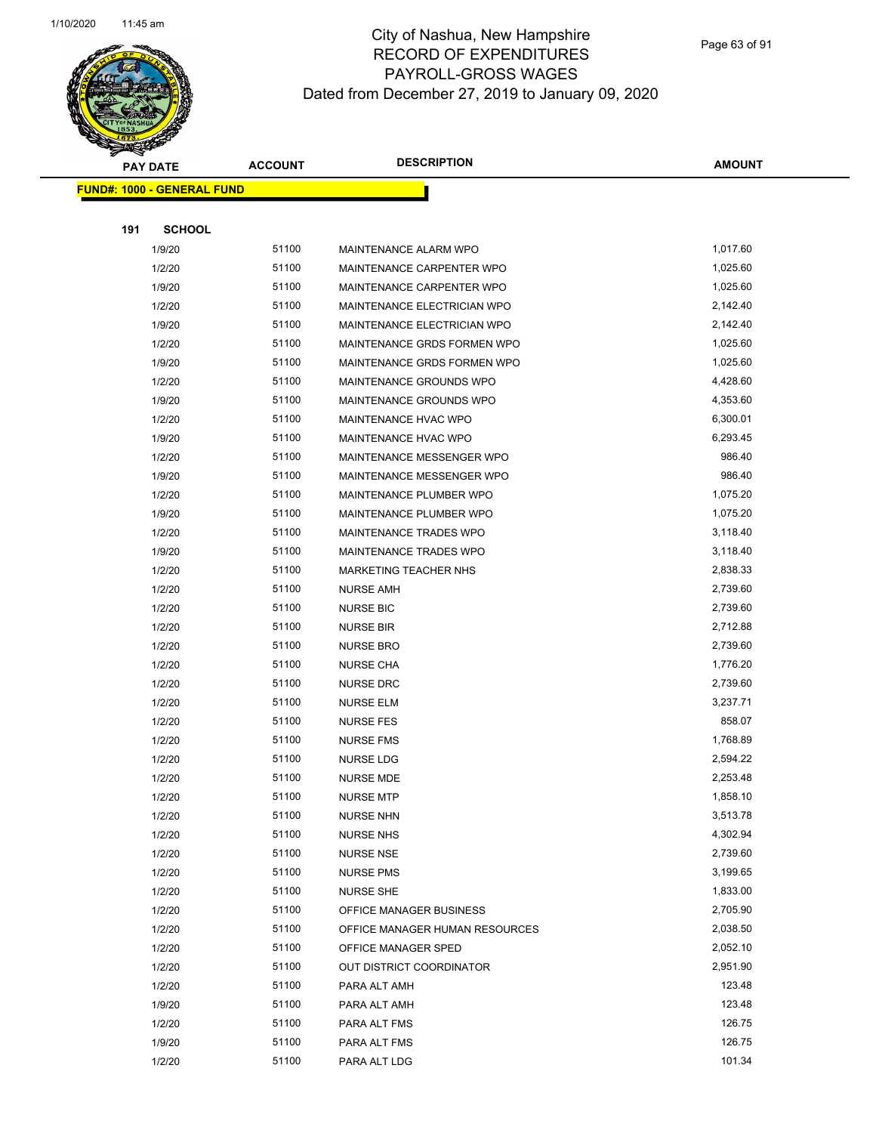

Page 63 of 91

|     | <b>PAY DATE</b>                   | <b>ACCOUNT</b> | <b>DESCRIPTION</b>             | <b>AMOUNT</b> |
|-----|-----------------------------------|----------------|--------------------------------|---------------|
|     | <b>FUND#: 1000 - GENERAL FUND</b> |                |                                |               |
|     |                                   |                |                                |               |
| 191 | <b>SCHOOL</b>                     |                |                                |               |
|     | 1/9/20                            | 51100          | MAINTENANCE ALARM WPO          | 1,017.60      |
|     | 1/2/20                            | 51100          | MAINTENANCE CARPENTER WPO      | 1,025.60      |
|     | 1/9/20                            | 51100          | MAINTENANCE CARPENTER WPO      | 1,025.60      |
|     | 1/2/20                            | 51100          | MAINTENANCE ELECTRICIAN WPO    | 2,142.40      |
|     | 1/9/20                            | 51100          | MAINTENANCE ELECTRICIAN WPO    | 2,142.40      |
|     | 1/2/20                            | 51100          | MAINTENANCE GRDS FORMEN WPO    | 1,025.60      |
|     | 1/9/20                            | 51100          | MAINTENANCE GRDS FORMEN WPO    | 1,025.60      |
|     | 1/2/20                            | 51100          | MAINTENANCE GROUNDS WPO        | 4,428.60      |
|     | 1/9/20                            | 51100          | MAINTENANCE GROUNDS WPO        | 4,353.60      |
|     | 1/2/20                            | 51100          | MAINTENANCE HVAC WPO           | 6,300.01      |
|     | 1/9/20                            | 51100          | MAINTENANCE HVAC WPO           | 6,293.45      |
|     | 1/2/20                            | 51100          | MAINTENANCE MESSENGER WPO      | 986.40        |
|     | 1/9/20                            | 51100          | MAINTENANCE MESSENGER WPO      | 986.40        |
|     | 1/2/20                            | 51100          | MAINTENANCE PLUMBER WPO        | 1,075.20      |
|     | 1/9/20                            | 51100          | MAINTENANCE PLUMBER WPO        | 1,075.20      |
|     | 1/2/20                            | 51100          | MAINTENANCE TRADES WPO         | 3,118.40      |
|     | 1/9/20                            | 51100          | <b>MAINTENANCE TRADES WPO</b>  | 3,118.40      |
|     | 1/2/20                            | 51100          | <b>MARKETING TEACHER NHS</b>   | 2,838.33      |
|     | 1/2/20                            | 51100          | <b>NURSE AMH</b>               | 2,739.60      |
|     | 1/2/20                            | 51100          | <b>NURSE BIC</b>               | 2,739.60      |
|     | 1/2/20                            | 51100          | <b>NURSE BIR</b>               | 2,712.88      |
|     | 1/2/20                            | 51100          | <b>NURSE BRO</b>               | 2,739.60      |
|     | 1/2/20                            | 51100          | <b>NURSE CHA</b>               | 1,776.20      |
|     | 1/2/20                            | 51100          | <b>NURSE DRC</b>               | 2,739.60      |
|     | 1/2/20                            | 51100          | <b>NURSE ELM</b>               | 3,237.71      |
|     | 1/2/20                            | 51100          | <b>NURSE FES</b>               | 858.07        |
|     | 1/2/20                            | 51100          | <b>NURSE FMS</b>               | 1,768.89      |
|     | 1/2/20                            | 51100          | NURSE LDG                      | 2,594.22      |
|     | 1/2/20                            | 51100          | <b>NURSE MDE</b>               | 2,253.48      |
|     | 1/2/20                            | 51100          | <b>NURSE MTP</b>               | 1,858.10      |
|     | 1/2/20                            | 51100          | <b>NURSE NHN</b>               | 3,513.78      |
|     | 1/2/20                            | 51100          | <b>NURSE NHS</b>               | 4,302.94      |
|     | 1/2/20                            | 51100          | <b>NURSE NSE</b>               | 2,739.60      |
|     | 1/2/20                            | 51100          | <b>NURSE PMS</b>               | 3,199.65      |
|     | 1/2/20                            | 51100          | <b>NURSE SHE</b>               | 1,833.00      |
|     | 1/2/20                            | 51100          | OFFICE MANAGER BUSINESS        | 2,705.90      |
|     | 1/2/20                            | 51100          | OFFICE MANAGER HUMAN RESOURCES | 2,038.50      |
|     | 1/2/20                            | 51100          | OFFICE MANAGER SPED            | 2,052.10      |
|     | 1/2/20                            | 51100          | OUT DISTRICT COORDINATOR       | 2,951.90      |
|     | 1/2/20                            | 51100          | PARA ALT AMH                   | 123.48        |
|     | 1/9/20                            | 51100          | PARA ALT AMH                   | 123.48        |
|     | 1/2/20                            | 51100          | PARA ALT FMS                   | 126.75        |
|     | 1/9/20                            | 51100          | PARA ALT FMS                   | 126.75        |
|     | 1/2/20                            | 51100          | PARA ALT LDG                   | 101.34        |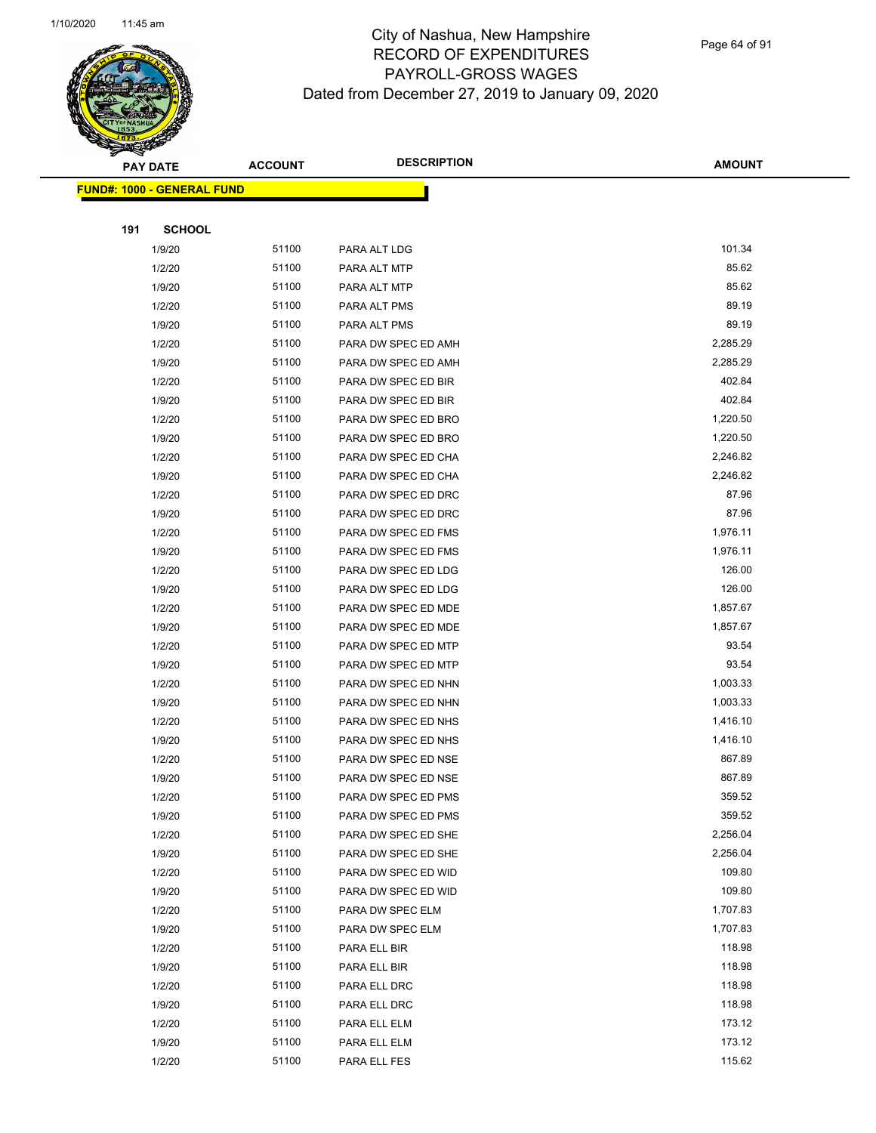

Page 64 of 91

| <b>PAY DATE</b>                   | <b>ACCOUNT</b> | <b>DESCRIPTION</b>  | <b>AMOUNT</b> |
|-----------------------------------|----------------|---------------------|---------------|
| <b>FUND#: 1000 - GENERAL FUND</b> |                |                     |               |
|                                   |                |                     |               |
| 191<br><b>SCHOOL</b>              |                |                     |               |
| 1/9/20                            | 51100          | PARA ALT LDG        | 101.34        |
| 1/2/20                            | 51100          | PARA ALT MTP        | 85.62         |
| 1/9/20                            | 51100          | PARA ALT MTP        | 85.62         |
| 1/2/20                            | 51100          | PARA ALT PMS        | 89.19         |
| 1/9/20                            | 51100          | PARA ALT PMS        | 89.19         |
| 1/2/20                            | 51100          | PARA DW SPEC ED AMH | 2,285.29      |
| 1/9/20                            | 51100          | PARA DW SPEC ED AMH | 2,285.29      |
| 1/2/20                            | 51100          | PARA DW SPEC ED BIR | 402.84        |
| 1/9/20                            | 51100          | PARA DW SPEC ED BIR | 402.84        |
| 1/2/20                            | 51100          | PARA DW SPEC ED BRO | 1,220.50      |
| 1/9/20                            | 51100          | PARA DW SPEC ED BRO | 1,220.50      |
| 1/2/20                            | 51100          | PARA DW SPEC ED CHA | 2,246.82      |
| 1/9/20                            | 51100          | PARA DW SPEC ED CHA | 2,246.82      |
| 1/2/20                            | 51100          | PARA DW SPEC ED DRC | 87.96         |
| 1/9/20                            | 51100          | PARA DW SPEC ED DRC | 87.96         |
| 1/2/20                            | 51100          | PARA DW SPEC ED FMS | 1,976.11      |
| 1/9/20                            | 51100          | PARA DW SPEC ED FMS | 1,976.11      |
| 1/2/20                            | 51100          | PARA DW SPEC ED LDG | 126.00        |
| 1/9/20                            | 51100          | PARA DW SPEC ED LDG | 126.00        |
| 1/2/20                            | 51100          | PARA DW SPEC ED MDE | 1,857.67      |
| 1/9/20                            | 51100          | PARA DW SPEC ED MDE | 1,857.67      |
| 1/2/20                            | 51100          | PARA DW SPEC ED MTP | 93.54         |
| 1/9/20                            | 51100          | PARA DW SPEC ED MTP | 93.54         |
| 1/2/20                            | 51100          | PARA DW SPEC ED NHN | 1,003.33      |
| 1/9/20                            | 51100          | PARA DW SPEC ED NHN | 1,003.33      |
| 1/2/20                            | 51100          | PARA DW SPEC ED NHS | 1,416.10      |
| 1/9/20                            | 51100          | PARA DW SPEC ED NHS | 1,416.10      |
| 1/2/20                            | 51100          | PARA DW SPEC ED NSE | 867.89        |
| 1/9/20                            | 51100          | PARA DW SPEC ED NSE | 867.89        |
| 1/2/20                            | 51100          | PARA DW SPEC ED PMS | 359.52        |
| 1/9/20                            | 51100          | PARA DW SPEC ED PMS | 359.52        |
| 1/2/20                            | 51100          | PARA DW SPEC ED SHE | 2,256.04      |
| 1/9/20                            | 51100          | PARA DW SPEC ED SHE | 2,256.04      |
| 1/2/20                            | 51100          | PARA DW SPEC ED WID | 109.80        |
| 1/9/20                            | 51100          | PARA DW SPEC ED WID | 109.80        |
| 1/2/20                            | 51100          | PARA DW SPEC ELM    | 1,707.83      |
| 1/9/20                            | 51100          | PARA DW SPEC ELM    | 1,707.83      |
| 1/2/20                            | 51100          | PARA ELL BIR        | 118.98        |
| 1/9/20                            | 51100          | PARA ELL BIR        | 118.98        |
| 1/2/20                            | 51100          | PARA ELL DRC        | 118.98        |
| 1/9/20                            | 51100          | PARA ELL DRC        | 118.98        |
| 1/2/20                            | 51100          | PARA ELL ELM        | 173.12        |
| 1/9/20                            | 51100          | PARA ELL ELM        | 173.12        |
| 1/2/20                            | 51100          | PARA ELL FES        | 115.62        |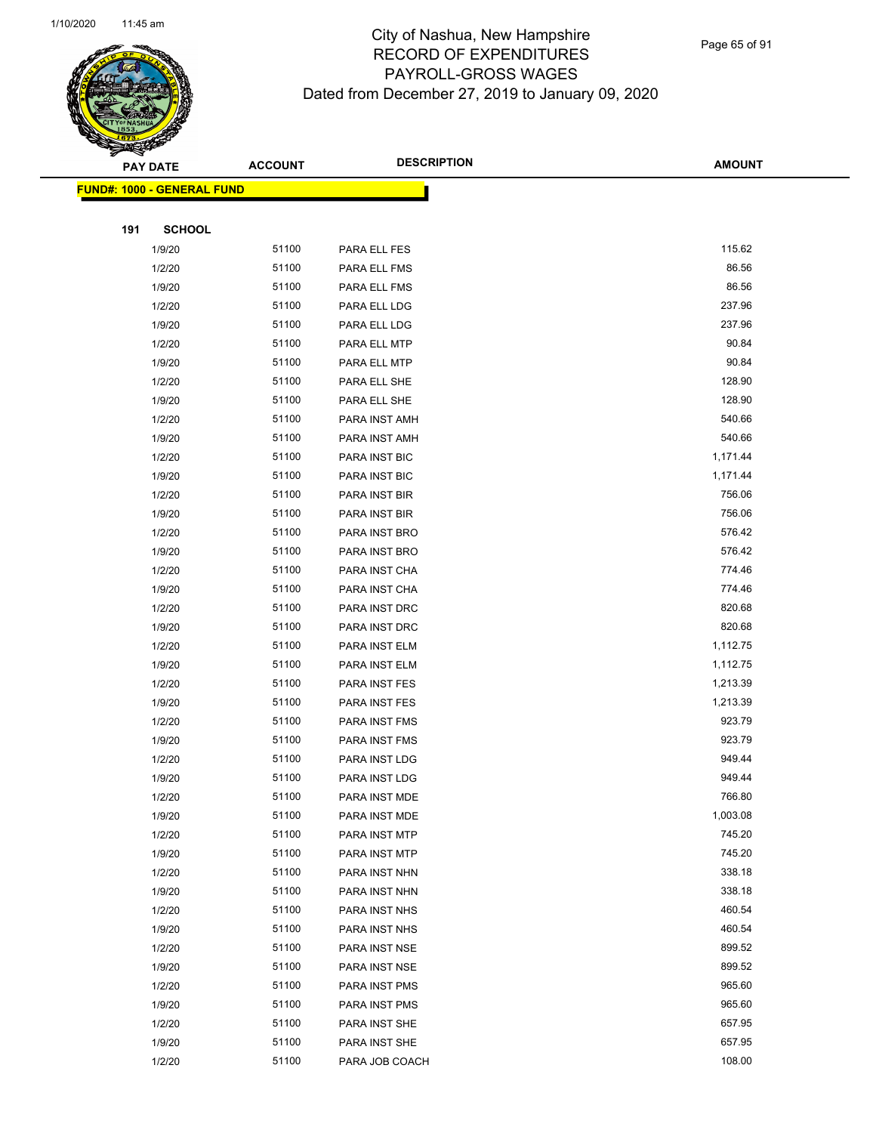

Page 65 of 91

|     | <b>PAY DATE</b>            | <b>ACCOUNT</b> | <b>DESCRIPTION</b> | <b>AMOUNT</b> |
|-----|----------------------------|----------------|--------------------|---------------|
|     | FUND#: 1000 - GENERAL FUND |                |                    |               |
|     |                            |                |                    |               |
| 191 | <b>SCHOOL</b>              |                |                    |               |
|     | 1/9/20                     | 51100          | PARA ELL FES       | 115.62        |
|     | 1/2/20                     | 51100          | PARA ELL FMS       | 86.56         |
|     | 1/9/20                     | 51100          | PARA ELL FMS       | 86.56         |
|     | 1/2/20                     | 51100          | PARA ELL LDG       | 237.96        |
|     | 1/9/20                     | 51100          | PARA ELL LDG       | 237.96        |
|     | 1/2/20                     | 51100          | PARA ELL MTP       | 90.84         |
|     | 1/9/20                     | 51100          | PARA ELL MTP       | 90.84         |
|     | 1/2/20                     | 51100          | PARA ELL SHE       | 128.90        |
|     | 1/9/20                     | 51100          | PARA ELL SHE       | 128.90        |
|     | 1/2/20                     | 51100          | PARA INST AMH      | 540.66        |
|     | 1/9/20                     | 51100          | PARA INST AMH      | 540.66        |
|     | 1/2/20                     | 51100          | PARA INST BIC      | 1,171.44      |
|     | 1/9/20                     | 51100          | PARA INST BIC      | 1,171.44      |
|     | 1/2/20                     | 51100          | PARA INST BIR      | 756.06        |
|     | 1/9/20                     | 51100          | PARA INST BIR      | 756.06        |
|     | 1/2/20                     | 51100          | PARA INST BRO      | 576.42        |
|     | 1/9/20                     | 51100          | PARA INST BRO      | 576.42        |
|     | 1/2/20                     | 51100          | PARA INST CHA      | 774.46        |
|     | 1/9/20                     | 51100          | PARA INST CHA      | 774.46        |
|     | 1/2/20                     | 51100          | PARA INST DRC      | 820.68        |
|     | 1/9/20                     | 51100          | PARA INST DRC      | 820.68        |
|     | 1/2/20                     | 51100          | PARA INST ELM      | 1,112.75      |
|     | 1/9/20                     | 51100          | PARA INST ELM      | 1,112.75      |
|     | 1/2/20                     | 51100          | PARA INST FES      | 1,213.39      |
|     | 1/9/20                     | 51100          | PARA INST FES      | 1,213.39      |
|     | 1/2/20                     | 51100          | PARA INST FMS      | 923.79        |
|     | 1/9/20                     | 51100          | PARA INST FMS      | 923.79        |
|     | 1/2/20                     | 51100          | PARA INST LDG      | 949.44        |
|     | 1/9/20                     | 51100          | PARA INST LDG      | 949.44        |
|     | 1/2/20                     | 51100          | PARA INST MDE      | 766.80        |
|     | 1/9/20                     | 51100          | PARA INST MDE      | 1,003.08      |
|     | 1/2/20                     | 51100          | PARA INST MTP      | 745.20        |
|     | 1/9/20                     | 51100          | PARA INST MTP      | 745.20        |
|     | 1/2/20                     | 51100          | PARA INST NHN      | 338.18        |
|     | 1/9/20                     | 51100          | PARA INST NHN      | 338.18        |
|     | 1/2/20                     | 51100          | PARA INST NHS      | 460.54        |
|     | 1/9/20                     | 51100          | PARA INST NHS      | 460.54        |
|     | 1/2/20                     | 51100          | PARA INST NSE      | 899.52        |
|     | 1/9/20                     | 51100          | PARA INST NSE      | 899.52        |
|     | 1/2/20                     | 51100          | PARA INST PMS      | 965.60        |
|     | 1/9/20                     | 51100          | PARA INST PMS      | 965.60        |
|     | 1/2/20                     | 51100          | PARA INST SHE      | 657.95        |
|     | 1/9/20                     | 51100          | PARA INST SHE      | 657.95        |
|     | 1/2/20                     | 51100          | PARA JOB COACH     | 108.00        |
|     |                            |                |                    |               |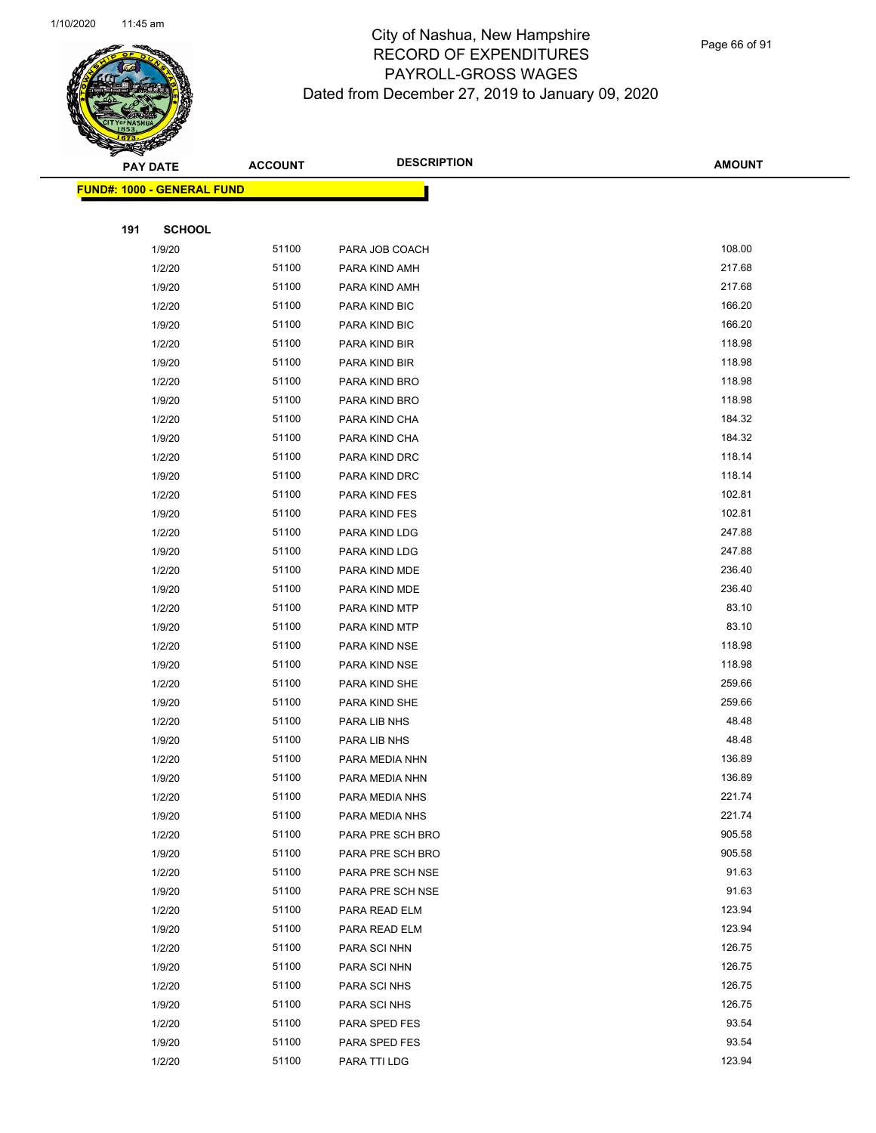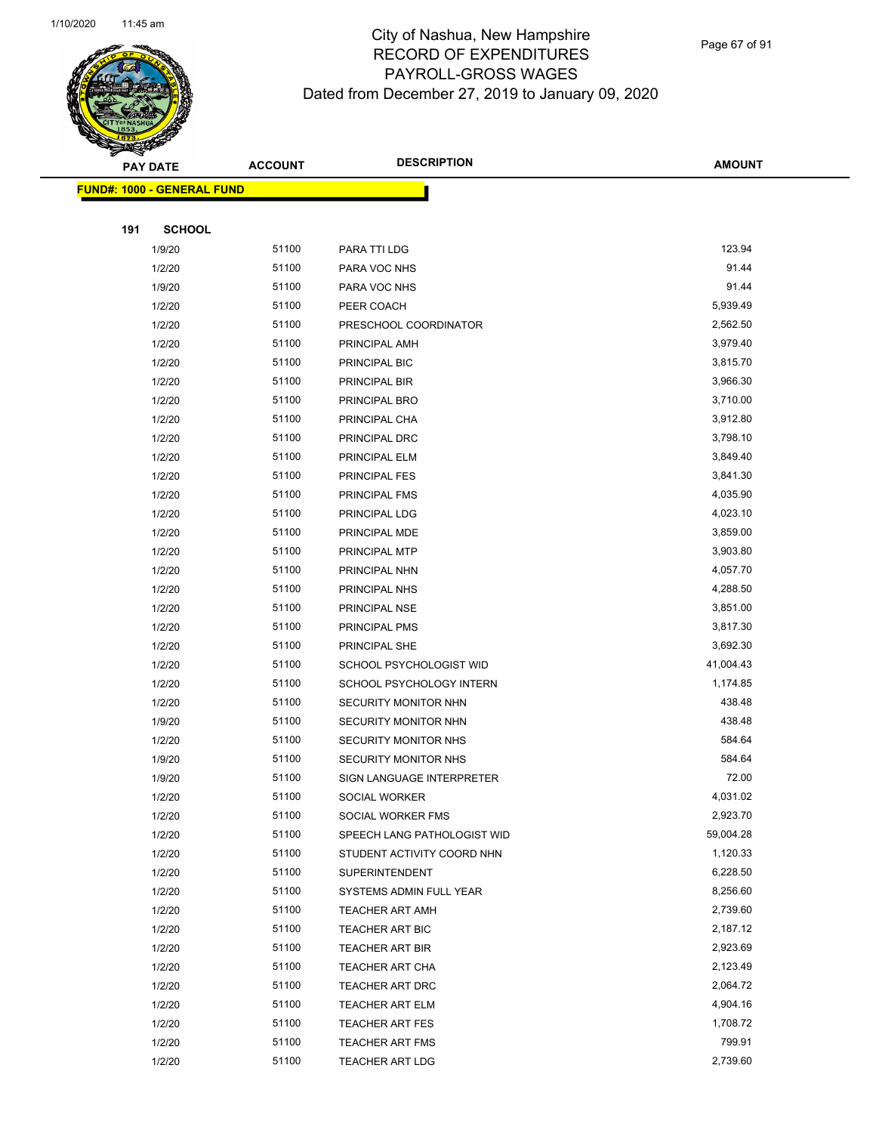

Page 67 of 91

|     | <b>PAY DATE</b>            | <b>ACCOUNT</b> | <b>DESCRIPTION</b>          | <b>AMOUNT</b>      |
|-----|----------------------------|----------------|-----------------------------|--------------------|
|     | FUND#: 1000 - GENERAL FUND |                |                             |                    |
|     |                            |                |                             |                    |
| 191 | <b>SCHOOL</b>              |                |                             |                    |
|     | 1/9/20                     | 51100          | PARA TTI LDG                | 123.94             |
|     | 1/2/20                     | 51100          | PARA VOC NHS                | 91.44              |
|     | 1/9/20                     | 51100          | PARA VOC NHS                | 91.44              |
|     | 1/2/20                     | 51100          | PEER COACH                  | 5,939.49           |
|     | 1/2/20                     | 51100          | PRESCHOOL COORDINATOR       | 2,562.50           |
|     | 1/2/20                     | 51100          | PRINCIPAL AMH               | 3,979.40           |
|     | 1/2/20                     | 51100          | PRINCIPAL BIC               | 3,815.70           |
|     | 1/2/20                     | 51100          | PRINCIPAL BIR               | 3,966.30           |
|     | 1/2/20                     | 51100          | PRINCIPAL BRO               | 3,710.00           |
|     | 1/2/20                     | 51100          | PRINCIPAL CHA               | 3,912.80           |
|     | 1/2/20                     | 51100          | PRINCIPAL DRC               | 3,798.10           |
|     | 1/2/20                     | 51100          | PRINCIPAL ELM               | 3,849.40           |
|     | 1/2/20                     | 51100          | <b>PRINCIPAL FES</b>        | 3,841.30           |
|     | 1/2/20                     | 51100          | PRINCIPAL FMS               | 4,035.90           |
|     | 1/2/20                     | 51100          | PRINCIPAL LDG               | 4,023.10           |
|     | 1/2/20                     | 51100          | PRINCIPAL MDE               | 3,859.00           |
|     | 1/2/20                     | 51100          | PRINCIPAL MTP               | 3,903.80           |
|     | 1/2/20                     | 51100          | PRINCIPAL NHN               | 4,057.70           |
|     | 1/2/20                     | 51100          | PRINCIPAL NHS               | 4,288.50           |
|     | 1/2/20                     | 51100          | PRINCIPAL NSE               | 3,851.00           |
|     | 1/2/20                     | 51100          | PRINCIPAL PMS               | 3,817.30           |
|     | 1/2/20                     | 51100          | PRINCIPAL SHE               | 3,692.30           |
|     | 1/2/20                     | 51100          | SCHOOL PSYCHOLOGIST WID     | 41,004.43          |
|     | 1/2/20                     | 51100          | SCHOOL PSYCHOLOGY INTERN    | 1,174.85           |
|     | 1/2/20                     | 51100          | SECURITY MONITOR NHN        | 438.48             |
|     | 1/9/20                     | 51100          | SECURITY MONITOR NHN        | 438.48             |
|     | 1/2/20                     | 51100          | SECURITY MONITOR NHS        | 584.64             |
|     | 1/9/20                     | 51100          | SECURITY MONITOR NHS        | 584.64             |
|     | 1/9/20                     | 51100          | SIGN LANGUAGE INTERPRETER   | 72.00              |
|     | 1/2/20                     | 51100          | SOCIAL WORKER               | 4,031.02           |
|     | 1/2/20                     | 51100          | SOCIAL WORKER FMS           | 2,923.70           |
|     | 1/2/20                     | 51100          | SPEECH LANG PATHOLOGIST WID | 59,004.28          |
|     | 1/2/20                     | 51100          | STUDENT ACTIVITY COORD NHN  | 1,120.33           |
|     | 1/2/20                     | 51100          | <b>SUPERINTENDENT</b>       | 6,228.50           |
|     | 1/2/20                     | 51100          | SYSTEMS ADMIN FULL YEAR     | 8,256.60           |
|     | 1/2/20                     | 51100          | <b>TEACHER ART AMH</b>      | 2,739.60           |
|     | 1/2/20                     | 51100          | <b>TEACHER ART BIC</b>      | 2,187.12           |
|     | 1/2/20                     | 51100          | <b>TEACHER ART BIR</b>      | 2,923.69           |
|     | 1/2/20                     | 51100          | TEACHER ART CHA             | 2,123.49           |
|     | 1/2/20                     | 51100          | TEACHER ART DRC             | 2,064.72           |
|     | 1/2/20                     | 51100          | TEACHER ART ELM             | 4,904.16           |
|     | 1/2/20                     | 51100          | <b>TEACHER ART FES</b>      | 1,708.72           |
|     | 1/2/20<br>1/2/20           | 51100<br>51100 | <b>TEACHER ART FMS</b>      | 799.91<br>2,739.60 |
|     |                            |                | <b>TEACHER ART LDG</b>      |                    |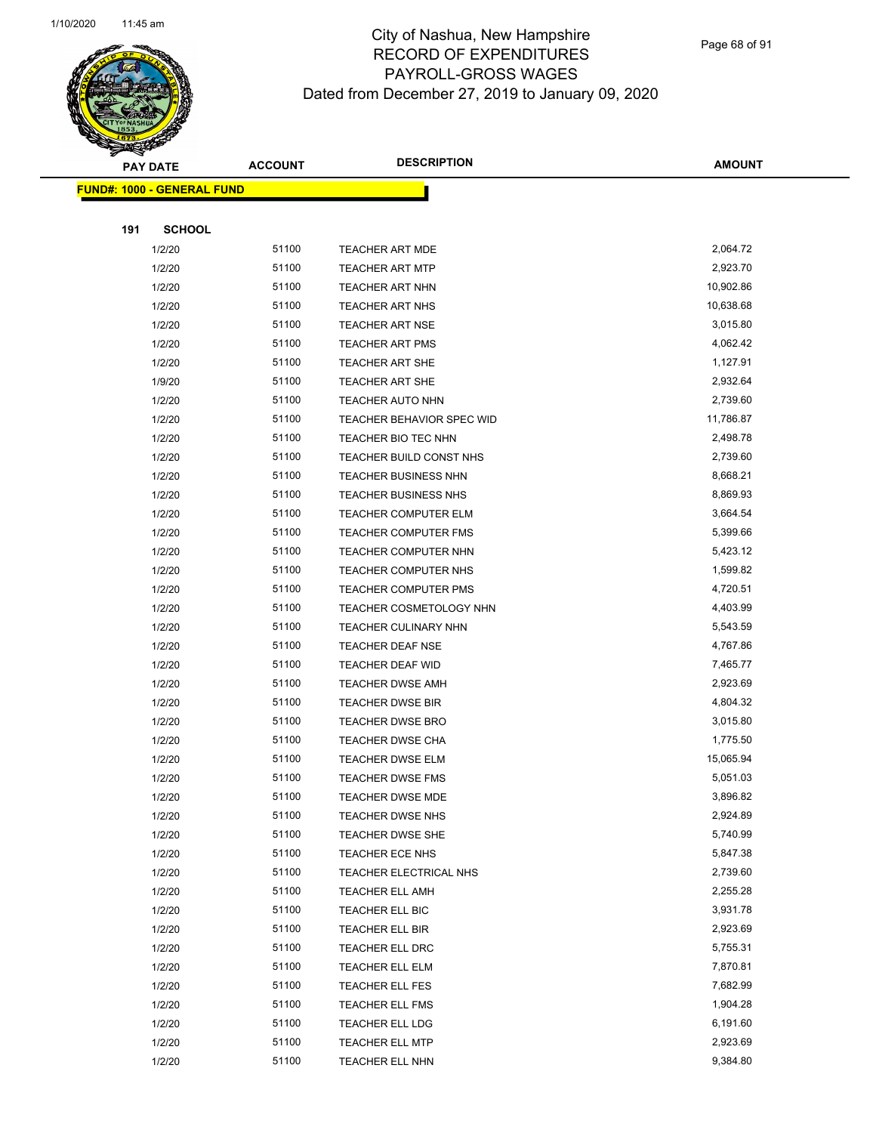

Page 68 of 91

|     | <b>PAY DATE</b>                   | <b>ACCOUNT</b> | <b>DESCRIPTION</b>               | <b>AMOUNT</b> |
|-----|-----------------------------------|----------------|----------------------------------|---------------|
|     | <b>FUND#: 1000 - GENERAL FUND</b> |                |                                  |               |
|     |                                   |                |                                  |               |
| 191 | <b>SCHOOL</b>                     |                |                                  |               |
|     | 1/2/20                            | 51100          | <b>TEACHER ART MDE</b>           | 2,064.72      |
|     | 1/2/20                            | 51100          | <b>TEACHER ART MTP</b>           | 2,923.70      |
|     | 1/2/20                            | 51100          | <b>TEACHER ART NHN</b>           | 10,902.86     |
|     | 1/2/20                            | 51100          | <b>TEACHER ART NHS</b>           | 10,638.68     |
|     | 1/2/20                            | 51100          | <b>TEACHER ART NSE</b>           | 3,015.80      |
|     | 1/2/20                            | 51100          | <b>TEACHER ART PMS</b>           | 4,062.42      |
|     | 1/2/20                            | 51100          | <b>TEACHER ART SHE</b>           | 1,127.91      |
|     | 1/9/20                            | 51100          | <b>TEACHER ART SHE</b>           | 2,932.64      |
|     | 1/2/20                            | 51100          | TEACHER AUTO NHN                 | 2,739.60      |
|     | 1/2/20                            | 51100          | <b>TEACHER BEHAVIOR SPEC WID</b> | 11,786.87     |
|     | 1/2/20                            | 51100          | TEACHER BIO TEC NHN              | 2,498.78      |
|     | 1/2/20                            | 51100          | TEACHER BUILD CONST NHS          | 2,739.60      |
|     | 1/2/20                            | 51100          | TEACHER BUSINESS NHN             | 8,668.21      |
|     | 1/2/20                            | 51100          | <b>TEACHER BUSINESS NHS</b>      | 8,869.93      |
|     | 1/2/20                            | 51100          | <b>TEACHER COMPUTER ELM</b>      | 3,664.54      |
|     | 1/2/20                            | 51100          | <b>TEACHER COMPUTER FMS</b>      | 5,399.66      |
|     | 1/2/20                            | 51100          | TEACHER COMPUTER NHN             | 5,423.12      |
|     | 1/2/20                            | 51100          | TEACHER COMPUTER NHS             | 1,599.82      |
|     | 1/2/20                            | 51100          | TEACHER COMPUTER PMS             | 4,720.51      |
|     | 1/2/20                            | 51100          | TEACHER COSMETOLOGY NHN          | 4,403.99      |
|     | 1/2/20                            | 51100          | TEACHER CULINARY NHN             | 5,543.59      |
|     | 1/2/20                            | 51100          | <b>TEACHER DEAF NSE</b>          | 4,767.86      |
|     | 1/2/20                            | 51100          | TEACHER DEAF WID                 | 7,465.77      |
|     | 1/2/20                            | 51100          | <b>TEACHER DWSE AMH</b>          | 2,923.69      |
|     | 1/2/20                            | 51100          | <b>TEACHER DWSE BIR</b>          | 4,804.32      |
|     | 1/2/20                            | 51100          | <b>TEACHER DWSE BRO</b>          | 3,015.80      |
|     | 1/2/20                            | 51100          | <b>TEACHER DWSE CHA</b>          | 1,775.50      |
|     | 1/2/20                            | 51100          | TEACHER DWSE ELM                 | 15,065.94     |
|     | 1/2/20                            | 51100          | <b>TEACHER DWSE FMS</b>          | 5,051.03      |
|     | 1/2/20                            | 51100          | TEACHER DWSE MDE                 | 3,896.82      |
|     | 1/2/20                            | 51100          | <b>TEACHER DWSE NHS</b>          | 2,924.89      |
|     | 1/2/20                            | 51100          | TEACHER DWSE SHE                 | 5,740.99      |
|     | 1/2/20                            | 51100          | TEACHER ECE NHS                  | 5,847.38      |
|     | 1/2/20                            | 51100          | TEACHER ELECTRICAL NHS           | 2,739.60      |
|     | 1/2/20                            | 51100          | TEACHER ELL AMH                  | 2,255.28      |
|     | 1/2/20                            | 51100          | TEACHER ELL BIC                  | 3,931.78      |
|     | 1/2/20                            | 51100          | TEACHER ELL BIR                  | 2,923.69      |
|     | 1/2/20                            | 51100          | TEACHER ELL DRC                  | 5,755.31      |
|     | 1/2/20                            | 51100          | TEACHER ELL ELM                  | 7,870.81      |
|     | 1/2/20                            | 51100          | TEACHER ELL FES                  | 7,682.99      |
|     | 1/2/20                            | 51100          | <b>TEACHER ELL FMS</b>           | 1,904.28      |
|     | 1/2/20                            | 51100          | <b>TEACHER ELL LDG</b>           | 6,191.60      |
|     | 1/2/20                            | 51100          | <b>TEACHER ELL MTP</b>           | 2,923.69      |
|     | 1/2/20                            | 51100          | TEACHER ELL NHN                  | 9,384.80      |
|     |                                   |                |                                  |               |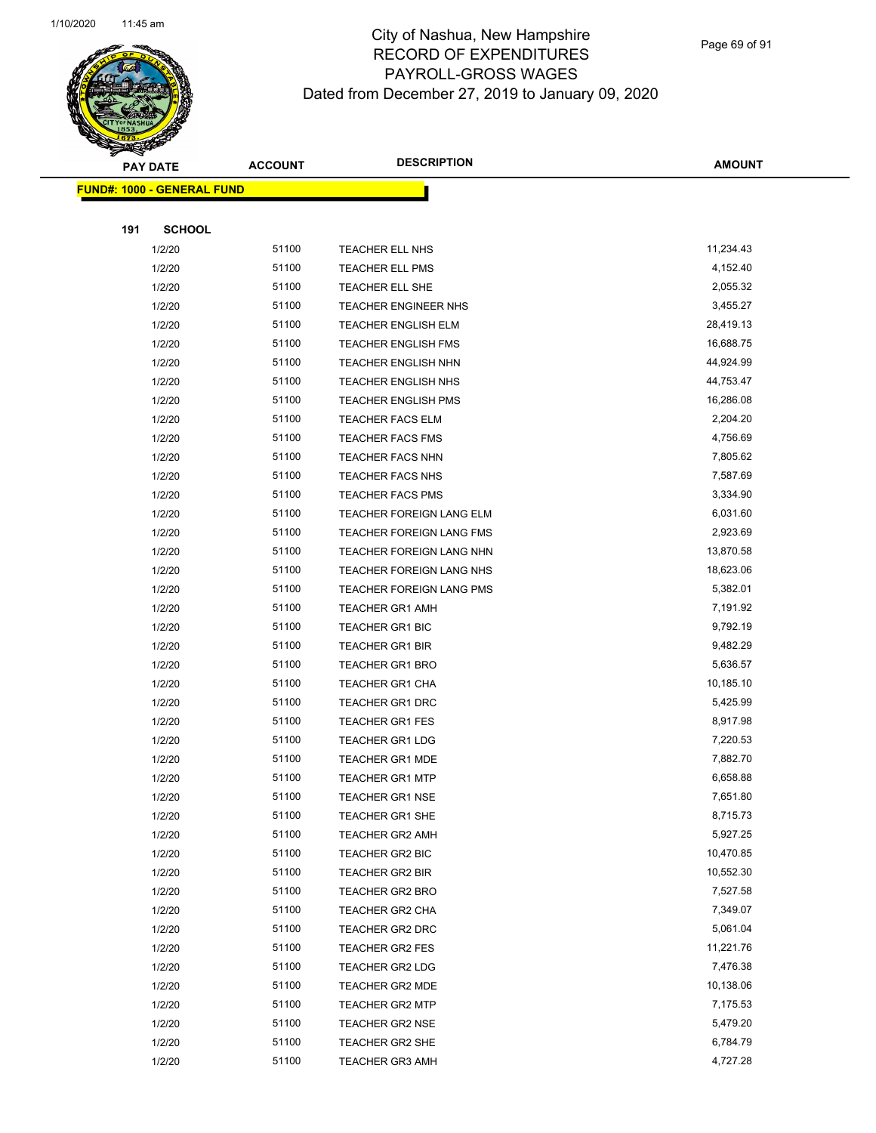

Page 69 of 91

|     | <b>PAY DATE</b>                   | <b>ACCOUNT</b> | <b>DESCRIPTION</b>         | <b>AMOUNT</b> |
|-----|-----------------------------------|----------------|----------------------------|---------------|
|     | <b>FUND#: 1000 - GENERAL FUND</b> |                |                            |               |
|     |                                   |                |                            |               |
| 191 | <b>SCHOOL</b>                     |                |                            |               |
|     | 1/2/20                            | 51100          | TEACHER ELL NHS            | 11,234.43     |
|     | 1/2/20                            | 51100          | <b>TEACHER ELL PMS</b>     | 4,152.40      |
|     | 1/2/20                            | 51100          | TEACHER ELL SHE            | 2,055.32      |
|     | 1/2/20                            | 51100          | TEACHER ENGINEER NHS       | 3,455.27      |
|     | 1/2/20                            | 51100          | <b>TEACHER ENGLISH ELM</b> | 28,419.13     |
|     | 1/2/20                            | 51100          | TEACHER ENGLISH FMS        | 16,688.75     |
|     | 1/2/20                            | 51100          | <b>TEACHER ENGLISH NHN</b> | 44,924.99     |
|     | 1/2/20                            | 51100          | <b>TEACHER ENGLISH NHS</b> | 44,753.47     |
|     | 1/2/20                            | 51100          | <b>TEACHER ENGLISH PMS</b> | 16,286.08     |
|     | 1/2/20                            | 51100          | <b>TEACHER FACS ELM</b>    | 2,204.20      |
|     | 1/2/20                            | 51100          | <b>TEACHER FACS FMS</b>    | 4,756.69      |
|     | 1/2/20                            | 51100          | <b>TEACHER FACS NHN</b>    | 7,805.62      |
|     | 1/2/20                            | 51100          | TEACHER FACS NHS           | 7,587.69      |
|     | 1/2/20                            | 51100          | <b>TEACHER FACS PMS</b>    | 3,334.90      |
|     | 1/2/20                            | 51100          | TEACHER FOREIGN LANG ELM   | 6,031.60      |
|     | 1/2/20                            | 51100          | TEACHER FOREIGN LANG FMS   | 2,923.69      |
|     | 1/2/20                            | 51100          | TEACHER FOREIGN LANG NHN   | 13,870.58     |
|     | 1/2/20                            | 51100          | TEACHER FOREIGN LANG NHS   | 18,623.06     |
|     | 1/2/20                            | 51100          | TEACHER FOREIGN LANG PMS   | 5,382.01      |
|     | 1/2/20                            | 51100          | <b>TEACHER GR1 AMH</b>     | 7,191.92      |
|     | 1/2/20                            | 51100          | <b>TEACHER GR1 BIC</b>     | 9,792.19      |
|     | 1/2/20                            | 51100          | <b>TEACHER GR1 BIR</b>     | 9,482.29      |
|     | 1/2/20                            | 51100          | <b>TEACHER GR1 BRO</b>     | 5,636.57      |
|     | 1/2/20                            | 51100          | <b>TEACHER GR1 CHA</b>     | 10,185.10     |
|     | 1/2/20                            | 51100          | <b>TEACHER GR1 DRC</b>     | 5,425.99      |
|     | 1/2/20                            | 51100          | TEACHER GR1 FES            | 8,917.98      |
|     | 1/2/20                            | 51100          | <b>TEACHER GR1 LDG</b>     | 7,220.53      |
|     | 1/2/20                            | 51100          | <b>TEACHER GR1 MDE</b>     | 7,882.70      |
|     | 1/2/20                            | 51100          | <b>TEACHER GR1 MTP</b>     | 6,658.88      |
|     | 1/2/20                            | 51100          | TEACHER GR1 NSE            | 7,651.80      |
|     | 1/2/20                            | 51100          | TEACHER GR1 SHE            | 8,715.73      |
|     | 1/2/20                            | 51100          | <b>TEACHER GR2 AMH</b>     | 5,927.25      |
|     | 1/2/20                            | 51100          | TEACHER GR2 BIC            | 10,470.85     |
|     | 1/2/20                            | 51100          | TEACHER GR2 BIR            | 10,552.30     |
|     | 1/2/20                            | 51100          | <b>TEACHER GR2 BRO</b>     | 7,527.58      |
|     | 1/2/20                            | 51100          | TEACHER GR2 CHA            | 7,349.07      |
|     | 1/2/20                            | 51100          | <b>TEACHER GR2 DRC</b>     | 5,061.04      |
|     | 1/2/20                            | 51100          | TEACHER GR2 FES            | 11,221.76     |
|     | 1/2/20                            | 51100          | TEACHER GR2 LDG            | 7,476.38      |
|     | 1/2/20                            | 51100          | <b>TEACHER GR2 MDE</b>     | 10,138.06     |
|     | 1/2/20                            | 51100          | <b>TEACHER GR2 MTP</b>     | 7,175.53      |
|     | 1/2/20                            | 51100          | <b>TEACHER GR2 NSE</b>     | 5,479.20      |
|     | 1/2/20                            | 51100          | TEACHER GR2 SHE            | 6,784.79      |
|     | 1/2/20                            | 51100          | <b>TEACHER GR3 AMH</b>     | 4,727.28      |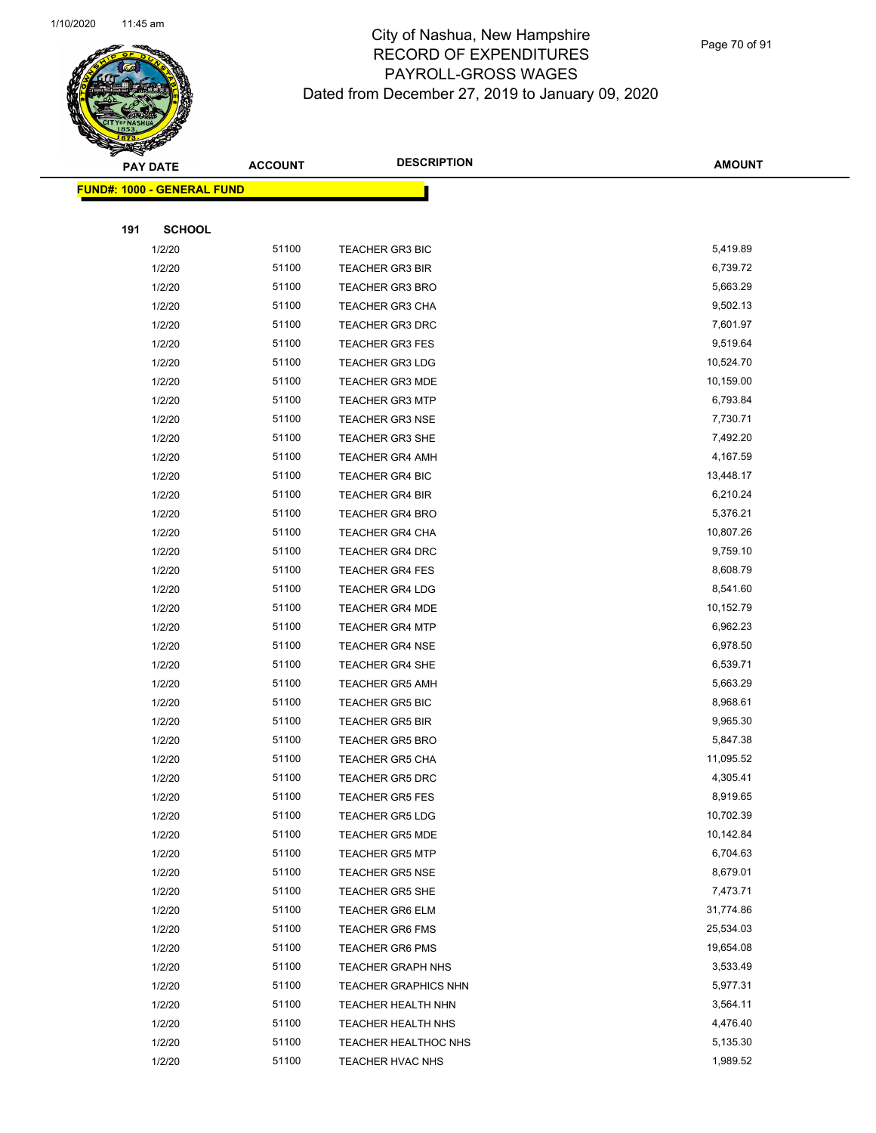

Page 70 of 91

|     | <b>PAY DATE</b>                   | <b>ACCOUNT</b> | <b>DESCRIPTION</b>          | <b>AMOUNT</b> |
|-----|-----------------------------------|----------------|-----------------------------|---------------|
|     | <b>FUND#: 1000 - GENERAL FUND</b> |                |                             |               |
|     |                                   |                |                             |               |
| 191 | <b>SCHOOL</b>                     |                |                             |               |
|     | 1/2/20                            | 51100          | <b>TEACHER GR3 BIC</b>      | 5,419.89      |
|     | 1/2/20                            | 51100          | <b>TEACHER GR3 BIR</b>      | 6,739.72      |
|     | 1/2/20                            | 51100          | <b>TEACHER GR3 BRO</b>      | 5,663.29      |
|     | 1/2/20                            | 51100          | <b>TEACHER GR3 CHA</b>      | 9,502.13      |
|     | 1/2/20                            | 51100          | <b>TEACHER GR3 DRC</b>      | 7,601.97      |
|     | 1/2/20                            | 51100          | <b>TEACHER GR3 FES</b>      | 9,519.64      |
|     | 1/2/20                            | 51100          | <b>TEACHER GR3 LDG</b>      | 10,524.70     |
|     | 1/2/20                            | 51100          | <b>TEACHER GR3 MDE</b>      | 10,159.00     |
|     | 1/2/20                            | 51100          | <b>TEACHER GR3 MTP</b>      | 6,793.84      |
|     | 1/2/20                            | 51100          | <b>TEACHER GR3 NSE</b>      | 7,730.71      |
|     | 1/2/20                            | 51100          | <b>TEACHER GR3 SHE</b>      | 7,492.20      |
|     | 1/2/20                            | 51100          | <b>TEACHER GR4 AMH</b>      | 4,167.59      |
|     | 1/2/20                            | 51100          | TEACHER GR4 BIC             | 13,448.17     |
|     | 1/2/20                            | 51100          | <b>TEACHER GR4 BIR</b>      | 6,210.24      |
|     | 1/2/20                            | 51100          | <b>TEACHER GR4 BRO</b>      | 5,376.21      |
|     | 1/2/20                            | 51100          | <b>TEACHER GR4 CHA</b>      | 10,807.26     |
|     | 1/2/20                            | 51100          | TEACHER GR4 DRC             | 9,759.10      |
|     | 1/2/20                            | 51100          | <b>TEACHER GR4 FES</b>      | 8,608.79      |
|     | 1/2/20                            | 51100          | <b>TEACHER GR4 LDG</b>      | 8,541.60      |
|     | 1/2/20                            | 51100          | <b>TEACHER GR4 MDE</b>      | 10,152.79     |
|     | 1/2/20                            | 51100          | <b>TEACHER GR4 MTP</b>      | 6,962.23      |
|     | 1/2/20                            | 51100          | <b>TEACHER GR4 NSE</b>      | 6,978.50      |
|     | 1/2/20                            | 51100          | <b>TEACHER GR4 SHE</b>      | 6,539.71      |
|     | 1/2/20                            | 51100          | <b>TEACHER GR5 AMH</b>      | 5,663.29      |
|     | 1/2/20                            | 51100          | <b>TEACHER GR5 BIC</b>      | 8,968.61      |
|     | 1/2/20                            | 51100          | <b>TEACHER GR5 BIR</b>      | 9,965.30      |
|     | 1/2/20                            | 51100          | <b>TEACHER GR5 BRO</b>      | 5,847.38      |
|     | 1/2/20                            | 51100          | <b>TEACHER GR5 CHA</b>      | 11,095.52     |
|     | 1/2/20                            | 51100          | <b>TEACHER GR5 DRC</b>      | 4,305.41      |
|     | 1/2/20                            | 51100          | TEACHER GR5 FES             | 8,919.65      |
|     | 1/2/20                            | 51100          | <b>TEACHER GR5 LDG</b>      | 10,702.39     |
|     | 1/2/20                            | 51100          | <b>TEACHER GR5 MDE</b>      | 10,142.84     |
|     | 1/2/20                            | 51100          | <b>TEACHER GR5 MTP</b>      | 6,704.63      |
|     | 1/2/20                            | 51100          | <b>TEACHER GR5 NSE</b>      | 8,679.01      |
|     | 1/2/20                            | 51100          | <b>TEACHER GR5 SHE</b>      | 7,473.71      |
|     | 1/2/20                            | 51100          | <b>TEACHER GR6 ELM</b>      | 31,774.86     |
|     | 1/2/20                            | 51100          | <b>TEACHER GR6 FMS</b>      | 25,534.03     |
|     | 1/2/20                            | 51100          | <b>TEACHER GR6 PMS</b>      | 19,654.08     |
|     | 1/2/20                            | 51100          | <b>TEACHER GRAPH NHS</b>    | 3,533.49      |
|     | 1/2/20                            | 51100          | <b>TEACHER GRAPHICS NHN</b> | 5,977.31      |
|     | 1/2/20                            | 51100          | TEACHER HEALTH NHN          | 3,564.11      |
|     | 1/2/20                            | 51100          | TEACHER HEALTH NHS          | 4,476.40      |
|     | 1/2/20                            | 51100          | TEACHER HEALTHOC NHS        | 5,135.30      |
|     | 1/2/20                            | 51100          | TEACHER HVAC NHS            | 1,989.52      |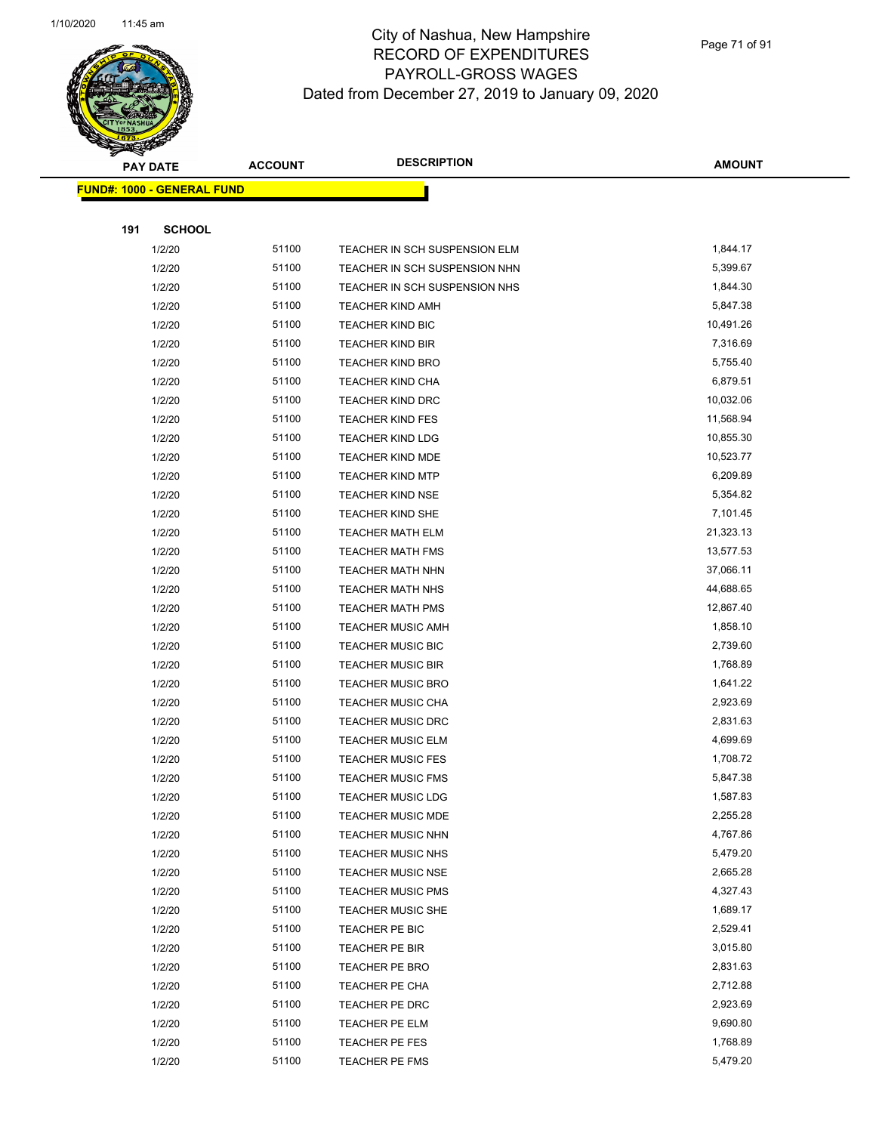

|     | <b>PAY DATE</b>                    | <b>ACCOUNT</b> | <b>DESCRIPTION</b>            | <b>AMOUNT</b> |
|-----|------------------------------------|----------------|-------------------------------|---------------|
|     | <u> FUND#: 1000 - GENERAL FUND</u> |                |                               |               |
|     |                                    |                |                               |               |
| 191 | <b>SCHOOL</b>                      |                |                               |               |
|     | 1/2/20                             | 51100          | TEACHER IN SCH SUSPENSION ELM | 1,844.17      |
|     | 1/2/20                             | 51100          | TEACHER IN SCH SUSPENSION NHN | 5,399.67      |
|     | 1/2/20                             | 51100          | TEACHER IN SCH SUSPENSION NHS | 1,844.30      |
|     | 1/2/20                             | 51100          | <b>TEACHER KIND AMH</b>       | 5,847.38      |
|     | 1/2/20                             | 51100          | TEACHER KIND BIC              | 10,491.26     |
|     | 1/2/20                             | 51100          | <b>TEACHER KIND BIR</b>       | 7,316.69      |
|     | 1/2/20                             | 51100          | <b>TEACHER KIND BRO</b>       | 5,755.40      |
|     | 1/2/20                             | 51100          | <b>TEACHER KIND CHA</b>       | 6,879.51      |
|     | 1/2/20                             | 51100          | <b>TEACHER KIND DRC</b>       | 10,032.06     |
|     | 1/2/20                             | 51100          | <b>TEACHER KIND FES</b>       | 11,568.94     |
|     | 1/2/20                             | 51100          | <b>TEACHER KIND LDG</b>       | 10,855.30     |
|     | 1/2/20                             | 51100          | TEACHER KIND MDE              | 10,523.77     |
|     | 1/2/20                             | 51100          | <b>TEACHER KIND MTP</b>       | 6,209.89      |
|     | 1/2/20                             | 51100          | <b>TEACHER KIND NSE</b>       | 5,354.82      |
|     | 1/2/20                             | 51100          | TEACHER KIND SHE              | 7,101.45      |
|     | 1/2/20                             | 51100          | <b>TEACHER MATH ELM</b>       | 21,323.13     |
|     | 1/2/20                             | 51100          | <b>TEACHER MATH FMS</b>       | 13,577.53     |
|     | 1/2/20                             | 51100          | TEACHER MATH NHN              | 37,066.11     |
|     | 1/2/20                             | 51100          | <b>TEACHER MATH NHS</b>       | 44,688.65     |
|     | 1/2/20                             | 51100          | TEACHER MATH PMS              | 12,867.40     |
|     | 1/2/20                             | 51100          | <b>TEACHER MUSIC AMH</b>      | 1,858.10      |
|     | 1/2/20                             | 51100          | <b>TEACHER MUSIC BIC</b>      | 2,739.60      |
|     | 1/2/20                             | 51100          | <b>TEACHER MUSIC BIR</b>      | 1,768.89      |
|     | 1/2/20                             | 51100          | <b>TEACHER MUSIC BRO</b>      | 1,641.22      |
|     | 1/2/20                             | 51100          | <b>TEACHER MUSIC CHA</b>      | 2,923.69      |
|     | 1/2/20                             | 51100          | <b>TEACHER MUSIC DRC</b>      | 2,831.63      |
|     | 1/2/20                             | 51100          | <b>TEACHER MUSIC ELM</b>      | 4,699.69      |
|     | 1/2/20                             | 51100          | <b>TEACHER MUSIC FES</b>      | 1,708.72      |
|     | 1/2/20                             | 51100          | <b>TEACHER MUSIC FMS</b>      | 5,847.38      |
|     | 1/2/20                             | 51100          | TEACHER MUSIC LDG             | 1,587.83      |
|     | 1/2/20                             | 51100          | <b>TEACHER MUSIC MDE</b>      | 2,255.28      |
|     | 1/2/20                             | 51100          | <b>TEACHER MUSIC NHN</b>      | 4,767.86      |
|     | 1/2/20                             | 51100          | <b>TEACHER MUSIC NHS</b>      | 5,479.20      |
|     | 1/2/20                             | 51100          | <b>TEACHER MUSIC NSE</b>      | 2,665.28      |
|     | 1/2/20                             | 51100          | <b>TEACHER MUSIC PMS</b>      | 4,327.43      |
|     | 1/2/20                             | 51100          | <b>TEACHER MUSIC SHE</b>      | 1,689.17      |
|     | 1/2/20                             | 51100          | TEACHER PE BIC                | 2,529.41      |
|     | 1/2/20                             | 51100          | TEACHER PE BIR                | 3,015.80      |
|     | 1/2/20                             | 51100          | TEACHER PE BRO                | 2,831.63      |
|     | 1/2/20                             | 51100          | TEACHER PE CHA                | 2,712.88      |
|     | 1/2/20                             | 51100          | TEACHER PE DRC                | 2,923.69      |
|     | 1/2/20                             | 51100          | TEACHER PE ELM                | 9,690.80      |
|     | 1/2/20                             | 51100          | TEACHER PE FES                | 1,768.89      |
|     | 1/2/20                             | 51100          | <b>TEACHER PE FMS</b>         | 5,479.20      |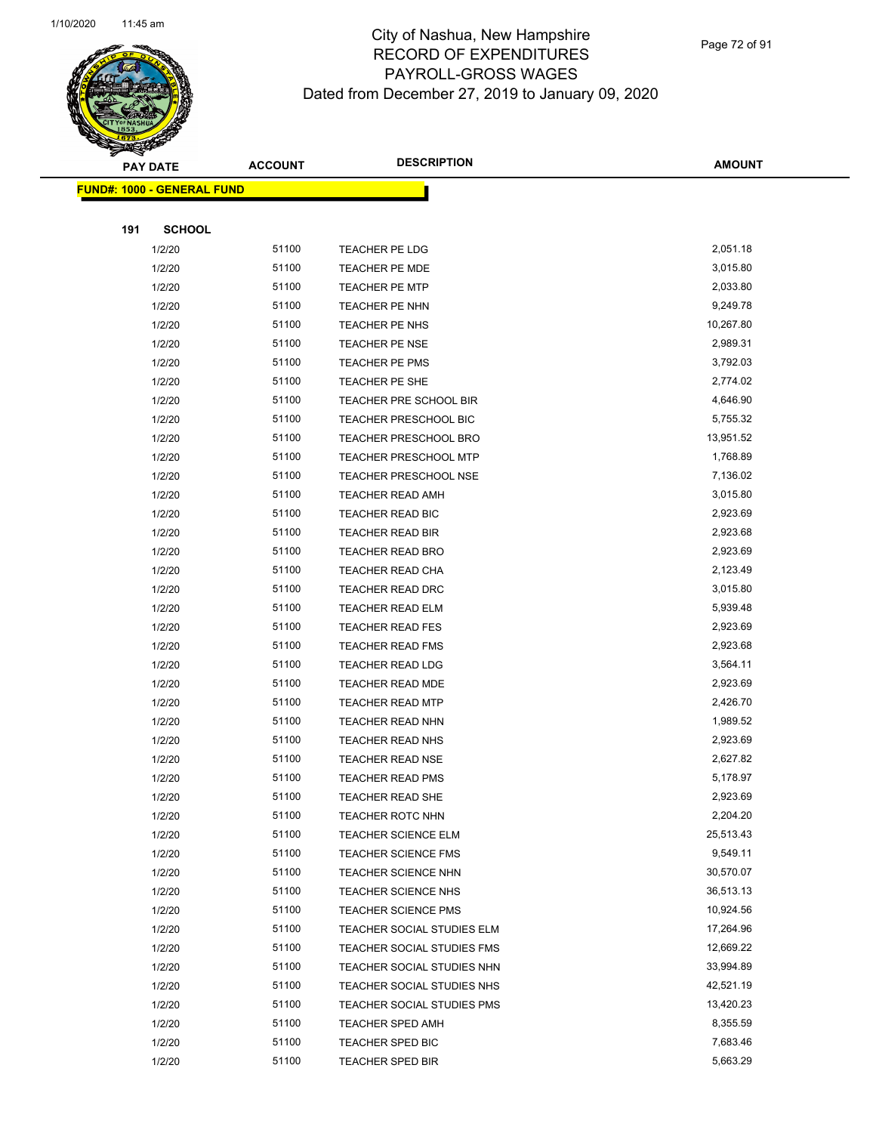

Page 72 of 91

|     | <b>PAY DATE</b>                   | <b>ACCOUNT</b> | <b>DESCRIPTION</b>           | <b>AMOUNT</b> |
|-----|-----------------------------------|----------------|------------------------------|---------------|
|     | <b>FUND#: 1000 - GENERAL FUND</b> |                |                              |               |
|     |                                   |                |                              |               |
| 191 | <b>SCHOOL</b>                     |                |                              |               |
|     | 1/2/20                            | 51100          | <b>TEACHER PE LDG</b>        | 2,051.18      |
|     | 1/2/20                            | 51100          | <b>TEACHER PE MDE</b>        | 3,015.80      |
|     | 1/2/20                            | 51100          | TEACHER PE MTP               | 2,033.80      |
|     | 1/2/20                            | 51100          | TEACHER PE NHN               | 9,249.78      |
|     | 1/2/20                            | 51100          | TEACHER PE NHS               | 10,267.80     |
|     | 1/2/20                            | 51100          | TEACHER PE NSE               | 2,989.31      |
|     | 1/2/20                            | 51100          | <b>TEACHER PE PMS</b>        | 3,792.03      |
|     | 1/2/20                            | 51100          | TEACHER PE SHE               | 2,774.02      |
|     | 1/2/20                            | 51100          | TEACHER PRE SCHOOL BIR       | 4,646.90      |
|     | 1/2/20                            | 51100          | <b>TEACHER PRESCHOOL BIC</b> | 5,755.32      |
|     | 1/2/20                            | 51100          | <b>TEACHER PRESCHOOL BRO</b> | 13,951.52     |
|     | 1/2/20                            | 51100          | <b>TEACHER PRESCHOOL MTP</b> | 1,768.89      |
|     | 1/2/20                            | 51100          | <b>TEACHER PRESCHOOL NSE</b> | 7,136.02      |
|     | 1/2/20                            | 51100          | <b>TEACHER READ AMH</b>      | 3,015.80      |
|     | 1/2/20                            | 51100          | TEACHER READ BIC             | 2,923.69      |
|     | 1/2/20                            | 51100          | TEACHER READ BIR             | 2,923.68      |
|     | 1/2/20                            | 51100          | <b>TEACHER READ BRO</b>      | 2,923.69      |
|     | 1/2/20                            | 51100          | <b>TEACHER READ CHA</b>      | 2,123.49      |
|     | 1/2/20                            | 51100          | <b>TEACHER READ DRC</b>      | 3,015.80      |
|     | 1/2/20                            | 51100          | <b>TEACHER READ ELM</b>      | 5,939.48      |
|     | 1/2/20                            | 51100          | <b>TEACHER READ FES</b>      | 2,923.69      |
|     | 1/2/20                            | 51100          | <b>TEACHER READ FMS</b>      | 2,923.68      |
|     | 1/2/20                            | 51100          | TEACHER READ LDG             | 3,564.11      |
|     | 1/2/20                            | 51100          | <b>TEACHER READ MDE</b>      | 2,923.69      |
|     | 1/2/20                            | 51100          | <b>TEACHER READ MTP</b>      | 2,426.70      |
|     | 1/2/20                            | 51100          | <b>TEACHER READ NHN</b>      | 1,989.52      |
|     | 1/2/20                            | 51100          | <b>TEACHER READ NHS</b>      | 2,923.69      |
|     | 1/2/20                            | 51100          | <b>TEACHER READ NSE</b>      | 2,627.82      |
|     | 1/2/20                            | 51100          | <b>TEACHER READ PMS</b>      | 5,178.97      |
|     | 1/2/20                            | 51100          | TEACHER READ SHE             | 2,923.69      |
|     | 1/2/20                            | 51100          | <b>TEACHER ROTC NHN</b>      | 2,204.20      |
|     | 1/2/20                            | 51100          | <b>TEACHER SCIENCE ELM</b>   | 25,513.43     |
|     | 1/2/20                            | 51100          | <b>TEACHER SCIENCE FMS</b>   | 9,549.11      |
|     | 1/2/20                            | 51100          | <b>TEACHER SCIENCE NHN</b>   | 30,570.07     |
|     | 1/2/20                            | 51100          | <b>TEACHER SCIENCE NHS</b>   | 36,513.13     |
|     | 1/2/20                            | 51100          | <b>TEACHER SCIENCE PMS</b>   | 10,924.56     |
|     | 1/2/20                            | 51100          | TEACHER SOCIAL STUDIES ELM   | 17,264.96     |
|     | 1/2/20                            | 51100          | TEACHER SOCIAL STUDIES FMS   | 12,669.22     |
|     | 1/2/20                            | 51100          | TEACHER SOCIAL STUDIES NHN   | 33,994.89     |
|     | 1/2/20                            | 51100          | TEACHER SOCIAL STUDIES NHS   | 42,521.19     |
|     | 1/2/20                            | 51100          | TEACHER SOCIAL STUDIES PMS   | 13,420.23     |
|     | 1/2/20                            | 51100          | <b>TEACHER SPED AMH</b>      | 8,355.59      |
|     | 1/2/20                            | 51100          | TEACHER SPED BIC             | 7,683.46      |
|     | 1/2/20                            | 51100          | <b>TEACHER SPED BIR</b>      | 5,663.29      |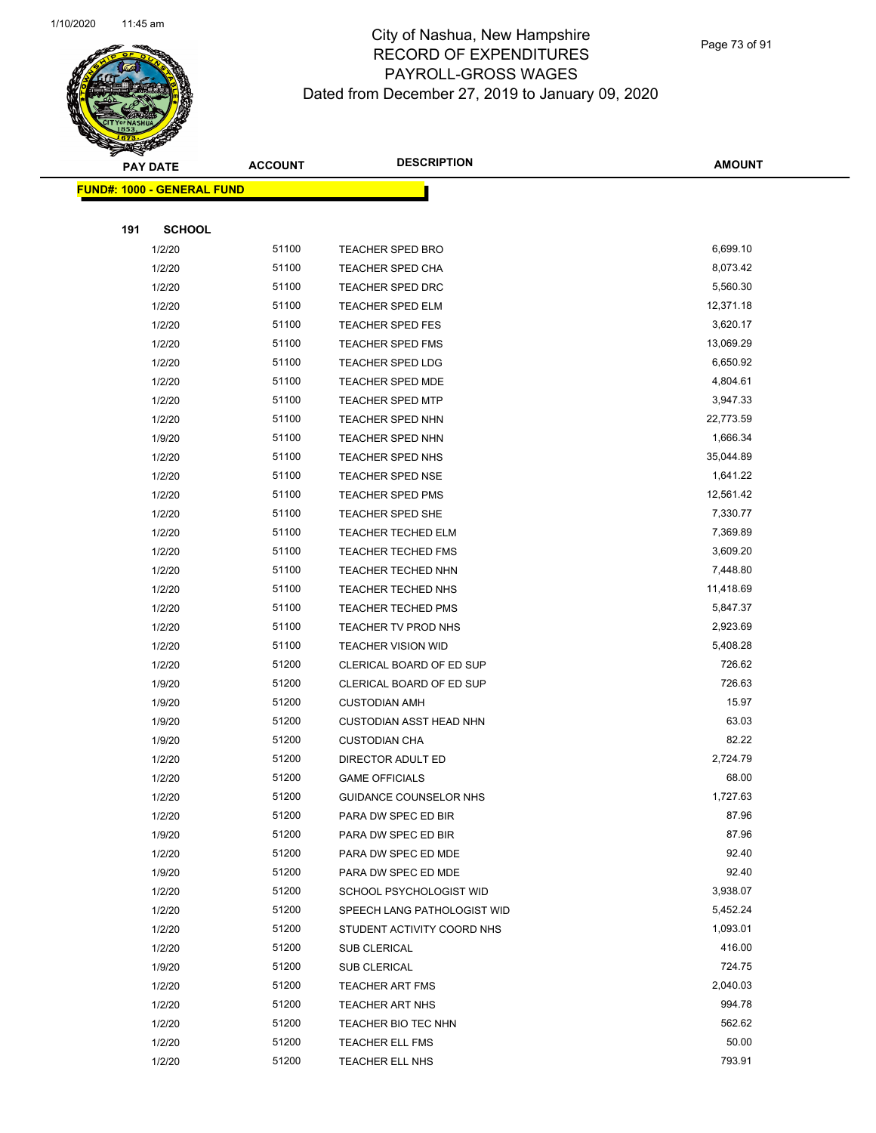

Page 73 of 91

|     | <b>PAY DATE</b>                    | <b>ACCOUNT</b> | <b>DESCRIPTION</b>             | <b>AMOUNT</b> |
|-----|------------------------------------|----------------|--------------------------------|---------------|
|     | <u> FUND#: 1000 - GENERAL FUND</u> |                |                                |               |
|     |                                    |                |                                |               |
| 191 | <b>SCHOOL</b>                      |                |                                |               |
|     | 1/2/20                             | 51100          | <b>TEACHER SPED BRO</b>        | 6,699.10      |
|     | 1/2/20                             | 51100          | <b>TEACHER SPED CHA</b>        | 8,073.42      |
|     | 1/2/20                             | 51100          | <b>TEACHER SPED DRC</b>        | 5,560.30      |
|     | 1/2/20                             | 51100          | <b>TEACHER SPED ELM</b>        | 12,371.18     |
|     | 1/2/20                             | 51100          | <b>TEACHER SPED FES</b>        | 3,620.17      |
|     | 1/2/20                             | 51100          | <b>TEACHER SPED FMS</b>        | 13,069.29     |
|     | 1/2/20                             | 51100          | <b>TEACHER SPED LDG</b>        | 6,650.92      |
|     | 1/2/20                             | 51100          | <b>TEACHER SPED MDE</b>        | 4,804.61      |
|     | 1/2/20                             | 51100          | <b>TEACHER SPED MTP</b>        | 3,947.33      |
|     | 1/2/20                             | 51100          | TEACHER SPED NHN               | 22,773.59     |
|     | 1/9/20                             | 51100          | TEACHER SPED NHN               | 1,666.34      |
|     | 1/2/20                             | 51100          | TEACHER SPED NHS               | 35,044.89     |
|     | 1/2/20                             | 51100          | <b>TEACHER SPED NSE</b>        | 1,641.22      |
|     | 1/2/20                             | 51100          | <b>TEACHER SPED PMS</b>        | 12,561.42     |
|     | 1/2/20                             | 51100          | <b>TEACHER SPED SHE</b>        | 7,330.77      |
|     | 1/2/20                             | 51100          | <b>TEACHER TECHED ELM</b>      | 7,369.89      |
|     | 1/2/20                             | 51100          | <b>TEACHER TECHED FMS</b>      | 3,609.20      |
|     | 1/2/20                             | 51100          | TEACHER TECHED NHN             | 7,448.80      |
|     | 1/2/20                             | 51100          | TEACHER TECHED NHS             | 11,418.69     |
|     | 1/2/20                             | 51100          | <b>TEACHER TECHED PMS</b>      | 5,847.37      |
|     | 1/2/20                             | 51100          | TEACHER TV PROD NHS            | 2,923.69      |
|     | 1/2/20                             | 51100          | <b>TEACHER VISION WID</b>      | 5,408.28      |
|     | 1/2/20                             | 51200          | CLERICAL BOARD OF ED SUP       | 726.62        |
|     | 1/9/20                             | 51200          | CLERICAL BOARD OF ED SUP       | 726.63        |
|     | 1/9/20                             | 51200          | <b>CUSTODIAN AMH</b>           | 15.97         |
|     | 1/9/20                             | 51200          | <b>CUSTODIAN ASST HEAD NHN</b> | 63.03         |
|     | 1/9/20                             | 51200          | <b>CUSTODIAN CHA</b>           | 82.22         |
|     | 1/2/20                             | 51200          | DIRECTOR ADULT ED              | 2,724.79      |
|     | 1/2/20                             | 51200          | <b>GAME OFFICIALS</b>          | 68.00         |
|     | 1/2/20                             | 51200          | GUIDANCE COUNSELOR NHS         | 1,727.63      |
|     | 1/2/20                             | 51200          | PARA DW SPEC ED BIR            | 87.96         |
|     | 1/9/20                             | 51200          | PARA DW SPEC ED BIR            | 87.96         |
|     | 1/2/20                             | 51200          | PARA DW SPEC ED MDE            | 92.40         |
|     | 1/9/20                             | 51200          | PARA DW SPEC ED MDE            | 92.40         |
|     | 1/2/20                             | 51200          | SCHOOL PSYCHOLOGIST WID        | 3,938.07      |
|     | 1/2/20                             | 51200          | SPEECH LANG PATHOLOGIST WID    | 5,452.24      |
|     | 1/2/20                             | 51200          | STUDENT ACTIVITY COORD NHS     | 1,093.01      |
|     | 1/2/20                             | 51200          | SUB CLERICAL                   | 416.00        |
|     | 1/9/20                             | 51200          | SUB CLERICAL                   | 724.75        |
|     | 1/2/20                             | 51200          | <b>TEACHER ART FMS</b>         | 2,040.03      |
|     | 1/2/20                             | 51200          | <b>TEACHER ART NHS</b>         | 994.78        |
|     | 1/2/20                             | 51200          | TEACHER BIO TEC NHN            | 562.62        |
|     | 1/2/20                             | 51200          | <b>TEACHER ELL FMS</b>         | 50.00         |
|     | 1/2/20                             | 51200          | TEACHER ELL NHS                | 793.91        |
|     |                                    |                |                                |               |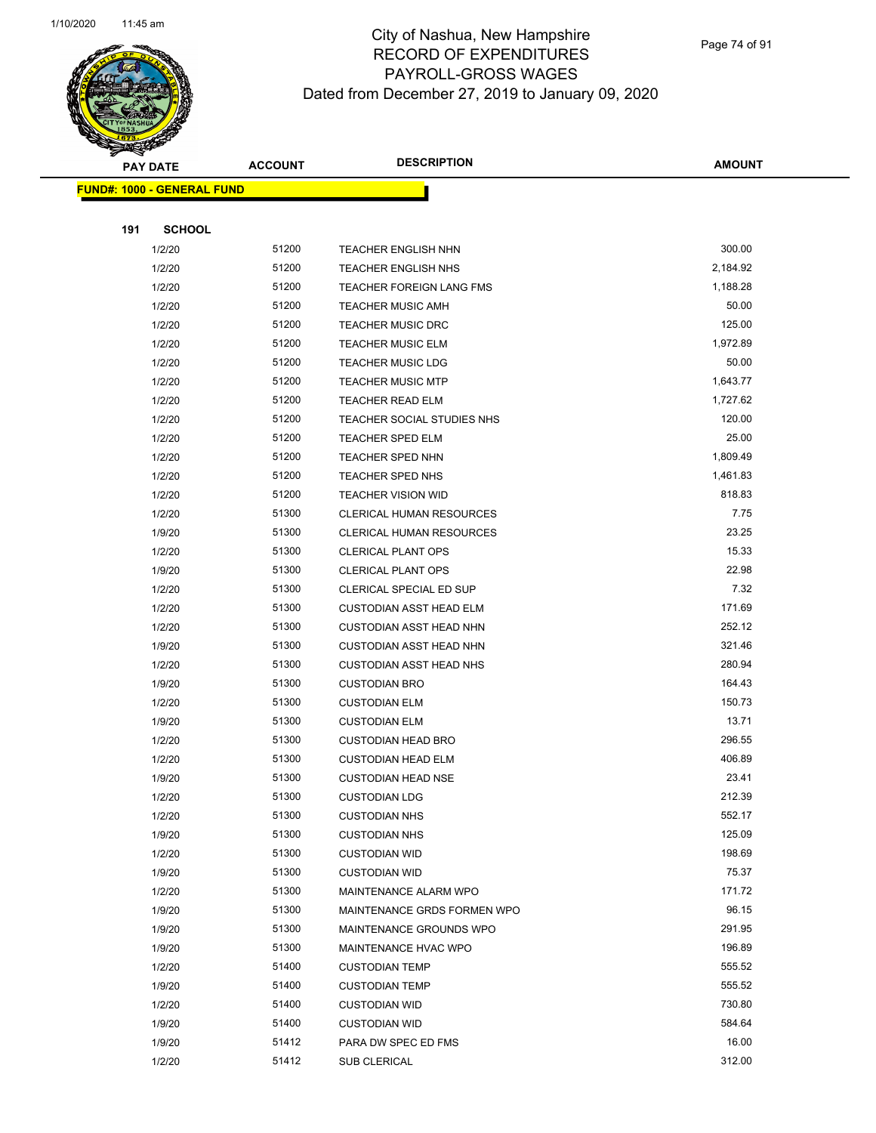

Page 74 of 91

|     | <b>PAY DATE</b>                   | <b>ACCOUNT</b> | <b>DESCRIPTION</b>                                     | <b>AMOUNT</b>    |
|-----|-----------------------------------|----------------|--------------------------------------------------------|------------------|
|     | <b>FUND#: 1000 - GENERAL FUND</b> |                |                                                        |                  |
|     |                                   |                |                                                        |                  |
| 191 | <b>SCHOOL</b>                     |                |                                                        |                  |
|     | 1/2/20                            | 51200          | <b>TEACHER ENGLISH NHN</b>                             | 300.00           |
|     | 1/2/20                            | 51200          | <b>TEACHER ENGLISH NHS</b>                             | 2,184.92         |
|     | 1/2/20                            | 51200          | <b>TEACHER FOREIGN LANG FMS</b>                        | 1,188.28         |
|     | 1/2/20                            | 51200          | <b>TEACHER MUSIC AMH</b>                               | 50.00            |
|     | 1/2/20                            | 51200          | <b>TEACHER MUSIC DRC</b>                               | 125.00           |
|     | 1/2/20                            | 51200          | <b>TEACHER MUSIC ELM</b>                               | 1,972.89         |
|     | 1/2/20                            | 51200          | <b>TEACHER MUSIC LDG</b>                               | 50.00            |
|     | 1/2/20                            | 51200          | <b>TEACHER MUSIC MTP</b>                               | 1,643.77         |
|     | 1/2/20                            | 51200          | <b>TEACHER READ ELM</b>                                | 1,727.62         |
|     | 1/2/20                            | 51200          | TEACHER SOCIAL STUDIES NHS                             | 120.00           |
|     | 1/2/20                            | 51200          | TEACHER SPED ELM                                       | 25.00            |
|     | 1/2/20                            | 51200          | TEACHER SPED NHN                                       | 1,809.49         |
|     | 1/2/20                            | 51200          | TEACHER SPED NHS                                       | 1,461.83         |
|     | 1/2/20                            | 51200          | <b>TEACHER VISION WID</b>                              | 818.83           |
|     | 1/2/20                            | 51300          | CLERICAL HUMAN RESOURCES                               | 7.75             |
|     | 1/9/20                            | 51300          | CLERICAL HUMAN RESOURCES                               | 23.25            |
|     | 1/2/20                            | 51300          | <b>CLERICAL PLANT OPS</b>                              | 15.33            |
|     | 1/9/20                            | 51300          | <b>CLERICAL PLANT OPS</b>                              | 22.98            |
|     | 1/2/20                            | 51300          | CLERICAL SPECIAL ED SUP                                | 7.32             |
|     | 1/2/20                            | 51300          | <b>CUSTODIAN ASST HEAD ELM</b>                         | 171.69           |
|     | 1/2/20                            | 51300          | <b>CUSTODIAN ASST HEAD NHN</b>                         | 252.12           |
|     | 1/9/20                            | 51300          | <b>CUSTODIAN ASST HEAD NHN</b>                         | 321.46           |
|     | 1/2/20                            | 51300          | <b>CUSTODIAN ASST HEAD NHS</b>                         | 280.94           |
|     | 1/9/20                            | 51300          | <b>CUSTODIAN BRO</b>                                   | 164.43           |
|     | 1/2/20                            | 51300          | <b>CUSTODIAN ELM</b>                                   | 150.73           |
|     | 1/9/20                            | 51300          | <b>CUSTODIAN ELM</b>                                   | 13.71            |
|     | 1/2/20                            | 51300          | <b>CUSTODIAN HEAD BRO</b>                              | 296.55           |
|     | 1/2/20                            | 51300          | <b>CUSTODIAN HEAD ELM</b>                              | 406.89           |
|     | 1/9/20                            | 51300          | <b>CUSTODIAN HEAD NSE</b>                              | 23.41            |
|     | 1/2/20                            | 51300          | <b>CUSTODIAN LDG</b>                                   | 212.39           |
|     | 1/2/20                            | 51300          | <b>CUSTODIAN NHS</b>                                   | 552.17           |
|     | 1/9/20                            | 51300          | <b>CUSTODIAN NHS</b>                                   | 125.09           |
|     | 1/2/20                            | 51300          | <b>CUSTODIAN WID</b>                                   | 198.69           |
|     | 1/9/20                            | 51300          | <b>CUSTODIAN WID</b>                                   | 75.37            |
|     | 1/2/20                            | 51300<br>51300 | MAINTENANCE ALARM WPO                                  | 171.72<br>96.15  |
|     | 1/9/20                            | 51300          | MAINTENANCE GRDS FORMEN WPO<br>MAINTENANCE GROUNDS WPO | 291.95           |
|     | 1/9/20                            |                |                                                        |                  |
|     | 1/9/20<br>1/2/20                  | 51300<br>51400 | MAINTENANCE HVAC WPO<br><b>CUSTODIAN TEMP</b>          | 196.89<br>555.52 |
|     | 1/9/20                            | 51400          | <b>CUSTODIAN TEMP</b>                                  | 555.52           |
|     | 1/2/20                            | 51400          | <b>CUSTODIAN WID</b>                                   | 730.80           |
|     | 1/9/20                            | 51400          | <b>CUSTODIAN WID</b>                                   | 584.64           |
|     | 1/9/20                            | 51412          | PARA DW SPEC ED FMS                                    | 16.00            |
|     | 1/2/20                            | 51412          | SUB CLERICAL                                           | 312.00           |
|     |                                   |                |                                                        |                  |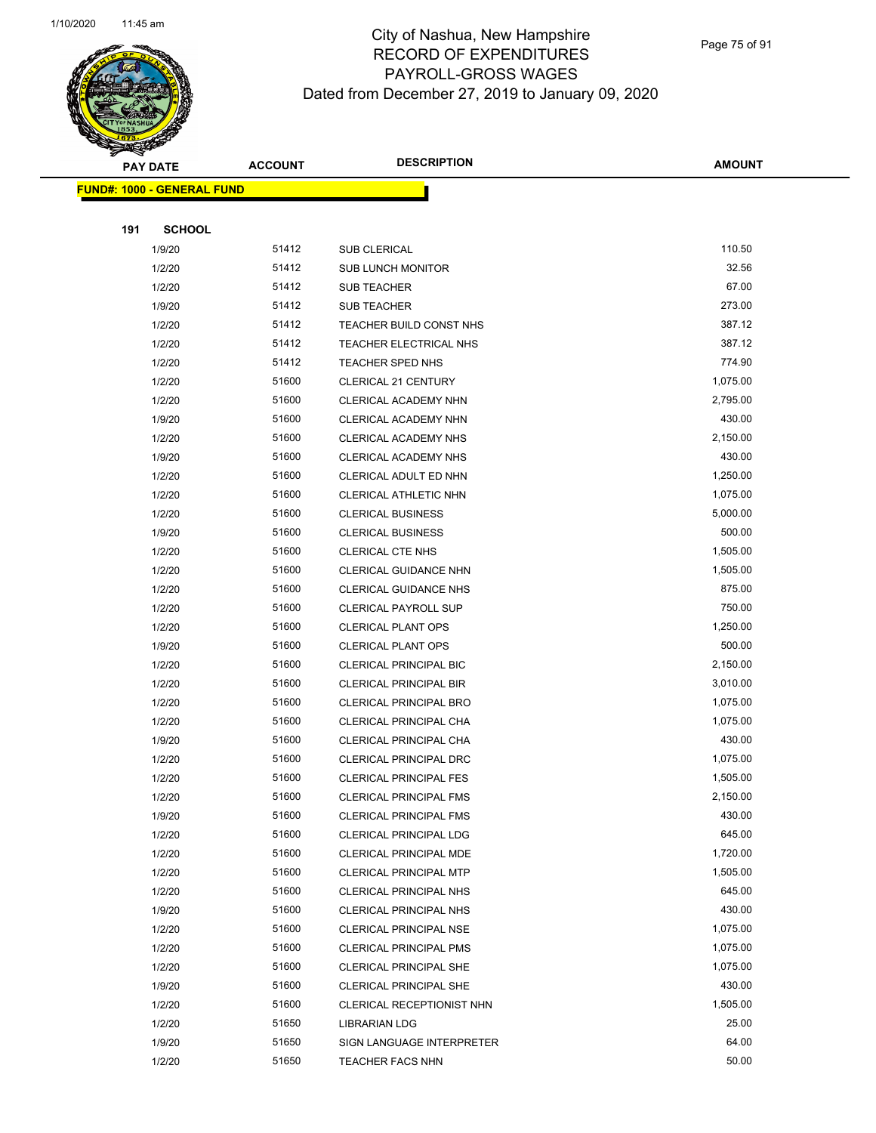

Page 75 of 91

|     | <b>PAY DATE</b>                   | <b>ACCOUNT</b> | <b>DESCRIPTION</b>                                             | <b>AMOUNT</b>        |  |
|-----|-----------------------------------|----------------|----------------------------------------------------------------|----------------------|--|
|     | <b>FUND#: 1000 - GENERAL FUND</b> |                |                                                                |                      |  |
|     |                                   |                |                                                                |                      |  |
| 191 | <b>SCHOOL</b>                     |                |                                                                |                      |  |
|     | 1/9/20                            | 51412          | SUB CLERICAL                                                   | 110.50               |  |
|     | 1/2/20                            | 51412          | <b>SUB LUNCH MONITOR</b>                                       | 32.56                |  |
|     | 1/2/20                            | 51412          | <b>SUB TEACHER</b>                                             | 67.00                |  |
|     | 1/9/20                            | 51412          | <b>SUB TEACHER</b>                                             | 273.00               |  |
|     | 1/2/20                            | 51412          | TEACHER BUILD CONST NHS                                        | 387.12               |  |
|     | 1/2/20                            | 51412          | TEACHER ELECTRICAL NHS                                         | 387.12               |  |
|     | 1/2/20                            | 51412          | <b>TEACHER SPED NHS</b>                                        | 774.90               |  |
|     | 1/2/20                            | 51600          | <b>CLERICAL 21 CENTURY</b>                                     | 1,075.00             |  |
|     | 1/2/20                            | 51600          | CLERICAL ACADEMY NHN                                           | 2,795.00             |  |
|     | 1/9/20                            | 51600          | CLERICAL ACADEMY NHN                                           | 430.00               |  |
|     | 1/2/20                            | 51600          | CLERICAL ACADEMY NHS                                           | 2,150.00             |  |
|     | 1/9/20                            | 51600          | CLERICAL ACADEMY NHS                                           | 430.00               |  |
|     | 1/2/20                            | 51600          | CLERICAL ADULT ED NHN                                          | 1,250.00             |  |
|     | 1/2/20                            | 51600          | CLERICAL ATHLETIC NHN                                          | 1,075.00             |  |
|     | 1/2/20                            | 51600          | <b>CLERICAL BUSINESS</b>                                       | 5,000.00             |  |
|     | 1/9/20                            | 51600          | <b>CLERICAL BUSINESS</b>                                       | 500.00               |  |
|     | 1/2/20                            | 51600          | <b>CLERICAL CTE NHS</b>                                        | 1,505.00             |  |
|     | 1/2/20                            | 51600          | CLERICAL GUIDANCE NHN                                          | 1,505.00             |  |
|     | 1/2/20                            | 51600          | <b>CLERICAL GUIDANCE NHS</b>                                   | 875.00               |  |
|     | 1/2/20                            | 51600          | <b>CLERICAL PAYROLL SUP</b>                                    | 750.00               |  |
|     | 1/2/20                            | 51600          | <b>CLERICAL PLANT OPS</b>                                      | 1,250.00             |  |
|     | 1/9/20                            | 51600          | <b>CLERICAL PLANT OPS</b>                                      | 500.00               |  |
|     | 1/2/20                            | 51600          | <b>CLERICAL PRINCIPAL BIC</b>                                  | 2,150.00             |  |
|     | 1/2/20                            | 51600          | <b>CLERICAL PRINCIPAL BIR</b>                                  | 3,010.00             |  |
|     | 1/2/20                            | 51600          | <b>CLERICAL PRINCIPAL BRO</b>                                  | 1,075.00             |  |
|     | 1/2/20                            | 51600          | CLERICAL PRINCIPAL CHA                                         | 1,075.00             |  |
|     | 1/9/20                            | 51600          | CLERICAL PRINCIPAL CHA                                         | 430.00               |  |
|     | 1/2/20                            | 51600          | CLERICAL PRINCIPAL DRC                                         | 1,075.00             |  |
|     | 1/2/20                            | 51600          | <b>CLERICAL PRINCIPAL FES</b>                                  | 1,505.00             |  |
|     | 1/2/20                            | 51600          | CLERICAL PRINCIPAL FMS                                         | 2,150.00             |  |
|     | 1/9/20                            | 51600          | <b>CLERICAL PRINCIPAL FMS</b>                                  | 430.00               |  |
|     | 1/2/20                            | 51600          | <b>CLERICAL PRINCIPAL LDG</b>                                  | 645.00               |  |
|     | 1/2/20                            | 51600<br>51600 | <b>CLERICAL PRINCIPAL MDE</b>                                  | 1,720.00<br>1,505.00 |  |
|     | 1/2/20                            | 51600          | <b>CLERICAL PRINCIPAL MTP</b>                                  | 645.00               |  |
|     | 1/2/20<br>1/9/20                  | 51600          | <b>CLERICAL PRINCIPAL NHS</b><br><b>CLERICAL PRINCIPAL NHS</b> | 430.00               |  |
|     | 1/2/20                            | 51600          | <b>CLERICAL PRINCIPAL NSE</b>                                  | 1,075.00             |  |
|     | 1/2/20                            | 51600          | <b>CLERICAL PRINCIPAL PMS</b>                                  | 1,075.00             |  |
|     | 1/2/20                            | 51600          | <b>CLERICAL PRINCIPAL SHE</b>                                  | 1,075.00             |  |
|     | 1/9/20                            | 51600          | <b>CLERICAL PRINCIPAL SHE</b>                                  | 430.00               |  |
|     | 1/2/20                            | 51600          | CLERICAL RECEPTIONIST NHN                                      | 1,505.00             |  |
|     | 1/2/20                            | 51650          | <b>LIBRARIAN LDG</b>                                           | 25.00                |  |
|     | 1/9/20                            | 51650          | SIGN LANGUAGE INTERPRETER                                      | 64.00                |  |
|     | 1/2/20                            | 51650          | <b>TEACHER FACS NHN</b>                                        | 50.00                |  |
|     |                                   |                |                                                                |                      |  |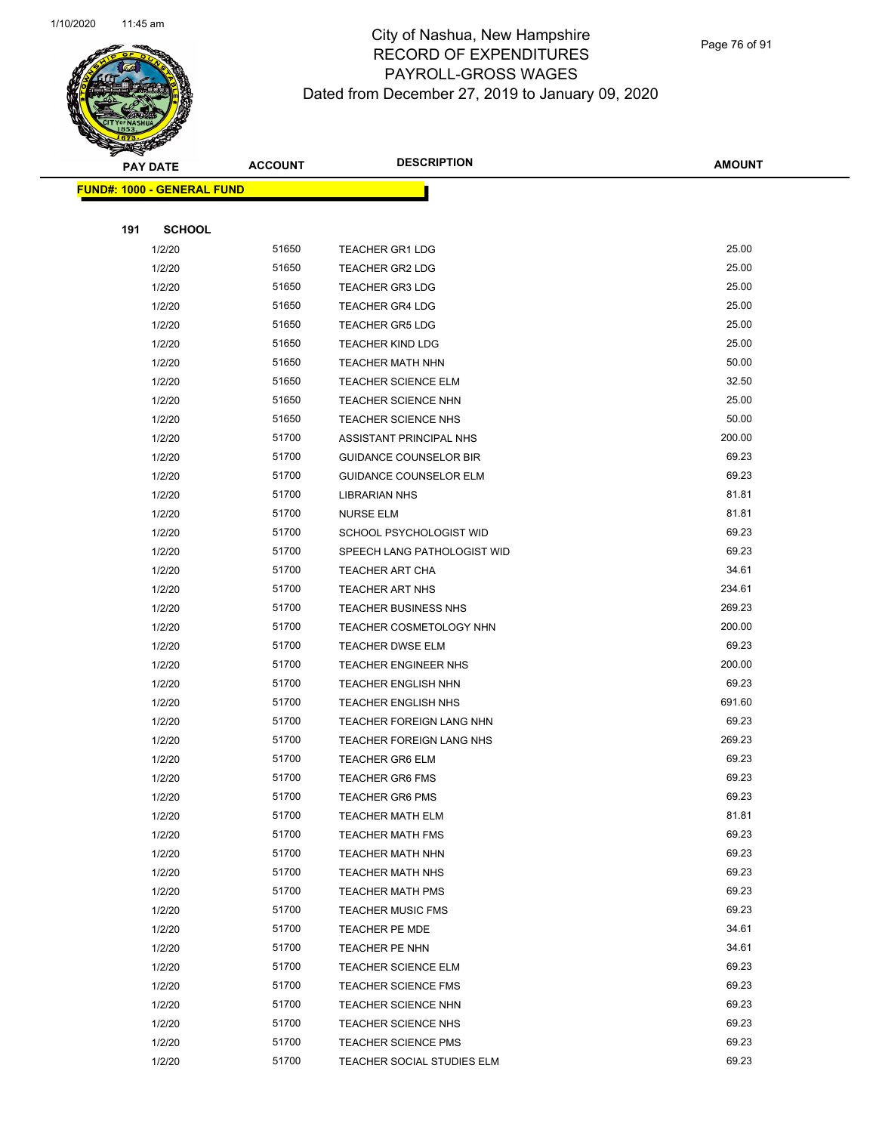

Page 76 of 91

|     | <b>PAY DATE</b>                   | <b>ACCOUNT</b> | <b>DESCRIPTION</b>                                 | <b>AMOUNT</b>  |
|-----|-----------------------------------|----------------|----------------------------------------------------|----------------|
|     | <b>FUND#: 1000 - GENERAL FUND</b> |                |                                                    |                |
|     |                                   |                |                                                    |                |
| 191 | <b>SCHOOL</b>                     |                |                                                    |                |
|     | 1/2/20                            | 51650          | <b>TEACHER GR1 LDG</b>                             | 25.00          |
|     | 1/2/20                            | 51650          | <b>TEACHER GR2 LDG</b>                             | 25.00          |
|     | 1/2/20                            | 51650          | <b>TEACHER GR3 LDG</b>                             | 25.00          |
|     | 1/2/20                            | 51650          | <b>TEACHER GR4 LDG</b>                             | 25.00          |
|     | 1/2/20                            | 51650          | <b>TEACHER GR5 LDG</b>                             | 25.00          |
|     | 1/2/20                            | 51650          | <b>TEACHER KIND LDG</b>                            | 25.00          |
|     | 1/2/20                            | 51650          | TEACHER MATH NHN                                   | 50.00          |
|     | 1/2/20                            | 51650          | <b>TEACHER SCIENCE ELM</b>                         | 32.50          |
|     | 1/2/20                            | 51650          | <b>TEACHER SCIENCE NHN</b>                         | 25.00          |
|     | 1/2/20                            | 51650          | <b>TEACHER SCIENCE NHS</b>                         | 50.00          |
|     | 1/2/20                            | 51700          | ASSISTANT PRINCIPAL NHS                            | 200.00         |
|     | 1/2/20                            | 51700          | <b>GUIDANCE COUNSELOR BIR</b>                      | 69.23          |
|     | 1/2/20                            | 51700          | <b>GUIDANCE COUNSELOR ELM</b>                      | 69.23          |
|     | 1/2/20                            | 51700          | <b>LIBRARIAN NHS</b>                               | 81.81          |
|     | 1/2/20                            | 51700          | <b>NURSE ELM</b>                                   | 81.81          |
|     | 1/2/20                            | 51700          | SCHOOL PSYCHOLOGIST WID                            | 69.23          |
|     | 1/2/20                            | 51700          | SPEECH LANG PATHOLOGIST WID                        | 69.23          |
|     | 1/2/20                            | 51700          | TEACHER ART CHA                                    | 34.61          |
|     | 1/2/20                            | 51700          | TEACHER ART NHS                                    | 234.61         |
|     | 1/2/20                            | 51700          | <b>TEACHER BUSINESS NHS</b>                        | 269.23         |
|     | 1/2/20                            | 51700          | <b>TEACHER COSMETOLOGY NHN</b>                     | 200.00         |
|     | 1/2/20                            | 51700          | TEACHER DWSE ELM                                   | 69.23          |
|     | 1/2/20                            | 51700          | <b>TEACHER ENGINEER NHS</b>                        | 200.00         |
|     | 1/2/20                            | 51700          | <b>TEACHER ENGLISH NHN</b>                         | 69.23          |
|     | 1/2/20                            | 51700          | <b>TEACHER ENGLISH NHS</b>                         | 691.60         |
|     | 1/2/20                            | 51700          | TEACHER FOREIGN LANG NHN                           | 69.23          |
|     | 1/2/20                            | 51700          | TEACHER FOREIGN LANG NHS                           | 269.23         |
|     | 1/2/20                            | 51700          | <b>TEACHER GR6 ELM</b>                             | 69.23          |
|     | 1/2/20                            | 51700          | <b>TEACHER GR6 FMS</b>                             | 69.23          |
|     | 1/2/20                            | 51700          | <b>TEACHER GR6 PMS</b>                             | 69.23          |
|     | 1/2/20                            | 51700          | <b>TEACHER MATH ELM</b>                            | 81.81<br>69.23 |
|     | 1/2/20<br>1/2/20                  | 51700<br>51700 | <b>TEACHER MATH FMS</b>                            | 69.23          |
|     | 1/2/20                            | 51700          | <b>TEACHER MATH NHN</b><br><b>TEACHER MATH NHS</b> | 69.23          |
|     | 1/2/20                            | 51700          | <b>TEACHER MATH PMS</b>                            | 69.23          |
|     | 1/2/20                            | 51700          | <b>TEACHER MUSIC FMS</b>                           | 69.23          |
|     | 1/2/20                            | 51700          | TEACHER PE MDE                                     | 34.61          |
|     | 1/2/20                            | 51700          | TEACHER PE NHN                                     | 34.61          |
|     | 1/2/20                            | 51700          | <b>TEACHER SCIENCE ELM</b>                         | 69.23          |
|     | 1/2/20                            | 51700          | TEACHER SCIENCE FMS                                | 69.23          |
|     | 1/2/20                            | 51700          | TEACHER SCIENCE NHN                                | 69.23          |
|     | 1/2/20                            | 51700          | <b>TEACHER SCIENCE NHS</b>                         | 69.23          |
|     | 1/2/20                            | 51700          | <b>TEACHER SCIENCE PMS</b>                         | 69.23          |
|     | 1/2/20                            | 51700          | TEACHER SOCIAL STUDIES ELM                         | 69.23          |
|     |                                   |                |                                                    |                |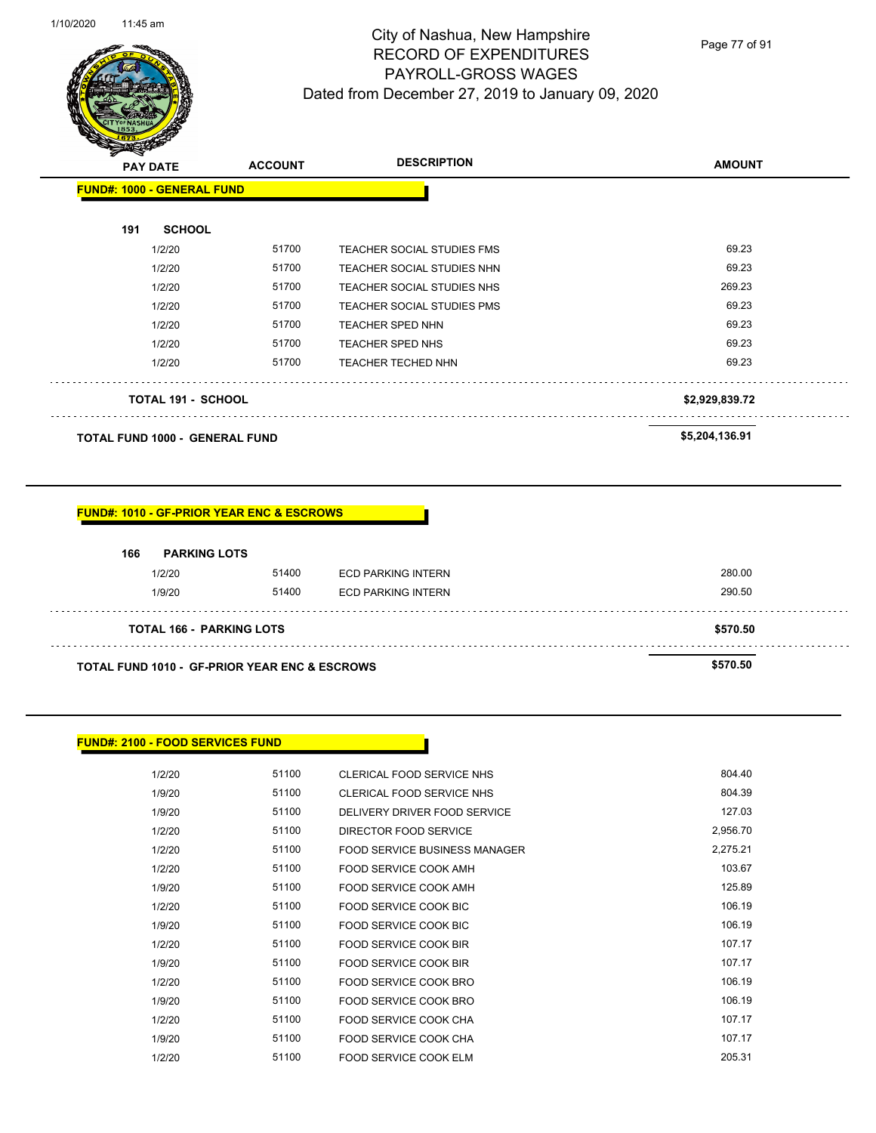

Page 77 of 91

| <b>PAY DATE</b>                   | <b>ACCOUNT</b> | <b>DESCRIPTION</b>                | <b>AMOUNT</b>  |
|-----------------------------------|----------------|-----------------------------------|----------------|
| <b>FUND#: 1000 - GENERAL FUND</b> |                |                                   |                |
| <b>SCHOOL</b><br>191              |                |                                   |                |
| 1/2/20                            | 51700          | TEACHER SOCIAL STUDIES FMS        | 69.23          |
| 1/2/20                            | 51700          | TEACHER SOCIAL STUDIES NHN        | 69.23          |
| 1/2/20                            | 51700          | TEACHER SOCIAL STUDIES NHS        | 269.23         |
| 1/2/20                            | 51700          | <b>TEACHER SOCIAL STUDIES PMS</b> | 69.23          |
| 1/2/20                            | 51700          | TEACHER SPED NHN                  | 69.23          |
| 1/2/20                            | 51700          | <b>TEACHER SPED NHS</b>           | 69.23          |
| 1/2/20                            | 51700          | <b>TEACHER TECHED NHN</b>         | 69.23          |
| <b>TOTAL 191 - SCHOOL</b>         |                |                                   | \$2,929,839.72 |
|                                   |                |                                   | .              |

**TOTAL FUND 1000 - GENERAL FUND \$5,204,136.91** 

#### **FUND#: 1010 - GF-PRIOR YEAR ENC & ESCROWS**

| 166<br><b>PARKING LOTS</b>                               |       |                           |          |
|----------------------------------------------------------|-------|---------------------------|----------|
| 1/2/20                                                   | 51400 | <b>ECD PARKING INTERN</b> | 280.00   |
| 1/9/20                                                   | 51400 | ECD PARKING INTERN        | 290.50   |
| <b>TOTAL 166 - PARKING LOTS</b>                          |       |                           | \$570.50 |
| <b>TOTAL FUND 1010 - GF-PRIOR YEAR ENC &amp; ESCROWS</b> |       |                           | \$570.50 |

#### **FUND#: 2100 - FOOD SERVICES FUND**

| 1/2/20 | 51100 | <b>CLERICAL FOOD SERVICE NHS</b> | 804.40   |
|--------|-------|----------------------------------|----------|
| 1/9/20 | 51100 | CLERICAL FOOD SERVICE NHS        | 804.39   |
| 1/9/20 | 51100 | DELIVERY DRIVER FOOD SERVICE     | 127.03   |
| 1/2/20 | 51100 | DIRECTOR FOOD SERVICE            | 2,956.70 |
| 1/2/20 | 51100 | FOOD SERVICE BUSINESS MANAGER    | 2,275.21 |
| 1/2/20 | 51100 | FOOD SERVICE COOK AMH            | 103.67   |
| 1/9/20 | 51100 | FOOD SERVICE COOK AMH            | 125.89   |
| 1/2/20 | 51100 | FOOD SERVICE COOK BIC            | 106.19   |
| 1/9/20 | 51100 | FOOD SERVICE COOK BIC            | 106.19   |
| 1/2/20 | 51100 | FOOD SERVICE COOK BIR            | 107.17   |
| 1/9/20 | 51100 | FOOD SERVICE COOK BIR            | 107.17   |
| 1/2/20 | 51100 | FOOD SERVICE COOK BRO            | 106.19   |
| 1/9/20 | 51100 | FOOD SERVICE COOK BRO            | 106.19   |
| 1/2/20 | 51100 | FOOD SERVICE COOK CHA            | 107.17   |
| 1/9/20 | 51100 | FOOD SERVICE COOK CHA            | 107.17   |
| 1/2/20 | 51100 | FOOD SERVICE COOK ELM            | 205.31   |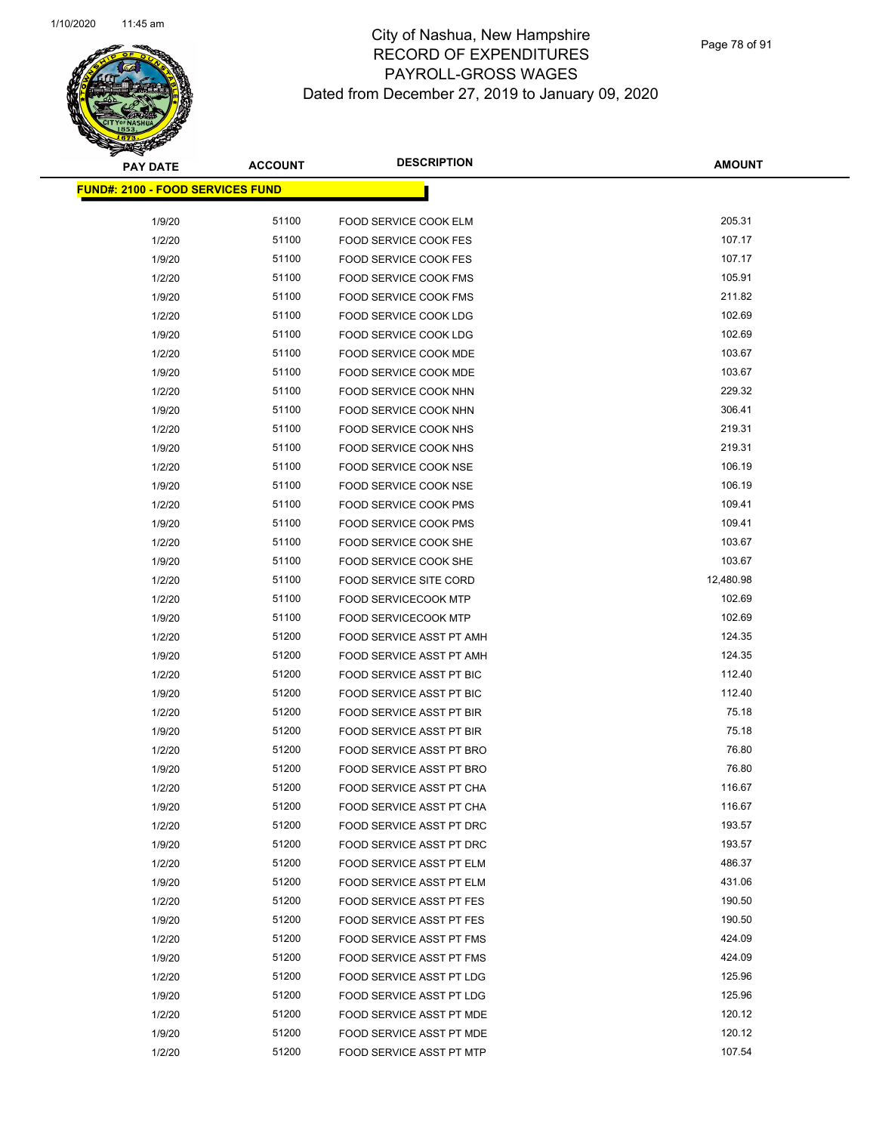Page 78 of 91

| <b>PAY DATE</b>                         | <b>ACCOUNT</b> | <b>DESCRIPTION</b>              | <b>AMOUNT</b> |
|-----------------------------------------|----------------|---------------------------------|---------------|
| <b>FUND#: 2100 - FOOD SERVICES FUND</b> |                |                                 |               |
| 1/9/20                                  | 51100          | FOOD SERVICE COOK ELM           | 205.31        |
| 1/2/20                                  | 51100          | <b>FOOD SERVICE COOK FES</b>    | 107.17        |
| 1/9/20                                  | 51100          | <b>FOOD SERVICE COOK FES</b>    | 107.17        |
| 1/2/20                                  | 51100          | FOOD SERVICE COOK FMS           | 105.91        |
| 1/9/20                                  | 51100          | FOOD SERVICE COOK FMS           | 211.82        |
| 1/2/20                                  | 51100          | FOOD SERVICE COOK LDG           | 102.69        |
| 1/9/20                                  | 51100          | FOOD SERVICE COOK LDG           | 102.69        |
| 1/2/20                                  | 51100          | <b>FOOD SERVICE COOK MDE</b>    | 103.67        |
| 1/9/20                                  | 51100          | FOOD SERVICE COOK MDE           | 103.67        |
| 1/2/20                                  | 51100          | FOOD SERVICE COOK NHN           | 229.32        |
| 1/9/20                                  | 51100          | FOOD SERVICE COOK NHN           | 306.41        |
| 1/2/20                                  | 51100          | FOOD SERVICE COOK NHS           | 219.31        |
| 1/9/20                                  | 51100          | FOOD SERVICE COOK NHS           | 219.31        |
| 1/2/20                                  | 51100          | FOOD SERVICE COOK NSE           | 106.19        |
| 1/9/20                                  | 51100          | FOOD SERVICE COOK NSE           | 106.19        |
| 1/2/20                                  | 51100          | FOOD SERVICE COOK PMS           | 109.41        |
| 1/9/20                                  | 51100          | FOOD SERVICE COOK PMS           | 109.41        |
| 1/2/20                                  | 51100          | FOOD SERVICE COOK SHE           | 103.67        |
| 1/9/20                                  | 51100          | FOOD SERVICE COOK SHE           | 103.67        |
| 1/2/20                                  | 51100          | FOOD SERVICE SITE CORD          | 12,480.98     |
| 1/2/20                                  | 51100          | <b>FOOD SERVICECOOK MTP</b>     | 102.69        |
| 1/9/20                                  | 51100          | <b>FOOD SERVICECOOK MTP</b>     | 102.69        |
| 1/2/20                                  | 51200          | FOOD SERVICE ASST PT AMH        | 124.35        |
| 1/9/20                                  | 51200          | FOOD SERVICE ASST PT AMH        | 124.35        |
| 1/2/20                                  | 51200          | FOOD SERVICE ASST PT BIC        | 112.40        |
| 1/9/20                                  | 51200          | FOOD SERVICE ASST PT BIC        | 112.40        |
| 1/2/20                                  | 51200          | FOOD SERVICE ASST PT BIR        | 75.18         |
| 1/9/20                                  | 51200          | FOOD SERVICE ASST PT BIR        | 75.18         |
| 1/2/20                                  | 51200          | FOOD SERVICE ASST PT BRO        | 76.80         |
| 1/9/20                                  | 51200          | FOOD SERVICE ASST PT BRO        | 76.80         |
| 1/2/20                                  | 51200          | FOOD SERVICE ASST PT CHA        | 116.67        |
| 1/9/20                                  | 51200          | FOOD SERVICE ASST PT CHA        | 116.67        |
| 1/2/20                                  | 51200          | FOOD SERVICE ASST PT DRC        | 193.57        |
| 1/9/20                                  | 51200          | <b>FOOD SERVICE ASST PT DRC</b> | 193.57        |
| 1/2/20                                  | 51200          | FOOD SERVICE ASST PT ELM        | 486.37        |
| 1/9/20                                  | 51200          | <b>FOOD SERVICE ASST PT ELM</b> | 431.06        |
| 1/2/20                                  | 51200          | FOOD SERVICE ASST PT FES        | 190.50        |
| 1/9/20                                  | 51200          | FOOD SERVICE ASST PT FES        | 190.50        |
| 1/2/20                                  | 51200          | <b>FOOD SERVICE ASST PT FMS</b> | 424.09        |
| 1/9/20                                  | 51200          | FOOD SERVICE ASST PT FMS        | 424.09        |
| 1/2/20                                  | 51200          | FOOD SERVICE ASST PT LDG        | 125.96        |
| 1/9/20                                  | 51200          | FOOD SERVICE ASST PT LDG        | 125.96        |
| 1/2/20                                  | 51200          | FOOD SERVICE ASST PT MDE        | 120.12        |
| 1/9/20                                  | 51200          | FOOD SERVICE ASST PT MDE        | 120.12        |
| 1/2/20                                  | 51200          | FOOD SERVICE ASST PT MTP        | 107.54        |
|                                         |                |                                 |               |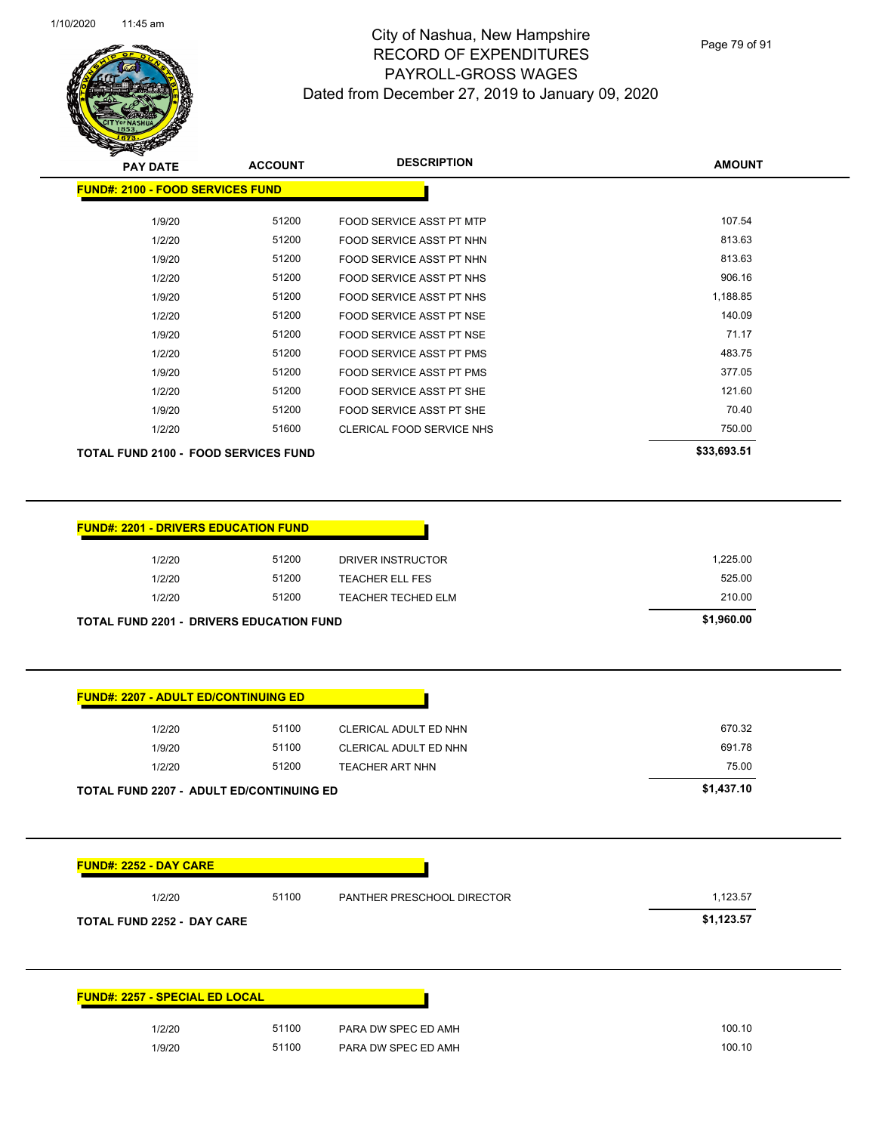

Page 79 of 91

| <b>PAY DATE</b>                             | <b>ACCOUNT</b> | <b>DESCRIPTION</b>              | <b>AMOUNT</b> |
|---------------------------------------------|----------------|---------------------------------|---------------|
| <b>FUND#: 2100 - FOOD SERVICES FUND</b>     |                |                                 |               |
| 1/9/20                                      | 51200          | FOOD SERVICE ASST PT MTP        | 107.54        |
| 1/2/20                                      | 51200          | FOOD SERVICE ASST PT NHN        | 813.63        |
| 1/9/20                                      | 51200          | FOOD SERVICE ASST PT NHN        | 813.63        |
| 1/2/20                                      | 51200          | FOOD SERVICE ASST PT NHS        | 906.16        |
| 1/9/20                                      | 51200          | FOOD SERVICE ASST PT NHS        | 1,188.85      |
| 1/2/20                                      | 51200          | FOOD SERVICE ASST PT NSE        | 140.09        |
| 1/9/20                                      | 51200          | FOOD SERVICE ASST PT NSE        | 71.17         |
| 1/2/20                                      | 51200          | <b>FOOD SERVICE ASST PT PMS</b> | 483.75        |
| 1/9/20                                      | 51200          | <b>FOOD SERVICE ASST PT PMS</b> | 377.05        |
| 1/2/20                                      | 51200          | FOOD SERVICE ASST PT SHE        | 121.60        |
| 1/9/20                                      | 51200          | FOOD SERVICE ASST PT SHE        | 70.40         |
| 1/2/20                                      | 51600          | CLERICAL FOOD SERVICE NHS       | 750.00        |
| <b>TOTAL FUND 2100 - FOOD SERVICES FUND</b> |                |                                 | \$33,693.51   |

| <b>FUND#: 2201 - DRIVERS EDUCATION FUND</b>     |       |                           |            |
|-------------------------------------------------|-------|---------------------------|------------|
| 1/2/20                                          | 51200 | DRIVER INSTRUCTOR         | 1,225.00   |
| 1/2/20                                          | 51200 | <b>TEACHER ELL FES</b>    | 525.00     |
| 1/2/20                                          | 51200 | <b>TEACHER TECHED ELM</b> | 210.00     |
| <b>TOTAL FUND 2201 - DRIVERS EDUCATION FUND</b> |       |                           | \$1,960.00 |

| <b>FUND#: 2207 - ADULT ED/CONTINUING ED</b>     |       |                       |            |
|-------------------------------------------------|-------|-----------------------|------------|
| 1/2/20                                          | 51100 | CLERICAL ADULT ED NHN | 670.32     |
| 1/9/20                                          | 51100 | CLERICAL ADULT ED NHN | 691.78     |
| 1/2/20                                          | 51200 | TEACHER ART NHN       | 75.00      |
| <b>TOTAL FUND 2207 - ADULT ED/CONTINUING ED</b> |       |                       | \$1,437.10 |

**FUND#: 2252 - DAY CARE**

1/2/20 51100 PANTHER PRESCHOOL DIRECTOR 1,123.57 **TOTAL FUND 2252 - DAY CARE \$1,123.57** 

| <b>FUND#: 2257 - SPECIAL ED LOCAL</b> |                     |
|---------------------------------------|---------------------|
| 51100<br>1/2/20                       | PARA DW SPEC ED AMH |
| 51100<br>1/9/20                       | PARA DW SPEC ED AMH |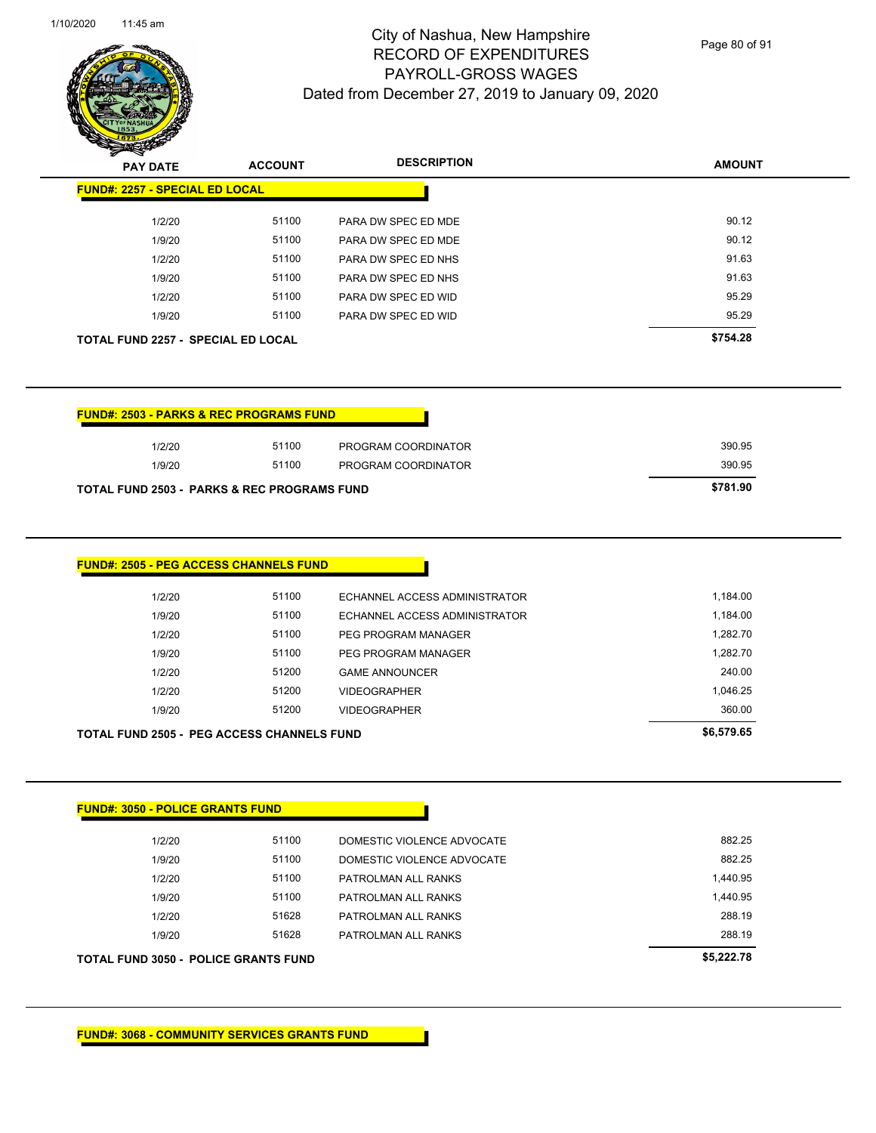

Page 80 of 91

**AMOUNT**

| 1/2/20                                                                          | 51100 | PARA DW SPEC ED MDE           | 90.12      |
|---------------------------------------------------------------------------------|-------|-------------------------------|------------|
| 1/9/20                                                                          | 51100 | PARA DW SPEC ED MDE           | 90.12      |
| 1/2/20                                                                          | 51100 | PARA DW SPEC ED NHS           | 91.63      |
| 1/9/20                                                                          | 51100 | PARA DW SPEC ED NHS           | 91.63      |
| 1/2/20                                                                          | 51100 | PARA DW SPEC ED WID           | 95.29      |
| 1/9/20                                                                          | 51100 | PARA DW SPEC ED WID           | 95.29      |
| <b>TOTAL FUND 2257 - SPECIAL ED LOCAL</b>                                       |       |                               | \$754.28   |
|                                                                                 |       |                               |            |
| <b>FUND#: 2503 - PARKS &amp; REC PROGRAMS FUND</b>                              |       |                               |            |
| 1/2/20                                                                          | 51100 | PROGRAM COORDINATOR           | 390.95     |
| 1/9/20                                                                          | 51100 | PROGRAM COORDINATOR           | 390.95     |
| <b>TOTAL FUND 2503 - PARKS &amp; REC PROGRAMS FUND</b>                          |       |                               | \$781.90   |
| <b>FUND#: 2505 - PEG ACCESS CHANNELS FUND</b>                                   |       |                               |            |
| 1/2/20                                                                          | 51100 | ECHANNEL ACCESS ADMINISTRATOR | 1,184.00   |
| 1/9/20                                                                          | 51100 | ECHANNEL ACCESS ADMINISTRATOR | 1,184.00   |
| 1/2/20                                                                          | 51100 | PEG PROGRAM MANAGER           | 1,282.70   |
| 1/9/20                                                                          | 51100 | PEG PROGRAM MANAGER           | 1,282.70   |
| 1/2/20                                                                          | 51200 | <b>GAME ANNOUNCER</b>         | 240.00     |
| 1/2/20                                                                          | 51200 | <b>VIDEOGRAPHER</b>           | 1,046.25   |
| 1/9/20                                                                          | 51200 | <b>VIDEOGRAPHER</b>           | 360.00     |
|                                                                                 |       |                               | \$6,579.65 |
| <b>TOTAL FUND 2505 - PEG ACCESS CHANNELS FUND</b>                               |       |                               |            |
|                                                                                 |       |                               |            |
|                                                                                 |       |                               |            |
| 1/2/20                                                                          | 51100 | DOMESTIC VIOLENCE ADVOCATE    | 882.25     |
| 1/9/20                                                                          | 51100 | DOMESTIC VIOLENCE ADVOCATE    | 882.25     |
| 1/2/20                                                                          | 51100 | PATROLMAN ALL RANKS           | 1,440.95   |
| 1/9/20                                                                          | 51100 | PATROLMAN ALL RANKS           | 1,440.95   |
| 1/2/20                                                                          | 51628 | PATROLMAN ALL RANKS           | 288.19     |
| 1/9/20                                                                          | 51628 | PATROLMAN ALL RANKS           | 288.19     |
|                                                                                 |       |                               | \$5,222.78 |
| <b>FUND#: 3050 - POLICE GRANTS FUND</b><br>TOTAL FUND 3050 - POLICE GRANTS FUND |       |                               |            |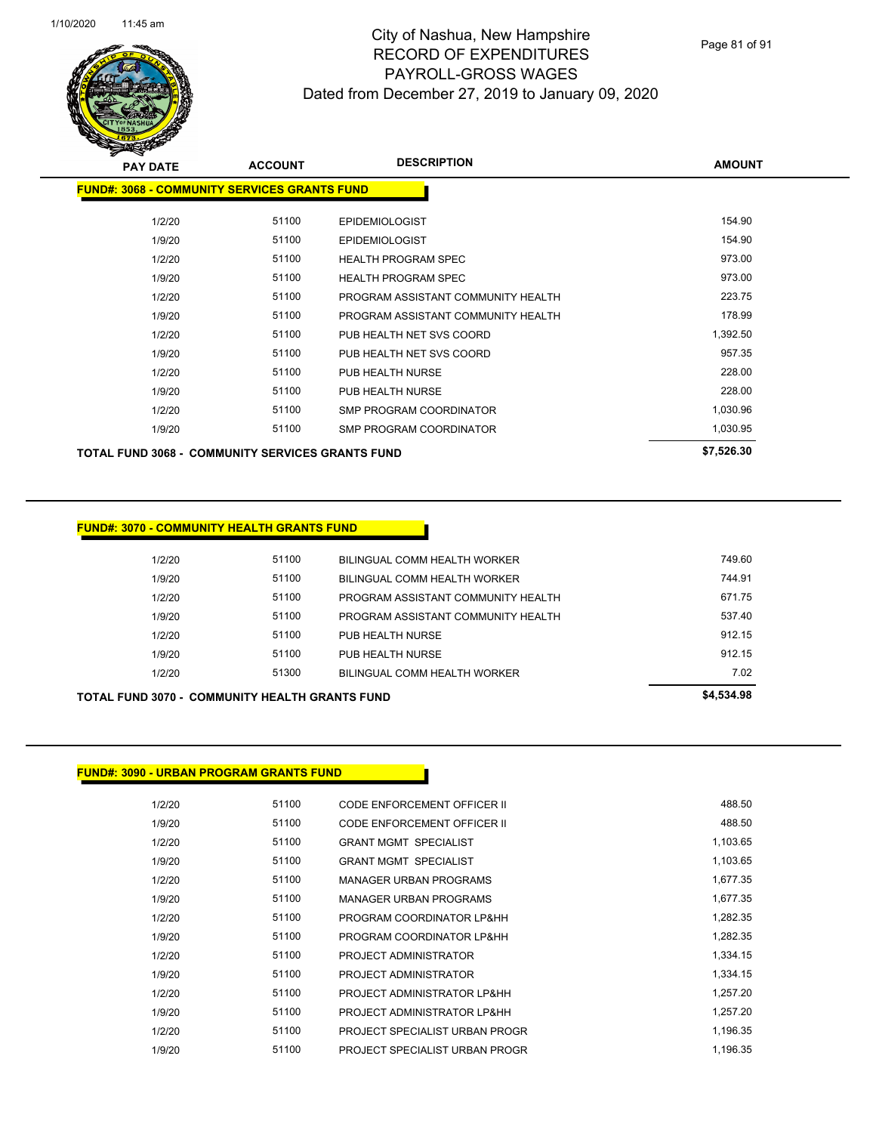

Page 81 of 91

| <b>PAY DATE</b> | <b>ACCOUNT</b>                                      | <b>DESCRIPTION</b>                 | <b>AMOUNT</b> |
|-----------------|-----------------------------------------------------|------------------------------------|---------------|
|                 | <b>FUND#: 3068 - COMMUNITY SERVICES GRANTS FUND</b> |                                    |               |
| 1/2/20          | 51100                                               | <b>EPIDEMIOLOGIST</b>              | 154.90        |
| 1/9/20          | 51100                                               | <b>EPIDEMIOLOGIST</b>              | 154.90        |
| 1/2/20          | 51100                                               | <b>HEALTH PROGRAM SPEC</b>         | 973.00        |
| 1/9/20          | 51100                                               | <b>HEALTH PROGRAM SPEC</b>         | 973.00        |
| 1/2/20          | 51100                                               | PROGRAM ASSISTANT COMMUNITY HEALTH | 223.75        |
| 1/9/20          | 51100                                               | PROGRAM ASSISTANT COMMUNITY HEALTH | 178.99        |
| 1/2/20          | 51100                                               | PUB HEALTH NET SVS COORD           | 1,392.50      |
| 1/9/20          | 51100                                               | PUB HEALTH NET SVS COORD           | 957.35        |
| 1/2/20          | 51100                                               | PUB HEALTH NURSE                   | 228.00        |
| 1/9/20          | 51100                                               | PUB HEALTH NURSE                   | 228.00        |
| 1/2/20          | 51100                                               | SMP PROGRAM COORDINATOR            | 1,030.96      |
| 1/9/20          | 51100                                               | SMP PROGRAM COORDINATOR            | 1,030.95      |
|                 | TOTAL FUND 3068 - COMMUNITY SERVICES GRANTS FUND    |                                    | \$7,526.30    |

#### **FUND#: 3070 - COMMUNITY HEALTH GRANTS FUND**

| TOTAL FUND 3070 -  COMMUNITY HEALTH GRANTS FUND | \$4,534.98 |                                    |        |
|-------------------------------------------------|------------|------------------------------------|--------|
| 1/2/20                                          | 51300      | BILINGUAL COMM HEALTH WORKER       | 7.02   |
| 1/9/20                                          | 51100      | PUB HEALTH NURSE                   | 912.15 |
| 1/2/20                                          | 51100      | PUB HEALTH NURSE                   | 912.15 |
| 1/9/20                                          | 51100      | PROGRAM ASSISTANT COMMUNITY HEALTH | 537.40 |
| 1/2/20                                          | 51100      | PROGRAM ASSISTANT COMMUNITY HEALTH | 671.75 |
| 1/9/20                                          | 51100      | BILINGUAL COMM HEALTH WORKER       | 744.91 |
| 1/2/20                                          | 51100      | BILINGUAL COMM HEALTH WORKER       | 749.60 |
|                                                 |            |                                    |        |

#### **FUND#: 3090 - URBAN PROGRAM GRANTS FUND**

| 1/2/20 | 51100 | <b>CODE ENFORCEMENT OFFICER II</b> | 488.50   |
|--------|-------|------------------------------------|----------|
| 1/9/20 | 51100 | CODE ENFORCEMENT OFFICER II        | 488.50   |
| 1/2/20 | 51100 | <b>GRANT MGMT SPECIALIST</b>       | 1,103.65 |
| 1/9/20 | 51100 | <b>GRANT MGMT SPECIALIST</b>       | 1,103.65 |
| 1/2/20 | 51100 | <b>MANAGER URBAN PROGRAMS</b>      | 1,677.35 |
| 1/9/20 | 51100 | <b>MANAGER URBAN PROGRAMS</b>      | 1,677.35 |
| 1/2/20 | 51100 | PROGRAM COORDINATOR LP&HH          | 1.282.35 |
| 1/9/20 | 51100 | PROGRAM COORDINATOR LP&HH          | 1,282.35 |
| 1/2/20 | 51100 | PROJECT ADMINISTRATOR              | 1,334.15 |
| 1/9/20 | 51100 | PROJECT ADMINISTRATOR              | 1.334.15 |
| 1/2/20 | 51100 | PROJECT ADMINISTRATOR LP&HH        | 1.257.20 |
| 1/9/20 | 51100 | PROJECT ADMINISTRATOR LP&HH        | 1,257.20 |
| 1/2/20 | 51100 | PROJECT SPECIALIST URBAN PROGR     | 1.196.35 |
| 1/9/20 | 51100 | PROJECT SPECIALIST URBAN PROGR     | 1.196.35 |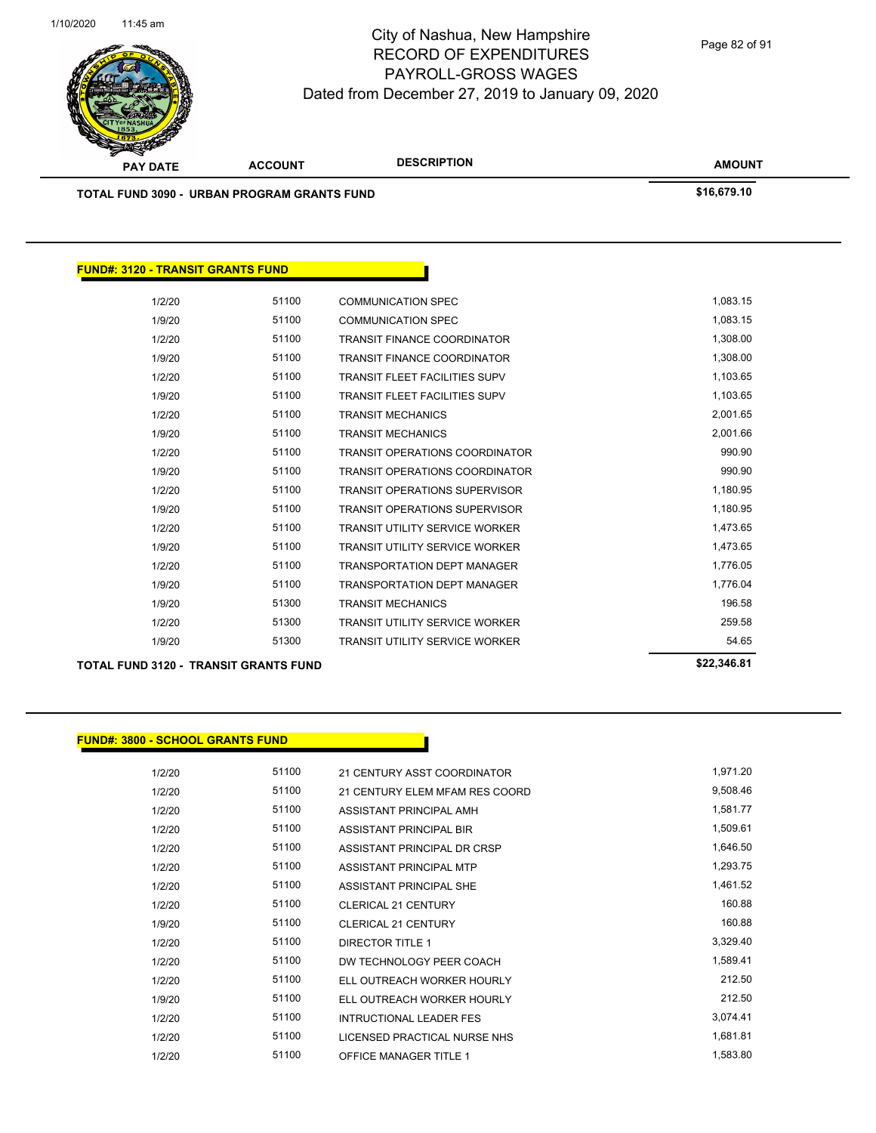

| <b>PAY DATE</b>                                    | <b>ACCOUNT</b> | <b>DESCRIPTION</b>                    | <b>AMOUNT</b> |
|----------------------------------------------------|----------------|---------------------------------------|---------------|
| <b>TOTAL FUND 3090 - URBAN PROGRAM GRANTS FUND</b> | \$16,679.10    |                                       |               |
|                                                    |                |                                       |               |
| <b>FUND#: 3120 - TRANSIT GRANTS FUND</b>           |                |                                       |               |
| 1/2/20                                             | 51100          | <b>COMMUNICATION SPEC</b>             | 1,083.15      |
| 1/9/20                                             | 51100          | <b>COMMUNICATION SPEC</b>             | 1,083.15      |
| 1/2/20                                             | 51100          | <b>TRANSIT FINANCE COORDINATOR</b>    | 1,308.00      |
| 1/9/20                                             | 51100          | <b>TRANSIT FINANCE COORDINATOR</b>    | 1,308.00      |
| 1/2/20                                             | 51100          | <b>TRANSIT FLEET FACILITIES SUPV</b>  | 1,103.65      |
| 1/9/20                                             | 51100          | <b>TRANSIT FLEET FACILITIES SUPV</b>  | 1,103.65      |
| 1/2/20                                             | 51100          | <b>TRANSIT MECHANICS</b>              | 2,001.65      |
| 1/9/20                                             | 51100          | <b>TRANSIT MECHANICS</b>              | 2,001.66      |
| 1/2/20                                             | 51100          | <b>TRANSIT OPERATIONS COORDINATOR</b> | 990.90        |
| 1/9/20                                             | 51100          | <b>TRANSIT OPERATIONS COORDINATOR</b> | 990.90        |
| 1/2/20                                             | 51100          | <b>TRANSIT OPERATIONS SUPERVISOR</b>  | 1,180.95      |
| 1/9/20                                             | 51100          | <b>TRANSIT OPERATIONS SUPERVISOR</b>  | 1,180.95      |
| 1/2/20                                             | 51100          | <b>TRANSIT UTILITY SERVICE WORKER</b> | 1,473.65      |
| 1/9/20                                             | 51100          | <b>TRANSIT UTILITY SERVICE WORKER</b> | 1,473.65      |
| 1/2/20                                             | 51100          | <b>TRANSPORTATION DEPT MANAGER</b>    | 1,776.05      |
| 1/9/20                                             | 51100          | <b>TRANSPORTATION DEPT MANAGER</b>    | 1,776.04      |
| 1/9/20                                             | 51300          | <b>TRANSIT MECHANICS</b>              | 196.58        |
| 1/2/20                                             | 51300          | <b>TRANSIT UTILITY SERVICE WORKER</b> | 259.58        |
| 1/9/20                                             | 51300          | <b>TRANSIT UTILITY SERVICE WORKER</b> | 54.65         |

**TOTAL FUND 3120 - TRANSIT GRANTS FUND \$22,346.81** 

#### **FUND#: 3800 - SCHOOL GRANTS FUND**

1/2/20 51100 21 CENTURY ASST COORDINATOR 1,971.20 1/2/20 51100 21 CENTURY ELEM MFAM RES COORD 9,508.46 1/2/20 51100 ASSISTANT PRINCIPAL AMH 1/2/20 51100 ASSISTANT PRINCIPAL BIR 1,509.61 1/2/20 51100 ASSISTANT PRINCIPAL DR CRSP 1,646.50 1/2/20 51100 ASSISTANT PRINCIPAL MTP 1,293.75 1/2/20 51100 ASSISTANT PRINCIPAL SHE 1,461.52 1/2/20 51100 CLERICAL 21 CENTURY 160.88 1/9/20 51100 CLERICAL 21 CENTURY 160.88 1/2/20 51100 DIRECTOR TITLE 1 3,329.40 1/2/20 51100 DW TECHNOLOGY PEER COACH 1,589.41 1/2/20 51100 ELL OUTREACH WORKER HOURLY 212.50 1/9/20 51100 ELL OUTREACH WORKER HOURLY 212.50 1/2/20 51100 INTRUCTIONAL LEADER FES 3,074.41 1/2/20 51100 LICENSED PRACTICAL NURSE NHS 1,681.81 1/2/20 51100 OFFICE MANAGER TITLE 1 1 1,583.80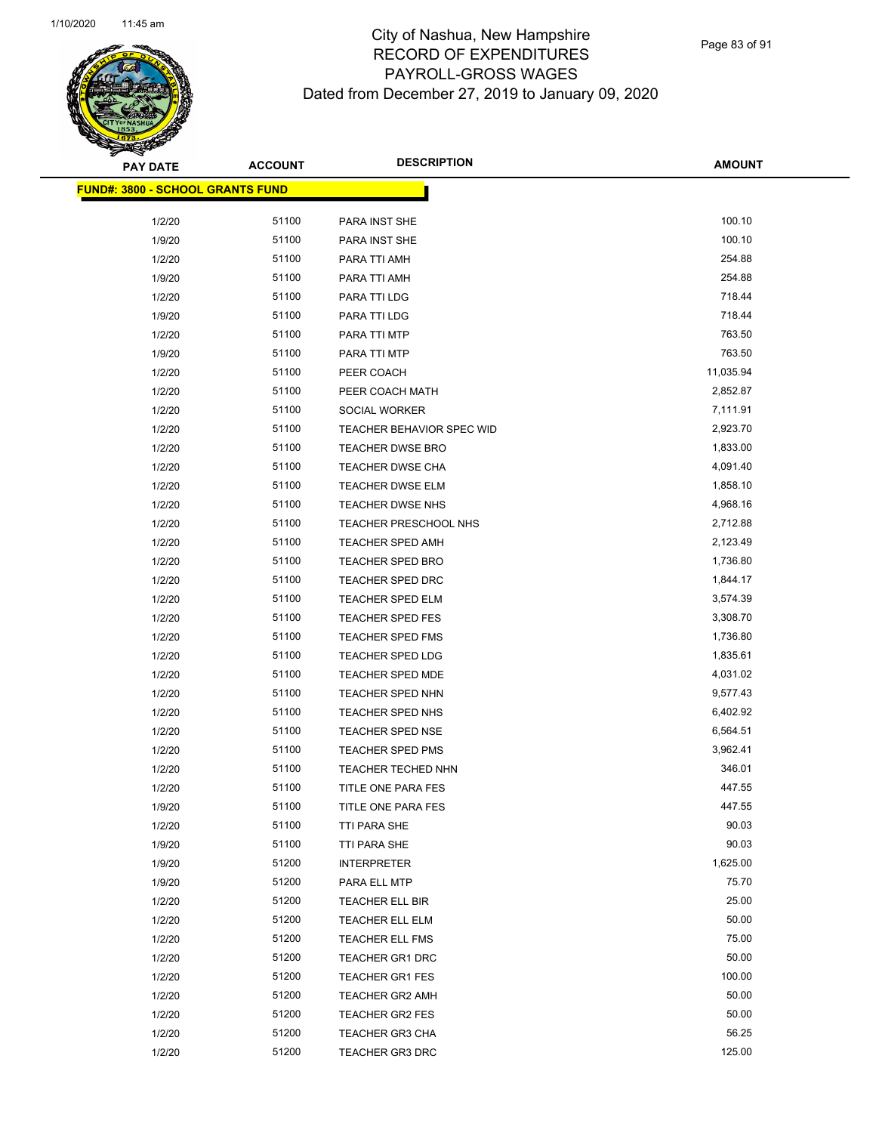

| <b>PAY DATE</b>                          | <b>ACCOUNT</b> | <b>DESCRIPTION</b>        | <b>AMOUNT</b> |
|------------------------------------------|----------------|---------------------------|---------------|
| <u> FUND#: 3800 - SCHOOL GRANTS FUND</u> |                |                           |               |
|                                          |                |                           |               |
| 1/2/20                                   | 51100          | PARA INST SHE             | 100.10        |
| 1/9/20                                   | 51100          | PARA INST SHE             | 100.10        |
| 1/2/20                                   | 51100          | PARA TTI AMH              | 254.88        |
| 1/9/20                                   | 51100          | PARA TTI AMH              | 254.88        |
| 1/2/20                                   | 51100          | PARA TTI LDG              | 718.44        |
| 1/9/20                                   | 51100          | PARA TTI LDG              | 718.44        |
| 1/2/20                                   | 51100          | PARA TTI MTP              | 763.50        |
| 1/9/20                                   | 51100          | PARA TTI MTP              | 763.50        |
| 1/2/20                                   | 51100          | PEER COACH                | 11,035.94     |
| 1/2/20                                   | 51100          | PEER COACH MATH           | 2,852.87      |
| 1/2/20                                   | 51100          | SOCIAL WORKER             | 7,111.91      |
| 1/2/20                                   | 51100          | TEACHER BEHAVIOR SPEC WID | 2,923.70      |
| 1/2/20                                   | 51100          | <b>TEACHER DWSE BRO</b>   | 1,833.00      |
| 1/2/20                                   | 51100          | TEACHER DWSE CHA          | 4,091.40      |
| 1/2/20                                   | 51100          | <b>TEACHER DWSE ELM</b>   | 1,858.10      |
| 1/2/20                                   | 51100          | TEACHER DWSE NHS          | 4,968.16      |
| 1/2/20                                   | 51100          | TEACHER PRESCHOOL NHS     | 2,712.88      |
| 1/2/20                                   | 51100          | <b>TEACHER SPED AMH</b>   | 2,123.49      |
| 1/2/20                                   | 51100          | <b>TEACHER SPED BRO</b>   | 1,736.80      |
| 1/2/20                                   | 51100          | <b>TEACHER SPED DRC</b>   | 1,844.17      |
| 1/2/20                                   | 51100          | TEACHER SPED ELM          | 3,574.39      |
| 1/2/20                                   | 51100          | TEACHER SPED FES          | 3,308.70      |
| 1/2/20                                   | 51100          | TEACHER SPED FMS          | 1,736.80      |
| 1/2/20                                   | 51100          | TEACHER SPED LDG          | 1,835.61      |
| 1/2/20                                   | 51100          | TEACHER SPED MDE          | 4,031.02      |
| 1/2/20                                   | 51100          | TEACHER SPED NHN          | 9,577.43      |
| 1/2/20                                   | 51100          | TEACHER SPED NHS          | 6,402.92      |
| 1/2/20                                   | 51100          | TEACHER SPED NSE          | 6,564.51      |
| 1/2/20                                   | 51100          | <b>TEACHER SPED PMS</b>   | 3,962.41      |
| 1/2/20                                   | 51100          | TEACHER TECHED NHN        | 346.01        |
| 1/2/20                                   | 51100          | TITLE ONE PARA FES        | 447.55        |
| 1/9/20                                   | 51100          | TITLE ONE PARA FES        | 447.55        |
| 1/2/20                                   | 51100          | TTI PARA SHE              | 90.03         |
| 1/9/20                                   | 51100          | TTI PARA SHE              | 90.03         |
| 1/9/20                                   | 51200          | <b>INTERPRETER</b>        | 1,625.00      |
| 1/9/20                                   | 51200          | PARA ELL MTP              | 75.70         |
| 1/2/20                                   | 51200          | TEACHER ELL BIR           | 25.00         |
| 1/2/20                                   | 51200          | TEACHER ELL ELM           | 50.00         |
| 1/2/20                                   | 51200          | TEACHER ELL FMS           | 75.00         |
| 1/2/20                                   | 51200          | TEACHER GR1 DRC           | 50.00         |
| 1/2/20                                   | 51200          | TEACHER GR1 FES           | 100.00        |
| 1/2/20                                   | 51200          | TEACHER GR2 AMH           | 50.00         |
| 1/2/20                                   | 51200          | TEACHER GR2 FES           | 50.00         |
| 1/2/20                                   | 51200          | TEACHER GR3 CHA           | 56.25         |
| 1/2/20                                   | 51200          | <b>TEACHER GR3 DRC</b>    | 125.00        |
|                                          |                |                           |               |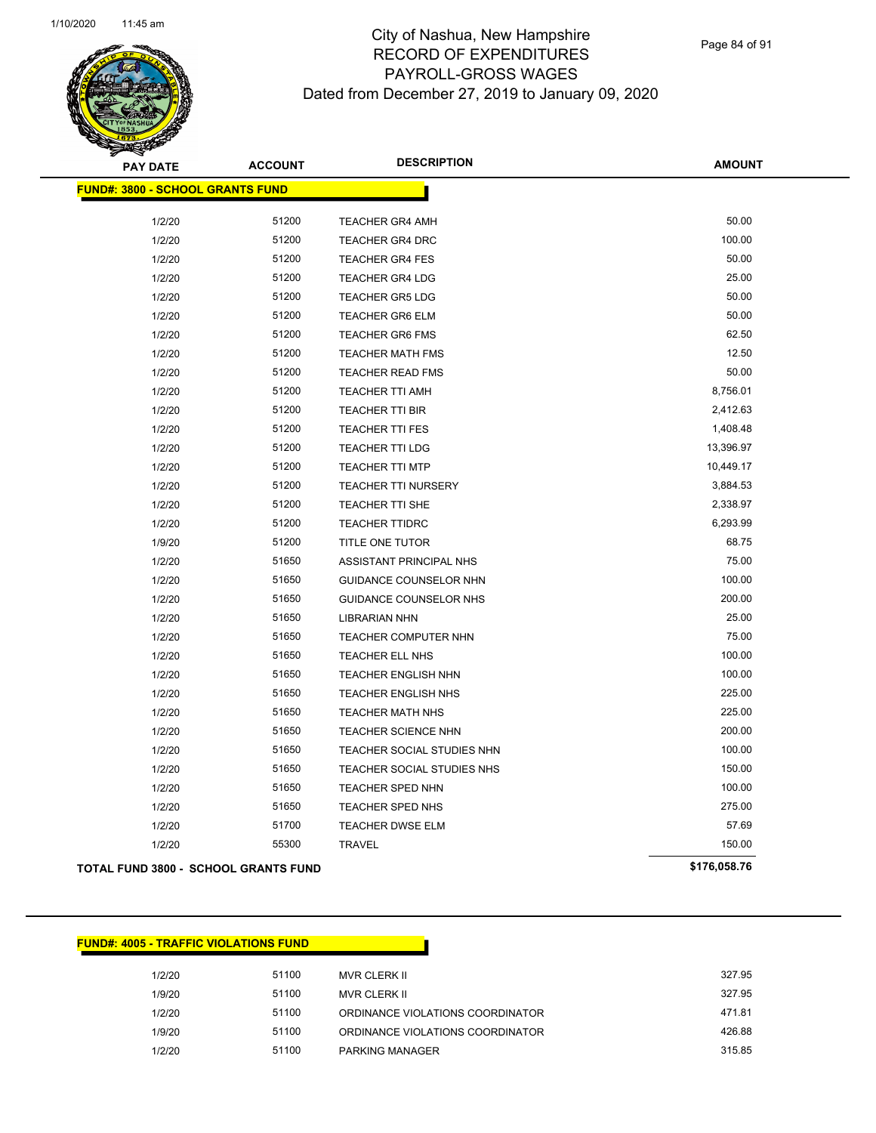

Page 84 of 91

| <b>PAY DATE</b>                         | <b>ACCOUNT</b> | <b>DESCRIPTION</b>          | <b>AMOUNT</b> |
|-----------------------------------------|----------------|-----------------------------|---------------|
| <b>FUND#: 3800 - SCHOOL GRANTS FUND</b> |                |                             |               |
| 1/2/20                                  | 51200          | <b>TEACHER GR4 AMH</b>      | 50.00         |
| 1/2/20                                  | 51200          | <b>TEACHER GR4 DRC</b>      | 100.00        |
| 1/2/20                                  | 51200          | <b>TEACHER GR4 FES</b>      | 50.00         |
| 1/2/20                                  | 51200          | <b>TEACHER GR4 LDG</b>      | 25.00         |
| 1/2/20                                  | 51200          | <b>TEACHER GR5 LDG</b>      | 50.00         |
| 1/2/20                                  | 51200          | <b>TEACHER GR6 ELM</b>      | 50.00         |
| 1/2/20                                  | 51200          | <b>TEACHER GR6 FMS</b>      | 62.50         |
| 1/2/20                                  | 51200          | <b>TEACHER MATH FMS</b>     | 12.50         |
| 1/2/20                                  | 51200          | <b>TEACHER READ FMS</b>     | 50.00         |
| 1/2/20                                  | 51200          | <b>TEACHER TTI AMH</b>      | 8,756.01      |
| 1/2/20                                  | 51200          | <b>TEACHER TTI BIR</b>      | 2,412.63      |
| 1/2/20                                  | 51200          | TEACHER TTI FES             | 1,408.48      |
| 1/2/20                                  | 51200          | TEACHER TTI LDG             | 13,396.97     |
| 1/2/20                                  | 51200          | <b>TEACHER TTI MTP</b>      | 10,449.17     |
| 1/2/20                                  | 51200          | <b>TEACHER TTI NURSERY</b>  | 3,884.53      |
| 1/2/20                                  | 51200          | <b>TEACHER TTI SHE</b>      | 2,338.97      |
| 1/2/20                                  | 51200          | <b>TEACHER TTIDRC</b>       | 6,293.99      |
| 1/9/20                                  | 51200          | TITLE ONE TUTOR             | 68.75         |
| 1/2/20                                  | 51650          | ASSISTANT PRINCIPAL NHS     | 75.00         |
| 1/2/20                                  | 51650          | GUIDANCE COUNSELOR NHN      | 100.00        |
| 1/2/20                                  | 51650          | GUIDANCE COUNSELOR NHS      | 200.00        |
| 1/2/20                                  | 51650          | <b>LIBRARIAN NHN</b>        | 25.00         |
| 1/2/20                                  | 51650          | <b>TEACHER COMPUTER NHN</b> | 75.00         |
| 1/2/20                                  | 51650          | TEACHER ELL NHS             | 100.00        |
| 1/2/20                                  | 51650          | <b>TEACHER ENGLISH NHN</b>  | 100.00        |
| 1/2/20                                  | 51650          | <b>TEACHER ENGLISH NHS</b>  | 225.00        |
| 1/2/20                                  | 51650          | <b>TEACHER MATH NHS</b>     | 225.00        |
| 1/2/20                                  | 51650          | TEACHER SCIENCE NHN         | 200.00        |
| 1/2/20                                  | 51650          | TEACHER SOCIAL STUDIES NHN  | 100.00        |
| 1/2/20                                  | 51650          | TEACHER SOCIAL STUDIES NHS  | 150.00        |
| 1/2/20                                  | 51650          | TEACHER SPED NHN            | 100.00        |
| 1/2/20                                  | 51650          | TEACHER SPED NHS            | 275.00        |
| 1/2/20                                  | 51700          | <b>TEACHER DWSE ELM</b>     | 57.69         |
| 1/2/20                                  | 55300          | <b>TRAVEL</b>               | 150.00        |
| TOTAL FUND 3800 - SCHOOL GRANTS FUND    |                |                             | \$176,058.76  |

| <u> FUND#: 4005 - TRAFFIC VIOLATIONS FUND</u> |       |                                  |        |
|-----------------------------------------------|-------|----------------------------------|--------|
| 1/2/20                                        | 51100 | MVR CLERK II                     | 327.95 |
| 1/9/20                                        | 51100 | MVR CLERK II                     | 327.95 |
| 1/2/20                                        | 51100 | ORDINANCE VIOLATIONS COORDINATOR | 471.81 |
| 1/9/20                                        | 51100 | ORDINANCE VIOLATIONS COORDINATOR | 426.88 |
| 1/2/20                                        | 51100 | <b>PARKING MANAGER</b>           | 315.85 |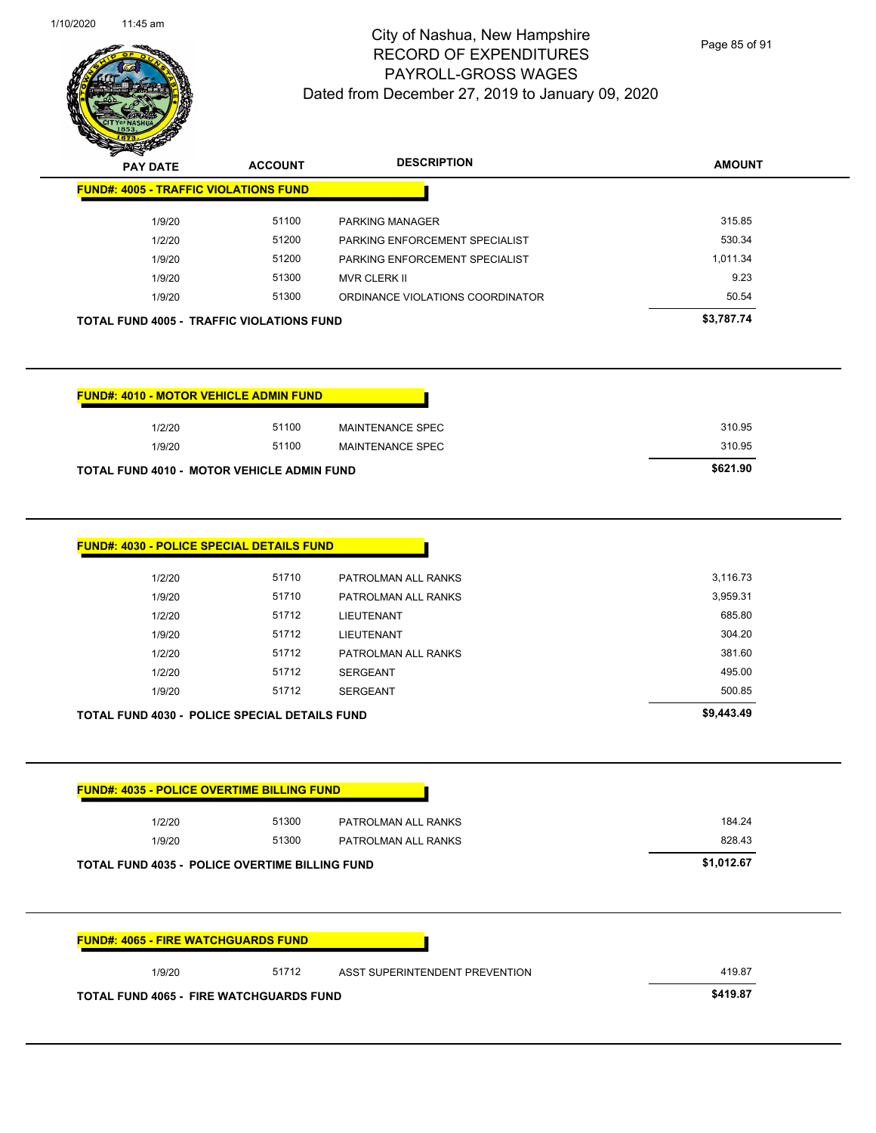|                                                       | 51100 | MAINTENANCE SPEC               | 310.95     |
|-------------------------------------------------------|-------|--------------------------------|------------|
| 1/9/20                                                | 51100 | <b>MAINTENANCE SPEC</b>        | 310.95     |
| TOTAL FUND 4010 - MOTOR VEHICLE ADMIN FUND            |       |                                | \$621.90   |
| <b>FUND#: 4030 - POLICE SPECIAL DETAILS FUND</b>      |       |                                |            |
| 1/2/20                                                | 51710 | PATROLMAN ALL RANKS            | 3,116.73   |
| 1/9/20                                                | 51710 | PATROLMAN ALL RANKS            | 3,959.31   |
| 1/2/20                                                | 51712 | <b>LIEUTENANT</b>              | 685.80     |
| 1/9/20                                                | 51712 | <b>LIEUTENANT</b>              | 304.20     |
| 1/2/20                                                | 51712 | PATROLMAN ALL RANKS            | 381.60     |
| 1/2/20                                                | 51712 | <b>SERGEANT</b>                | 495.00     |
|                                                       |       |                                |            |
| 1/9/20                                                | 51712 | <b>SERGEANT</b>                | 500.85     |
| TOTAL FUND 4030 - POLICE SPECIAL DETAILS FUND         |       |                                | \$9,443.49 |
| <b>FUND#: 4035 - POLICE OVERTIME BILLING FUND</b>     |       |                                |            |
| 1/2/20                                                | 51300 | PATROLMAN ALL RANKS            | 184.24     |
| 1/9/20                                                | 51300 | PATROLMAN ALL RANKS            | 828.43     |
| <b>TOTAL FUND 4035 - POLICE OVERTIME BILLING FUND</b> |       |                                | \$1,012.67 |
|                                                       |       |                                |            |
| <b>FUND#: 4065 - FIRE WATCHGUARDS FUND</b>            |       |                                |            |
| 1/9/20                                                | 51712 | ASST SUPERINTENDENT PREVENTION | 419.87     |

| $\boldsymbol{\nu}$<br>--<br><b>PAY DATE</b>      | <b>ACCOUNT</b> | <b>DESCRIPTION</b>               | <b>AMOUNT</b> |
|--------------------------------------------------|----------------|----------------------------------|---------------|
| <b>FUND#: 4005 - TRAFFIC VIOLATIONS FUND</b>     |                |                                  |               |
| 1/9/20                                           | 51100          | <b>PARKING MANAGER</b>           | 315.85        |
| 1/2/20                                           | 51200          | PARKING ENFORCEMENT SPECIALIST   | 530.34        |
| 1/9/20                                           | 51200          | PARKING ENFORCEMENT SPECIALIST   | 1.011.34      |
| 1/9/20                                           | 51300          | MVR CLERK II                     | 9.23          |
| 1/9/20                                           | 51300          | ORDINANCE VIOLATIONS COORDINATOR | 50.54         |
| <b>TOTAL FUND 4005 - TRAFFIC VIOLATIONS FUND</b> |                |                                  | \$3,787.74    |

Dated from December 27, 2019 to January 09, 2020

# City of Nashua, New Hampshire RECORD OF EXPENDITURES PAYROLL-GROSS WAGES

Page 85 of 91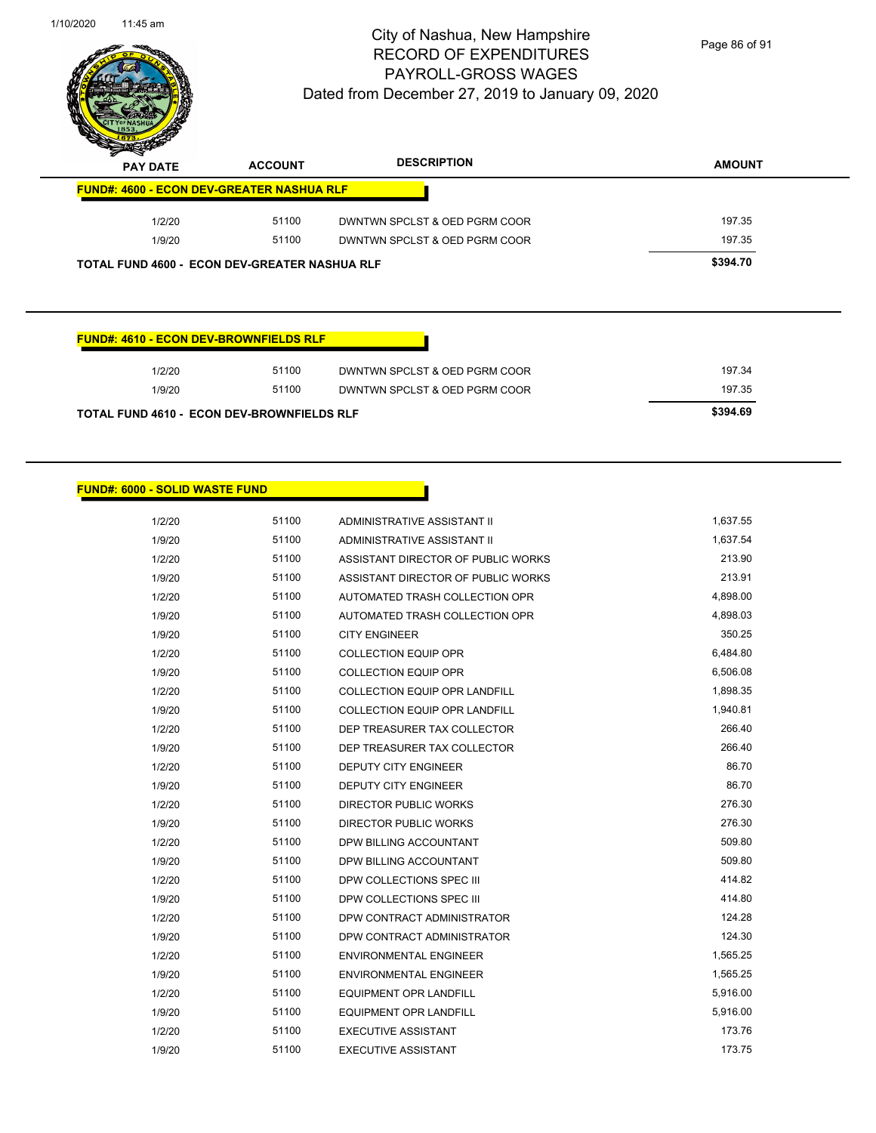

Page 86 of 91

| $\,$<br>∼<br><b>PAY DATE</b> | <b>ACCOUNT</b>                                       | <b>DESCRIPTION</b>            | <b>AMOUNT</b> |
|------------------------------|------------------------------------------------------|-------------------------------|---------------|
|                              | <b>FUND#: 4600 - ECON DEV-GREATER NASHUA RLF</b>     |                               |               |
| 1/2/20                       | 51100                                                | DWNTWN SPCLST & OED PGRM COOR | 197.35        |
| 1/9/20                       | 51100                                                | DWNTWN SPCLST & OED PGRM COOR | 197.35        |
|                              | <b>TOTAL FUND 4600 - ECON DEV-GREATER NASHUA RLF</b> |                               | \$394.70      |

#### **FUND#: 4610 - ECON DEV-BROWNFIELDS RLF**

| 1/2/20                                            | 51100 | DWNTWN SPCLST & OED PGRM COOR | 197.34   |
|---------------------------------------------------|-------|-------------------------------|----------|
| 1/9/20                                            | 51100 | DWNTWN SPCLST & OED PGRM COOR | 197.35   |
| <b>TOTAL FUND 4610 - ECON DEV-BROWNFIELDS RLF</b> |       |                               | \$394.69 |

#### **FUND#: 6000 - SOLID WASTE FUND**

| 1/2/20 | 51100 | ADMINISTRATIVE ASSISTANT II          | 1,637.55 |
|--------|-------|--------------------------------------|----------|
| 1/9/20 | 51100 | ADMINISTRATIVE ASSISTANT II          | 1,637.54 |
| 1/2/20 | 51100 | ASSISTANT DIRECTOR OF PUBLIC WORKS   | 213.90   |
| 1/9/20 | 51100 | ASSISTANT DIRECTOR OF PUBLIC WORKS   | 213.91   |
| 1/2/20 | 51100 | AUTOMATED TRASH COLLECTION OPR       | 4,898.00 |
| 1/9/20 | 51100 | AUTOMATED TRASH COLLECTION OPR       | 4,898.03 |
| 1/9/20 | 51100 | <b>CITY ENGINEER</b>                 | 350.25   |
| 1/2/20 | 51100 | <b>COLLECTION EQUIP OPR</b>          | 6,484.80 |
| 1/9/20 | 51100 | <b>COLLECTION EQUIP OPR</b>          | 6,506.08 |
| 1/2/20 | 51100 | <b>COLLECTION EQUIP OPR LANDFILL</b> | 1,898.35 |
| 1/9/20 | 51100 | COLLECTION EQUIP OPR LANDFILL        | 1,940.81 |
| 1/2/20 | 51100 | DEP TREASURER TAX COLLECTOR          | 266.40   |
| 1/9/20 | 51100 | DEP TREASURER TAX COLLECTOR          | 266.40   |
| 1/2/20 | 51100 | <b>DEPUTY CITY ENGINEER</b>          | 86.70    |
| 1/9/20 | 51100 | <b>DEPUTY CITY ENGINEER</b>          | 86.70    |
| 1/2/20 | 51100 | <b>DIRECTOR PUBLIC WORKS</b>         | 276.30   |
| 1/9/20 | 51100 | <b>DIRECTOR PUBLIC WORKS</b>         | 276.30   |
| 1/2/20 | 51100 | DPW BILLING ACCOUNTANT               | 509.80   |
| 1/9/20 | 51100 | DPW BILLING ACCOUNTANT               | 509.80   |
| 1/2/20 | 51100 | DPW COLLECTIONS SPEC III             | 414.82   |
| 1/9/20 | 51100 | DPW COLLECTIONS SPEC III             | 414.80   |
| 1/2/20 | 51100 | DPW CONTRACT ADMINISTRATOR           | 124.28   |
| 1/9/20 | 51100 | DPW CONTRACT ADMINISTRATOR           | 124.30   |
| 1/2/20 | 51100 | <b>ENVIRONMENTAL ENGINEER</b>        | 1,565.25 |
| 1/9/20 | 51100 | <b>ENVIRONMENTAL ENGINEER</b>        | 1,565.25 |
| 1/2/20 | 51100 | <b>EQUIPMENT OPR LANDFILL</b>        | 5,916.00 |
| 1/9/20 | 51100 | <b>EQUIPMENT OPR LANDFILL</b>        | 5,916.00 |
| 1/2/20 | 51100 | <b>EXECUTIVE ASSISTANT</b>           | 173.76   |
| 1/9/20 | 51100 | <b>EXECUTIVE ASSISTANT</b>           | 173.75   |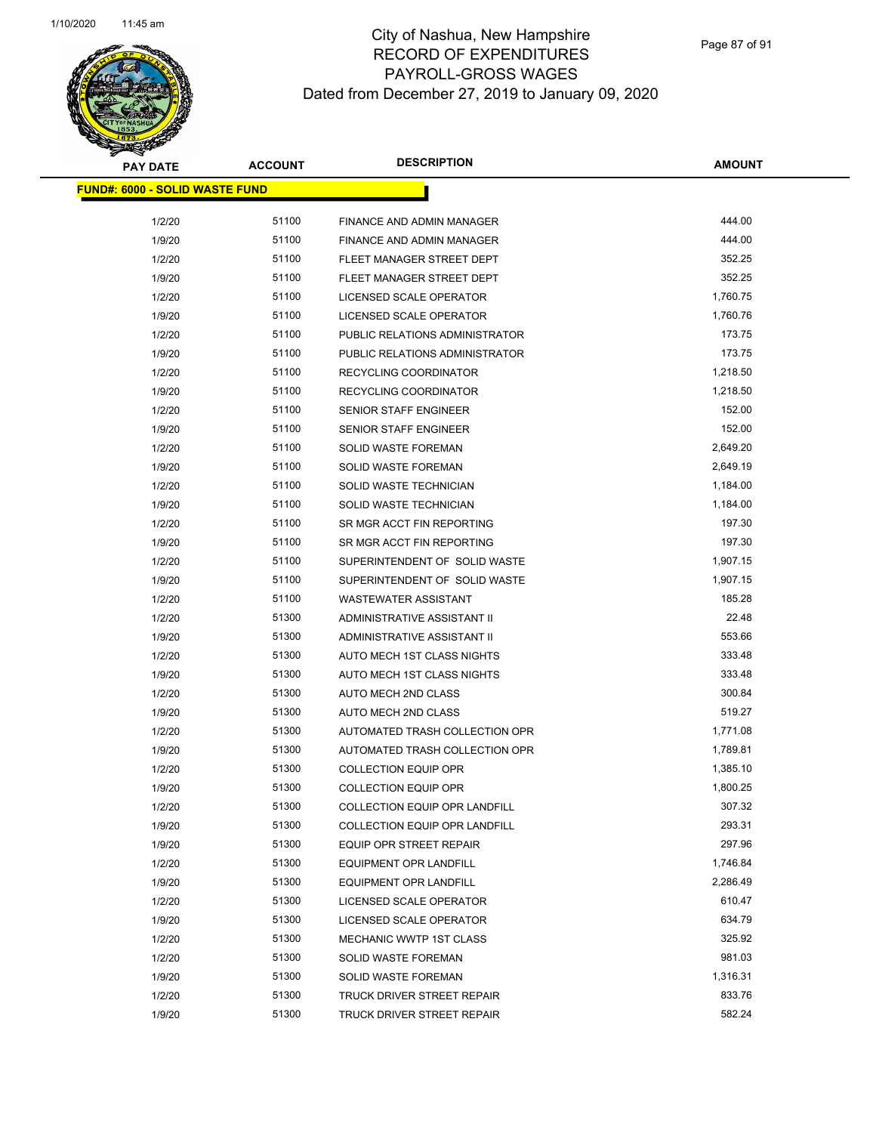Page 87 of 91

| <b>PAY DATE</b>                       | <b>ACCOUNT</b> | <b>DESCRIPTION</b>                   | <b>AMOUNT</b> |
|---------------------------------------|----------------|--------------------------------------|---------------|
| <b>FUND#: 6000 - SOLID WASTE FUND</b> |                |                                      |               |
|                                       | 51100          | FINANCE AND ADMIN MANAGER            | 444.00        |
| 1/2/20                                | 51100          | FINANCE AND ADMIN MANAGER            | 444.00        |
| 1/9/20                                | 51100          | FLEET MANAGER STREET DEPT            | 352.25        |
| 1/2/20<br>1/9/20                      | 51100          | FLEET MANAGER STREET DEPT            | 352.25        |
| 1/2/20                                | 51100          | LICENSED SCALE OPERATOR              | 1,760.75      |
| 1/9/20                                | 51100          | LICENSED SCALE OPERATOR              | 1,760.76      |
| 1/2/20                                | 51100          | PUBLIC RELATIONS ADMINISTRATOR       | 173.75        |
| 1/9/20                                | 51100          | PUBLIC RELATIONS ADMINISTRATOR       | 173.75        |
| 1/2/20                                | 51100          | RECYCLING COORDINATOR                | 1,218.50      |
| 1/9/20                                | 51100          | RECYCLING COORDINATOR                | 1,218.50      |
| 1/2/20                                | 51100          | <b>SENIOR STAFF ENGINEER</b>         | 152.00        |
| 1/9/20                                | 51100          | <b>SENIOR STAFF ENGINEER</b>         | 152.00        |
| 1/2/20                                | 51100          | <b>SOLID WASTE FOREMAN</b>           | 2,649.20      |
| 1/9/20                                | 51100          | SOLID WASTE FOREMAN                  | 2,649.19      |
| 1/2/20                                | 51100          | SOLID WASTE TECHNICIAN               | 1,184.00      |
| 1/9/20                                | 51100          | SOLID WASTE TECHNICIAN               | 1,184.00      |
| 1/2/20                                | 51100          | SR MGR ACCT FIN REPORTING            | 197.30        |
| 1/9/20                                | 51100          | SR MGR ACCT FIN REPORTING            | 197.30        |
| 1/2/20                                | 51100          | SUPERINTENDENT OF SOLID WASTE        | 1,907.15      |
| 1/9/20                                | 51100          | SUPERINTENDENT OF SOLID WASTE        | 1,907.15      |
| 1/2/20                                | 51100          | <b>WASTEWATER ASSISTANT</b>          | 185.28        |
| 1/2/20                                | 51300          | ADMINISTRATIVE ASSISTANT II          | 22.48         |
| 1/9/20                                | 51300          | ADMINISTRATIVE ASSISTANT II          | 553.66        |
| 1/2/20                                | 51300          | AUTO MECH 1ST CLASS NIGHTS           | 333.48        |
| 1/9/20                                | 51300          | AUTO MECH 1ST CLASS NIGHTS           | 333.48        |
| 1/2/20                                | 51300          | AUTO MECH 2ND CLASS                  | 300.84        |
| 1/9/20                                | 51300          | AUTO MECH 2ND CLASS                  | 519.27        |
| 1/2/20                                | 51300          | AUTOMATED TRASH COLLECTION OPR       | 1,771.08      |
| 1/9/20                                | 51300          | AUTOMATED TRASH COLLECTION OPR       | 1,789.81      |
| 1/2/20                                | 51300          | <b>COLLECTION EQUIP OPR</b>          | 1,385.10      |
| 1/9/20                                | 51300          | <b>COLLECTION EQUIP OPR</b>          | 1,800.25      |
| 1/2/20                                | 51300          | <b>COLLECTION EQUIP OPR LANDFILL</b> | 307.32        |
| 1/9/20                                | 51300          | <b>COLLECTION EQUIP OPR LANDFILL</b> | 293.31        |
| 1/9/20                                | 51300          | <b>EQUIP OPR STREET REPAIR</b>       | 297.96        |
| 1/2/20                                | 51300          | EQUIPMENT OPR LANDFILL               | 1,746.84      |
| 1/9/20                                | 51300          | EQUIPMENT OPR LANDFILL               | 2,286.49      |
| 1/2/20                                | 51300          | LICENSED SCALE OPERATOR              | 610.47        |
| 1/9/20                                | 51300          | LICENSED SCALE OPERATOR              | 634.79        |
| 1/2/20                                | 51300          | MECHANIC WWTP 1ST CLASS              | 325.92        |
| 1/2/20                                | 51300          | SOLID WASTE FOREMAN                  | 981.03        |
| 1/9/20                                | 51300          | SOLID WASTE FOREMAN                  | 1,316.31      |
| 1/2/20                                | 51300          | TRUCK DRIVER STREET REPAIR           | 833.76        |
| 1/9/20                                | 51300          | TRUCK DRIVER STREET REPAIR           | 582.24        |
|                                       |                |                                      |               |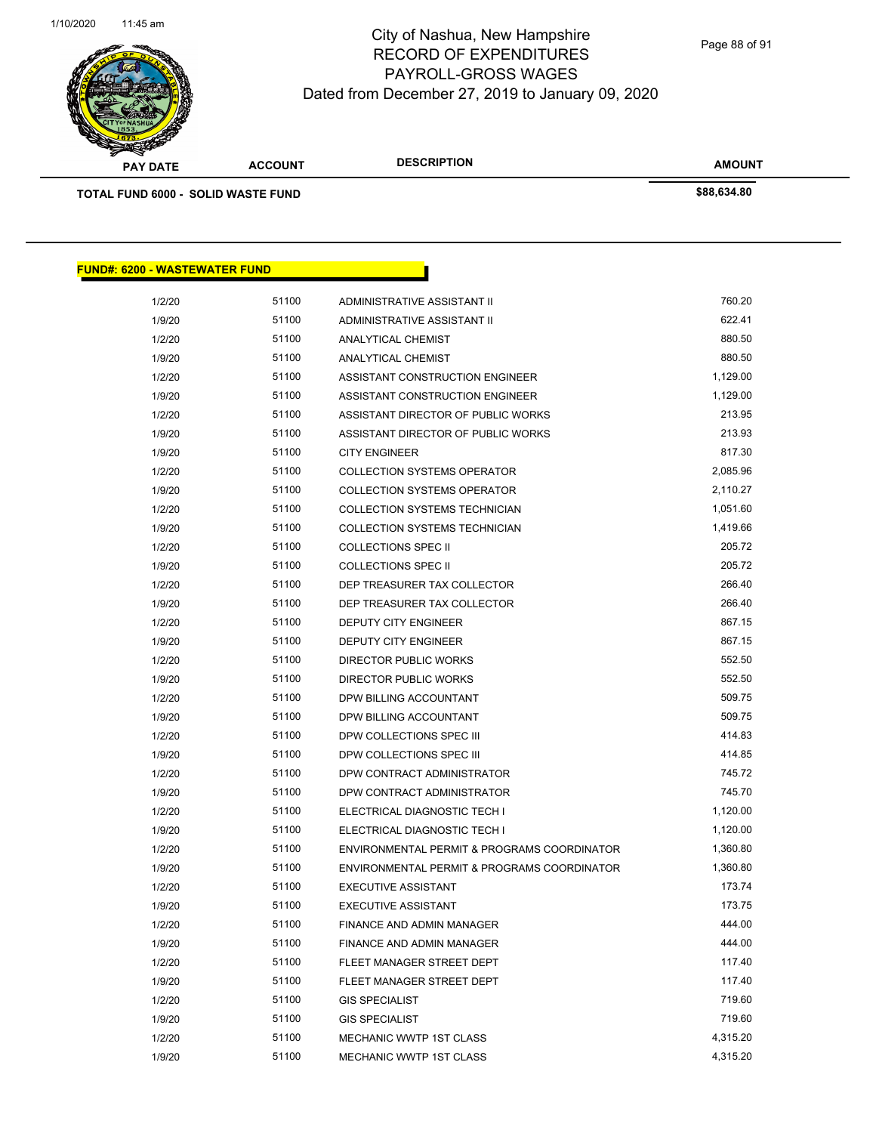

Page 88 of 91

| <b>PAY DATE</b>                           | <b>ACCOUNT</b> | <b>DESCRIPTION</b>                   | <b>AMOUNT</b> |  |
|-------------------------------------------|----------------|--------------------------------------|---------------|--|
| <b>TOTAL FUND 6000 - SOLID WASTE FUND</b> |                |                                      | \$88,634.80   |  |
|                                           |                |                                      |               |  |
|                                           |                |                                      |               |  |
| <b>FUND#: 6200 - WASTEWATER FUND</b>      |                |                                      |               |  |
| 1/2/20                                    | 51100          | ADMINISTRATIVE ASSISTANT II          | 760.20        |  |
| 1/9/20                                    | 51100          | ADMINISTRATIVE ASSISTANT II          | 622.41        |  |
| 1/2/20                                    | 51100          | ANALYTICAL CHEMIST                   | 880.50        |  |
| 1/9/20                                    | 51100          | ANALYTICAL CHEMIST                   | 880.50        |  |
| 1/2/20                                    | 51100          | ASSISTANT CONSTRUCTION ENGINEER      | 1,129.00      |  |
| 1/9/20                                    | 51100          | ASSISTANT CONSTRUCTION ENGINEER      | 1,129.00      |  |
| 1/2/20                                    | 51100          | ASSISTANT DIRECTOR OF PUBLIC WORKS   | 213.95        |  |
| 1/9/20                                    | 51100          | ASSISTANT DIRECTOR OF PUBLIC WORKS   | 213.93        |  |
| 1/9/20                                    | 51100          | <b>CITY ENGINEER</b>                 | 817.30        |  |
| 1/2/20                                    | 51100          | <b>COLLECTION SYSTEMS OPERATOR</b>   | 2,085.96      |  |
| 1/9/20                                    | 51100          | <b>COLLECTION SYSTEMS OPERATOR</b>   | 2,110.27      |  |
| 1/2/20                                    | 51100          | <b>COLLECTION SYSTEMS TECHNICIAN</b> | 1,051.60      |  |
| 1/9/20                                    | 51100          | <b>COLLECTION SYSTEMS TECHNICIAN</b> | 1,419.66      |  |
| 1/2/20                                    | 51100          | <b>COLLECTIONS SPEC II</b>           | 205.72        |  |
| 1/9/20                                    | 51100          | <b>COLLECTIONS SPEC II</b>           | 205.72        |  |
| 1/2/20                                    | 51100          | DEP TREASURER TAX COLLECTOR          | 266.40        |  |
| 1/9/20                                    | 51100          | DEP TREASURER TAX COLLECTOR          | 266.40        |  |
| 1/2/20                                    | 51100          | <b>DEPUTY CITY ENGINEER</b>          | 867.15        |  |
| 1/9/20                                    | 51100          | <b>DEPUTY CITY ENGINEER</b>          | 867.15        |  |
| 1/2/20                                    | 51100          | <b>DIRECTOR PUBLIC WORKS</b>         | 552.50        |  |
| 1/9/20                                    | 51100          | <b>DIRECTOR PUBLIC WORKS</b>         | 552.50        |  |
| 1/2/20                                    | 51100          | DPW BILLING ACCOUNTANT               | 509.75        |  |
| 1/9/20                                    | 51100          | DPW BILLING ACCOUNTANT               | 509.75        |  |
| 1/2/20                                    | 51100          | DPW COLLECTIONS SPEC III             | 414.83        |  |
| 1/9/20                                    | 51100          | DPW COLLECTIONS SPEC III             | 414.85        |  |
| 1/2/20                                    | 51100          | DPW CONTRACT ADMINISTRATOR           | 745.72        |  |
| 1/9/20                                    | 51100          | DPW CONTRACT ADMINISTRATOR           | 745.70        |  |

1/2/20 51100 ELECTRICAL DIAGNOSTIC TECH I 1,120.00 1/9/20 51100 ELECTRICAL DIAGNOSTIC TECH I 1,120.00 1/2/20 51100 ENVIRONMENTAL PERMIT & PROGRAMS COORDINATOR 1,360.80 1/9/20 51100 ENVIRONMENTAL PERMIT & PROGRAMS COORDINATOR 1,360.80 1/2/20 51100 EXECUTIVE ASSISTANT 173.74 1/9/20 51100 EXECUTIVE ASSISTANT 173.75 1/2/20 51100 FINANCE AND ADMIN MANAGER 444.00 1/9/20 51100 FINANCE AND ADMIN MANAGER 444.00 1/2/20 51100 FLEET MANAGER STREET DEPT 1/9/20 51100 FLEET MANAGER STREET DEPT 1/2/20 51100 GIS SPECIALIST **1/2/20** 719.60 1/9/20 51100 GIS SPECIALIST **100 SEEP 100 SEEP 100 SEEP 100 SEEP 100 SEEP 100 SEEP 100 SEEP 100 SEEP 100 SEEP 100** 1/2/20 51100 MECHANIC WWTP 1ST CLASS 4,315.20 1/9/20 51100 MECHANIC WWTP 1ST CLASS 6 1991 19920 4,315.20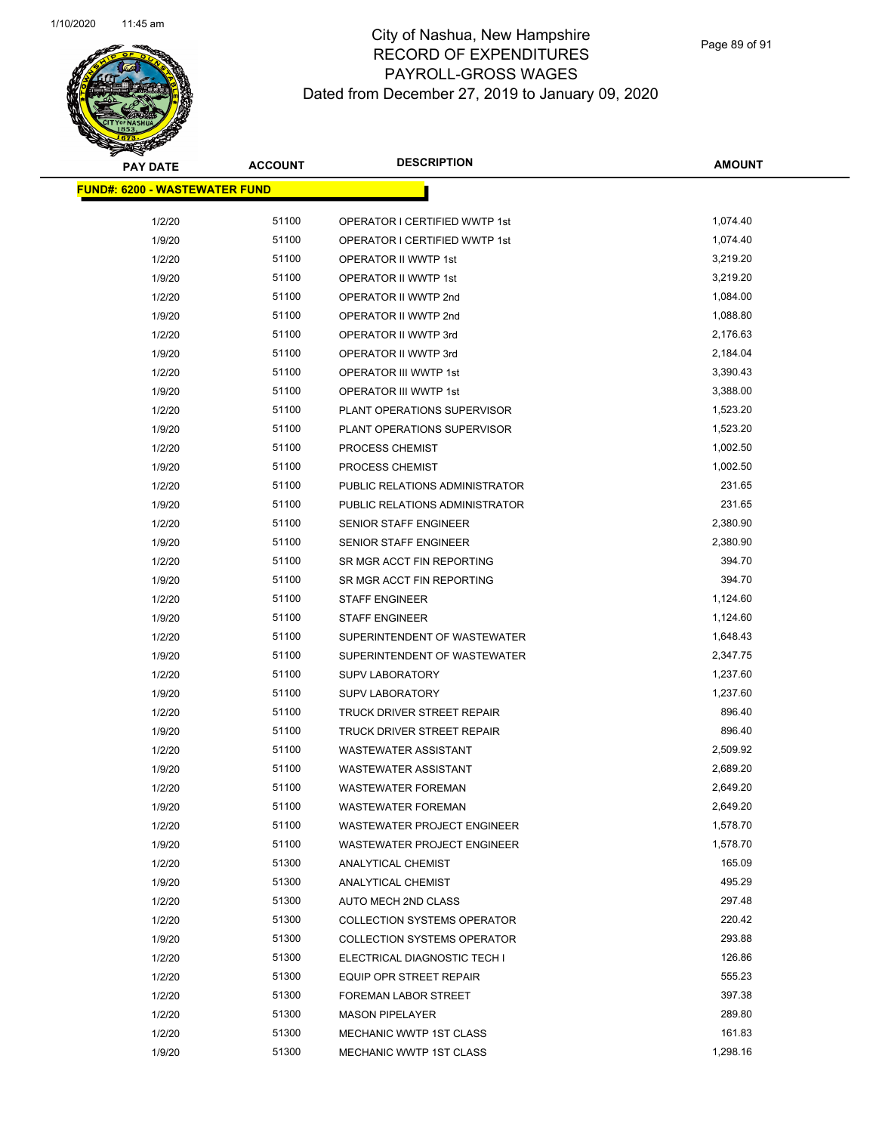

| <b>PAY DATE</b>                       | <b>ACCOUNT</b> | <b>DESCRIPTION</b>                 | <b>AMOUNT</b> |
|---------------------------------------|----------------|------------------------------------|---------------|
| <u> FUND#: 6200 - WASTEWATER FUND</u> |                |                                    |               |
|                                       |                |                                    |               |
| 1/2/20                                | 51100          | OPERATOR I CERTIFIED WWTP 1st      | 1,074.40      |
| 1/9/20                                | 51100          | OPERATOR I CERTIFIED WWTP 1st      | 1,074.40      |
| 1/2/20                                | 51100          | OPERATOR II WWTP 1st               | 3,219.20      |
| 1/9/20                                | 51100          | OPERATOR II WWTP 1st               | 3,219.20      |
| 1/2/20                                | 51100          | OPERATOR II WWTP 2nd               | 1,084.00      |
| 1/9/20                                | 51100          | OPERATOR II WWTP 2nd               | 1,088.80      |
| 1/2/20                                | 51100          | OPERATOR II WWTP 3rd               | 2,176.63      |
| 1/9/20                                | 51100          | OPERATOR II WWTP 3rd               | 2,184.04      |
| 1/2/20                                | 51100          | OPERATOR III WWTP 1st              | 3,390.43      |
| 1/9/20                                | 51100          | OPERATOR III WWTP 1st              | 3,388.00      |
| 1/2/20                                | 51100          | PLANT OPERATIONS SUPERVISOR        | 1,523.20      |
| 1/9/20                                | 51100          | PLANT OPERATIONS SUPERVISOR        | 1,523.20      |
| 1/2/20                                | 51100          | PROCESS CHEMIST                    | 1,002.50      |
| 1/9/20                                | 51100          | <b>PROCESS CHEMIST</b>             | 1,002.50      |
| 1/2/20                                | 51100          | PUBLIC RELATIONS ADMINISTRATOR     | 231.65        |
| 1/9/20                                | 51100          | PUBLIC RELATIONS ADMINISTRATOR     | 231.65        |
| 1/2/20                                | 51100          | SENIOR STAFF ENGINEER              | 2,380.90      |
| 1/9/20                                | 51100          | <b>SENIOR STAFF ENGINEER</b>       | 2,380.90      |
| 1/2/20                                | 51100          | SR MGR ACCT FIN REPORTING          | 394.70        |
| 1/9/20                                | 51100          | SR MGR ACCT FIN REPORTING          | 394.70        |
| 1/2/20                                | 51100          | <b>STAFF ENGINEER</b>              | 1,124.60      |
| 1/9/20                                | 51100          | <b>STAFF ENGINEER</b>              | 1,124.60      |
| 1/2/20                                | 51100          | SUPERINTENDENT OF WASTEWATER       | 1,648.43      |
| 1/9/20                                | 51100          | SUPERINTENDENT OF WASTEWATER       | 2,347.75      |
| 1/2/20                                | 51100          | <b>SUPV LABORATORY</b>             | 1,237.60      |
| 1/9/20                                | 51100          | <b>SUPV LABORATORY</b>             | 1,237.60      |
| 1/2/20                                | 51100          | <b>TRUCK DRIVER STREET REPAIR</b>  | 896.40        |
| 1/9/20                                | 51100          | TRUCK DRIVER STREET REPAIR         | 896.40        |
| 1/2/20                                | 51100          | <b>WASTEWATER ASSISTANT</b>        | 2,509.92      |
| 1/9/20                                | 51100          | <b>WASTEWATER ASSISTANT</b>        | 2,689.20      |
| 1/2/20                                | 51100          | <b>WASTEWATER FOREMAN</b>          | 2,649.20      |
| 1/9/20                                | 51100          | <b>WASTEWATER FOREMAN</b>          | 2,649.20      |
| 1/2/20                                | 51100          | WASTEWATER PROJECT ENGINEER        | 1,578.70      |
| 1/9/20                                | 51100          | WASTEWATER PROJECT ENGINEER        | 1,578.70      |
| 1/2/20                                | 51300          | ANALYTICAL CHEMIST                 | 165.09        |
| 1/9/20                                | 51300          | ANALYTICAL CHEMIST                 | 495.29        |
| 1/2/20                                | 51300          | AUTO MECH 2ND CLASS                | 297.48        |
| 1/2/20                                | 51300          | <b>COLLECTION SYSTEMS OPERATOR</b> | 220.42        |
| 1/9/20                                | 51300          | <b>COLLECTION SYSTEMS OPERATOR</b> | 293.88        |
| 1/2/20                                | 51300          | ELECTRICAL DIAGNOSTIC TECH I       | 126.86        |
| 1/2/20                                | 51300          | EQUIP OPR STREET REPAIR            | 555.23        |
| 1/2/20                                | 51300          | <b>FOREMAN LABOR STREET</b>        | 397.38        |
| 1/2/20                                | 51300          | <b>MASON PIPELAYER</b>             | 289.80        |
| 1/2/20                                | 51300          | MECHANIC WWTP 1ST CLASS            | 161.83        |
| 1/9/20                                | 51300          | MECHANIC WWTP 1ST CLASS            | 1,298.16      |
|                                       |                |                                    |               |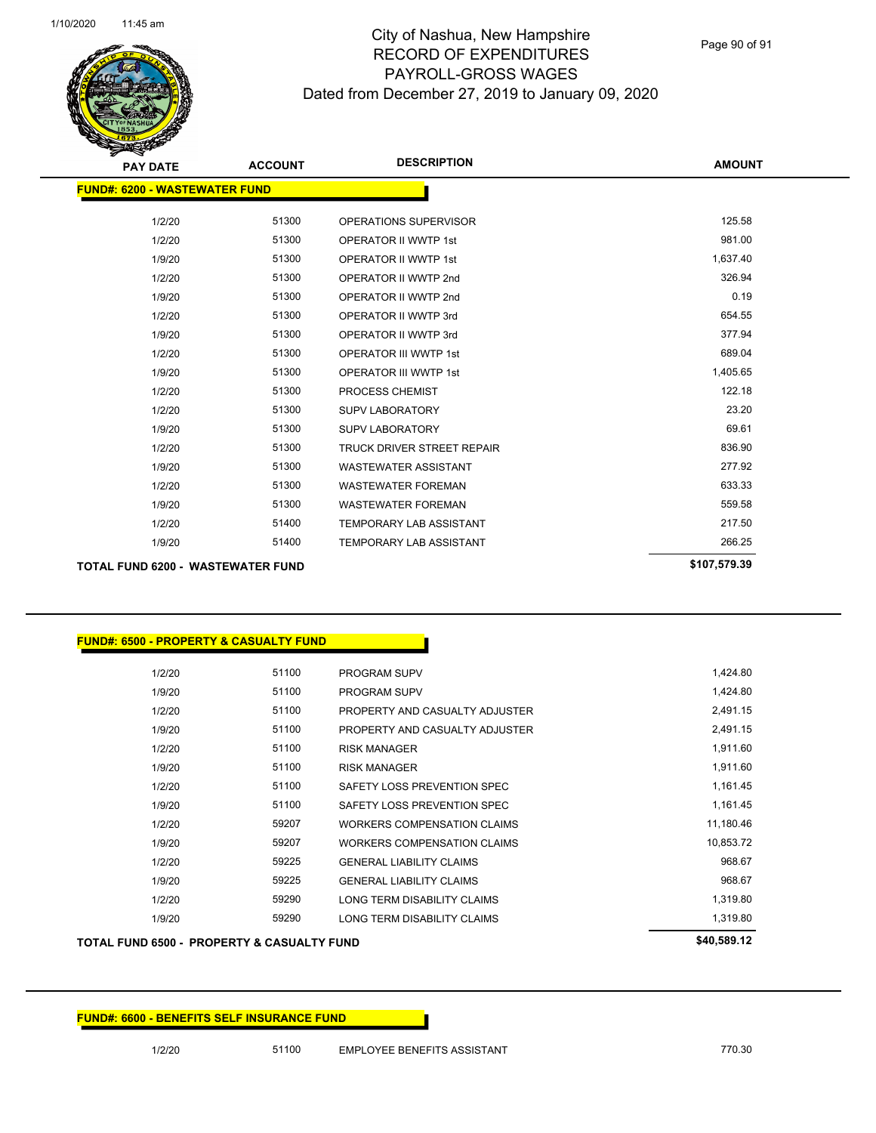Page 90 of 91

| <b>PAY DATE</b>                          | <b>ACCOUNT</b> | <b>DESCRIPTION</b>             | <b>AMOUNT</b> |
|------------------------------------------|----------------|--------------------------------|---------------|
| <b>FUND#: 6200 - WASTEWATER FUND</b>     |                |                                |               |
|                                          |                |                                |               |
| 1/2/20                                   | 51300          | OPERATIONS SUPERVISOR          | 125.58        |
| 1/2/20                                   | 51300          | <b>OPERATOR II WWTP 1st</b>    | 981.00        |
| 1/9/20                                   | 51300          | <b>OPERATOR II WWTP 1st</b>    | 1,637.40      |
| 1/2/20                                   | 51300          | OPERATOR II WWTP 2nd           | 326.94        |
| 1/9/20                                   | 51300          | OPERATOR II WWTP 2nd           | 0.19          |
| 1/2/20                                   | 51300          | OPERATOR II WWTP 3rd           | 654.55        |
| 1/9/20                                   | 51300          | OPERATOR II WWTP 3rd           | 377.94        |
| 1/2/20                                   | 51300          | <b>OPERATOR III WWTP 1st</b>   | 689.04        |
| 1/9/20                                   | 51300          | <b>OPERATOR III WWTP 1st</b>   | 1,405.65      |
| 1/2/20                                   | 51300          | <b>PROCESS CHEMIST</b>         | 122.18        |
| 1/2/20                                   | 51300          | <b>SUPV LABORATORY</b>         | 23.20         |
| 1/9/20                                   | 51300          | <b>SUPV LABORATORY</b>         | 69.61         |
| 1/2/20                                   | 51300          | TRUCK DRIVER STREET REPAIR     | 836.90        |
| 1/9/20                                   | 51300          | <b>WASTEWATER ASSISTANT</b>    | 277.92        |
| 1/2/20                                   | 51300          | <b>WASTEWATER FOREMAN</b>      | 633.33        |
| 1/9/20                                   | 51300          | <b>WASTEWATER FOREMAN</b>      | 559.58        |
| 1/2/20                                   | 51400          | <b>TEMPORARY LAB ASSISTANT</b> | 217.50        |
| 1/9/20                                   | 51400          | <b>TEMPORARY LAB ASSISTANT</b> | 266.25        |
| <b>TOTAL FUND 6200 - WASTEWATER FUND</b> |                |                                | \$107,579.39  |

#### **FUND#: 6500 - PROPERTY & CASUALTY FUND**

| 1/2/20 | 51100 | <b>PROGRAM SUPV</b>                | 1,424.80  |
|--------|-------|------------------------------------|-----------|
| 1/9/20 | 51100 | <b>PROGRAM SUPV</b>                | 1,424.80  |
| 1/2/20 | 51100 | PROPERTY AND CASUALTY ADJUSTER     | 2,491.15  |
| 1/9/20 | 51100 | PROPERTY AND CASUALTY ADJUSTER     | 2,491.15  |
| 1/2/20 | 51100 | <b>RISK MANAGER</b>                | 1.911.60  |
| 1/9/20 | 51100 | <b>RISK MANAGER</b>                | 1,911.60  |
| 1/2/20 | 51100 | SAFETY LOSS PREVENTION SPEC        | 1,161.45  |
| 1/9/20 | 51100 | SAFETY LOSS PREVENTION SPEC        | 1,161.45  |
| 1/2/20 | 59207 | WORKERS COMPENSATION CLAIMS        | 11.180.46 |
| 1/9/20 | 59207 | <b>WORKERS COMPENSATION CLAIMS</b> | 10.853.72 |
| 1/2/20 | 59225 | <b>GENERAL LIABILITY CLAIMS</b>    | 968.67    |
| 1/9/20 | 59225 | <b>GENERAL LIABILITY CLAIMS</b>    | 968.67    |
| 1/2/20 | 59290 | LONG TERM DISABILITY CLAIMS        | 1,319.80  |
| 1/9/20 | 59290 | LONG TERM DISABILITY CLAIMS        | 1.319.80  |

## **TOTAL FUND 6500 - PROPERTY & CASUALTY FUND \$40,589.12**

**FUND#: 6600 - BENEFITS SELF INSURANCE FUND**